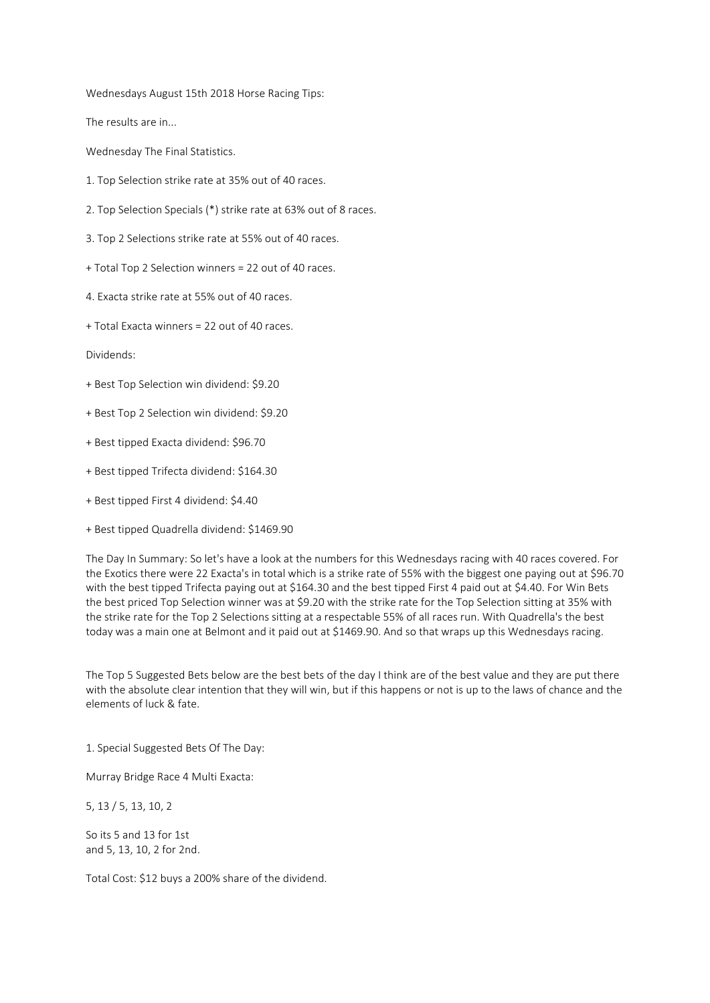Wednesdays August 15th 2018 Horse Racing Tips:

The results are in...

Wednesday The Final Statistics.

- 1. Top Selection strike rate at 35% out of 40 races.
- 2. Top Selection Specials (\*) strike rate at 63% out of 8 races.
- 3. Top 2 Selections strike rate at 55% out of 40 races.
- + Total Top 2 Selection winners = 22 out of 40 races.
- 4. Exacta strike rate at 55% out of 40 races.
- + Total Exacta winners = 22 out of 40 races.

Dividends:

- + Best Top Selection win dividend: \$9.20
- + Best Top 2 Selection win dividend: \$9.20
- + Best tipped Exacta dividend: \$96.70
- + Best tipped Trifecta dividend: \$164.30
- + Best tipped First 4 dividend: \$4.40
- + Best tipped Quadrella dividend: \$1469.90

The Day In Summary: So let's have a look at the numbers for this Wednesdays racing with 40 races covered. For the Exotics there were 22 Exacta's in total which is a strike rate of 55% with the biggest one paying out at \$96.70 with the best tipped Trifecta paying out at \$164.30 and the best tipped First 4 paid out at \$4.40. For Win Bets the best priced Top Selection winner was at \$9.20 with the strike rate for the Top Selection sitting at 35% with the strike rate for the Top 2 Selections sitting at a respectable 55% of all races run. With Quadrella's the best today was a main one at Belmont and it paid out at \$1469.90. And so that wraps up this Wednesdays racing.

The Top 5 Suggested Bets below are the best bets of the day I think are of the best value and they are put there with the absolute clear intention that they will win, but if this happens or not is up to the laws of chance and the elements of luck & fate.

1. Special Suggested Bets Of The Day:

Murray Bridge Race 4 Multi Exacta:

5, 13 / 5, 13, 10, 2

So its 5 and 13 for 1st and 5, 13, 10, 2 for 2nd.

Total Cost: \$12 buys a 200% share of the dividend.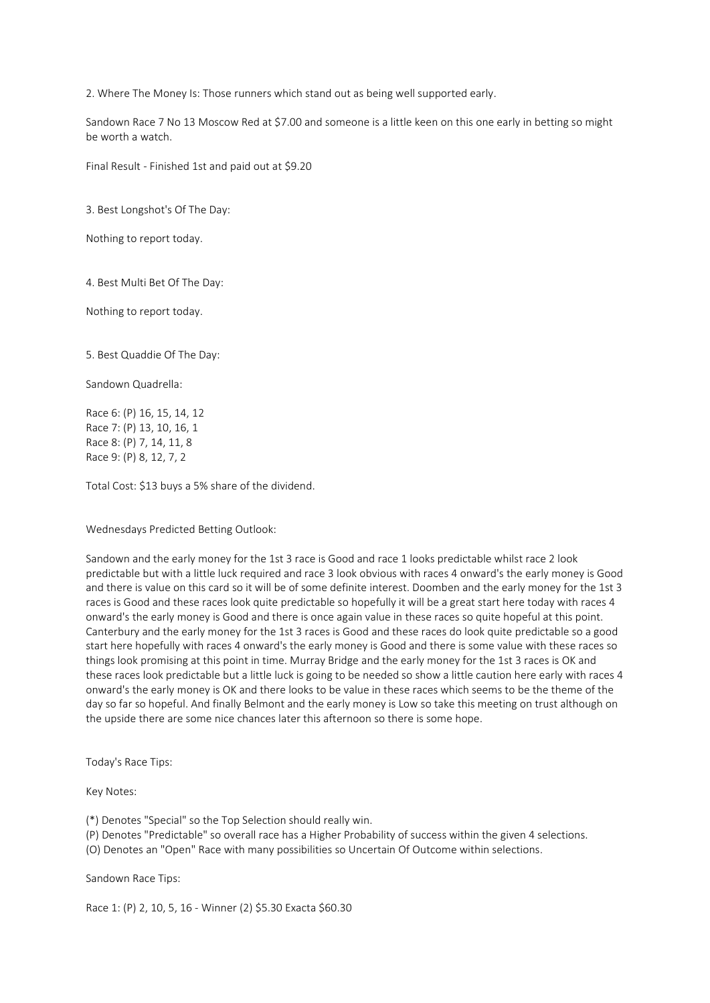2. Where The Money Is: Those runners which stand out as being well supported early.

Sandown Race 7 No 13 Moscow Red at \$7.00 and someone is a little keen on this one early in betting so might be worth a watch.

Final Result - Finished 1st and paid out at \$9.20

3. Best Longshot's Of The Day:

Nothing to report today.

4. Best Multi Bet Of The Day:

Nothing to report today.

5. Best Quaddie Of The Day:

Sandown Quadrella:

Race 6: (P) 16, 15, 14, 12 Race 7: (P) 13, 10, 16, 1 Race 8: (P) 7, 14, 11, 8 Race 9: (P) 8, 12, 7, 2

Total Cost: \$13 buys a 5% share of the dividend.

Wednesdays Predicted Betting Outlook:

Sandown and the early money for the 1st 3 race is Good and race 1 looks predictable whilst race 2 look predictable but with a little luck required and race 3 look obvious with races 4 onward's the early money is Good and there is value on this card so it will be of some definite interest. Doomben and the early money for the 1st 3 races is Good and these races look quite predictable so hopefully it will be a great start here today with races 4 onward's the early money is Good and there is once again value in these races so quite hopeful at this point. Canterbury and the early money for the 1st 3 races is Good and these races do look quite predictable so a good start here hopefully with races 4 onward's the early money is Good and there is some value with these races so things look promising at this point in time. Murray Bridge and the early money for the 1st 3 races is OK and these races look predictable but a little luck is going to be needed so show a little caution here early with races 4 onward's the early money is OK and there looks to be value in these races which seems to be the theme of the day so far so hopeful. And finally Belmont and the early money is Low so take this meeting on trust although on the upside there are some nice chances later this afternoon so there is some hope.

Today's Race Tips:

Key Notes:

(\*) Denotes "Special" so the Top Selection should really win.

(P) Denotes "Predictable" so overall race has a Higher Probability of success within the given 4 selections.

(O) Denotes an "Open" Race with many possibilities so Uncertain Of Outcome within selections.

Sandown Race Tips:

Race 1: (P) 2, 10, 5, 16 - Winner (2) \$5.30 Exacta \$60.30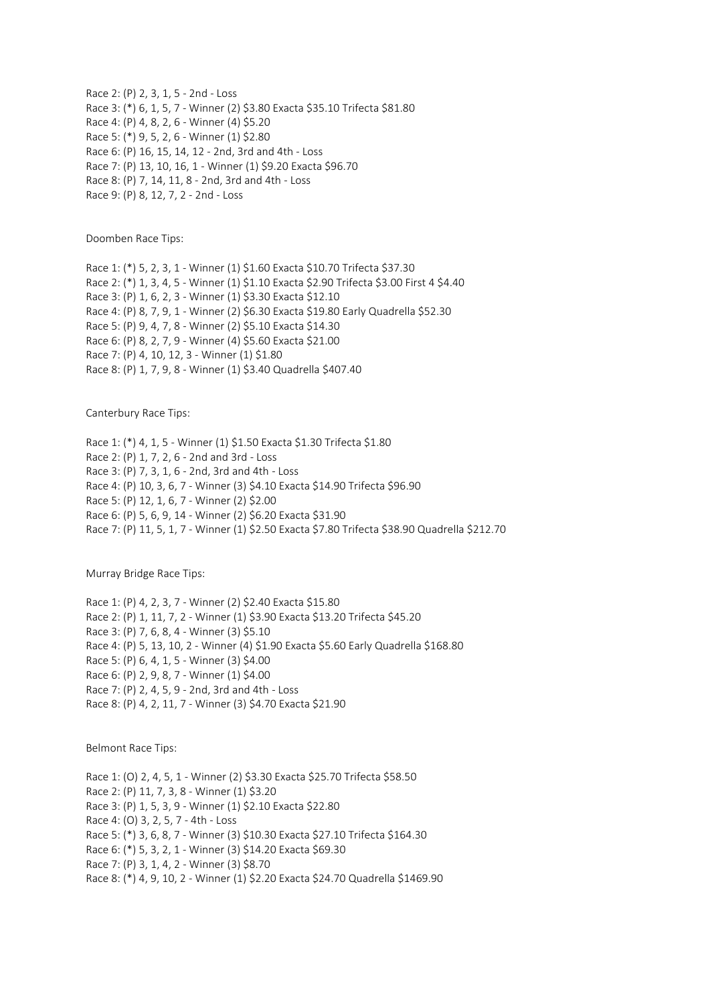Race 2: (P) 2, 3, 1, 5 - 2nd - Loss Race 3: (\*) 6, 1, 5, 7 - Winner (2) \$3.80 Exacta \$35.10 Trifecta \$81.80 Race 4: (P) 4, 8, 2, 6 - Winner (4) \$5.20 Race 5: (\*) 9, 5, 2, 6 - Winner (1) \$2.80 Race 6: (P) 16, 15, 14, 12 - 2nd, 3rd and 4th - Loss Race 7: (P) 13, 10, 16, 1 - Winner (1) \$9.20 Exacta \$96.70 Race 8: (P) 7, 14, 11, 8 - 2nd, 3rd and 4th - Loss Race 9: (P) 8, 12, 7, 2 - 2nd - Loss

Doomben Race Tips:

Race 1: (\*) 5, 2, 3, 1 - Winner (1) \$1.60 Exacta \$10.70 Trifecta \$37.30 Race 2: (\*) 1, 3, 4, 5 - Winner (1) \$1.10 Exacta \$2.90 Trifecta \$3.00 First 4 \$4.40 Race 3: (P) 1, 6, 2, 3 - Winner (1) \$3.30 Exacta \$12.10 Race 4: (P) 8, 7, 9, 1 - Winner (2) \$6.30 Exacta \$19.80 Early Quadrella \$52.30 Race 5: (P) 9, 4, 7, 8 - Winner (2) \$5.10 Exacta \$14.30 Race 6: (P) 8, 2, 7, 9 - Winner (4) \$5.60 Exacta \$21.00 Race 7: (P) 4, 10, 12, 3 - Winner (1) \$1.80 Race 8: (P) 1, 7, 9, 8 - Winner (1) \$3.40 Quadrella \$407.40

Canterbury Race Tips:

Race 1: (\*) 4, 1, 5 - Winner (1) \$1.50 Exacta \$1.30 Trifecta \$1.80 Race 2: (P) 1, 7, 2, 6 - 2nd and 3rd - Loss Race 3: (P) 7, 3, 1, 6 - 2nd, 3rd and 4th - Loss Race 4: (P) 10, 3, 6, 7 - Winner (3) \$4.10 Exacta \$14.90 Trifecta \$96.90 Race 5: (P) 12, 1, 6, 7 - Winner (2) \$2.00 Race 6: (P) 5, 6, 9, 14 - Winner (2) \$6.20 Exacta \$31.90 Race 7: (P) 11, 5, 1, 7 - Winner (1) \$2.50 Exacta \$7.80 Trifecta \$38.90 Quadrella \$212.70

Murray Bridge Race Tips:

Race 1: (P) 4, 2, 3, 7 - Winner (2) \$2.40 Exacta \$15.80 Race 2: (P) 1, 11, 7, 2 - Winner (1) \$3.90 Exacta \$13.20 Trifecta \$45.20 Race 3: (P) 7, 6, 8, 4 - Winner (3) \$5.10 Race 4: (P) 5, 13, 10, 2 - Winner (4) \$1.90 Exacta \$5.60 Early Quadrella \$168.80 Race 5: (P) 6, 4, 1, 5 - Winner (3) \$4.00 Race 6: (P) 2, 9, 8, 7 - Winner (1) \$4.00 Race 7: (P) 2, 4, 5, 9 - 2nd, 3rd and 4th - Loss Race 8: (P) 4, 2, 11, 7 - Winner (3) \$4.70 Exacta \$21.90

Belmont Race Tips:

Race 1: (0) 2, 4, 5, 1 - Winner (2) \$3.30 Exacta \$25.70 Trifecta \$58.50 Race 2: (P) 11, 7, 3, 8 - Winner (1) \$3.20 Race 3: (P) 1, 5, 3, 9 - Winner (1) \$2.10 Exacta \$22.80 Race 4: (O) 3, 2, 5, 7 - 4th - Loss Race 5: (\*) 3, 6, 8, 7 - Winner (3) \$10.30 Exacta \$27.10 Trifecta \$164.30 Race 6: (\*) 5, 3, 2, 1 - Winner (3) \$14.20 Exacta \$69.30 Race 7: (P) 3, 1, 4, 2 - Winner (3) \$8.70 Race 8: (\*) 4, 9, 10, 2 - Winner (1) \$2.20 Exacta \$24.70 Quadrella \$1469.90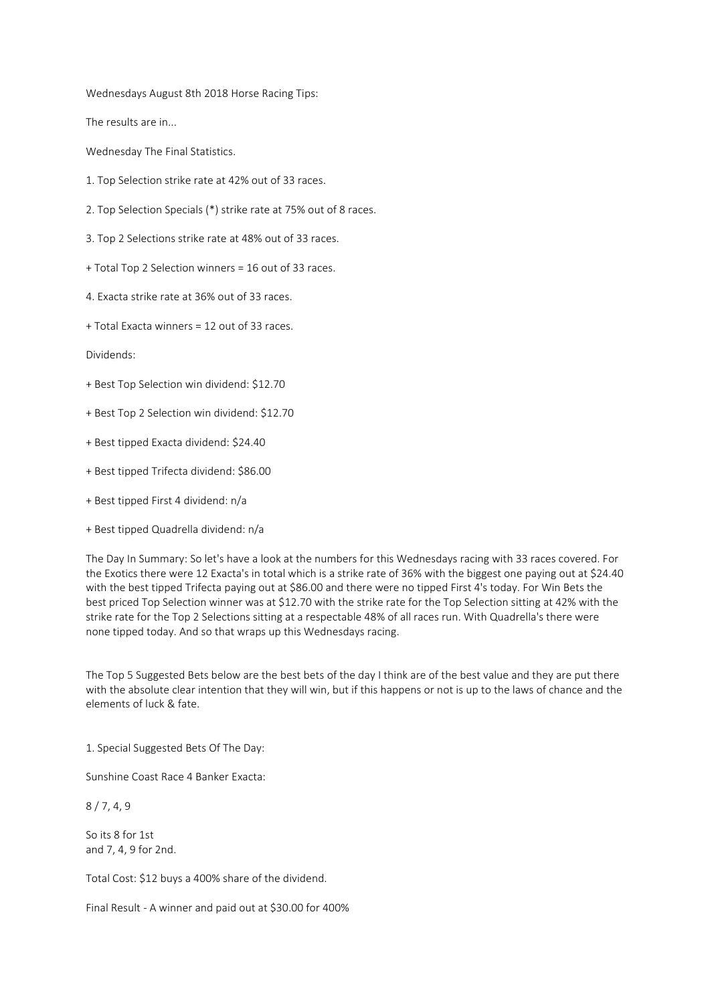Wednesdays August 8th 2018 Horse Racing Tips:

The results are in...

Wednesday The Final Statistics.

- 1. Top Selection strike rate at 42% out of 33 races.
- 2. Top Selection Specials (\*) strike rate at 75% out of 8 races.
- 3. Top 2 Selections strike rate at 48% out of 33 races.
- + Total Top 2 Selection winners = 16 out of 33 races.
- 4. Exacta strike rate at 36% out of 33 races.
- + Total Exacta winners = 12 out of 33 races.

Dividends:

- + Best Top Selection win dividend: \$12.70
- + Best Top 2 Selection win dividend: \$12.70
- + Best tipped Exacta dividend: \$24.40
- + Best tipped Trifecta dividend: \$86.00
- + Best tipped First 4 dividend: n/a
- + Best tipped Quadrella dividend: n/a

The Day In Summary: So let's have a look at the numbers for this Wednesdays racing with 33 races covered. For the Exotics there were 12 Exacta's in total which is a strike rate of 36% with the biggest one paying out at \$24.40 with the best tipped Trifecta paying out at \$86.00 and there were no tipped First 4's today. For Win Bets the best priced Top Selection winner was at \$12.70 with the strike rate for the Top Selection sitting at 42% with the strike rate for the Top 2 Selections sitting at a respectable 48% of all races run. With Quadrella's there were none tipped today. And so that wraps up this Wednesdays racing.

The Top 5 Suggested Bets below are the best bets of the day I think are of the best value and they are put there with the absolute clear intention that they will win, but if this happens or not is up to the laws of chance and the elements of luck & fate.

1. Special Suggested Bets Of The Day:

Sunshine Coast Race 4 Banker Exacta:

8 / 7, 4, 9

So its 8 for 1st and 7, 4, 9 for 2nd.

Total Cost: \$12 buys a 400% share of the dividend.

Final Result - A winner and paid out at \$30.00 for 400%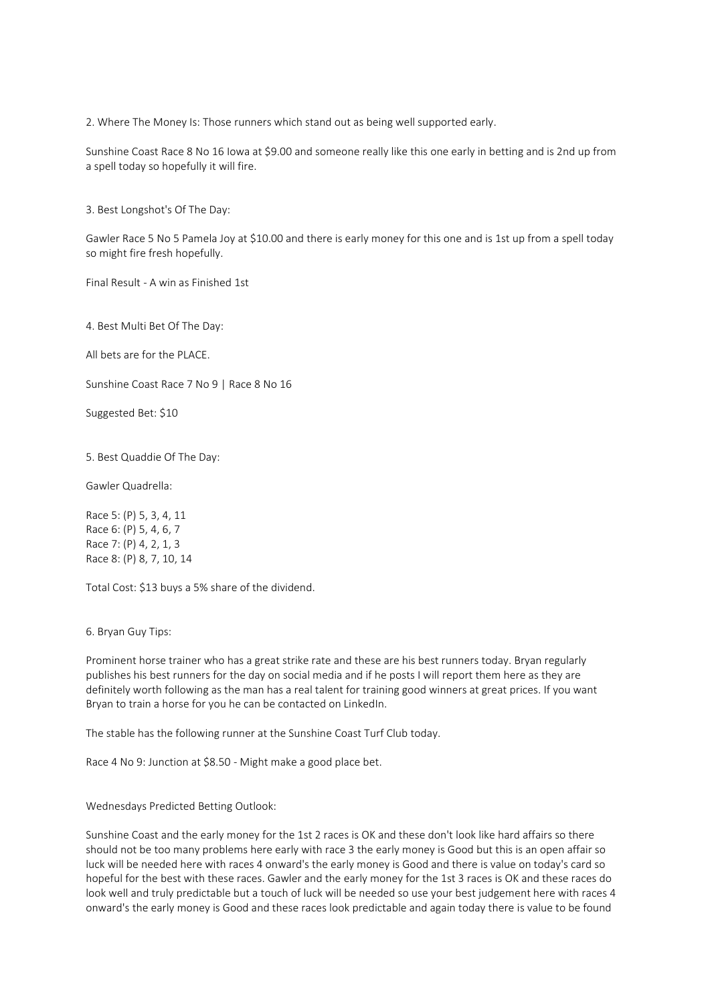2. Where The Money Is: Those runners which stand out as being well supported early.

Sunshine Coast Race 8 No 16 Iowa at \$9.00 and someone really like this one early in betting and is 2nd up from a spell today so hopefully it will fire.

3. Best Longshot's Of The Day:

Gawler Race 5 No 5 Pamela Joy at \$10.00 and there is early money for this one and is 1st up from a spell today so might fire fresh hopefully.

Final Result - A win as Finished 1st

4. Best Multi Bet Of The Day:

All bets are for the PLACE.

Sunshine Coast Race 7 No 9 | Race 8 No 16

Suggested Bet: \$10

5. Best Quaddie Of The Day:

Gawler Quadrella:

Race 5: (P) 5, 3, 4, 11 Race 6: (P) 5, 4, 6, 7 Race 7: (P) 4, 2, 1, 3 Race 8: (P) 8, 7, 10, 14

Total Cost: \$13 buys a 5% share of the dividend.

6. Bryan Guy Tips:

Prominent horse trainer who has a great strike rate and these are his best runners today. Bryan regularly publishes his best runners for the day on social media and if he posts I will report them here as they are definitely worth following as the man has a real talent for training good winners at great prices. If you want Bryan to train a horse for you he can be contacted on LinkedIn.

The stable has the following runner at the Sunshine Coast Turf Club today.

Race 4 No 9: Junction at \$8.50 - Might make a good place bet.

Wednesdays Predicted Betting Outlook:

Sunshine Coast and the early money for the 1st 2 races is OK and these don't look like hard affairs so there should not be too many problems here early with race 3 the early money is Good but this is an open affair so luck will be needed here with races 4 onward's the early money is Good and there is value on today's card so hopeful for the best with these races. Gawler and the early money for the 1st 3 races is OK and these races do look well and truly predictable but a touch of luck will be needed so use your best judgement here with races 4 onward's the early money is Good and these races look predictable and again today there is value to be found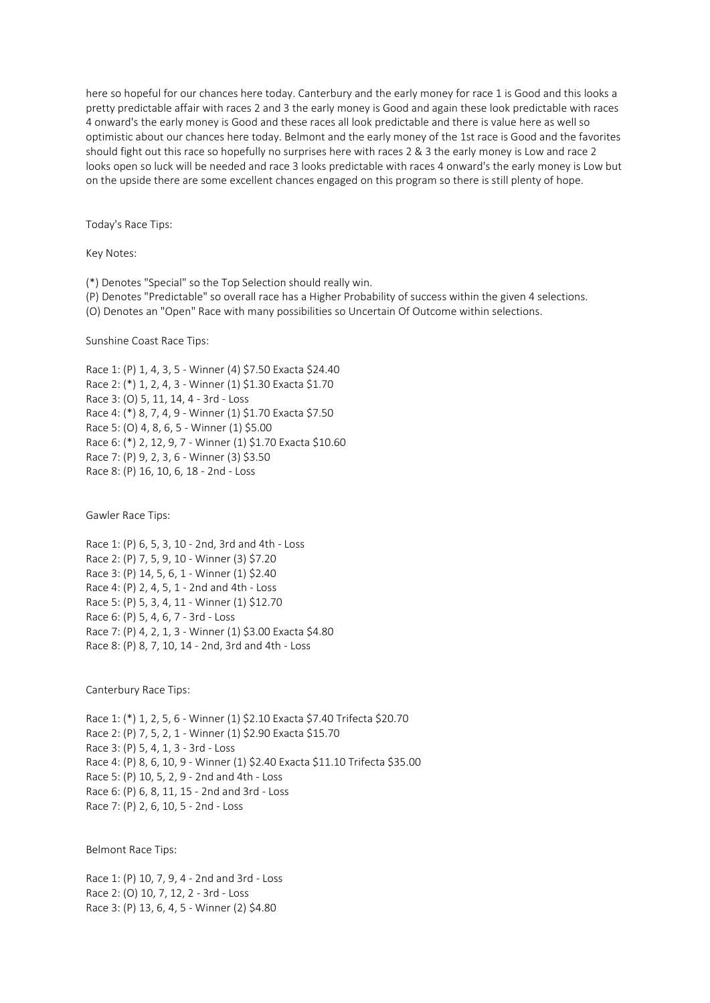here so hopeful for our chances here today. Canterbury and the early money for race 1 is Good and this looks a pretty predictable affair with races 2 and 3 the early money is Good and again these look predictable with races 4 onward's the early money is Good and these races all look predictable and there is value here as well so optimistic about our chances here today. Belmont and the early money of the 1st race is Good and the favorites should fight out this race so hopefully no surprises here with races 2 & 3 the early money is Low and race 2 looks open so luck will be needed and race 3 looks predictable with races 4 onward's the early money is Low but on the upside there are some excellent chances engaged on this program so there is still plenty of hope.

Today's Race Tips:

Key Notes:

(\*) Denotes "Special" so the Top Selection should really win.

(P) Denotes "Predictable" so overall race has a Higher Probability of success within the given 4 selections.

(O) Denotes an "Open" Race with many possibilities so Uncertain Of Outcome within selections.

## Sunshine Coast Race Tips:

Race 1: (P) 1, 4, 3, 5 - Winner (4) \$7.50 Exacta \$24.40 Race 2: (\*) 1, 2, 4, 3 - Winner (1) \$1.30 Exacta \$1.70 Race 3: (O) 5, 11, 14, 4 - 3rd - Loss Race 4: (\*) 8, 7, 4, 9 - Winner (1) \$1.70 Exacta \$7.50 Race 5: (O) 4, 8, 6, 5 - Winner (1) \$5.00 Race 6: (\*) 2, 12, 9, 7 - Winner (1) \$1.70 Exacta \$10.60 Race 7: (P) 9, 2, 3, 6 - Winner (3) \$3.50 Race 8: (P) 16, 10, 6, 18 - 2nd - Loss

Gawler Race Tips:

Race 1: (P) 6, 5, 3, 10 - 2nd, 3rd and 4th - Loss Race 2: (P) 7, 5, 9, 10 - Winner (3) \$7.20 Race 3: (P) 14, 5, 6, 1 - Winner (1) \$2.40 Race 4: (P) 2, 4, 5, 1 - 2nd and 4th - Loss Race 5: (P) 5, 3, 4, 11 - Winner (1) \$12.70 Race 6: (P) 5, 4, 6, 7 - 3rd - Loss Race 7: (P) 4, 2, 1, 3 - Winner (1) \$3.00 Exacta \$4.80 Race 8: (P) 8, 7, 10, 14 - 2nd, 3rd and 4th - Loss

Canterbury Race Tips:

Race 1: (\*) 1, 2, 5, 6 - Winner (1) \$2.10 Exacta \$7.40 Trifecta \$20.70 Race 2: (P) 7, 5, 2, 1 - Winner (1) \$2.90 Exacta \$15.70 Race 3: (P) 5, 4, 1, 3 - 3rd - Loss Race 4: (P) 8, 6, 10, 9 - Winner (1) \$2.40 Exacta \$11.10 Trifecta \$35.00 Race 5: (P) 10, 5, 2, 9 - 2nd and 4th - Loss Race 6: (P) 6, 8, 11, 15 - 2nd and 3rd - Loss Race 7: (P) 2, 6, 10, 5 - 2nd - Loss

Belmont Race Tips:

Race 1: (P) 10, 7, 9, 4 - 2nd and 3rd - Loss Race 2: (O) 10, 7, 12, 2 - 3rd - Loss Race 3: (P) 13, 6, 4, 5 - Winner (2) \$4.80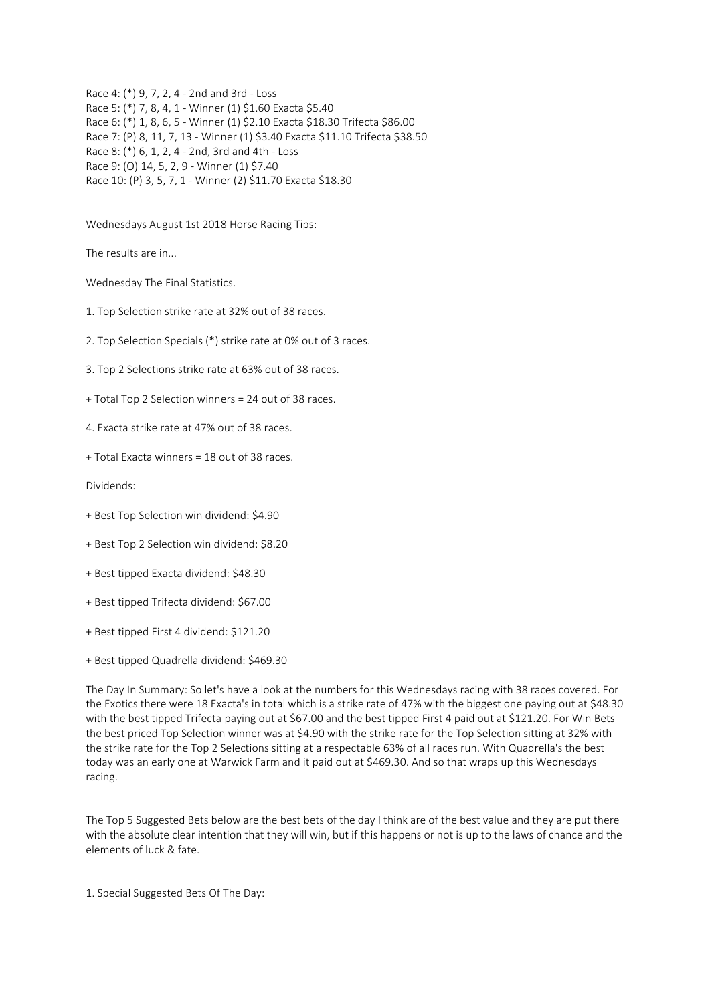Race 4: (\*) 9, 7, 2, 4 - 2nd and 3rd - Loss Race 5: (\*) 7, 8, 4, 1 - Winner (1) \$1.60 Exacta \$5.40 Race 6: (\*) 1, 8, 6, 5 - Winner (1) \$2.10 Exacta \$18.30 Trifecta \$86.00 Race 7: (P) 8, 11, 7, 13 - Winner (1) \$3.40 Exacta \$11.10 Trifecta \$38.50 Race 8: (\*) 6, 1, 2, 4 - 2nd, 3rd and 4th - Loss Race 9: (O) 14, 5, 2, 9 - Winner (1) \$7.40 Race 10: (P) 3, 5, 7, 1 - Winner (2) \$11.70 Exacta \$18.30

Wednesdays August 1st 2018 Horse Racing Tips:

The results are in...

Wednesday The Final Statistics.

- 1. Top Selection strike rate at 32% out of 38 races.
- 2. Top Selection Specials (\*) strike rate at 0% out of 3 races.
- 3. Top 2 Selections strike rate at 63% out of 38 races.
- + Total Top 2 Selection winners = 24 out of 38 races.
- 4. Exacta strike rate at 47% out of 38 races.
- + Total Exacta winners = 18 out of 38 races.

Dividends:

- + Best Top Selection win dividend: \$4.90
- + Best Top 2 Selection win dividend: \$8.20
- + Best tipped Exacta dividend: \$48.30
- + Best tipped Trifecta dividend: \$67.00
- + Best tipped First 4 dividend: \$121.20
- + Best tipped Quadrella dividend: \$469.30

The Day In Summary: So let's have a look at the numbers for this Wednesdays racing with 38 races covered. For the Exotics there were 18 Exacta's in total which is a strike rate of 47% with the biggest one paying out at \$48.30 with the best tipped Trifecta paying out at \$67.00 and the best tipped First 4 paid out at \$121.20. For Win Bets the best priced Top Selection winner was at \$4.90 with the strike rate for the Top Selection sitting at 32% with the strike rate for the Top 2 Selections sitting at a respectable 63% of all races run. With Quadrella's the best today was an early one at Warwick Farm and it paid out at \$469.30. And so that wraps up this Wednesdays racing.

The Top 5 Suggested Bets below are the best bets of the day I think are of the best value and they are put there with the absolute clear intention that they will win, but if this happens or not is up to the laws of chance and the elements of luck & fate.

1. Special Suggested Bets Of The Day: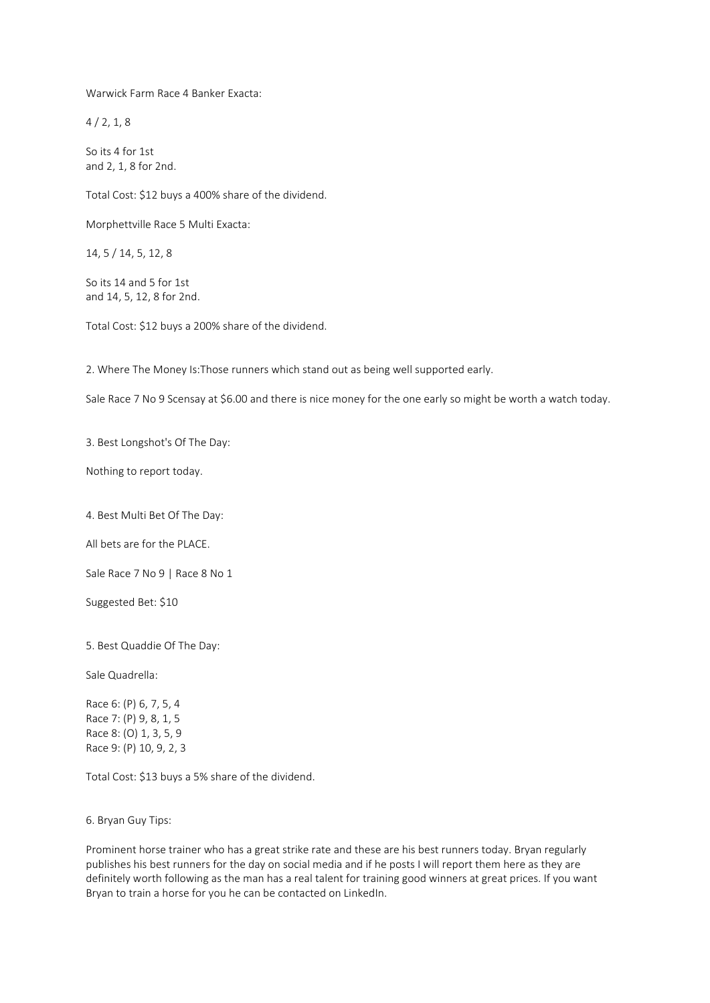Warwick Farm Race 4 Banker Exacta:

 $4/2, 1, 8$ 

So its 4 for 1st and 2, 1, 8 for 2nd.

Total Cost: \$12 buys a 400% share of the dividend.

Morphettville Race 5 Multi Exacta:

14, 5 / 14, 5, 12, 8

So its 14 and 5 for 1st and 14, 5, 12, 8 for 2nd.

Total Cost: \$12 buys a 200% share of the dividend.

2. Where The Money Is:Those runners which stand out as being well supported early.

Sale Race 7 No 9 Scensay at \$6.00 and there is nice money for the one early so might be worth a watch today.

3. Best Longshot's Of The Day:

Nothing to report today.

4. Best Multi Bet Of The Day:

All bets are for the PLACE.

Sale Race 7 No 9 | Race 8 No 1

Suggested Bet: \$10

5. Best Quaddie Of The Day:

Sale Quadrella:

Race 6: (P) 6, 7, 5, 4 Race 7: (P) 9, 8, 1, 5 Race 8: (O) 1, 3, 5, 9 Race 9: (P) 10, 9, 2, 3

Total Cost: \$13 buys a 5% share of the dividend.

6. Bryan Guy Tips:

Prominent horse trainer who has a great strike rate and these are his best runners today. Bryan regularly publishes his best runners for the day on social media and if he posts I will report them here as they are definitely worth following as the man has a real talent for training good winners at great prices. If you want Bryan to train a horse for you he can be contacted on LinkedIn.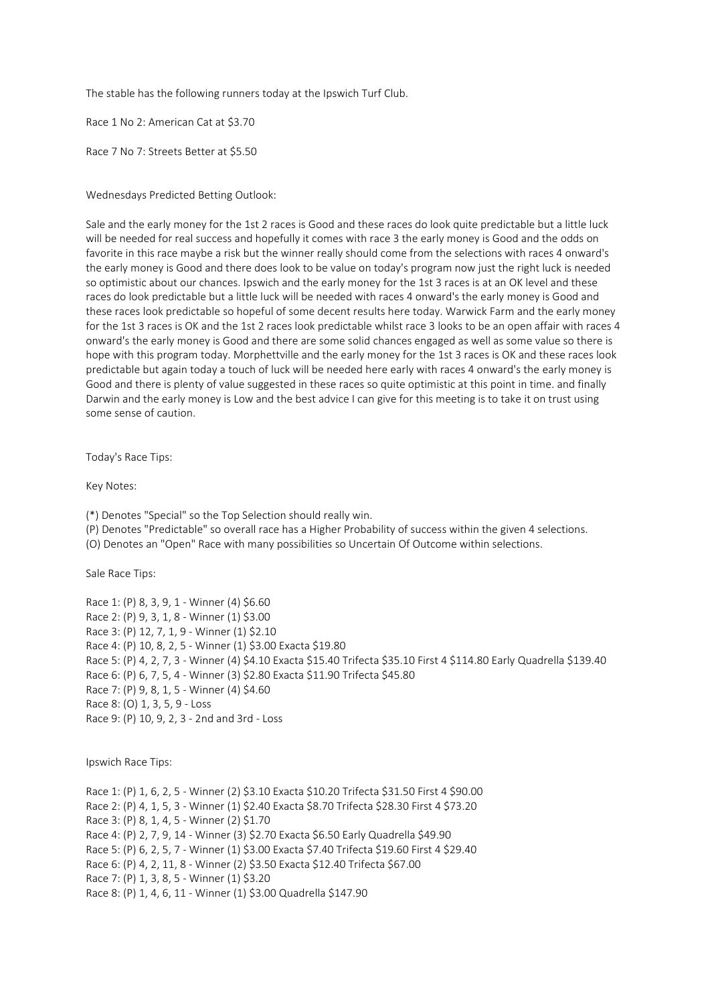The stable has the following runners today at the Ipswich Turf Club.

Race 1 No 2: American Cat at \$3.70

Race 7 No 7: Streets Better at \$5.50

Wednesdays Predicted Betting Outlook:

Sale and the early money for the 1st 2 races is Good and these races do look quite predictable but a little luck will be needed for real success and hopefully it comes with race 3 the early money is Good and the odds on favorite in this race maybe a risk but the winner really should come from the selections with races 4 onward's the early money is Good and there does look to be value on today's program now just the right luck is needed so optimistic about our chances. Ipswich and the early money for the 1st 3 races is at an OK level and these races do look predictable but a little luck will be needed with races 4 onward's the early money is Good and these races look predictable so hopeful of some decent results here today. Warwick Farm and the early money for the 1st 3 races is OK and the 1st 2 races look predictable whilst race 3 looks to be an open affair with races 4 onward's the early money is Good and there are some solid chances engaged as well as some value so there is hope with this program today. Morphettville and the early money for the 1st 3 races is OK and these races look predictable but again today a touch of luck will be needed here early with races 4 onward's the early money is Good and there is plenty of value suggested in these races so quite optimistic at this point in time. and finally Darwin and the early money is Low and the best advice I can give for this meeting is to take it on trust using some sense of caution.

Today's Race Tips:

Key Notes:

(\*) Denotes "Special" so the Top Selection should really win.

(P) Denotes "Predictable" so overall race has a Higher Probability of success within the given 4 selections.

(O) Denotes an "Open" Race with many possibilities so Uncertain Of Outcome within selections.

Sale Race Tips:

Race 1: (P) 8, 3, 9, 1 - Winner (4) \$6.60 Race 2: (P) 9, 3, 1, 8 - Winner (1) \$3.00 Race 3: (P) 12, 7, 1, 9 - Winner (1) \$2.10 Race 4: (P) 10, 8, 2, 5 - Winner (1) \$3.00 Exacta \$19.80 Race 5: (P) 4, 2, 7, 3 - Winner (4) \$4.10 Exacta \$15.40 Trifecta \$35.10 First 4 \$114.80 Early Quadrella \$139.40 Race 6: (P) 6, 7, 5, 4 - Winner (3) \$2.80 Exacta \$11.90 Trifecta \$45.80 Race 7: (P) 9, 8, 1, 5 - Winner (4) \$4.60 Race 8: (O) 1, 3, 5, 9 - Loss Race 9: (P) 10, 9, 2, 3 - 2nd and 3rd - Loss

Ipswich Race Tips:

Race 1: (P) 1, 6, 2, 5 - Winner (2) \$3.10 Exacta \$10.20 Trifecta \$31.50 First 4 \$90.00 Race 2: (P) 4, 1, 5, 3 - Winner (1) \$2.40 Exacta \$8.70 Trifecta \$28.30 First 4 \$73.20 Race 3: (P) 8, 1, 4, 5 - Winner (2) \$1.70 Race 4: (P) 2, 7, 9, 14 - Winner (3) \$2.70 Exacta \$6.50 Early Quadrella \$49.90 Race 5: (P) 6, 2, 5, 7 - Winner (1) \$3.00 Exacta \$7.40 Trifecta \$19.60 First 4 \$29.40 Race 6: (P) 4, 2, 11, 8 - Winner (2) \$3.50 Exacta \$12.40 Trifecta \$67.00 Race 7: (P) 1, 3, 8, 5 - Winner (1) \$3.20 Race 8: (P) 1, 4, 6, 11 - Winner (1) \$3.00 Quadrella \$147.90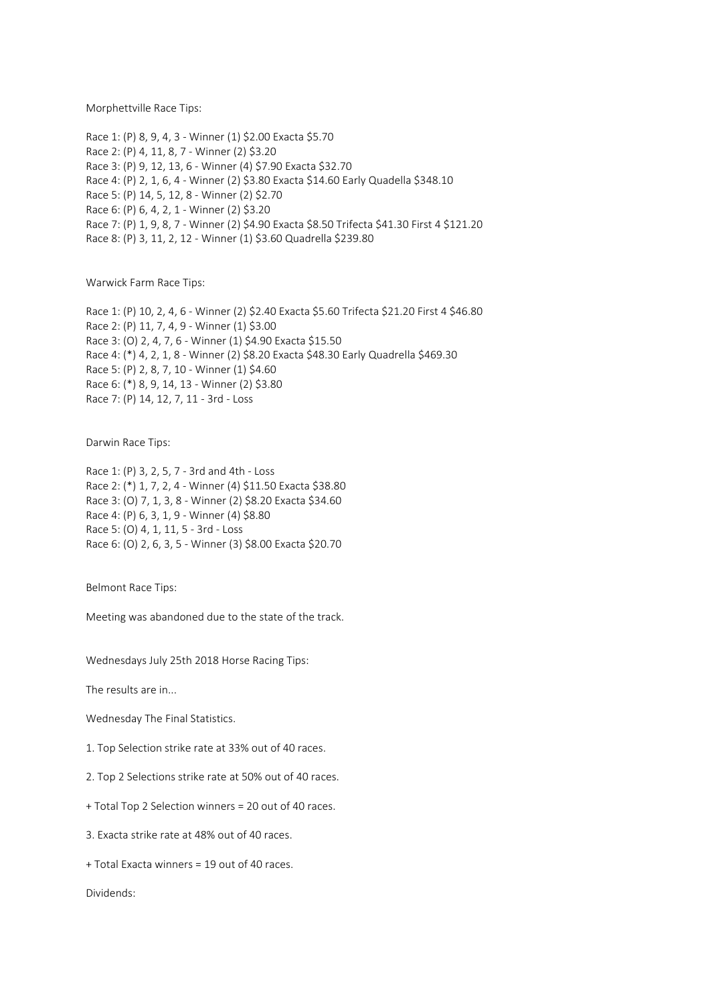Morphettville Race Tips:

Race 1: (P) 8, 9, 4, 3 - Winner (1) \$2.00 Exacta \$5.70 Race 2: (P) 4, 11, 8, 7 - Winner (2) \$3.20 Race 3: (P) 9, 12, 13, 6 - Winner (4) \$7.90 Exacta \$32.70 Race 4: (P) 2, 1, 6, 4 - Winner (2) \$3.80 Exacta \$14.60 Early Quadella \$348.10 Race 5: (P) 14, 5, 12, 8 - Winner (2) \$2.70 Race 6: (P) 6, 4, 2, 1 - Winner (2) \$3.20 Race 7: (P) 1, 9, 8, 7 - Winner (2) \$4.90 Exacta \$8.50 Trifecta \$41.30 First 4 \$121.20 Race 8: (P) 3, 11, 2, 12 - Winner (1) \$3.60 Quadrella \$239.80

Warwick Farm Race Tips:

Race 1: (P) 10, 2, 4, 6 - Winner (2) \$2.40 Exacta \$5.60 Trifecta \$21.20 First 4 \$46.80 Race 2: (P) 11, 7, 4, 9 - Winner (1) \$3.00 Race 3: (O) 2, 4, 7, 6 - Winner (1) \$4.90 Exacta \$15.50 Race 4: (\*) 4, 2, 1, 8 - Winner (2) \$8.20 Exacta \$48.30 Early Quadrella \$469.30 Race 5: (P) 2, 8, 7, 10 - Winner (1) \$4.60 Race 6: (\*) 8, 9, 14, 13 - Winner (2) \$3.80 Race 7: (P) 14, 12, 7, 11 - 3rd - Loss

Darwin Race Tips:

Race 1: (P) 3, 2, 5, 7 - 3rd and 4th - Loss Race 2: (\*) 1, 7, 2, 4 - Winner (4) \$11.50 Exacta \$38.80 Race 3: (O) 7, 1, 3, 8 - Winner (2) \$8.20 Exacta \$34.60 Race 4: (P) 6, 3, 1, 9 - Winner (4) \$8.80 Race 5: (O) 4, 1, 11, 5 - 3rd - Loss Race 6: (O) 2, 6, 3, 5 - Winner (3) \$8.00 Exacta \$20.70

Belmont Race Tips:

Meeting was abandoned due to the state of the track.

Wednesdays July 25th 2018 Horse Racing Tips:

The results are in...

Wednesday The Final Statistics.

1. Top Selection strike rate at 33% out of 40 races.

2. Top 2 Selections strike rate at 50% out of 40 races.

+ Total Top 2 Selection winners = 20 out of 40 races.

3. Exacta strike rate at 48% out of 40 races.

+ Total Exacta winners = 19 out of 40 races.

Dividends: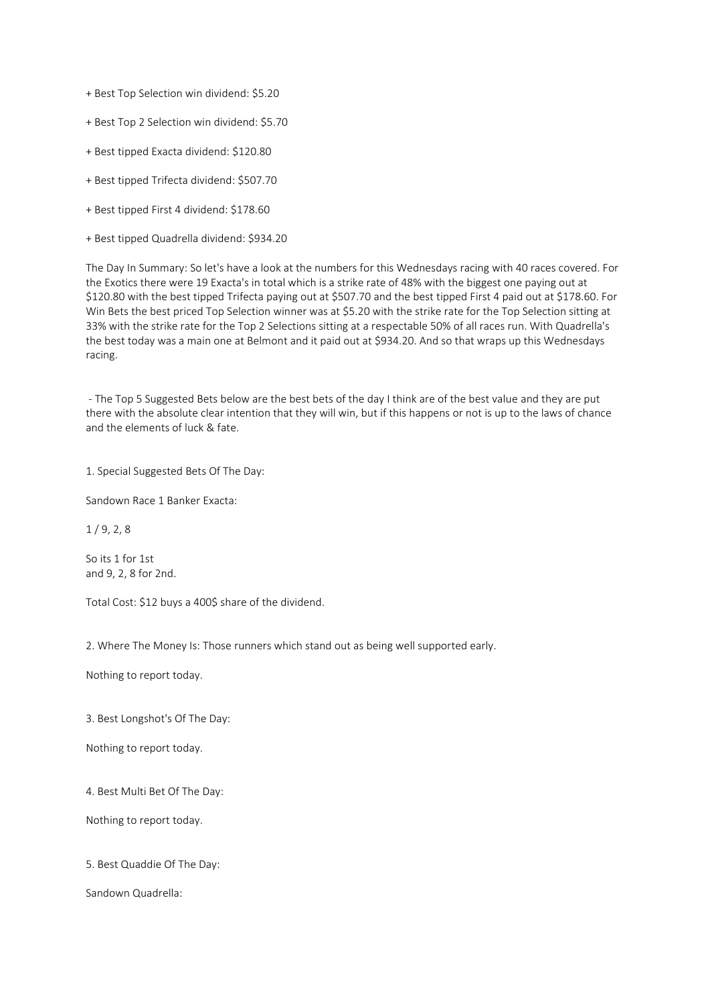+ Best Top Selection win dividend: \$5.20

- + Best Top 2 Selection win dividend: \$5.70
- + Best tipped Exacta dividend: \$120.80
- + Best tipped Trifecta dividend: \$507.70
- + Best tipped First 4 dividend: \$178.60
- + Best tipped Quadrella dividend: \$934.20

The Day In Summary: So let's have a look at the numbers for this Wednesdays racing with 40 races covered. For the Exotics there were 19 Exacta's in total which is a strike rate of 48% with the biggest one paying out at \$120.80 with the best tipped Trifecta paying out at \$507.70 and the best tipped First 4 paid out at \$178.60. For Win Bets the best priced Top Selection winner was at \$5.20 with the strike rate for the Top Selection sitting at 33% with the strike rate for the Top 2 Selections sitting at a respectable 50% of all races run. With Quadrella's the best today was a main one at Belmont and it paid out at \$934.20. And so that wraps up this Wednesdays racing.

- The Top 5 Suggested Bets below are the best bets of the day I think are of the best value and they are put there with the absolute clear intention that they will win, but if this happens or not is up to the laws of chance and the elements of luck & fate.

1. Special Suggested Bets Of The Day:

Sandown Race 1 Banker Exacta:

 $1/9.2.8$ 

So its 1 for 1st and 9, 2, 8 for 2nd.

Total Cost: \$12 buys a 400\$ share of the dividend.

2. Where The Money Is: Those runners which stand out as being well supported early.

Nothing to report today.

3. Best Longshot's Of The Day:

Nothing to report today.

4. Best Multi Bet Of The Day:

Nothing to report today.

5. Best Quaddie Of The Day:

Sandown Quadrella: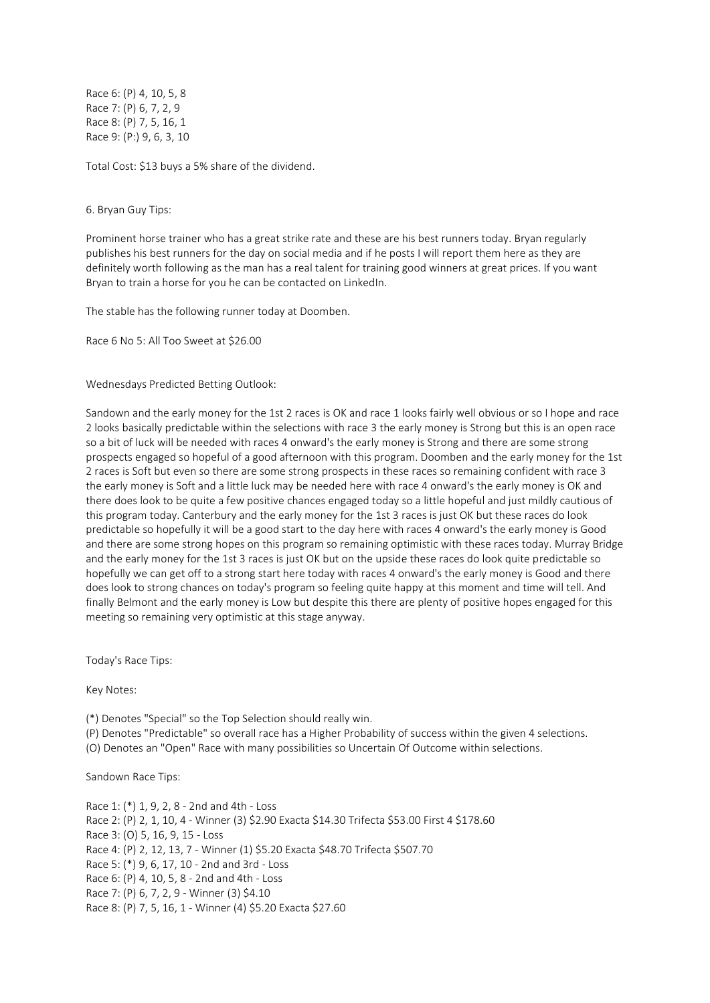Race 6: (P) 4, 10, 5, 8 Race 7: (P) 6, 7, 2, 9 Race 8: (P) 7, 5, 16, 1 Race 9: (P:) 9, 6, 3, 10

Total Cost: \$13 buys a 5% share of the dividend.

## 6. Bryan Guy Tips:

Prominent horse trainer who has a great strike rate and these are his best runners today. Bryan regularly publishes his best runners for the day on social media and if he posts I will report them here as they are definitely worth following as the man has a real talent for training good winners at great prices. If you want Bryan to train a horse for you he can be contacted on LinkedIn.

The stable has the following runner today at Doomben.

Race 6 No 5: All Too Sweet at \$26.00

Wednesdays Predicted Betting Outlook:

Sandown and the early money for the 1st 2 races is OK and race 1 looks fairly well obvious or so I hope and race 2 looks basically predictable within the selections with race 3 the early money is Strong but this is an open race so a bit of luck will be needed with races 4 onward's the early money is Strong and there are some strong prospects engaged so hopeful of a good afternoon with this program. Doomben and the early money for the 1st 2 races is Soft but even so there are some strong prospects in these races so remaining confident with race 3 the early money is Soft and a little luck may be needed here with race 4 onward's the early money is OK and there does look to be quite a few positive chances engaged today so a little hopeful and just mildly cautious of this program today. Canterbury and the early money for the 1st 3 races is just OK but these races do look predictable so hopefully it will be a good start to the day here with races 4 onward's the early money is Good and there are some strong hopes on this program so remaining optimistic with these races today. Murray Bridge and the early money for the 1st 3 races is just OK but on the upside these races do look quite predictable so hopefully we can get off to a strong start here today with races 4 onward's the early money is Good and there does look to strong chances on today's program so feeling quite happy at this moment and time will tell. And finally Belmont and the early money is Low but despite this there are plenty of positive hopes engaged for this meeting so remaining very optimistic at this stage anyway.

Today's Race Tips:

Key Notes:

(\*) Denotes "Special" so the Top Selection should really win.

(P) Denotes "Predictable" so overall race has a Higher Probability of success within the given 4 selections.

(O) Denotes an "Open" Race with many possibilities so Uncertain Of Outcome within selections.

Sandown Race Tips:

Race 1: (\*) 1, 9, 2, 8 - 2nd and 4th - Loss Race 2: (P) 2, 1, 10, 4 - Winner (3) \$2.90 Exacta \$14.30 Trifecta \$53.00 First 4 \$178.60 Race 3: (O) 5, 16, 9, 15 - Loss Race 4: (P) 2, 12, 13, 7 - Winner (1) \$5.20 Exacta \$48.70 Trifecta \$507.70 Race 5: (\*) 9, 6, 17, 10 - 2nd and 3rd - Loss Race 6: (P) 4, 10, 5, 8 - 2nd and 4th - Loss Race 7: (P) 6, 7, 2, 9 - Winner (3) \$4.10 Race 8: (P) 7, 5, 16, 1 - Winner (4) \$5.20 Exacta \$27.60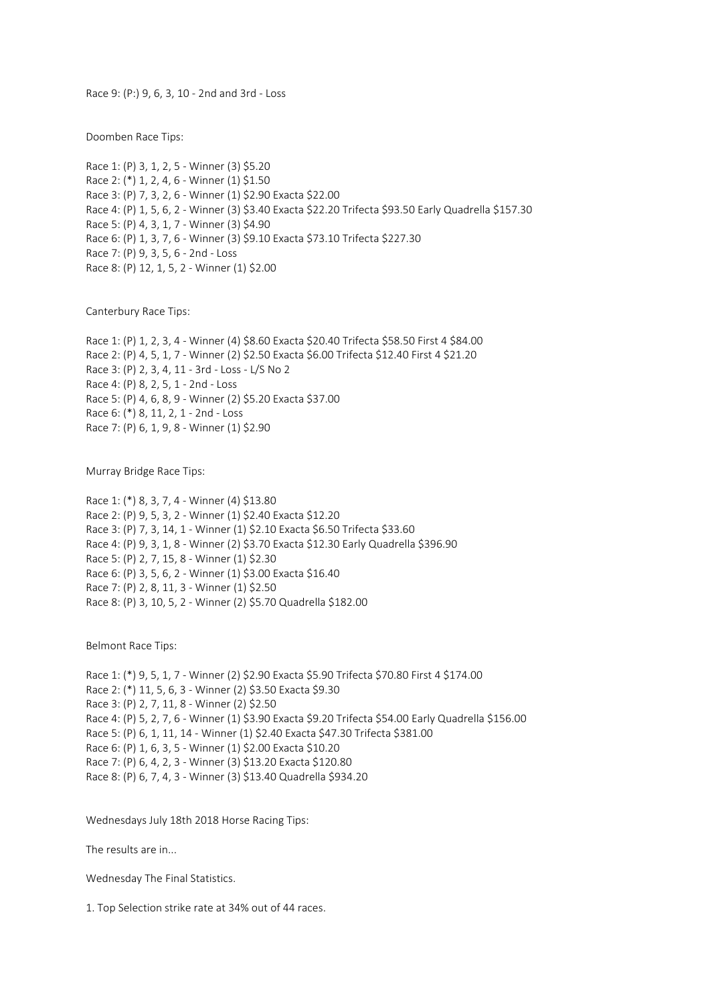Race 9: (P:) 9, 6, 3, 10 - 2nd and 3rd - Loss

Doomben Race Tips:

Race 1: (P) 3, 1, 2, 5 - Winner (3) \$5.20 Race 2: (\*) 1, 2, 4, 6 - Winner (1) \$1.50 Race 3: (P) 7, 3, 2, 6 - Winner (1) \$2.90 Exacta \$22.00 Race 4: (P) 1, 5, 6, 2 - Winner (3) \$3.40 Exacta \$22.20 Trifecta \$93.50 Early Quadrella \$157.30 Race 5: (P) 4, 3, 1, 7 - Winner (3) \$4.90 Race 6: (P) 1, 3, 7, 6 - Winner (3) \$9.10 Exacta \$73.10 Trifecta \$227.30 Race 7: (P) 9, 3, 5, 6 - 2nd - Loss Race 8: (P) 12, 1, 5, 2 - Winner (1) \$2.00

Canterbury Race Tips:

Race 1: (P) 1, 2, 3, 4 - Winner (4) \$8.60 Exacta \$20.40 Trifecta \$58.50 First 4 \$84.00 Race 2: (P) 4, 5, 1, 7 - Winner (2) \$2.50 Exacta \$6.00 Trifecta \$12.40 First 4 \$21.20 Race 3: (P) 2, 3, 4, 11 - 3rd - Loss - L/S No 2 Race 4: (P) 8, 2, 5, 1 - 2nd - Loss Race 5: (P) 4, 6, 8, 9 - Winner (2) \$5.20 Exacta \$37.00 Race 6: (\*) 8, 11, 2, 1 - 2nd - Loss Race 7: (P) 6, 1, 9, 8 - Winner (1) \$2.90

Murray Bridge Race Tips:

Race 1: (\*) 8, 3, 7, 4 - Winner (4) \$13.80 Race 2: (P) 9, 5, 3, 2 - Winner (1) \$2.40 Exacta \$12.20 Race 3: (P) 7, 3, 14, 1 - Winner (1) \$2.10 Exacta \$6.50 Trifecta \$33.60 Race 4: (P) 9, 3, 1, 8 - Winner (2) \$3.70 Exacta \$12.30 Early Quadrella \$396.90 Race 5: (P) 2, 7, 15, 8 - Winner (1) \$2.30 Race 6: (P) 3, 5, 6, 2 - Winner (1) \$3.00 Exacta \$16.40 Race 7: (P) 2, 8, 11, 3 - Winner (1) \$2.50 Race 8: (P) 3, 10, 5, 2 - Winner (2) \$5.70 Quadrella \$182.00

Belmont Race Tips:

Race 1: (\*) 9, 5, 1, 7 - Winner (2) \$2.90 Exacta \$5.90 Trifecta \$70.80 First 4 \$174.00 Race 2: (\*) 11, 5, 6, 3 - Winner (2) \$3.50 Exacta \$9.30 Race 3: (P) 2, 7, 11, 8 - Winner (2) \$2.50 Race 4: (P) 5, 2, 7, 6 - Winner (1) \$3.90 Exacta \$9.20 Trifecta \$54.00 Early Quadrella \$156.00 Race 5: (P) 6, 1, 11, 14 - Winner (1) \$2.40 Exacta \$47.30 Trifecta \$381.00 Race 6: (P) 1, 6, 3, 5 - Winner (1) \$2.00 Exacta \$10.20 Race 7: (P) 6, 4, 2, 3 - Winner (3) \$13.20 Exacta \$120.80 Race 8: (P) 6, 7, 4, 3 - Winner (3) \$13.40 Quadrella \$934.20

Wednesdays July 18th 2018 Horse Racing Tips:

The results are in...

Wednesday The Final Statistics.

1. Top Selection strike rate at 34% out of 44 races.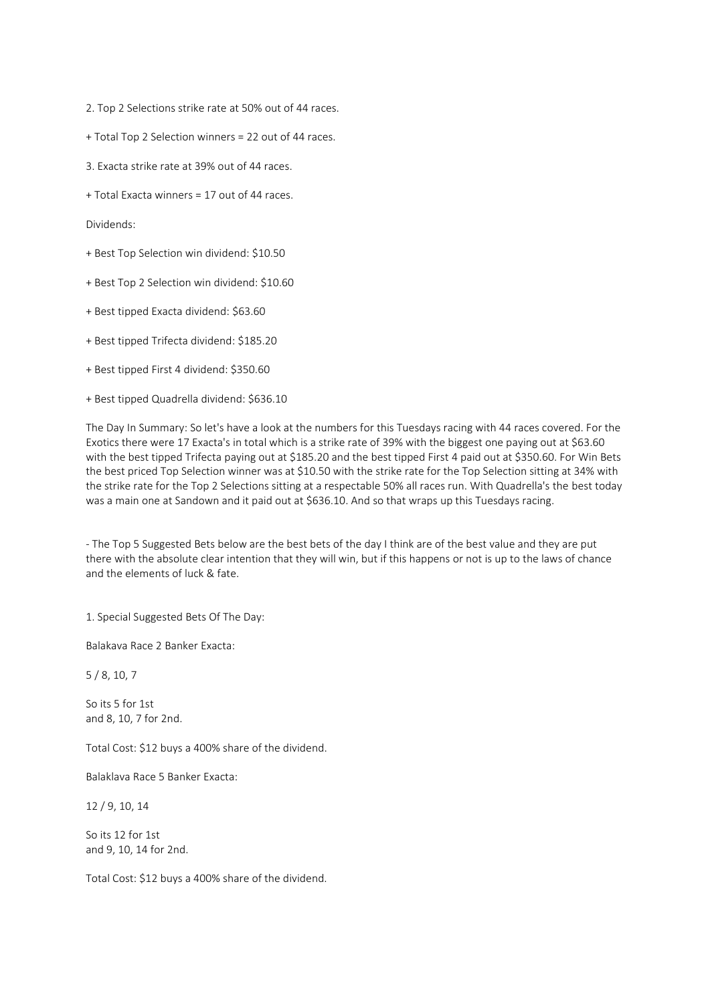2. Top 2 Selections strike rate at 50% out of 44 races.

- + Total Top 2 Selection winners = 22 out of 44 races.
- 3. Exacta strike rate at 39% out of 44 races.
- + Total Exacta winners = 17 out of 44 races.

Dividends:

- + Best Top Selection win dividend: \$10.50
- + Best Top 2 Selection win dividend: \$10.60
- + Best tipped Exacta dividend: \$63.60
- + Best tipped Trifecta dividend: \$185.20
- + Best tipped First 4 dividend: \$350.60
- + Best tipped Quadrella dividend: \$636.10

The Day In Summary: So let's have a look at the numbers for this Tuesdays racing with 44 races covered. For the Exotics there were 17 Exacta's in total which is a strike rate of 39% with the biggest one paying out at \$63.60 with the best tipped Trifecta paying out at \$185.20 and the best tipped First 4 paid out at \$350.60. For Win Bets the best priced Top Selection winner was at \$10.50 with the strike rate for the Top Selection sitting at 34% with the strike rate for the Top 2 Selections sitting at a respectable 50% all races run. With Quadrella's the best today was a main one at Sandown and it paid out at \$636.10. And so that wraps up this Tuesdays racing.

- The Top 5 Suggested Bets below are the best bets of the day I think are of the best value and they are put there with the absolute clear intention that they will win, but if this happens or not is up to the laws of chance and the elements of luck & fate.

1. Special Suggested Bets Of The Day:

Balakava Race 2 Banker Exacta:

5 / 8, 10, 7

So its 5 for 1st and 8, 10, 7 for 2nd.

Total Cost: \$12 buys a 400% share of the dividend.

Balaklava Race 5 Banker Exacta:

12 / 9, 10, 14

So its 12 for 1st and 9, 10, 14 for 2nd.

Total Cost: \$12 buys a 400% share of the dividend.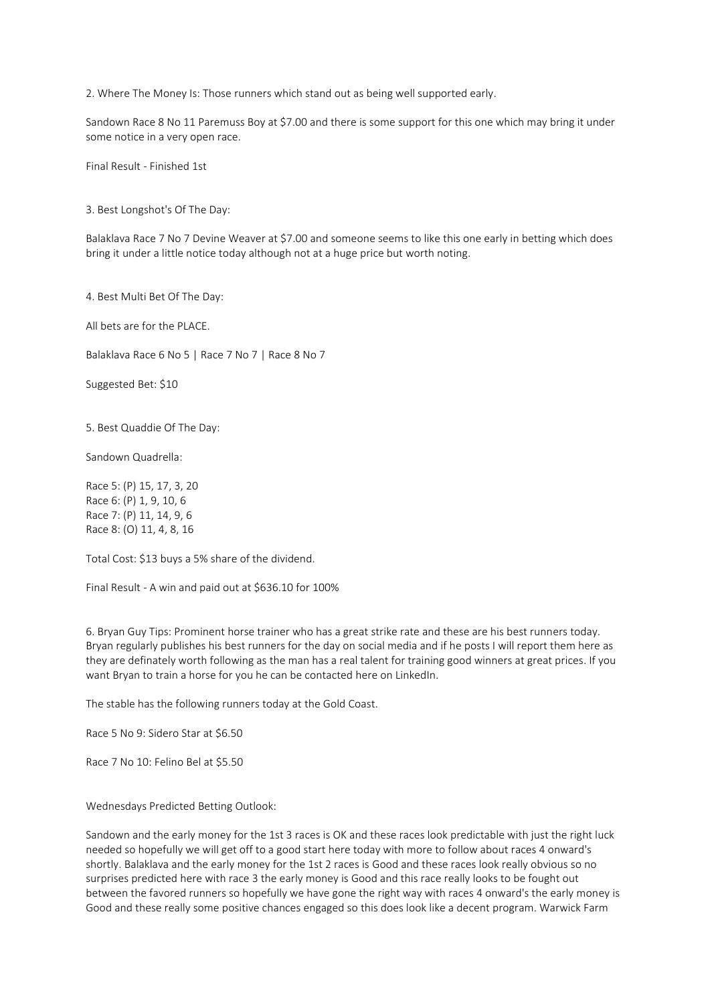2. Where The Money Is: Those runners which stand out as being well supported early.

Sandown Race 8 No 11 Paremuss Boy at \$7.00 and there is some support for this one which may bring it under some notice in a very open race.

Final Result - Finished 1st

3. Best Longshot's Of The Day:

Balaklava Race 7 No 7 Devine Weaver at \$7.00 and someone seems to like this one early in betting which does bring it under a little notice today although not at a huge price but worth noting.

4. Best Multi Bet Of The Day:

All bets are for the PLACE.

Balaklava Race 6 No 5 | Race 7 No 7 | Race 8 No 7

Suggested Bet: \$10

5. Best Quaddie Of The Day:

Sandown Quadrella:

Race 5: (P) 15, 17, 3, 20 Race 6: (P) 1, 9, 10, 6 Race 7: (P) 11, 14, 9, 6 Race 8: (O) 11, 4, 8, 16

Total Cost: \$13 buys a 5% share of the dividend.

Final Result - A win and paid out at \$636.10 for 100%

6. Bryan Guy Tips: Prominent horse trainer who has a great strike rate and these are his best runners today. Bryan regularly publishes his best runners for the day on social media and if he posts I will report them here as they are definately worth following as the man has a real talent for training good winners at great prices. If you want Bryan to train a horse for you he can be contacted here on LinkedIn.

The stable has the following runners today at the Gold Coast.

Race 5 No 9: Sidero Star at \$6.50

Race 7 No 10: Felino Bel at \$5.50

Wednesdays Predicted Betting Outlook:

Sandown and the early money for the 1st 3 races is OK and these races look predictable with just the right luck needed so hopefully we will get off to a good start here today with more to follow about races 4 onward's shortly. Balaklava and the early money for the 1st 2 races is Good and these races look really obvious so no surprises predicted here with race 3 the early money is Good and this race really looks to be fought out between the favored runners so hopefully we have gone the right way with races 4 onward's the early money is Good and these really some positive chances engaged so this does look like a decent program. Warwick Farm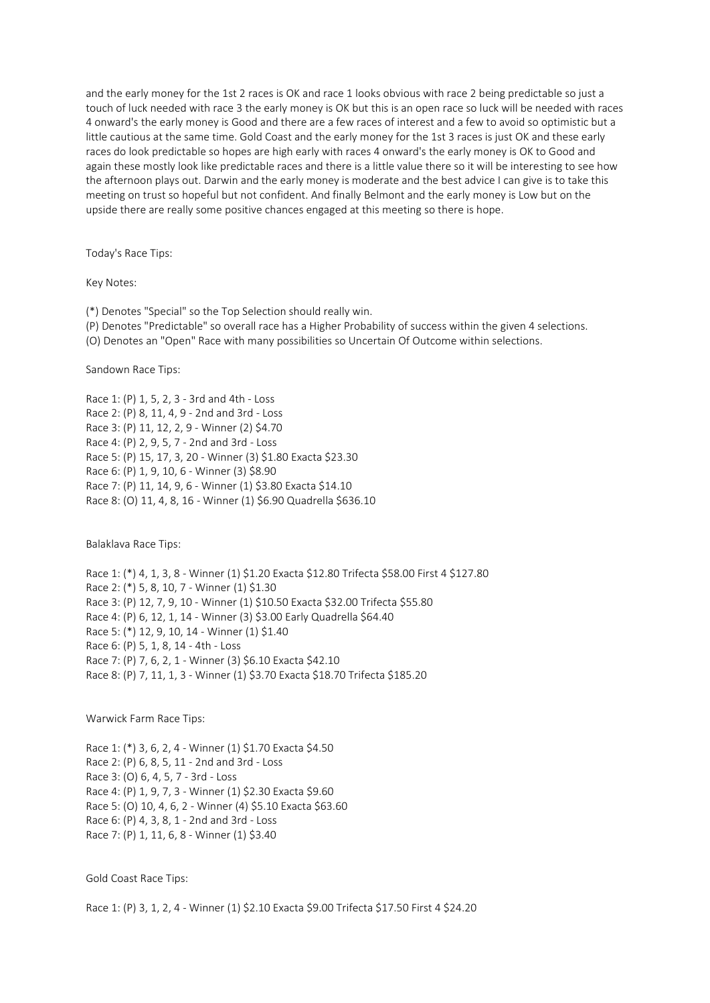and the early money for the 1st 2 races is OK and race 1 looks obvious with race 2 being predictable so just a touch of luck needed with race 3 the early money is OK but this is an open race so luck will be needed with races 4 onward's the early money is Good and there are a few races of interest and a few to avoid so optimistic but a little cautious at the same time. Gold Coast and the early money for the 1st 3 races is just OK and these early races do look predictable so hopes are high early with races 4 onward's the early money is OK to Good and again these mostly look like predictable races and there is a little value there so it will be interesting to see how the afternoon plays out. Darwin and the early money is moderate and the best advice I can give is to take this meeting on trust so hopeful but not confident. And finally Belmont and the early money is Low but on the upside there are really some positive chances engaged at this meeting so there is hope.

Today's Race Tips:

Key Notes:

(\*) Denotes "Special" so the Top Selection should really win.

(P) Denotes "Predictable" so overall race has a Higher Probability of success within the given 4 selections.

(O) Denotes an "Open" Race with many possibilities so Uncertain Of Outcome within selections.

Sandown Race Tips:

Race 1: (P) 1, 5, 2, 3 - 3rd and 4th - Loss Race 2: (P) 8, 11, 4, 9 - 2nd and 3rd - Loss Race 3: (P) 11, 12, 2, 9 - Winner (2) \$4.70 Race 4: (P) 2, 9, 5, 7 - 2nd and 3rd - Loss Race 5: (P) 15, 17, 3, 20 - Winner (3) \$1.80 Exacta \$23.30 Race 6: (P) 1, 9, 10, 6 - Winner (3) \$8.90 Race 7: (P) 11, 14, 9, 6 - Winner (1) \$3.80 Exacta \$14.10 Race 8: (O) 11, 4, 8, 16 - Winner (1) \$6.90 Quadrella \$636.10

Balaklava Race Tips:

Race 1: (\*) 4, 1, 3, 8 - Winner (1) \$1.20 Exacta \$12.80 Trifecta \$58.00 First 4 \$127.80 Race 2: (\*) 5, 8, 10, 7 - Winner (1) \$1.30 Race 3: (P) 12, 7, 9, 10 - Winner (1) \$10.50 Exacta \$32.00 Trifecta \$55.80 Race 4: (P) 6, 12, 1, 14 - Winner (3) \$3.00 Early Quadrella \$64.40 Race 5: (\*) 12, 9, 10, 14 - Winner (1) \$1.40 Race 6: (P) 5, 1, 8, 14 - 4th - Loss Race 7: (P) 7, 6, 2, 1 - Winner (3) \$6.10 Exacta \$42.10 Race 8: (P) 7, 11, 1, 3 - Winner (1) \$3.70 Exacta \$18.70 Trifecta \$185.20

Warwick Farm Race Tips:

Race 1: (\*) 3, 6, 2, 4 - Winner (1) \$1.70 Exacta \$4.50 Race 2: (P) 6, 8, 5, 11 - 2nd and 3rd - Loss Race 3: (O) 6, 4, 5, 7 - 3rd - Loss Race 4: (P) 1, 9, 7, 3 - Winner (1) \$2.30 Exacta \$9.60 Race 5: (O) 10, 4, 6, 2 - Winner (4) \$5.10 Exacta \$63.60 Race 6: (P) 4, 3, 8, 1 - 2nd and 3rd - Loss Race 7: (P) 1, 11, 6, 8 - Winner (1) \$3.40

Gold Coast Race Tips:

Race 1: (P) 3, 1, 2, 4 - Winner (1) \$2.10 Exacta \$9.00 Trifecta \$17.50 First 4 \$24.20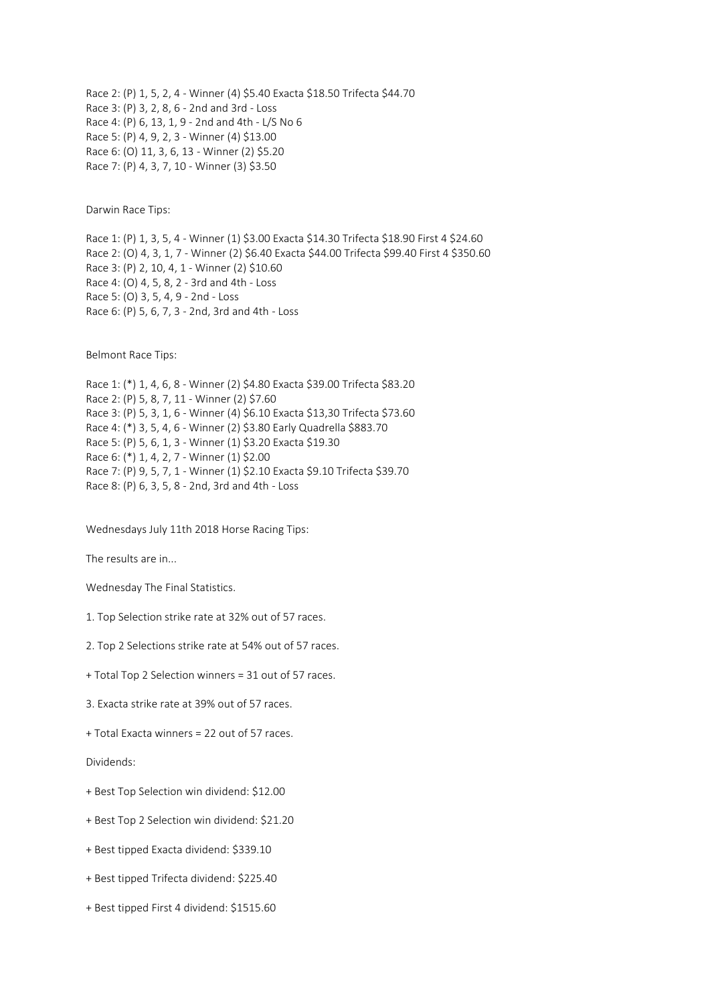Race 2: (P) 1, 5, 2, 4 - Winner (4) \$5.40 Exacta \$18.50 Trifecta \$44.70 Race 3: (P) 3, 2, 8, 6 - 2nd and 3rd - Loss Race 4: (P) 6, 13, 1, 9 - 2nd and 4th - L/S No 6 Race 5: (P) 4, 9, 2, 3 - Winner (4) \$13.00 Race 6: (O) 11, 3, 6, 13 - Winner (2) \$5.20 Race 7: (P) 4, 3, 7, 10 - Winner (3) \$3.50

Darwin Race Tips:

Race 1: (P) 1, 3, 5, 4 - Winner (1) \$3.00 Exacta \$14.30 Trifecta \$18.90 First 4 \$24.60 Race 2: (O) 4, 3, 1, 7 - Winner (2) \$6.40 Exacta \$44.00 Trifecta \$99.40 First 4 \$350.60 Race 3: (P) 2, 10, 4, 1 - Winner (2) \$10.60 Race 4: (O) 4, 5, 8, 2 - 3rd and 4th - Loss Race 5: (O) 3, 5, 4, 9 - 2nd - Loss Race 6: (P) 5, 6, 7, 3 - 2nd, 3rd and 4th - Loss

Belmont Race Tips:

Race 1: (\*) 1, 4, 6, 8 - Winner (2) \$4.80 Exacta \$39.00 Trifecta \$83.20 Race 2: (P) 5, 8, 7, 11 - Winner (2) \$7.60 Race 3: (P) 5, 3, 1, 6 - Winner (4) \$6.10 Exacta \$13,30 Trifecta \$73.60 Race 4: (\*) 3, 5, 4, 6 - Winner (2) \$3.80 Early Quadrella \$883.70 Race 5: (P) 5, 6, 1, 3 - Winner (1) \$3.20 Exacta \$19.30 Race 6: (\*) 1, 4, 2, 7 - Winner (1) \$2.00 Race 7: (P) 9, 5, 7, 1 - Winner (1) \$2.10 Exacta \$9.10 Trifecta \$39.70 Race 8: (P) 6, 3, 5, 8 - 2nd, 3rd and 4th - Loss

Wednesdays July 11th 2018 Horse Racing Tips:

The results are in...

Wednesday The Final Statistics.

- 1. Top Selection strike rate at 32% out of 57 races.
- 2. Top 2 Selections strike rate at 54% out of 57 races.
- + Total Top 2 Selection winners = 31 out of 57 races.
- 3. Exacta strike rate at 39% out of 57 races.
- + Total Exacta winners = 22 out of 57 races.

Dividends:

- + Best Top Selection win dividend: \$12.00
- + Best Top 2 Selection win dividend: \$21.20
- + Best tipped Exacta dividend: \$339.10
- + Best tipped Trifecta dividend: \$225.40
- + Best tipped First 4 dividend: \$1515.60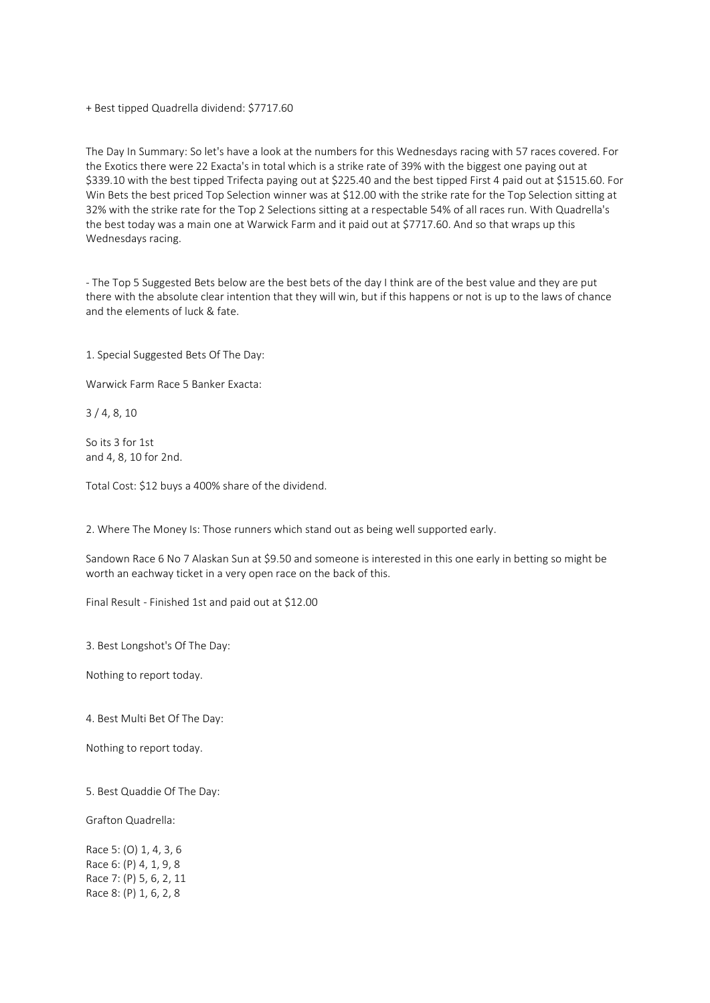+ Best tipped Quadrella dividend: \$7717.60

The Day In Summary: So let's have a look at the numbers for this Wednesdays racing with 57 races covered. For the Exotics there were 22 Exacta's in total which is a strike rate of 39% with the biggest one paying out at \$339.10 with the best tipped Trifecta paying out at \$225.40 and the best tipped First 4 paid out at \$1515.60. For Win Bets the best priced Top Selection winner was at \$12.00 with the strike rate for the Top Selection sitting at 32% with the strike rate for the Top 2 Selections sitting at a respectable 54% of all races run. With Quadrella's the best today was a main one at Warwick Farm and it paid out at \$7717.60. And so that wraps up this Wednesdays racing.

- The Top 5 Suggested Bets below are the best bets of the day I think are of the best value and they are put there with the absolute clear intention that they will win, but if this happens or not is up to the laws of chance and the elements of luck & fate.

1. Special Suggested Bets Of The Day:

Warwick Farm Race 5 Banker Exacta:

3 / 4, 8, 10

So its 3 for 1st and 4, 8, 10 for 2nd.

Total Cost: \$12 buys a 400% share of the dividend.

2. Where The Money Is: Those runners which stand out as being well supported early.

Sandown Race 6 No 7 Alaskan Sun at \$9.50 and someone is interested in this one early in betting so might be worth an eachway ticket in a very open race on the back of this.

Final Result - Finished 1st and paid out at \$12.00

3. Best Longshot's Of The Day:

Nothing to report today.

4. Best Multi Bet Of The Day:

Nothing to report today.

5. Best Quaddie Of The Day:

Grafton Quadrella:

Race 5: (O) 1, 4, 3, 6 Race 6: (P) 4, 1, 9, 8 Race 7: (P) 5, 6, 2, 11 Race 8: (P) 1, 6, 2, 8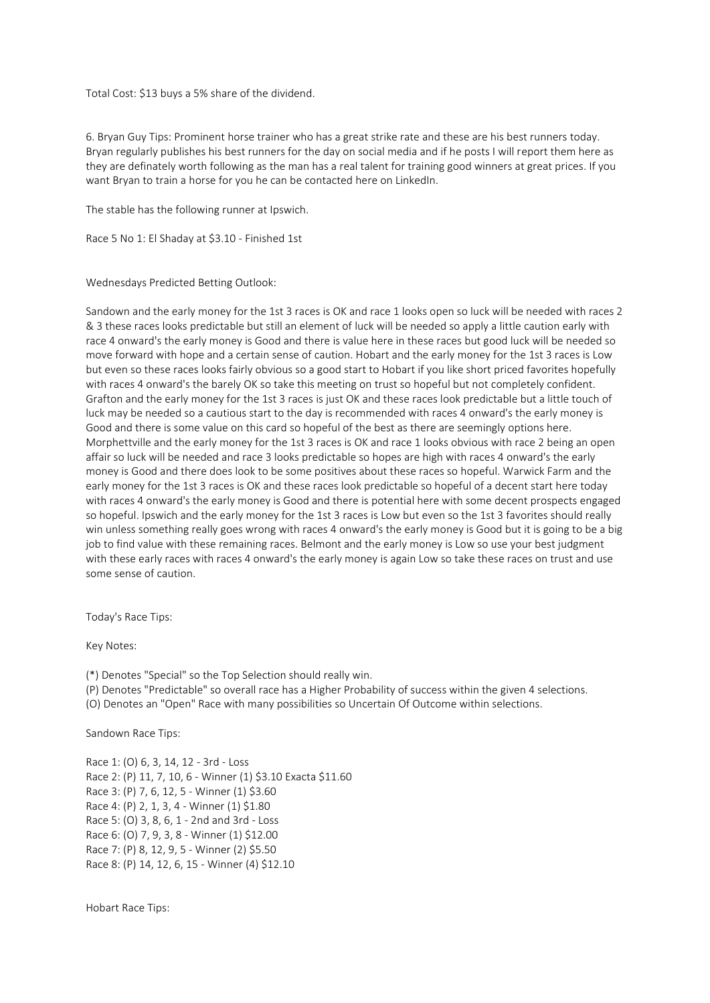Total Cost: \$13 buys a 5% share of the dividend.

6. Bryan Guy Tips: Prominent horse trainer who has a great strike rate and these are his best runners today. Bryan regularly publishes his best runners for the day on social media and if he posts I will report them here as they are definately worth following as the man has a real talent for training good winners at great prices. If you want Bryan to train a horse for you he can be contacted here on LinkedIn.

The stable has the following runner at Ipswich.

Race 5 No 1: El Shaday at \$3.10 - Finished 1st

Wednesdays Predicted Betting Outlook:

Sandown and the early money for the 1st 3 races is OK and race 1 looks open so luck will be needed with races 2 & 3 these races looks predictable but still an element of luck will be needed so apply a little caution early with race 4 onward's the early money is Good and there is value here in these races but good luck will be needed so move forward with hope and a certain sense of caution. Hobart and the early money for the 1st 3 races is Low but even so these races looks fairly obvious so a good start to Hobart if you like short priced favorites hopefully with races 4 onward's the barely OK so take this meeting on trust so hopeful but not completely confident. Grafton and the early money for the 1st 3 races is just OK and these races look predictable but a little touch of luck may be needed so a cautious start to the day is recommended with races 4 onward's the early money is Good and there is some value on this card so hopeful of the best as there are seemingly options here. Morphettville and the early money for the 1st 3 races is OK and race 1 looks obvious with race 2 being an open affair so luck will be needed and race 3 looks predictable so hopes are high with races 4 onward's the early money is Good and there does look to be some positives about these races so hopeful. Warwick Farm and the early money for the 1st 3 races is OK and these races look predictable so hopeful of a decent start here today with races 4 onward's the early money is Good and there is potential here with some decent prospects engaged so hopeful. Ipswich and the early money for the 1st 3 races is Low but even so the 1st 3 favorites should really win unless something really goes wrong with races 4 onward's the early money is Good but it is going to be a big job to find value with these remaining races. Belmont and the early money is Low so use your best judgment with these early races with races 4 onward's the early money is again Low so take these races on trust and use some sense of caution.

Today's Race Tips:

Key Notes:

(\*) Denotes "Special" so the Top Selection should really win.

(P) Denotes "Predictable" so overall race has a Higher Probability of success within the given 4 selections.

(O) Denotes an "Open" Race with many possibilities so Uncertain Of Outcome within selections.

Sandown Race Tips:

Race 1: (O) 6, 3, 14, 12 - 3rd - Loss Race 2: (P) 11, 7, 10, 6 - Winner (1) \$3.10 Exacta \$11.60 Race 3: (P) 7, 6, 12, 5 - Winner (1) \$3.60 Race 4: (P) 2, 1, 3, 4 - Winner (1) \$1.80 Race 5: (O) 3, 8, 6, 1 - 2nd and 3rd - Loss Race 6: (O) 7, 9, 3, 8 - Winner (1) \$12.00 Race 7: (P) 8, 12, 9, 5 - Winner (2) \$5.50 Race 8: (P) 14, 12, 6, 15 - Winner (4) \$12.10

Hobart Race Tips: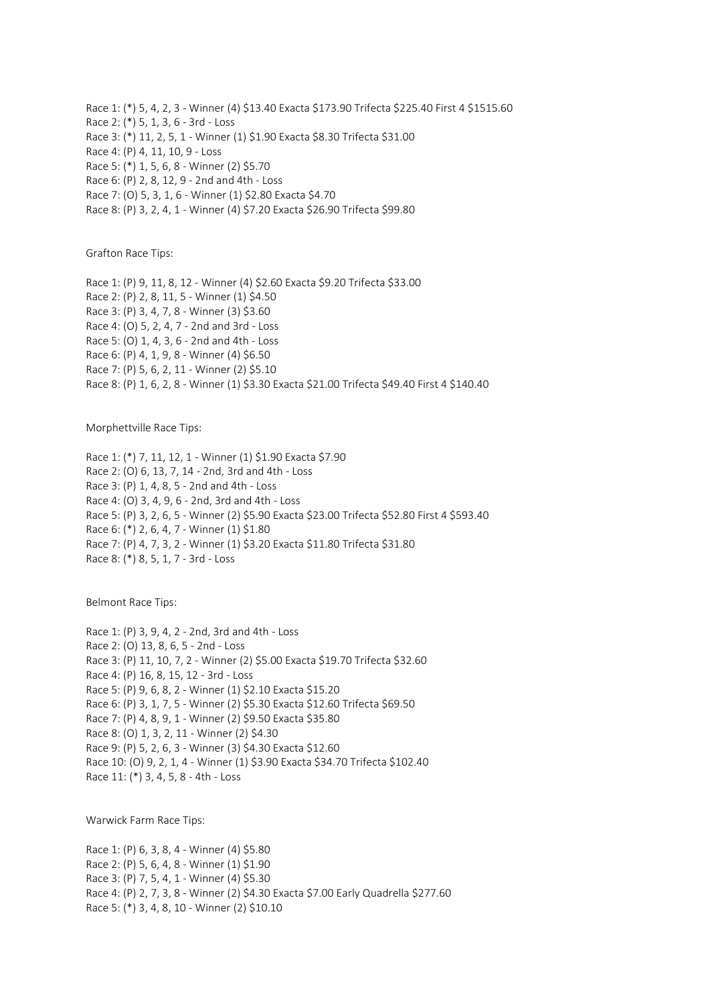Race 1: (\*) 5, 4, 2, 3 - Winner (4) \$13.40 Exacta \$173.90 Trifecta \$225.40 First 4 \$1515.60 Race 2: (\*) 5, 1, 3, 6 - 3rd - Loss Race 3: (\*) 11, 2, 5, 1 - Winner (1) \$1.90 Exacta \$8.30 Trifecta \$31.00 Race 4: (P) 4, 11, 10, 9 - Loss Race 5: (\*) 1, 5, 6, 8 - Winner (2) \$5.70 Race 6: (P) 2, 8, 12, 9 - 2nd and 4th - Loss Race 7: (O) 5, 3, 1, 6 - Winner (1) \$2.80 Exacta \$4.70 Race 8: (P) 3, 2, 4, 1 - Winner (4) \$7.20 Exacta \$26.90 Trifecta \$99.80

Grafton Race Tips:

Race 1: (P) 9, 11, 8, 12 - Winner (4) \$2.60 Exacta \$9.20 Trifecta \$33.00 Race 2: (P) 2, 8, 11, 5 - Winner (1) \$4.50 Race 3: (P) 3, 4, 7, 8 - Winner (3) \$3.60 Race 4: (O) 5, 2, 4, 7 - 2nd and 3rd - Loss Race 5: (O) 1, 4, 3, 6 - 2nd and 4th - Loss Race 6: (P) 4, 1, 9, 8 - Winner (4) \$6.50 Race 7: (P) 5, 6, 2, 11 - Winner (2) \$5.10 Race 8: (P) 1, 6, 2, 8 - Winner (1) \$3.30 Exacta \$21.00 Trifecta \$49.40 First 4 \$140.40

Morphettville Race Tips:

Race 1: (\*) 7, 11, 12, 1 - Winner (1) \$1.90 Exacta \$7.90 Race 2: (O) 6, 13, 7, 14 - 2nd, 3rd and 4th - Loss Race 3: (P) 1, 4, 8, 5 - 2nd and 4th - Loss Race 4: (O) 3, 4, 9, 6 - 2nd, 3rd and 4th - Loss Race 5: (P) 3, 2, 6, 5 - Winner (2) \$5.90 Exacta \$23.00 Trifecta \$52.80 First 4 \$593.40 Race 6: (\*) 2, 6, 4, 7 - Winner (1) \$1.80 Race 7: (P) 4, 7, 3, 2 - Winner (1) \$3.20 Exacta \$11.80 Trifecta \$31.80 Race 8: (\*) 8, 5, 1, 7 - 3rd - Loss

Belmont Race Tips:

Race 1: (P) 3, 9, 4, 2 - 2nd, 3rd and 4th - Loss Race 2: (O) 13, 8, 6, 5 - 2nd - Loss Race 3: (P) 11, 10, 7, 2 - Winner (2) \$5.00 Exacta \$19.70 Trifecta \$32.60 Race 4: (P) 16, 8, 15, 12 - 3rd - Loss Race 5: (P) 9, 6, 8, 2 - Winner (1) \$2.10 Exacta \$15.20 Race 6: (P) 3, 1, 7, 5 - Winner (2) \$5.30 Exacta \$12.60 Trifecta \$69.50 Race 7: (P) 4, 8, 9, 1 - Winner (2) \$9.50 Exacta \$35.80 Race 8: (O) 1, 3, 2, 11 - Winner (2) \$4.30 Race 9: (P) 5, 2, 6, 3 - Winner (3) \$4.30 Exacta \$12.60 Race 10: (O) 9, 2, 1, 4 - Winner (1) \$3.90 Exacta \$34.70 Trifecta \$102.40 Race 11: (\*) 3, 4, 5, 8 - 4th - Loss

Warwick Farm Race Tips:

Race 1: (P) 6, 3, 8, 4 - Winner (4) \$5.80 Race 2: (P) 5, 6, 4, 8 - Winner (1) \$1.90 Race 3: (P) 7, 5, 4, 1 - Winner (4) \$5.30 Race 4: (P) 2, 7, 3, 8 - Winner (2) \$4.30 Exacta \$7.00 Early Quadrella \$277.60 Race 5: (\*) 3, 4, 8, 10 - Winner (2) \$10.10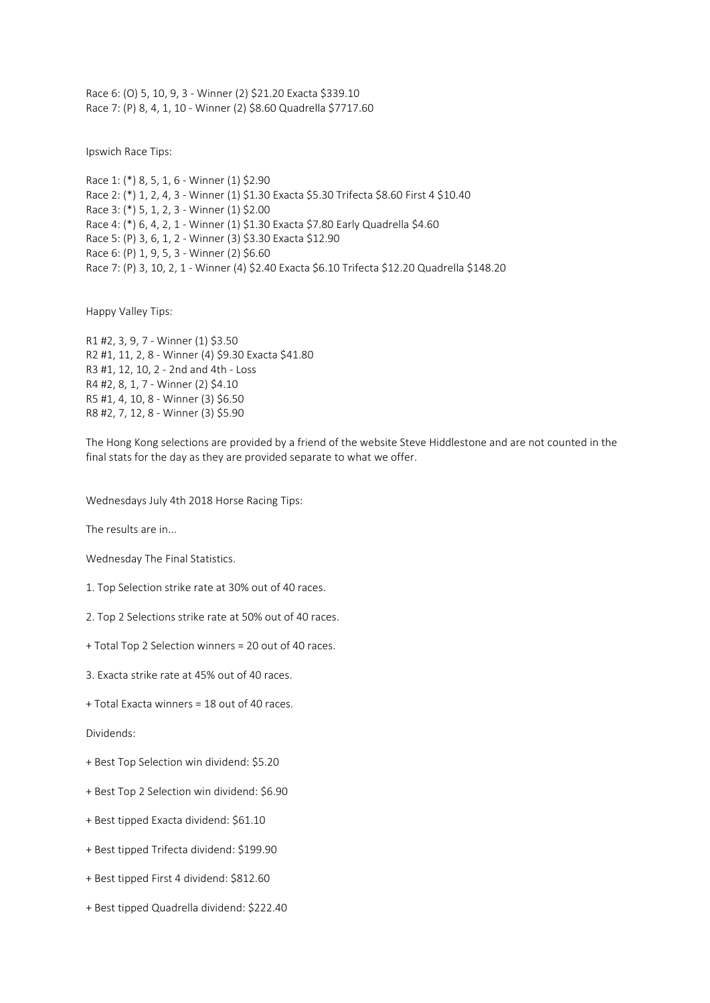Race 6: (O) 5, 10, 9, 3 - Winner (2) \$21.20 Exacta \$339.10 Race 7: (P) 8, 4, 1, 10 - Winner (2) \$8.60 Quadrella \$7717.60

Ipswich Race Tips:

Race 1: (\*) 8, 5, 1, 6 - Winner (1) \$2.90 Race 2: (\*) 1, 2, 4, 3 - Winner (1) \$1.30 Exacta \$5.30 Trifecta \$8.60 First 4 \$10.40 Race 3: (\*) 5, 1, 2, 3 - Winner (1) \$2.00 Race 4: (\*) 6, 4, 2, 1 - Winner (1) \$1.30 Exacta \$7.80 Early Quadrella \$4.60 Race 5: (P) 3, 6, 1, 2 - Winner (3) \$3.30 Exacta \$12.90 Race 6: (P) 1, 9, 5, 3 - Winner (2) \$6.60 Race 7: (P) 3, 10, 2, 1 - Winner (4) \$2.40 Exacta \$6.10 Trifecta \$12.20 Quadrella \$148.20

Happy Valley Tips:

R1 #2, 3, 9, 7 - Winner (1) \$3.50 R2 #1, 11, 2, 8 - Winner (4) \$9.30 Exacta \$41.80 R3 #1, 12, 10, 2 - 2nd and 4th - Loss R4 #2, 8, 1, 7 - Winner (2) \$4.10 R5 #1, 4, 10, 8 - Winner (3) \$6.50 R8 #2, 7, 12, 8 - Winner (3) \$5.90

The Hong Kong selections are provided by a friend of the website Steve Hiddlestone and are not counted in the final stats for the day as they are provided separate to what we offer.

Wednesdays July 4th 2018 Horse Racing Tips:

The results are in...

Wednesday The Final Statistics.

1. Top Selection strike rate at 30% out of 40 races.

- 2. Top 2 Selections strike rate at 50% out of 40 races.
- + Total Top 2 Selection winners = 20 out of 40 races.
- 3. Exacta strike rate at 45% out of 40 races.
- + Total Exacta winners = 18 out of 40 races.

Dividends:

- + Best Top Selection win dividend: \$5.20
- + Best Top 2 Selection win dividend: \$6.90
- + Best tipped Exacta dividend: \$61.10
- + Best tipped Trifecta dividend: \$199.90
- + Best tipped First 4 dividend: \$812.60
- + Best tipped Quadrella dividend: \$222.40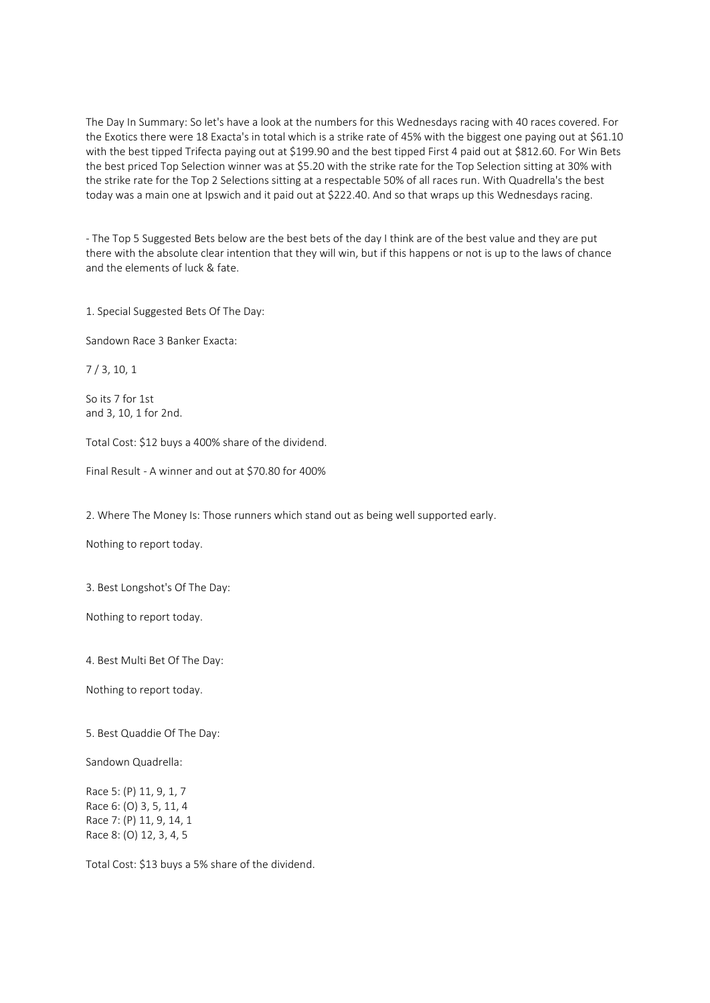The Day In Summary: So let's have a look at the numbers for this Wednesdays racing with 40 races covered. For the Exotics there were 18 Exacta's in total which is a strike rate of 45% with the biggest one paying out at \$61.10 with the best tipped Trifecta paying out at \$199.90 and the best tipped First 4 paid out at \$812.60. For Win Bets the best priced Top Selection winner was at \$5.20 with the strike rate for the Top Selection sitting at 30% with the strike rate for the Top 2 Selections sitting at a respectable 50% of all races run. With Quadrella's the best today was a main one at Ipswich and it paid out at \$222.40. And so that wraps up this Wednesdays racing.

- The Top 5 Suggested Bets below are the best bets of the day I think are of the best value and they are put there with the absolute clear intention that they will win, but if this happens or not is up to the laws of chance and the elements of luck & fate.

1. Special Suggested Bets Of The Day:

Sandown Race 3 Banker Exacta:

7 / 3, 10, 1

So its 7 for 1st and 3, 10, 1 for 2nd.

Total Cost: \$12 buys a 400% share of the dividend.

Final Result - A winner and out at \$70.80 for 400%

2. Where The Money Is: Those runners which stand out as being well supported early.

Nothing to report today.

3. Best Longshot's Of The Day:

Nothing to report today.

4. Best Multi Bet Of The Day:

Nothing to report today.

5. Best Quaddie Of The Day:

Sandown Quadrella:

Race 5: (P) 11, 9, 1, 7 Race 6: (O) 3, 5, 11, 4 Race 7: (P) 11, 9, 14, 1 Race 8: (O) 12, 3, 4, 5

Total Cost: \$13 buys a 5% share of the dividend.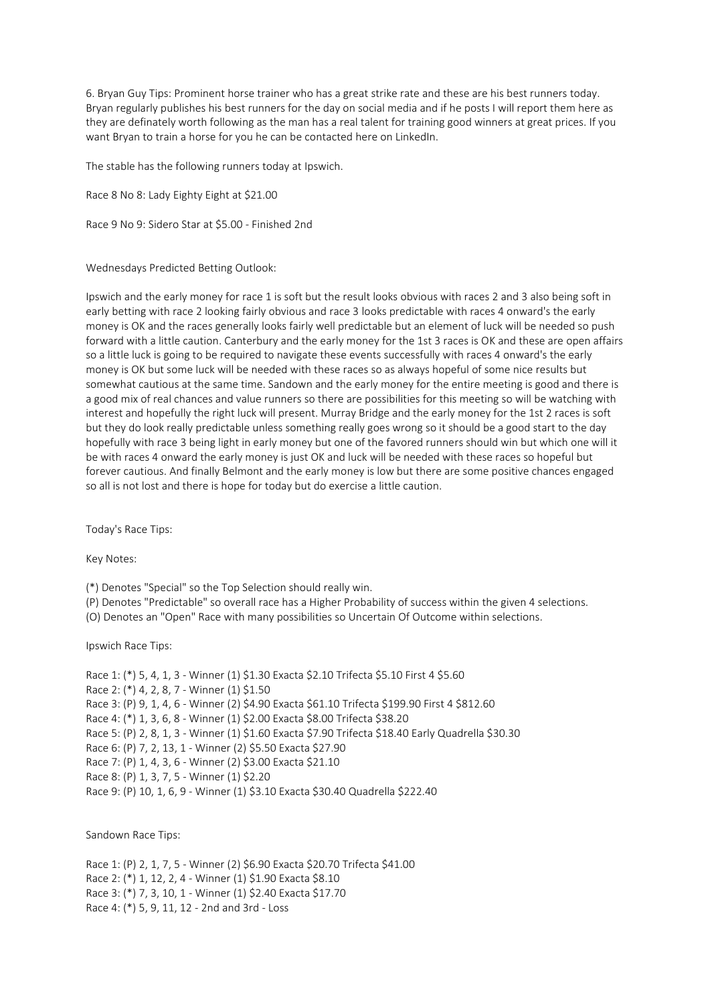6. Bryan Guy Tips: Prominent horse trainer who has a great strike rate and these are his best runners today. Bryan regularly publishes his best runners for the day on social media and if he posts I will report them here as they are definately worth following as the man has a real talent for training good winners at great prices. If you want Bryan to train a horse for you he can be contacted here on LinkedIn.

The stable has the following runners today at Ipswich.

Race 8 No 8: Lady Eighty Eight at \$21.00

Race 9 No 9: Sidero Star at \$5.00 - Finished 2nd

Wednesdays Predicted Betting Outlook:

Ipswich and the early money for race 1 is soft but the result looks obvious with races 2 and 3 also being soft in early betting with race 2 looking fairly obvious and race 3 looks predictable with races 4 onward's the early money is OK and the races generally looks fairly well predictable but an element of luck will be needed so push forward with a little caution. Canterbury and the early money for the 1st 3 races is OK and these are open affairs so a little luck is going to be required to navigate these events successfully with races 4 onward's the early money is OK but some luck will be needed with these races so as always hopeful of some nice results but somewhat cautious at the same time. Sandown and the early money for the entire meeting is good and there is a good mix of real chances and value runners so there are possibilities for this meeting so will be watching with interest and hopefully the right luck will present. Murray Bridge and the early money for the 1st 2 races is soft but they do look really predictable unless something really goes wrong so it should be a good start to the day hopefully with race 3 being light in early money but one of the favored runners should win but which one will it be with races 4 onward the early money is just OK and luck will be needed with these races so hopeful but forever cautious. And finally Belmont and the early money is low but there are some positive chances engaged so all is not lost and there is hope for today but do exercise a little caution.

Today's Race Tips:

Key Notes:

(\*) Denotes "Special" so the Top Selection should really win.

(P) Denotes "Predictable" so overall race has a Higher Probability of success within the given 4 selections.

(O) Denotes an "Open" Race with many possibilities so Uncertain Of Outcome within selections.

Ipswich Race Tips:

Race 1: (\*) 5, 4, 1, 3 - Winner (1) \$1.30 Exacta \$2.10 Trifecta \$5.10 First 4 \$5.60 Race 2: (\*) 4, 2, 8, 7 - Winner (1) \$1.50 Race 3: (P) 9, 1, 4, 6 - Winner (2) \$4.90 Exacta \$61.10 Trifecta \$199.90 First 4 \$812.60 Race 4: (\*) 1, 3, 6, 8 - Winner (1) \$2.00 Exacta \$8.00 Trifecta \$38.20 Race 5: (P) 2, 8, 1, 3 - Winner (1) \$1.60 Exacta \$7.90 Trifecta \$18.40 Early Quadrella \$30.30 Race 6: (P) 7, 2, 13, 1 - Winner (2) \$5.50 Exacta \$27.90 Race 7: (P) 1, 4, 3, 6 - Winner (2) \$3.00 Exacta \$21.10 Race 8: (P) 1, 3, 7, 5 - Winner (1) \$2.20 Race 9: (P) 10, 1, 6, 9 - Winner (1) \$3.10 Exacta \$30.40 Quadrella \$222.40

Sandown Race Tips:

Race 1: (P) 2, 1, 7, 5 - Winner (2) \$6.90 Exacta \$20.70 Trifecta \$41.00 Race 2: (\*) 1, 12, 2, 4 - Winner (1) \$1.90 Exacta \$8.10 Race 3: (\*) 7, 3, 10, 1 - Winner (1) \$2.40 Exacta \$17.70 Race 4: (\*) 5, 9, 11, 12 - 2nd and 3rd - Loss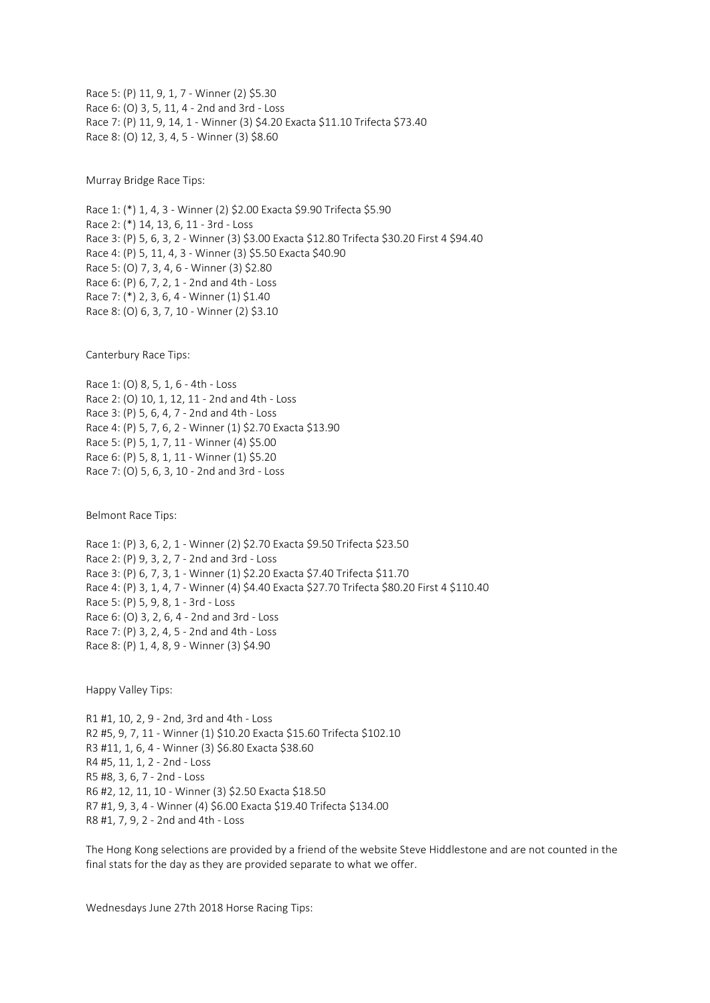Race 5: (P) 11, 9, 1, 7 - Winner (2) \$5.30 Race 6: (O) 3, 5, 11, 4 - 2nd and 3rd - Loss Race 7: (P) 11, 9, 14, 1 - Winner (3) \$4.20 Exacta \$11.10 Trifecta \$73.40 Race 8: (O) 12, 3, 4, 5 - Winner (3) \$8.60

Murray Bridge Race Tips:

Race 1: (\*) 1, 4, 3 - Winner (2) \$2.00 Exacta \$9.90 Trifecta \$5.90 Race 2: (\*) 14, 13, 6, 11 - 3rd - Loss Race 3: (P) 5, 6, 3, 2 - Winner (3) \$3.00 Exacta \$12.80 Trifecta \$30.20 First 4 \$94.40 Race 4: (P) 5, 11, 4, 3 - Winner (3) \$5.50 Exacta \$40.90 Race 5: (O) 7, 3, 4, 6 - Winner (3) \$2.80 Race 6: (P) 6, 7, 2, 1 - 2nd and 4th - Loss Race 7: (\*) 2, 3, 6, 4 - Winner (1) \$1.40 Race 8: (O) 6, 3, 7, 10 - Winner (2) \$3.10

Canterbury Race Tips:

Race 1: (O) 8, 5, 1, 6 - 4th - Loss Race 2: (O) 10, 1, 12, 11 - 2nd and 4th - Loss Race 3: (P) 5, 6, 4, 7 - 2nd and 4th - Loss Race 4: (P) 5, 7, 6, 2 - Winner (1) \$2.70 Exacta \$13.90 Race 5: (P) 5, 1, 7, 11 - Winner (4) \$5.00 Race 6: (P) 5, 8, 1, 11 - Winner (1) \$5.20 Race 7: (O) 5, 6, 3, 10 - 2nd and 3rd - Loss

Belmont Race Tips:

Race 1: (P) 3, 6, 2, 1 - Winner (2) \$2.70 Exacta \$9.50 Trifecta \$23.50 Race 2: (P) 9, 3, 2, 7 - 2nd and 3rd - Loss Race 3: (P) 6, 7, 3, 1 - Winner (1) \$2.20 Exacta \$7.40 Trifecta \$11.70 Race 4: (P) 3, 1, 4, 7 - Winner (4) \$4.40 Exacta \$27.70 Trifecta \$80.20 First 4 \$110.40 Race 5: (P) 5, 9, 8, 1 - 3rd - Loss Race 6: (O) 3, 2, 6, 4 - 2nd and 3rd - Loss Race 7: (P) 3, 2, 4, 5 - 2nd and 4th - Loss Race 8: (P) 1, 4, 8, 9 - Winner (3) \$4.90

Happy Valley Tips:

R1 #1, 10, 2, 9 - 2nd, 3rd and 4th - Loss R2 #5, 9, 7, 11 - Winner (1) \$10.20 Exacta \$15.60 Trifecta \$102.10 R3 #11, 1, 6, 4 - Winner (3) \$6.80 Exacta \$38.60 R4 #5, 11, 1, 2 - 2nd - Loss R5 #8, 3, 6, 7 - 2nd - Loss R6 #2, 12, 11, 10 - Winner (3) \$2.50 Exacta \$18.50 R7 #1, 9, 3, 4 - Winner (4) \$6.00 Exacta \$19.40 Trifecta \$134.00 R8 #1, 7, 9, 2 - 2nd and 4th - Loss

The Hong Kong selections are provided by a friend of the website Steve Hiddlestone and are not counted in the final stats for the day as they are provided separate to what we offer.

Wednesdays June 27th 2018 Horse Racing Tips: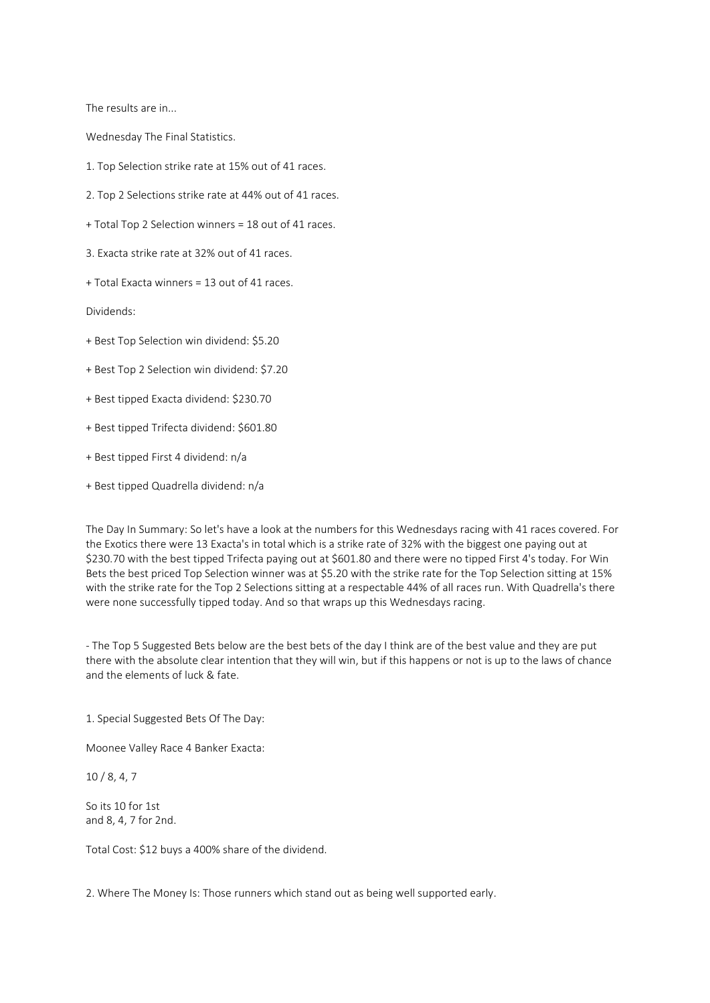The results are in...

Wednesday The Final Statistics.

1. Top Selection strike rate at 15% out of 41 races.

2. Top 2 Selections strike rate at 44% out of 41 races.

+ Total Top 2 Selection winners = 18 out of 41 races.

3. Exacta strike rate at 32% out of 41 races.

+ Total Exacta winners = 13 out of 41 races.

Dividends:

+ Best Top Selection win dividend: \$5.20

+ Best Top 2 Selection win dividend: \$7.20

+ Best tipped Exacta dividend: \$230.70

+ Best tipped Trifecta dividend: \$601.80

+ Best tipped First 4 dividend: n/a

+ Best tipped Quadrella dividend: n/a

The Day In Summary: So let's have a look at the numbers for this Wednesdays racing with 41 races covered. For the Exotics there were 13 Exacta's in total which is a strike rate of 32% with the biggest one paying out at \$230.70 with the best tipped Trifecta paying out at \$601.80 and there were no tipped First 4's today. For Win Bets the best priced Top Selection winner was at \$5.20 with the strike rate for the Top Selection sitting at 15% with the strike rate for the Top 2 Selections sitting at a respectable 44% of all races run. With Quadrella's there were none successfully tipped today. And so that wraps up this Wednesdays racing.

- The Top 5 Suggested Bets below are the best bets of the day I think are of the best value and they are put there with the absolute clear intention that they will win, but if this happens or not is up to the laws of chance and the elements of luck & fate.

1. Special Suggested Bets Of The Day:

Moonee Valley Race 4 Banker Exacta:

10 / 8, 4, 7

So its 10 for 1st and 8, 4, 7 for 2nd.

Total Cost: \$12 buys a 400% share of the dividend.

2. Where The Money Is: Those runners which stand out as being well supported early.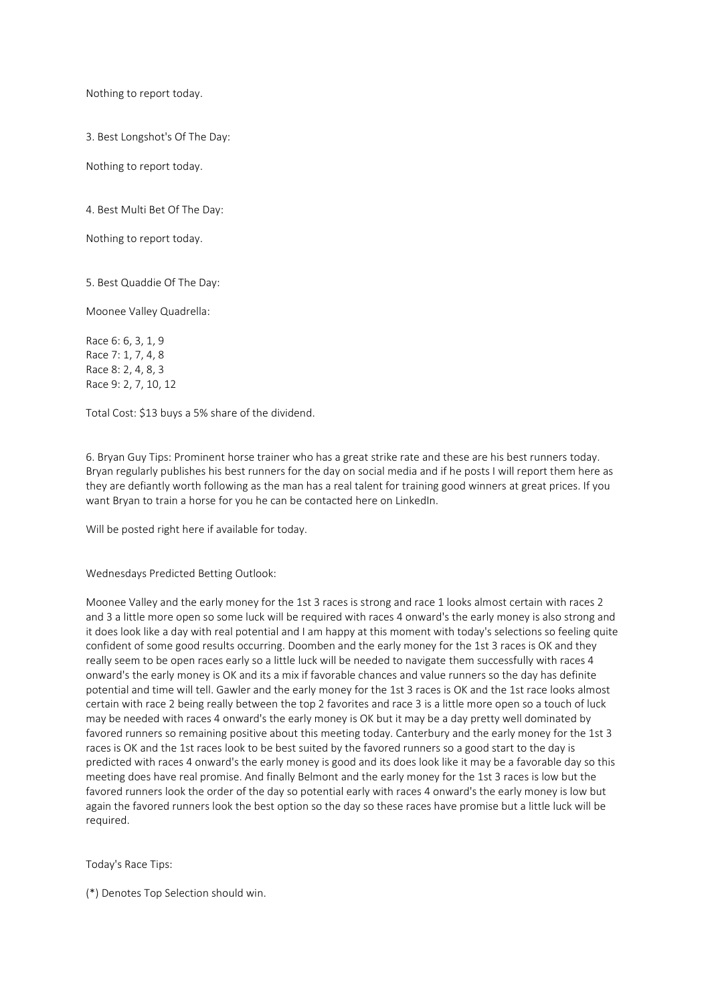Nothing to report today.

3. Best Longshot's Of The Day:

Nothing to report today.

4. Best Multi Bet Of The Day:

Nothing to report today.

5. Best Quaddie Of The Day:

Moonee Valley Quadrella:

Race 6: 6, 3, 1, 9 Race 7: 1, 7, 4, 8 Race 8: 2, 4, 8, 3 Race 9: 2, 7, 10, 12

Total Cost: \$13 buys a 5% share of the dividend.

6. Bryan Guy Tips: Prominent horse trainer who has a great strike rate and these are his best runners today. Bryan regularly publishes his best runners for the day on social media and if he posts I will report them here as they are defiantly worth following as the man has a real talent for training good winners at great prices. If you want Bryan to train a horse for you he can be contacted here on LinkedIn.

Will be posted right here if available for today.

Wednesdays Predicted Betting Outlook:

Moonee Valley and the early money for the 1st 3 races is strong and race 1 looks almost certain with races 2 and 3 a little more open so some luck will be required with races 4 onward's the early money is also strong and it does look like a day with real potential and I am happy at this moment with today's selections so feeling quite confident of some good results occurring. Doomben and the early money for the 1st 3 races is OK and they really seem to be open races early so a little luck will be needed to navigate them successfully with races 4 onward's the early money is OK and its a mix if favorable chances and value runners so the day has definite potential and time will tell. Gawler and the early money for the 1st 3 races is OK and the 1st race looks almost certain with race 2 being really between the top 2 favorites and race 3 is a little more open so a touch of luck may be needed with races 4 onward's the early money is OK but it may be a day pretty well dominated by favored runners so remaining positive about this meeting today. Canterbury and the early money for the 1st 3 races is OK and the 1st races look to be best suited by the favored runners so a good start to the day is predicted with races 4 onward's the early money is good and its does look like it may be a favorable day so this meeting does have real promise. And finally Belmont and the early money for the 1st 3 races is low but the favored runners look the order of the day so potential early with races 4 onward's the early money is low but again the favored runners look the best option so the day so these races have promise but a little luck will be required.

Today's Race Tips:

(\*) Denotes Top Selection should win.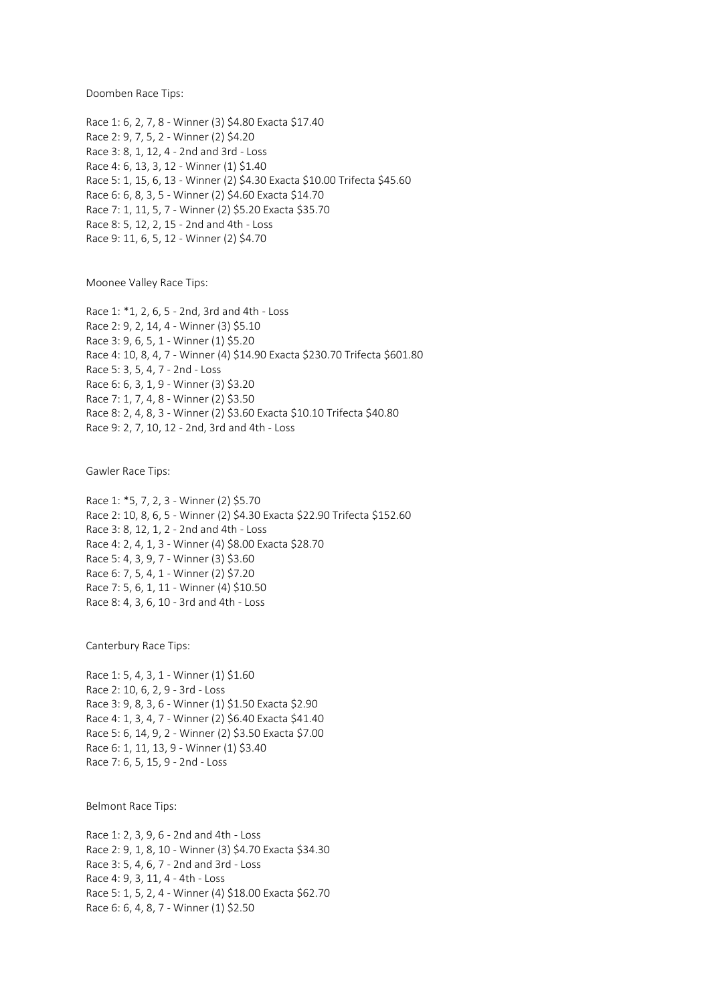Doomben Race Tips:

Race 1: 6, 2, 7, 8 - Winner (3) \$4.80 Exacta \$17.40 Race 2: 9, 7, 5, 2 - Winner (2) \$4.20 Race 3: 8, 1, 12, 4 - 2nd and 3rd - Loss Race 4: 6, 13, 3, 12 - Winner (1) \$1.40 Race 5: 1, 15, 6, 13 - Winner (2) \$4.30 Exacta \$10.00 Trifecta \$45.60 Race 6: 6, 8, 3, 5 - Winner (2) \$4.60 Exacta \$14.70 Race 7: 1, 11, 5, 7 - Winner (2) \$5.20 Exacta \$35.70 Race 8: 5, 12, 2, 15 - 2nd and 4th - Loss Race 9: 11, 6, 5, 12 - Winner (2) \$4.70

Moonee Valley Race Tips:

Race 1: \*1, 2, 6, 5 - 2nd, 3rd and 4th - Loss Race 2: 9, 2, 14, 4 - Winner (3) \$5.10 Race 3: 9, 6, 5, 1 - Winner (1) \$5.20 Race 4: 10, 8, 4, 7 - Winner (4) \$14.90 Exacta \$230.70 Trifecta \$601.80 Race 5: 3, 5, 4, 7 - 2nd - Loss Race 6: 6, 3, 1, 9 - Winner (3) \$3.20 Race 7: 1, 7, 4, 8 - Winner (2) \$3.50 Race 8: 2, 4, 8, 3 - Winner (2) \$3.60 Exacta \$10.10 Trifecta \$40.80 Race 9: 2, 7, 10, 12 - 2nd, 3rd and 4th - Loss

Gawler Race Tips:

Race 1: \*5, 7, 2, 3 - Winner (2) \$5.70 Race 2: 10, 8, 6, 5 - Winner (2) \$4.30 Exacta \$22.90 Trifecta \$152.60 Race 3: 8, 12, 1, 2 - 2nd and 4th - Loss Race 4: 2, 4, 1, 3 - Winner (4) \$8.00 Exacta \$28.70 Race 5: 4, 3, 9, 7 - Winner (3) \$3.60 Race 6: 7, 5, 4, 1 - Winner (2) \$7.20 Race 7: 5, 6, 1, 11 - Winner (4) \$10.50 Race 8: 4, 3, 6, 10 - 3rd and 4th - Loss

Canterbury Race Tips:

Race 1: 5, 4, 3, 1 - Winner (1) \$1.60 Race 2: 10, 6, 2, 9 - 3rd - Loss Race 3: 9, 8, 3, 6 - Winner (1) \$1.50 Exacta \$2.90 Race 4: 1, 3, 4, 7 - Winner (2) \$6.40 Exacta \$41.40 Race 5: 6, 14, 9, 2 - Winner (2) \$3.50 Exacta \$7.00 Race 6: 1, 11, 13, 9 - Winner (1) \$3.40 Race 7: 6, 5, 15, 9 - 2nd - Loss

Belmont Race Tips:

Race 1: 2, 3, 9, 6 - 2nd and 4th - Loss Race 2: 9, 1, 8, 10 - Winner (3) \$4.70 Exacta \$34.30 Race 3: 5, 4, 6, 7 - 2nd and 3rd - Loss Race 4: 9, 3, 11, 4 - 4th - Loss Race 5: 1, 5, 2, 4 - Winner (4) \$18.00 Exacta \$62.70 Race 6: 6, 4, 8, 7 - Winner (1) \$2.50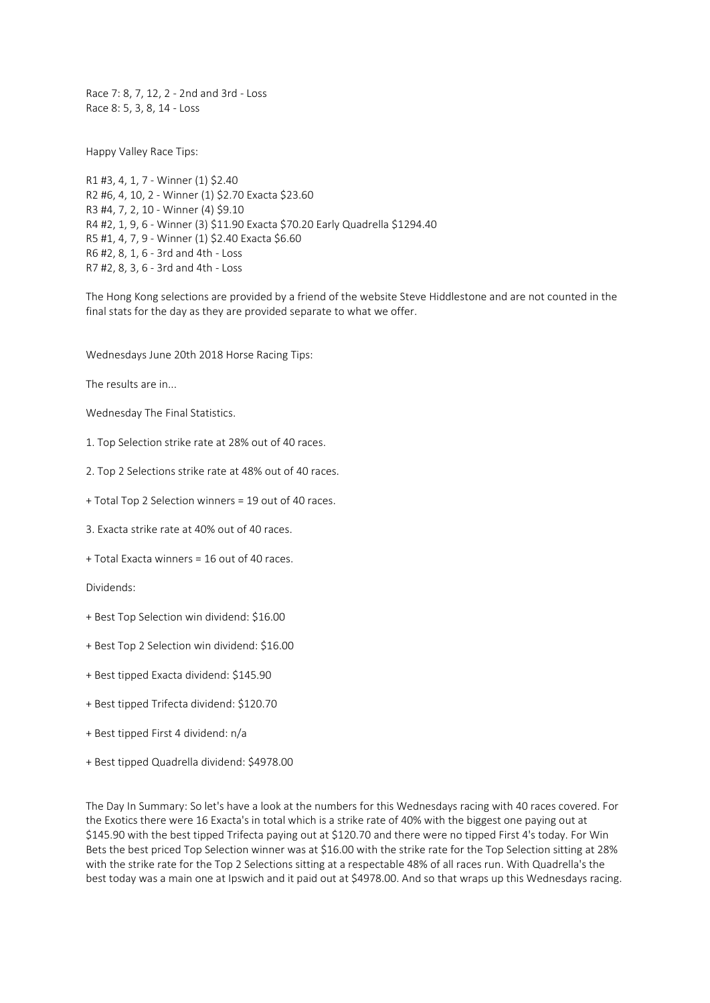Race 7: 8, 7, 12, 2 - 2nd and 3rd - Loss Race 8: 5, 3, 8, 14 - Loss

Happy Valley Race Tips:

R1 #3, 4, 1, 7 - Winner (1) \$2.40 R2 #6, 4, 10, 2 - Winner (1) \$2.70 Exacta \$23.60 R3 #4, 7, 2, 10 - Winner (4) \$9.10 R4 #2, 1, 9, 6 - Winner (3) \$11.90 Exacta \$70.20 Early Quadrella \$1294.40 R5 #1, 4, 7, 9 - Winner (1) \$2.40 Exacta \$6.60 R6 #2, 8, 1, 6 - 3rd and 4th - Loss R7 #2, 8, 3, 6 - 3rd and 4th - Loss

The Hong Kong selections are provided by a friend of the website Steve Hiddlestone and are not counted in the final stats for the day as they are provided separate to what we offer.

Wednesdays June 20th 2018 Horse Racing Tips:

The results are in...

Wednesday The Final Statistics.

1. Top Selection strike rate at 28% out of 40 races.

2. Top 2 Selections strike rate at 48% out of 40 races.

+ Total Top 2 Selection winners = 19 out of 40 races.

3. Exacta strike rate at 40% out of 40 races.

+ Total Exacta winners = 16 out of 40 races.

Dividends:

+ Best Top Selection win dividend: \$16.00

+ Best Top 2 Selection win dividend: \$16.00

+ Best tipped Exacta dividend: \$145.90

+ Best tipped Trifecta dividend: \$120.70

+ Best tipped First 4 dividend: n/a

+ Best tipped Quadrella dividend: \$4978.00

The Day In Summary: So let's have a look at the numbers for this Wednesdays racing with 40 races covered. For the Exotics there were 16 Exacta's in total which is a strike rate of 40% with the biggest one paying out at \$145.90 with the best tipped Trifecta paying out at \$120.70 and there were no tipped First 4's today. For Win Bets the best priced Top Selection winner was at \$16.00 with the strike rate for the Top Selection sitting at 28% with the strike rate for the Top 2 Selections sitting at a respectable 48% of all races run. With Quadrella's the best today was a main one at Ipswich and it paid out at \$4978.00. And so that wraps up this Wednesdays racing.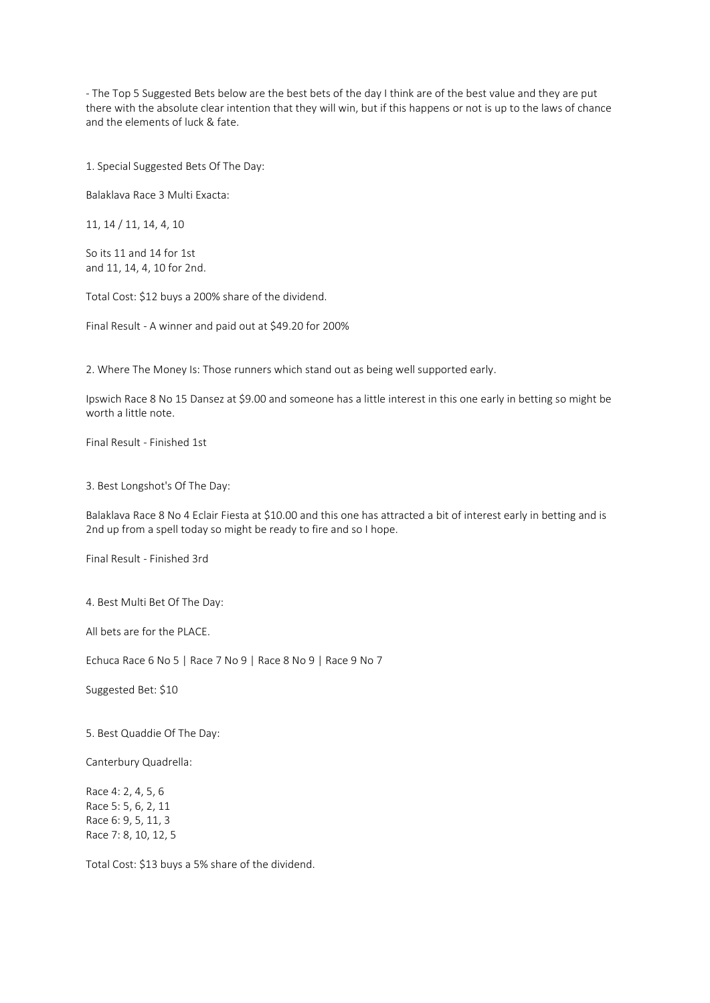- The Top 5 Suggested Bets below are the best bets of the day I think are of the best value and they are put there with the absolute clear intention that they will win, but if this happens or not is up to the laws of chance and the elements of luck & fate.

1. Special Suggested Bets Of The Day:

Balaklava Race 3 Multi Exacta:

11, 14 / 11, 14, 4, 10

So its 11 and 14 for 1st and 11, 14, 4, 10 for 2nd.

Total Cost: \$12 buys a 200% share of the dividend.

Final Result - A winner and paid out at \$49.20 for 200%

2. Where The Money Is: Those runners which stand out as being well supported early.

Ipswich Race 8 No 15 Dansez at \$9.00 and someone has a little interest in this one early in betting so might be worth a little note.

Final Result - Finished 1st

3. Best Longshot's Of The Day:

Balaklava Race 8 No 4 Eclair Fiesta at \$10.00 and this one has attracted a bit of interest early in betting and is 2nd up from a spell today so might be ready to fire and so I hope.

Final Result - Finished 3rd

4. Best Multi Bet Of The Day:

All bets are for the PLACE.

Echuca Race 6 No 5 | Race 7 No 9 | Race 8 No 9 | Race 9 No 7

Suggested Bet: \$10

5. Best Quaddie Of The Day:

Canterbury Quadrella:

Race 4: 2, 4, 5, 6 Race 5: 5, 6, 2, 11 Race 6: 9, 5, 11, 3 Race 7: 8, 10, 12, 5

Total Cost: \$13 buys a 5% share of the dividend.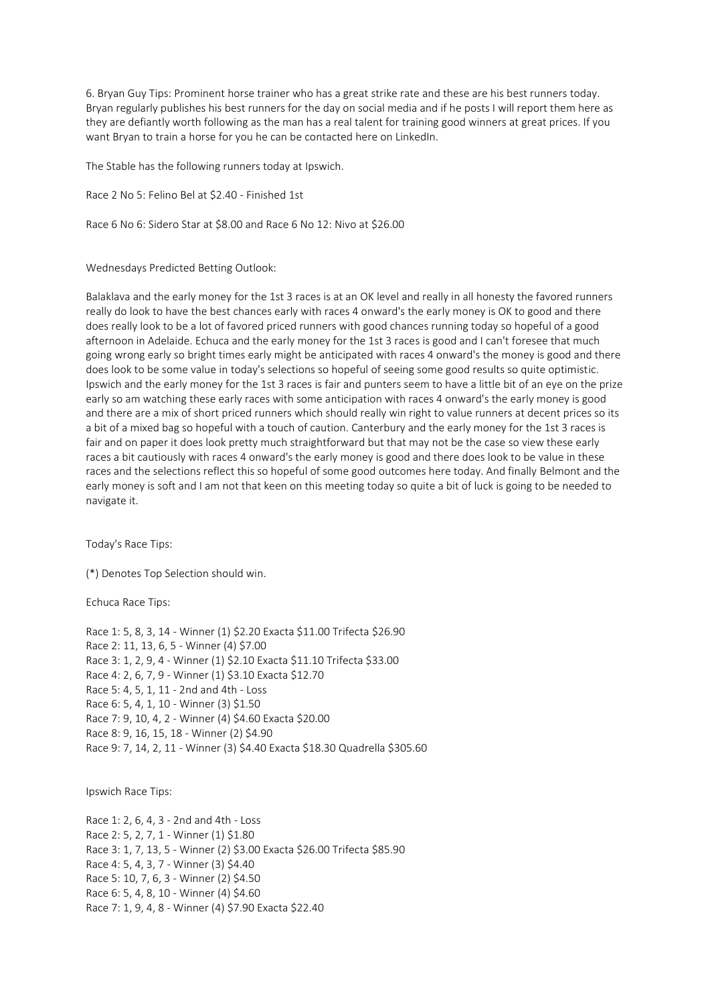6. Bryan Guy Tips: Prominent horse trainer who has a great strike rate and these are his best runners today. Bryan regularly publishes his best runners for the day on social media and if he posts I will report them here as they are defiantly worth following as the man has a real talent for training good winners at great prices. If you want Bryan to train a horse for you he can be contacted here on LinkedIn.

The Stable has the following runners today at Ipswich.

Race 2 No 5: Felino Bel at \$2.40 - Finished 1st

Race 6 No 6: Sidero Star at \$8.00 and Race 6 No 12: Nivo at \$26.00

Wednesdays Predicted Betting Outlook:

Balaklava and the early money for the 1st 3 races is at an OK level and really in all honesty the favored runners really do look to have the best chances early with races 4 onward's the early money is OK to good and there does really look to be a lot of favored priced runners with good chances running today so hopeful of a good afternoon in Adelaide. Echuca and the early money for the 1st 3 races is good and I can't foresee that much going wrong early so bright times early might be anticipated with races 4 onward's the money is good and there does look to be some value in today's selections so hopeful of seeing some good results so quite optimistic. Ipswich and the early money for the 1st 3 races is fair and punters seem to have a little bit of an eye on the prize early so am watching these early races with some anticipation with races 4 onward's the early money is good and there are a mix of short priced runners which should really win right to value runners at decent prices so its a bit of a mixed bag so hopeful with a touch of caution. Canterbury and the early money for the 1st 3 races is fair and on paper it does look pretty much straightforward but that may not be the case so view these early races a bit cautiously with races 4 onward's the early money is good and there does look to be value in these races and the selections reflect this so hopeful of some good outcomes here today. And finally Belmont and the early money is soft and I am not that keen on this meeting today so quite a bit of luck is going to be needed to navigate it.

Today's Race Tips:

(\*) Denotes Top Selection should win.

Echuca Race Tips:

Race 1: 5, 8, 3, 14 - Winner (1) \$2.20 Exacta \$11.00 Trifecta \$26.90 Race 2: 11, 13, 6, 5 - Winner (4) \$7.00 Race 3: 1, 2, 9, 4 - Winner (1) \$2.10 Exacta \$11.10 Trifecta \$33.00 Race 4: 2, 6, 7, 9 - Winner (1) \$3.10 Exacta \$12.70 Race 5: 4, 5, 1, 11 - 2nd and 4th - Loss Race 6: 5, 4, 1, 10 - Winner (3) \$1.50 Race 7: 9, 10, 4, 2 - Winner (4) \$4.60 Exacta \$20.00 Race 8: 9, 16, 15, 18 - Winner (2) \$4.90 Race 9: 7, 14, 2, 11 - Winner (3) \$4.40 Exacta \$18.30 Quadrella \$305.60

Ipswich Race Tips:

Race 1: 2, 6, 4, 3 - 2nd and 4th - Loss Race 2: 5, 2, 7, 1 - Winner (1) \$1.80 Race 3: 1, 7, 13, 5 - Winner (2) \$3.00 Exacta \$26.00 Trifecta \$85.90 Race 4: 5, 4, 3, 7 - Winner (3) \$4.40 Race 5: 10, 7, 6, 3 - Winner (2) \$4.50 Race 6: 5, 4, 8, 10 - Winner (4) \$4.60 Race 7: 1, 9, 4, 8 - Winner (4) \$7.90 Exacta \$22.40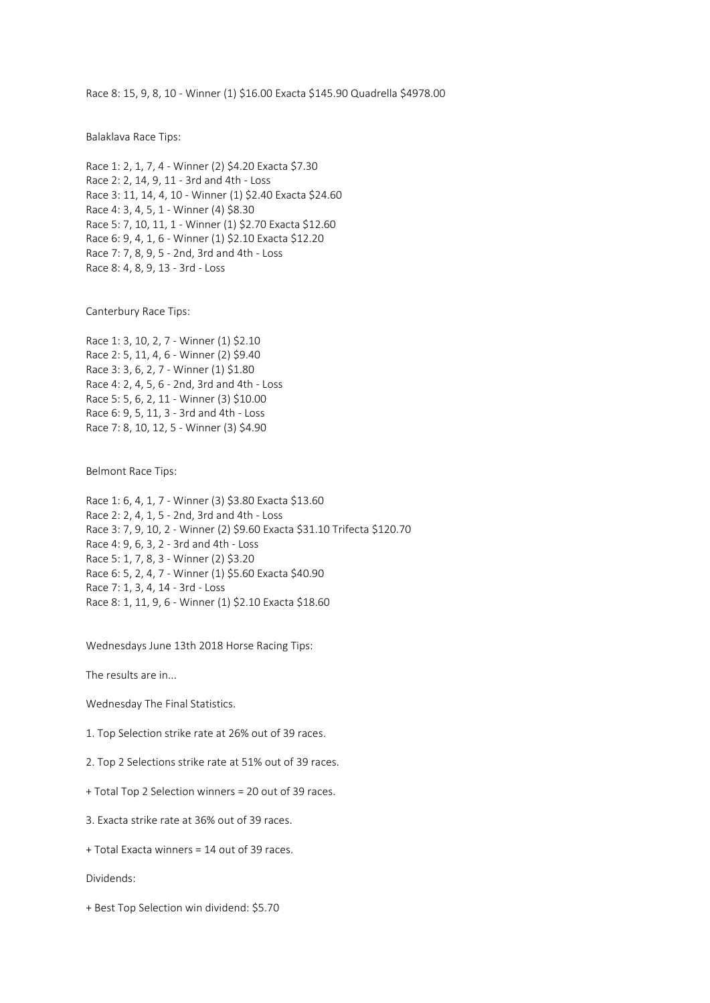Race 8: 15, 9, 8, 10 - Winner (1) \$16.00 Exacta \$145.90 Quadrella \$4978.00

Balaklava Race Tips:

```
Race 1: 2, 1, 7, 4 - Winner (2) $4.20 Exacta $7.30
Race 2: 2, 14, 9, 11 - 3rd and 4th - Loss
Race 3: 11, 14, 4, 10 - Winner (1) $2.40 Exacta $24.60
Race 4: 3, 4, 5, 1 - Winner (4) $8.30
Race 5: 7, 10, 11, 1 - Winner (1) $2.70 Exacta $12.60
Race 6: 9, 4, 1, 6 - Winner (1) $2.10 Exacta $12.20
Race 7: 7, 8, 9, 5 - 2nd, 3rd and 4th - Loss
Race 8: 4, 8, 9, 13 - 3rd - Loss
```
Canterbury Race Tips:

Race 1: 3, 10, 2, 7 - Winner (1) \$2.10 Race 2: 5, 11, 4, 6 - Winner (2) \$9.40 Race 3: 3, 6, 2, 7 - Winner (1) \$1.80 Race 4: 2, 4, 5, 6 - 2nd, 3rd and 4th - Loss Race 5: 5, 6, 2, 11 - Winner (3) \$10.00 Race 6: 9, 5, 11, 3 - 3rd and 4th - Loss Race 7: 8, 10, 12, 5 - Winner (3) \$4.90

Belmont Race Tips:

```
Race 1: 6, 4, 1, 7 - Winner (3) $3.80 Exacta $13.60
Race 2: 2, 4, 1, 5 - 2nd, 3rd and 4th - Loss
Race 3: 7, 9, 10, 2 - Winner (2) $9.60 Exacta $31.10 Trifecta $120.70
Race 4: 9, 6, 3, 2 - 3rd and 4th - Loss
Race 5: 1, 7, 8, 3 - Winner (2) $3.20
Race 6: 5, 2, 4, 7 - Winner (1) $5.60 Exacta $40.90
Race 7: 1, 3, 4, 14 - 3rd - Loss
Race 8: 1, 11, 9, 6 - Winner (1) $2.10 Exacta $18.60
```
Wednesdays June 13th 2018 Horse Racing Tips:

The results are in...

Wednesday The Final Statistics.

1. Top Selection strike rate at 26% out of 39 races.

2. Top 2 Selections strike rate at 51% out of 39 races.

+ Total Top 2 Selection winners = 20 out of 39 races.

3. Exacta strike rate at 36% out of 39 races.

+ Total Exacta winners = 14 out of 39 races.

Dividends:

+ Best Top Selection win dividend: \$5.70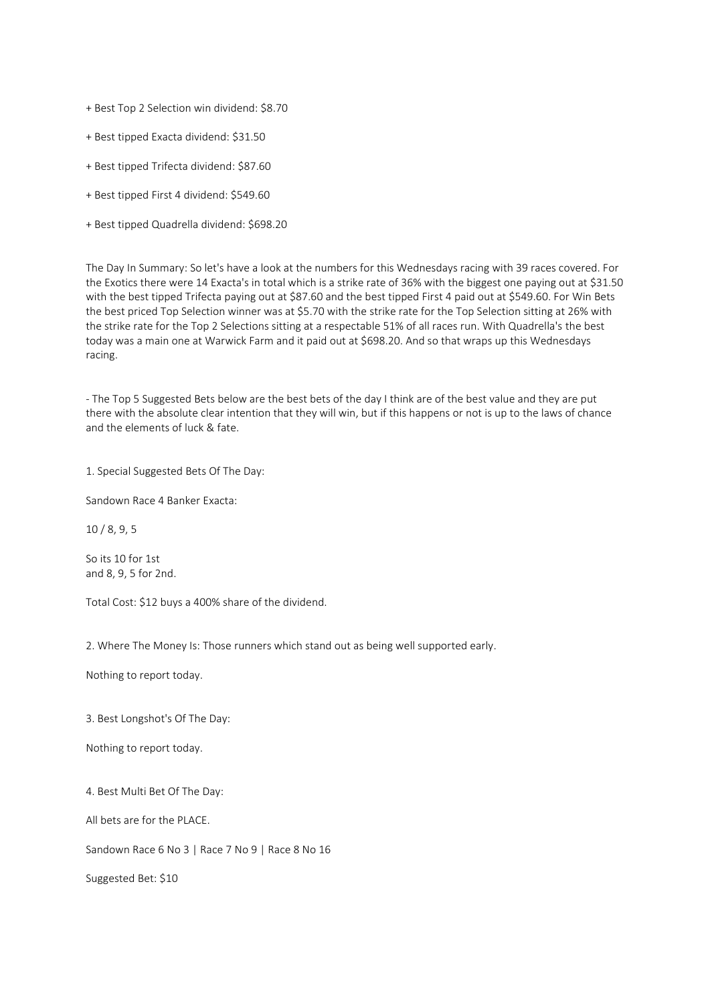+ Best Top 2 Selection win dividend: \$8.70

+ Best tipped Exacta dividend: \$31.50

+ Best tipped Trifecta dividend: \$87.60

+ Best tipped First 4 dividend: \$549.60

+ Best tipped Quadrella dividend: \$698.20

The Day In Summary: So let's have a look at the numbers for this Wednesdays racing with 39 races covered. For the Exotics there were 14 Exacta's in total which is a strike rate of 36% with the biggest one paying out at \$31.50 with the best tipped Trifecta paying out at \$87.60 and the best tipped First 4 paid out at \$549.60. For Win Bets the best priced Top Selection winner was at \$5.70 with the strike rate for the Top Selection sitting at 26% with the strike rate for the Top 2 Selections sitting at a respectable 51% of all races run. With Quadrella's the best today was a main one at Warwick Farm and it paid out at \$698.20. And so that wraps up this Wednesdays racing.

- The Top 5 Suggested Bets below are the best bets of the day I think are of the best value and they are put there with the absolute clear intention that they will win, but if this happens or not is up to the laws of chance and the elements of luck & fate.

1. Special Suggested Bets Of The Day:

Sandown Race 4 Banker Exacta:

10 / 8, 9, 5

So its 10 for 1st and 8, 9, 5 for 2nd.

Total Cost: \$12 buys a 400% share of the dividend.

2. Where The Money Is: Those runners which stand out as being well supported early.

Nothing to report today.

3. Best Longshot's Of The Day:

Nothing to report today.

4. Best Multi Bet Of The Day:

All bets are for the PLACE.

Sandown Race 6 No 3 | Race 7 No 9 | Race 8 No 16

Suggested Bet: \$10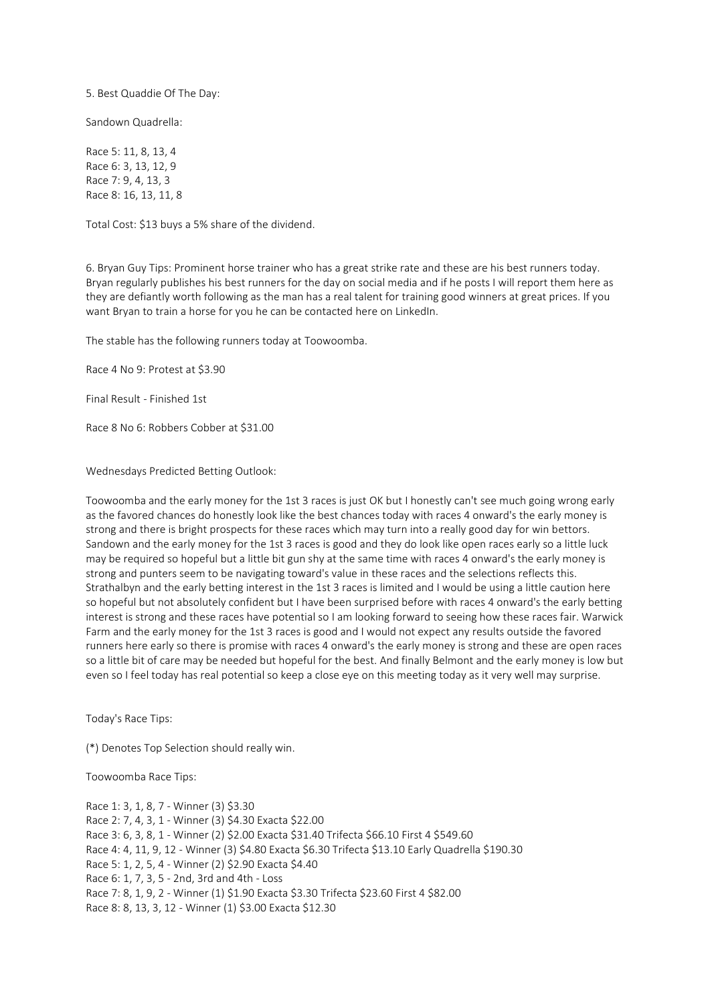5. Best Quaddie Of The Day:

Sandown Quadrella:

Race 5: 11, 8, 13, 4 Race 6: 3, 13, 12, 9 Race 7: 9, 4, 13, 3 Race 8: 16, 13, 11, 8

Total Cost: \$13 buys a 5% share of the dividend.

6. Bryan Guy Tips: Prominent horse trainer who has a great strike rate and these are his best runners today. Bryan regularly publishes his best runners for the day on social media and if he posts I will report them here as they are defiantly worth following as the man has a real talent for training good winners at great prices. If you want Bryan to train a horse for you he can be contacted here on LinkedIn.

The stable has the following runners today at Toowoomba.

Race 4 No 9: Protest at \$3.90

Final Result - Finished 1st

Race 8 No 6: Robbers Cobber at \$31.00

Wednesdays Predicted Betting Outlook:

Toowoomba and the early money for the 1st 3 races is just OK but I honestly can't see much going wrong early as the favored chances do honestly look like the best chances today with races 4 onward's the early money is strong and there is bright prospects for these races which may turn into a really good day for win bettors. Sandown and the early money for the 1st 3 races is good and they do look like open races early so a little luck may be required so hopeful but a little bit gun shy at the same time with races 4 onward's the early money is strong and punters seem to be navigating toward's value in these races and the selections reflects this. Strathalbyn and the early betting interest in the 1st 3 races is limited and I would be using a little caution here so hopeful but not absolutely confident but I have been surprised before with races 4 onward's the early betting interest is strong and these races have potential so I am looking forward to seeing how these races fair. Warwick Farm and the early money for the 1st 3 races is good and I would not expect any results outside the favored runners here early so there is promise with races 4 onward's the early money is strong and these are open races so a little bit of care may be needed but hopeful for the best. And finally Belmont and the early money is low but even so I feel today has real potential so keep a close eye on this meeting today as it very well may surprise.

Today's Race Tips:

(\*) Denotes Top Selection should really win.

Toowoomba Race Tips:

Race 1: 3, 1, 8, 7 - Winner (3) \$3.30 Race 2: 7, 4, 3, 1 - Winner (3) \$4.30 Exacta \$22.00 Race 3: 6, 3, 8, 1 - Winner (2) \$2.00 Exacta \$31.40 Trifecta \$66.10 First 4 \$549.60 Race 4: 4, 11, 9, 12 - Winner (3) \$4.80 Exacta \$6.30 Trifecta \$13.10 Early Quadrella \$190.30 Race 5: 1, 2, 5, 4 - Winner (2) \$2.90 Exacta \$4.40 Race 6: 1, 7, 3, 5 - 2nd, 3rd and 4th - Loss Race 7: 8, 1, 9, 2 - Winner (1) \$1.90 Exacta \$3.30 Trifecta \$23.60 First 4 \$82.00 Race 8: 8, 13, 3, 12 - Winner (1) \$3.00 Exacta \$12.30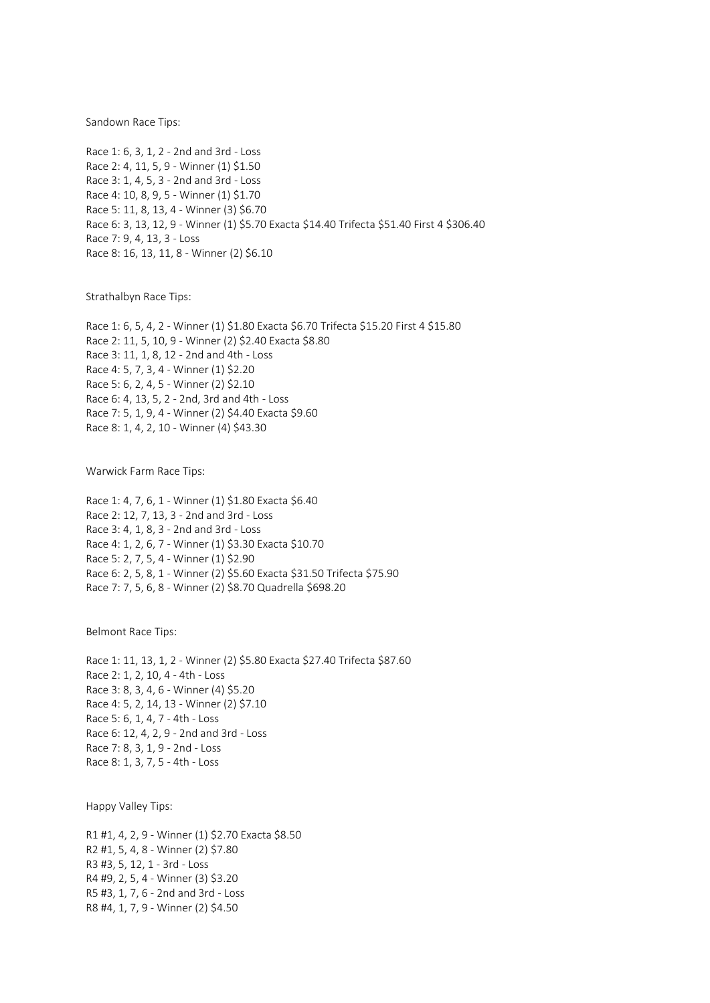Sandown Race Tips:

Race 1: 6, 3, 1, 2 - 2nd and 3rd - Loss Race 2: 4, 11, 5, 9 - Winner (1) \$1.50 Race 3: 1, 4, 5, 3 - 2nd and 3rd - Loss Race 4: 10, 8, 9, 5 - Winner (1) \$1.70 Race 5: 11, 8, 13, 4 - Winner (3) \$6.70 Race 6: 3, 13, 12, 9 - Winner (1) \$5.70 Exacta \$14.40 Trifecta \$51.40 First 4 \$306.40 Race 7: 9, 4, 13, 3 - Loss Race 8: 16, 13, 11, 8 - Winner (2) \$6.10

Strathalbyn Race Tips:

Race 1: 6, 5, 4, 2 - Winner (1) \$1.80 Exacta \$6.70 Trifecta \$15.20 First 4 \$15.80 Race 2: 11, 5, 10, 9 - Winner (2) \$2.40 Exacta \$8.80 Race 3: 11, 1, 8, 12 - 2nd and 4th - Loss Race 4: 5, 7, 3, 4 - Winner (1) \$2.20 Race 5: 6, 2, 4, 5 - Winner (2) \$2.10 Race 6: 4, 13, 5, 2 - 2nd, 3rd and 4th - Loss Race 7: 5, 1, 9, 4 - Winner (2) \$4.40 Exacta \$9.60 Race 8: 1, 4, 2, 10 - Winner (4) \$43.30

Warwick Farm Race Tips:

Race 1: 4, 7, 6, 1 - Winner (1) \$1.80 Exacta \$6.40 Race 2: 12, 7, 13, 3 - 2nd and 3rd - Loss Race 3: 4, 1, 8, 3 - 2nd and 3rd - Loss Race 4: 1, 2, 6, 7 - Winner (1) \$3.30 Exacta \$10.70 Race 5: 2, 7, 5, 4 - Winner (1) \$2.90 Race 6: 2, 5, 8, 1 - Winner (2) \$5.60 Exacta \$31.50 Trifecta \$75.90 Race 7: 7, 5, 6, 8 - Winner (2) \$8.70 Quadrella \$698.20

Belmont Race Tips:

Race 1: 11, 13, 1, 2 - Winner (2) \$5.80 Exacta \$27.40 Trifecta \$87.60 Race 2: 1, 2, 10, 4 - 4th - Loss Race 3: 8, 3, 4, 6 - Winner (4) \$5.20 Race 4: 5, 2, 14, 13 - Winner (2) \$7.10 Race 5: 6, 1, 4, 7 - 4th - Loss Race 6: 12, 4, 2, 9 - 2nd and 3rd - Loss Race 7: 8, 3, 1, 9 - 2nd - Loss Race 8: 1, 3, 7, 5 - 4th - Loss

Happy Valley Tips:

R1 #1, 4, 2, 9 - Winner (1) \$2.70 Exacta \$8.50 R2 #1, 5, 4, 8 - Winner (2) \$7.80 R3 #3, 5, 12, 1 - 3rd - Loss R4 #9, 2, 5, 4 - Winner (3) \$3.20 R5 #3, 1, 7, 6 - 2nd and 3rd - Loss R8 #4, 1, 7, 9 - Winner (2) \$4.50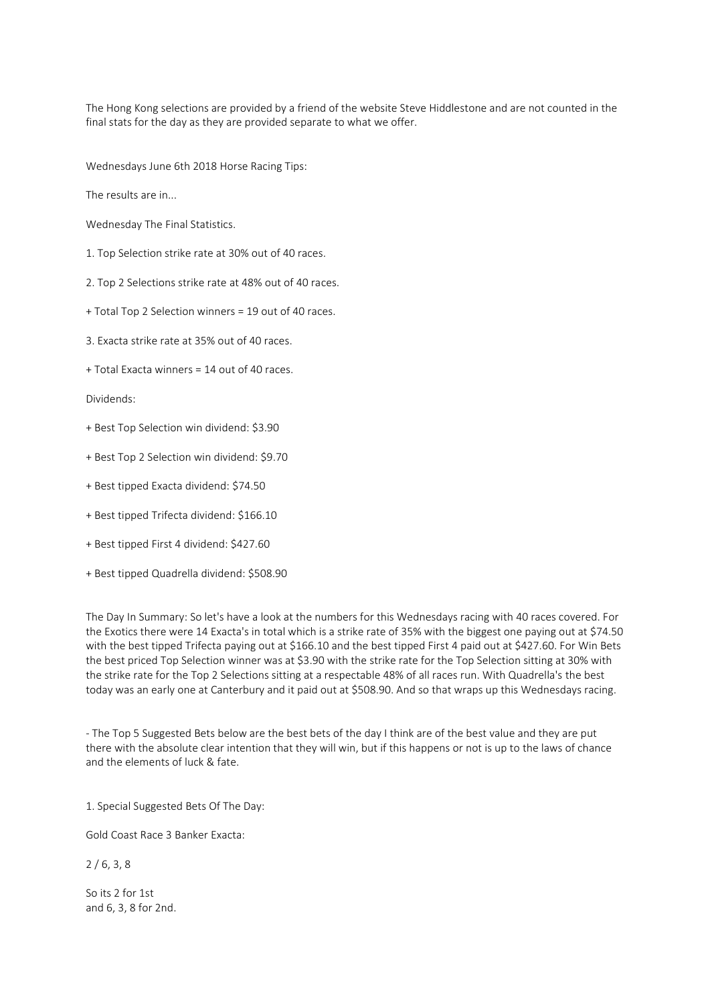The Hong Kong selections are provided by a friend of the website Steve Hiddlestone and are not counted in the final stats for the day as they are provided separate to what we offer.

Wednesdays June 6th 2018 Horse Racing Tips:

The results are in...

Wednesday The Final Statistics.

1. Top Selection strike rate at 30% out of 40 races.

2. Top 2 Selections strike rate at 48% out of 40 races.

+ Total Top 2 Selection winners = 19 out of 40 races.

3. Exacta strike rate at 35% out of 40 races.

+ Total Exacta winners = 14 out of 40 races.

Dividends:

- + Best Top Selection win dividend: \$3.90
- + Best Top 2 Selection win dividend: \$9.70
- + Best tipped Exacta dividend: \$74.50
- + Best tipped Trifecta dividend: \$166.10
- + Best tipped First 4 dividend: \$427.60
- + Best tipped Quadrella dividend: \$508.90

The Day In Summary: So let's have a look at the numbers for this Wednesdays racing with 40 races covered. For the Exotics there were 14 Exacta's in total which is a strike rate of 35% with the biggest one paying out at \$74.50 with the best tipped Trifecta paying out at \$166.10 and the best tipped First 4 paid out at \$427.60. For Win Bets the best priced Top Selection winner was at \$3.90 with the strike rate for the Top Selection sitting at 30% with the strike rate for the Top 2 Selections sitting at a respectable 48% of all races run. With Quadrella's the best today was an early one at Canterbury and it paid out at \$508.90. And so that wraps up this Wednesdays racing.

- The Top 5 Suggested Bets below are the best bets of the day I think are of the best value and they are put there with the absolute clear intention that they will win, but if this happens or not is up to the laws of chance and the elements of luck & fate.

1. Special Suggested Bets Of The Day:

Gold Coast Race 3 Banker Exacta:

 $2/6, 3, 8$ 

So its 2 for 1st and 6, 3, 8 for 2nd.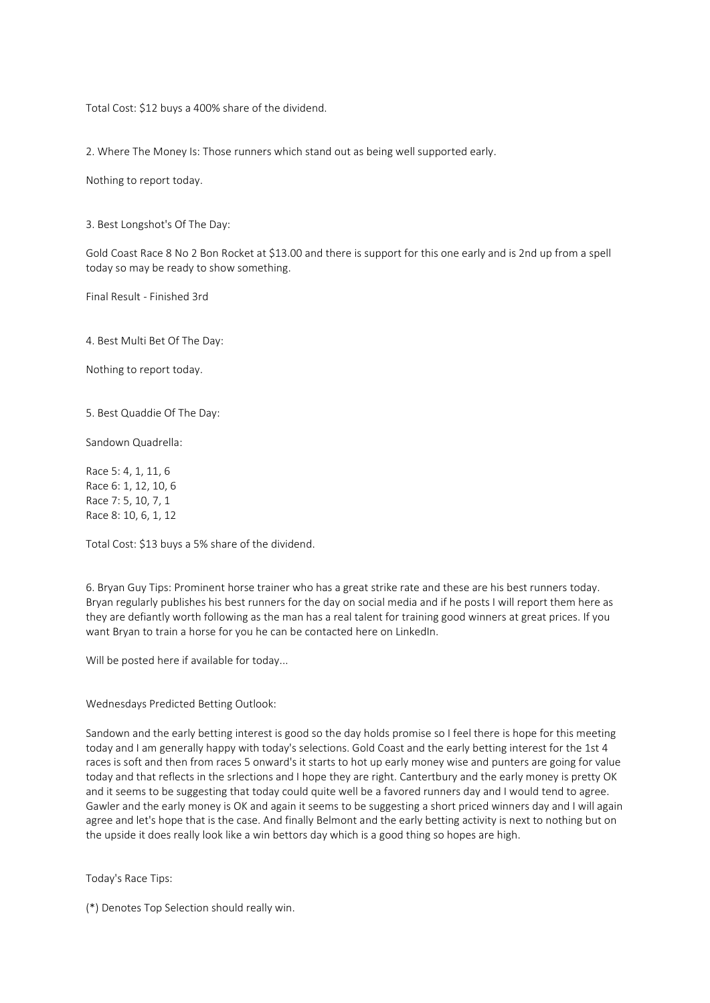Total Cost: \$12 buys a 400% share of the dividend.

2. Where The Money Is: Those runners which stand out as being well supported early.

Nothing to report today.

3. Best Longshot's Of The Day:

Gold Coast Race 8 No 2 Bon Rocket at \$13.00 and there is support for this one early and is 2nd up from a spell today so may be ready to show something.

Final Result - Finished 3rd

4. Best Multi Bet Of The Day:

Nothing to report today.

5. Best Quaddie Of The Day:

Sandown Quadrella:

Race 5: 4, 1, 11, 6 Race 6: 1, 12, 10, 6 Race 7: 5, 10, 7, 1 Race 8: 10, 6, 1, 12

Total Cost: \$13 buys a 5% share of the dividend.

6. Bryan Guy Tips: Prominent horse trainer who has a great strike rate and these are his best runners today. Bryan regularly publishes his best runners for the day on social media and if he posts I will report them here as they are defiantly worth following as the man has a real talent for training good winners at great prices. If you want Bryan to train a horse for you he can be contacted here on LinkedIn.

Will be posted here if available for today...

Wednesdays Predicted Betting Outlook:

Sandown and the early betting interest is good so the day holds promise so I feel there is hope for this meeting today and I am generally happy with today's selections. Gold Coast and the early betting interest for the 1st 4 races is soft and then from races 5 onward's it starts to hot up early money wise and punters are going for value today and that reflects in the srlections and I hope they are right. Cantertbury and the early money is pretty OK and it seems to be suggesting that today could quite well be a favored runners day and I would tend to agree. Gawler and the early money is OK and again it seems to be suggesting a short priced winners day and I will again agree and let's hope that is the case. And finally Belmont and the early betting activity is next to nothing but on the upside it does really look like a win bettors day which is a good thing so hopes are high.

Today's Race Tips:

(\*) Denotes Top Selection should really win.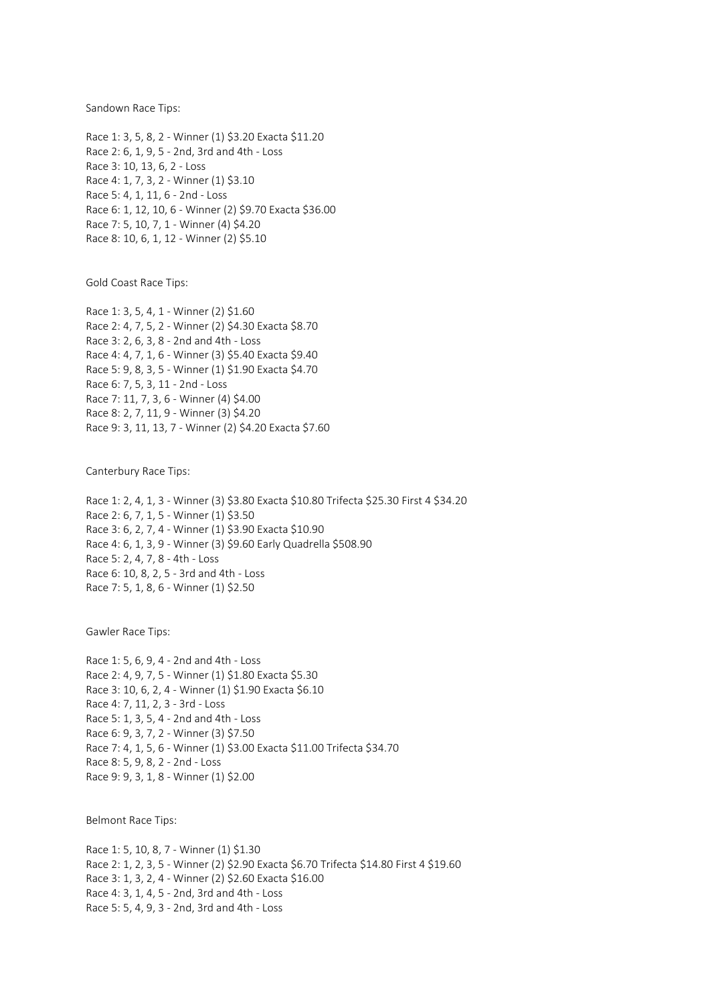Sandown Race Tips:

Race 1: 3, 5, 8, 2 - Winner (1) \$3.20 Exacta \$11.20 Race 2: 6, 1, 9, 5 - 2nd, 3rd and 4th - Loss Race 3: 10, 13, 6, 2 - Loss Race 4: 1, 7, 3, 2 - Winner (1) \$3.10 Race 5: 4, 1, 11, 6 - 2nd - Loss Race 6: 1, 12, 10, 6 - Winner (2) \$9.70 Exacta \$36.00 Race 7: 5, 10, 7, 1 - Winner (4) \$4.20 Race 8: 10, 6, 1, 12 - Winner (2) \$5.10

Gold Coast Race Tips:

Race 1: 3, 5, 4, 1 - Winner (2) \$1.60 Race 2: 4, 7, 5, 2 - Winner (2) \$4.30 Exacta \$8.70 Race 3: 2, 6, 3, 8 - 2nd and 4th - Loss Race 4: 4, 7, 1, 6 - Winner (3) \$5.40 Exacta \$9.40 Race 5: 9, 8, 3, 5 - Winner (1) \$1.90 Exacta \$4.70 Race 6: 7, 5, 3, 11 - 2nd - Loss Race 7: 11, 7, 3, 6 - Winner (4) \$4.00 Race 8: 2, 7, 11, 9 - Winner (3) \$4.20 Race 9: 3, 11, 13, 7 - Winner (2) \$4.20 Exacta \$7.60

Canterbury Race Tips:

Race 1: 2, 4, 1, 3 - Winner (3) \$3.80 Exacta \$10.80 Trifecta \$25.30 First 4 \$34.20 Race 2: 6, 7, 1, 5 - Winner (1) \$3.50 Race 3: 6, 2, 7, 4 - Winner (1) \$3.90 Exacta \$10.90 Race 4: 6, 1, 3, 9 - Winner (3) \$9.60 Early Quadrella \$508.90 Race 5: 2, 4, 7, 8 - 4th - Loss Race 6: 10, 8, 2, 5 - 3rd and 4th - Loss Race 7: 5, 1, 8, 6 - Winner (1) \$2.50

Gawler Race Tips:

Race 1: 5, 6, 9, 4 - 2nd and 4th - Loss Race 2: 4, 9, 7, 5 - Winner (1) \$1.80 Exacta \$5.30 Race 3: 10, 6, 2, 4 - Winner (1) \$1.90 Exacta \$6.10 Race 4: 7, 11, 2, 3 - 3rd - Loss Race 5: 1, 3, 5, 4 - 2nd and 4th - Loss Race 6: 9, 3, 7, 2 - Winner (3) \$7.50 Race 7: 4, 1, 5, 6 - Winner (1) \$3.00 Exacta \$11.00 Trifecta \$34.70 Race 8: 5, 9, 8, 2 - 2nd - Loss Race 9: 9, 3, 1, 8 - Winner (1) \$2.00

Belmont Race Tips:

Race 1: 5, 10, 8, 7 - Winner (1) \$1.30 Race 2: 1, 2, 3, 5 - Winner (2) \$2.90 Exacta \$6.70 Trifecta \$14.80 First 4 \$19.60 Race 3: 1, 3, 2, 4 - Winner (2) \$2.60 Exacta \$16.00 Race 4: 3, 1, 4, 5 - 2nd, 3rd and 4th - Loss Race 5: 5, 4, 9, 3 - 2nd, 3rd and 4th - Loss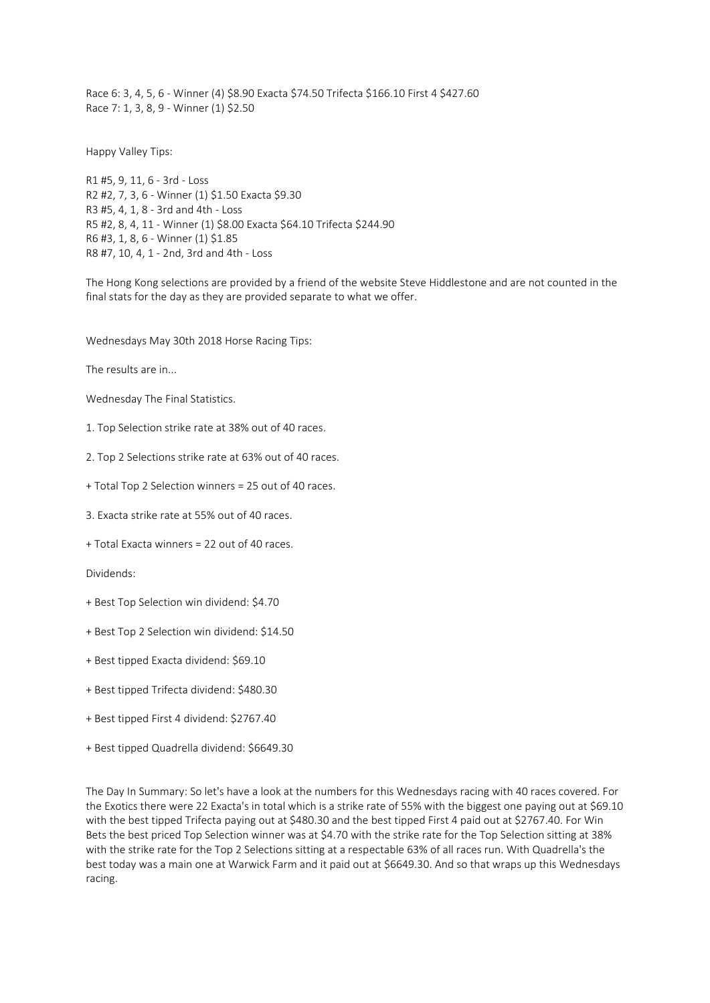Race 6: 3, 4, 5, 6 - Winner (4) \$8.90 Exacta \$74.50 Trifecta \$166.10 First 4 \$427.60 Race 7: 1, 3, 8, 9 - Winner (1) \$2.50

Happy Valley Tips:

R1 #5, 9, 11, 6 - 3rd - Loss R2 #2, 7, 3, 6 - Winner (1) \$1.50 Exacta \$9.30 R3 #5, 4, 1, 8 - 3rd and 4th - Loss R5 #2, 8, 4, 11 - Winner (1) \$8.00 Exacta \$64.10 Trifecta \$244.90 R6 #3, 1, 8, 6 - Winner (1) \$1.85 R8 #7, 10, 4, 1 - 2nd, 3rd and 4th - Loss

The Hong Kong selections are provided by a friend of the website Steve Hiddlestone and are not counted in the final stats for the day as they are provided separate to what we offer.

Wednesdays May 30th 2018 Horse Racing Tips:

The results are in...

Wednesday The Final Statistics.

1. Top Selection strike rate at 38% out of 40 races.

2. Top 2 Selections strike rate at 63% out of 40 races.

+ Total Top 2 Selection winners = 25 out of 40 races.

3. Exacta strike rate at 55% out of 40 races.

+ Total Exacta winners = 22 out of 40 races.

Dividends:

- + Best Top Selection win dividend: \$4.70
- + Best Top 2 Selection win dividend: \$14.50
- + Best tipped Exacta dividend: \$69.10
- + Best tipped Trifecta dividend: \$480.30
- + Best tipped First 4 dividend: \$2767.40
- + Best tipped Quadrella dividend: \$6649.30

The Day In Summary: So let's have a look at the numbers for this Wednesdays racing with 40 races covered. For the Exotics there were 22 Exacta's in total which is a strike rate of 55% with the biggest one paying out at \$69.10 with the best tipped Trifecta paying out at \$480.30 and the best tipped First 4 paid out at \$2767.40. For Win Bets the best priced Top Selection winner was at \$4.70 with the strike rate for the Top Selection sitting at 38% with the strike rate for the Top 2 Selections sitting at a respectable 63% of all races run. With Quadrella's the best today was a main one at Warwick Farm and it paid out at \$6649.30. And so that wraps up this Wednesdays racing.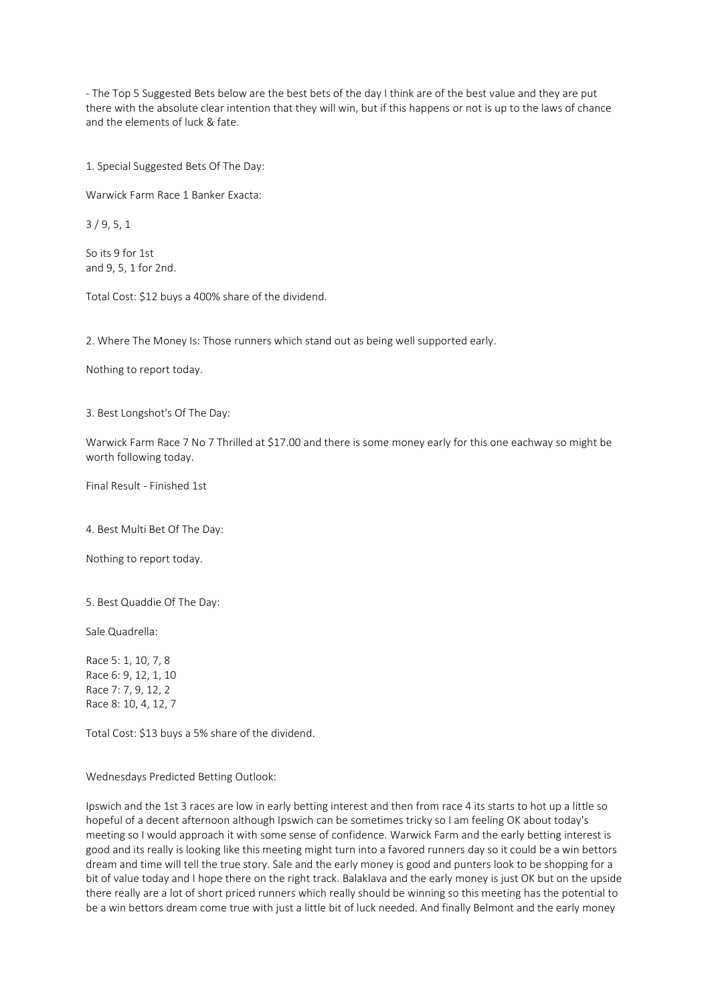- The Top 5 Suggested Bets below are the best bets of the day I think are of the best value and they are put there with the absolute clear intention that they will win, but if this happens or not is up to the laws of chance and the elements of luck & fate.

1. Special Suggested Bets Of The Day:

Warwick Farm Race 1 Banker Exacta:

3 / 9, 5, 1

So its 9 for 1st and 9, 5, 1 for 2nd.

Total Cost: \$12 buys a 400% share of the dividend.

2. Where The Money Is: Those runners which stand out as being well supported early.

Nothing to report today.

3. Best Longshot's Of The Day:

Warwick Farm Race 7 No 7 Thrilled at \$17.00 and there is some money early for this one eachway so might be worth following today.

Final Result - Finished 1st

4. Best Multi Bet Of The Day:

Nothing to report today.

5. Best Quaddie Of The Day:

Sale Quadrella:

Race 5: 1, 10, 7, 8 Race 6: 9, 12, 1, 10 Race 7: 7, 9, 12, 2 Race 8: 10, 4, 12, 7

Total Cost: \$13 buys a 5% share of the dividend.

Wednesdays Predicted Betting Outlook:

Ipswich and the 1st 3 races are low in early betting interest and then from race 4 its starts to hot up a little so hopeful of a decent afternoon although Ipswich can be sometimes tricky so I am feeling OK about today's meeting so I would approach it with some sense of confidence. Warwick Farm and the early betting interest is good and its really is looking like this meeting might turn into a favored runners day so it could be a win bettors dream and time will tell the true story. Sale and the early money is good and punters look to be shopping for a bit of value today and I hope there on the right track. Balaklava and the early money is just OK but on the upside there really are a lot of short priced runners which really should be winning so this meeting has the potential to be a win bettors dream come true with just a little bit of luck needed. And finally Belmont and the early money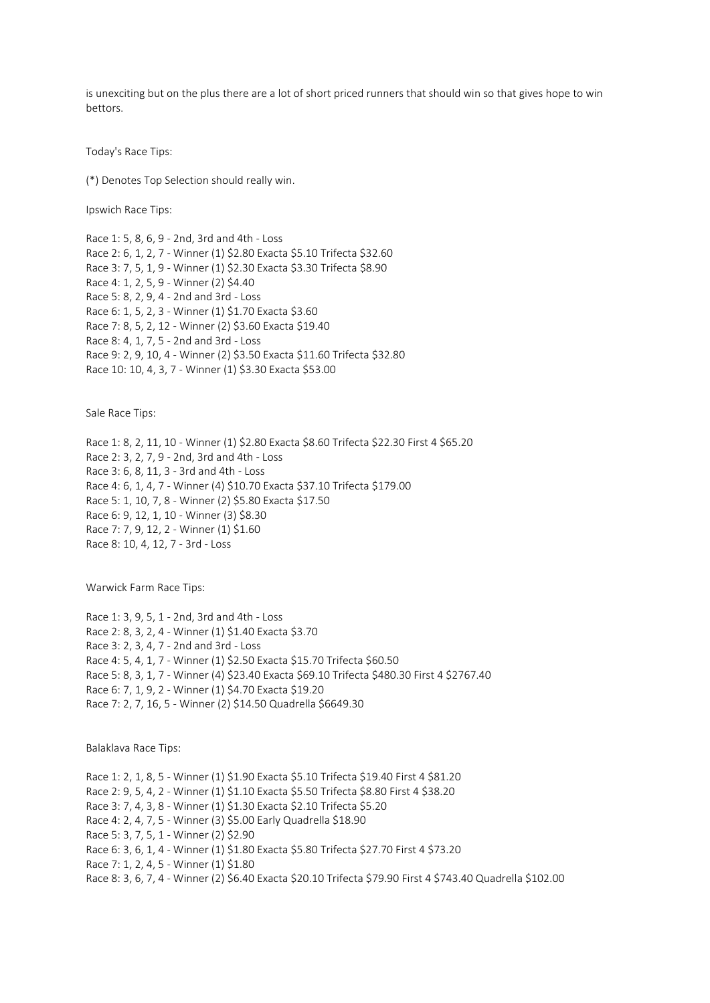is unexciting but on the plus there are a lot of short priced runners that should win so that gives hope to win bettors.

Today's Race Tips:

(\*) Denotes Top Selection should really win.

Ipswich Race Tips:

Race 1: 5, 8, 6, 9 - 2nd, 3rd and 4th - Loss Race 2: 6, 1, 2, 7 - Winner (1) \$2.80 Exacta \$5.10 Trifecta \$32.60 Race 3: 7, 5, 1, 9 - Winner (1) \$2.30 Exacta \$3.30 Trifecta \$8.90 Race 4: 1, 2, 5, 9 - Winner (2) \$4.40 Race 5: 8, 2, 9, 4 - 2nd and 3rd - Loss Race 6: 1, 5, 2, 3 - Winner (1) \$1.70 Exacta \$3.60 Race 7: 8, 5, 2, 12 - Winner (2) \$3.60 Exacta \$19.40 Race 8: 4, 1, 7, 5 - 2nd and 3rd - Loss Race 9: 2, 9, 10, 4 - Winner (2) \$3.50 Exacta \$11.60 Trifecta \$32.80 Race 10: 10, 4, 3, 7 - Winner (1) \$3.30 Exacta \$53.00

Sale Race Tips:

Race 1: 8, 2, 11, 10 - Winner (1) \$2.80 Exacta \$8.60 Trifecta \$22.30 First 4 \$65.20 Race 2: 3, 2, 7, 9 - 2nd, 3rd and 4th - Loss Race 3: 6, 8, 11, 3 - 3rd and 4th - Loss Race 4: 6, 1, 4, 7 - Winner (4) \$10.70 Exacta \$37.10 Trifecta \$179.00 Race 5: 1, 10, 7, 8 - Winner (2) \$5.80 Exacta \$17.50 Race 6: 9, 12, 1, 10 - Winner (3) \$8.30 Race 7: 7, 9, 12, 2 - Winner (1) \$1.60 Race 8: 10, 4, 12, 7 - 3rd - Loss

Warwick Farm Race Tips:

Race 1: 3, 9, 5, 1 - 2nd, 3rd and 4th - Loss Race 2: 8, 3, 2, 4 - Winner (1) \$1.40 Exacta \$3.70 Race 3: 2, 3, 4, 7 - 2nd and 3rd - Loss Race 4: 5, 4, 1, 7 - Winner (1) \$2.50 Exacta \$15.70 Trifecta \$60.50 Race 5: 8, 3, 1, 7 - Winner (4) \$23.40 Exacta \$69.10 Trifecta \$480.30 First 4 \$2767.40 Race 6: 7, 1, 9, 2 - Winner (1) \$4.70 Exacta \$19.20 Race 7: 2, 7, 16, 5 - Winner (2) \$14.50 Quadrella \$6649.30

Balaklava Race Tips:

Race 1: 2, 1, 8, 5 - Winner (1) \$1.90 Exacta \$5.10 Trifecta \$19.40 First 4 \$81.20 Race 2: 9, 5, 4, 2 - Winner (1) \$1.10 Exacta \$5.50 Trifecta \$8.80 First 4 \$38.20 Race 3: 7, 4, 3, 8 - Winner (1) \$1.30 Exacta \$2.10 Trifecta \$5.20 Race 4: 2, 4, 7, 5 - Winner (3) \$5.00 Early Quadrella \$18.90 Race 5: 3, 7, 5, 1 - Winner (2) \$2.90 Race 6: 3, 6, 1, 4 - Winner (1) \$1.80 Exacta \$5.80 Trifecta \$27.70 First 4 \$73.20 Race 7: 1, 2, 4, 5 - Winner (1) \$1.80 Race 8: 3, 6, 7, 4 - Winner (2) \$6.40 Exacta \$20.10 Trifecta \$79.90 First 4 \$743.40 Quadrella \$102.00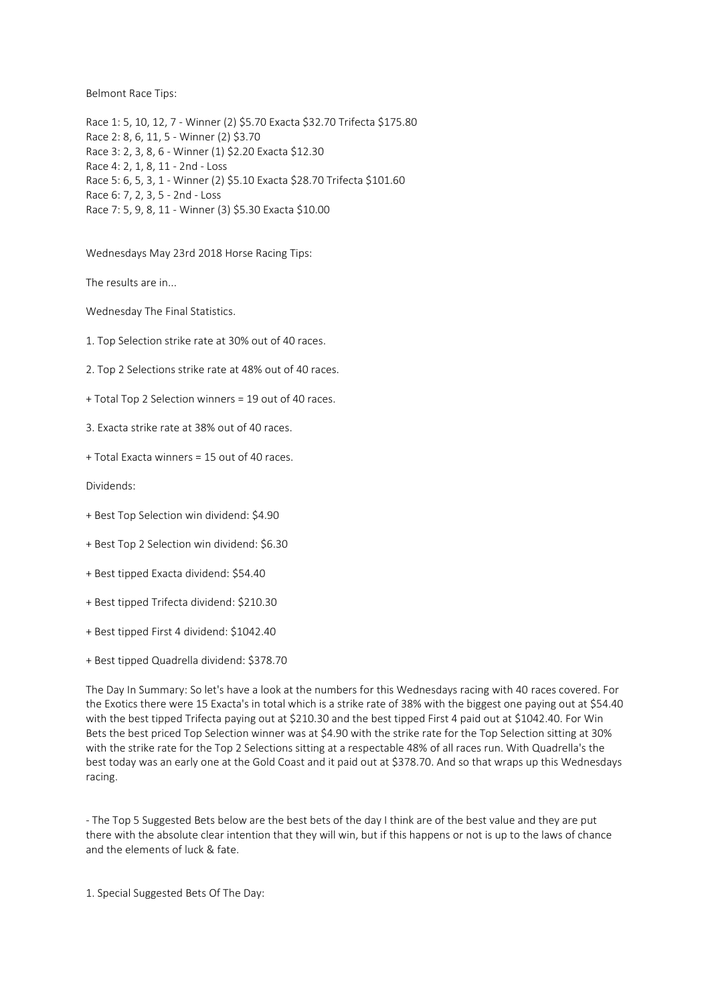Belmont Race Tips:

Race 1: 5, 10, 12, 7 - Winner (2) \$5.70 Exacta \$32.70 Trifecta \$175.80 Race 2: 8, 6, 11, 5 - Winner (2) \$3.70 Race 3: 2, 3, 8, 6 - Winner (1) \$2.20 Exacta \$12.30 Race 4: 2, 1, 8, 11 - 2nd - Loss Race 5: 6, 5, 3, 1 - Winner (2) \$5.10 Exacta \$28.70 Trifecta \$101.60 Race 6: 7, 2, 3, 5 - 2nd - Loss Race 7: 5, 9, 8, 11 - Winner (3) \$5.30 Exacta \$10.00

Wednesdays May 23rd 2018 Horse Racing Tips:

The results are in...

Wednesday The Final Statistics.

1. Top Selection strike rate at 30% out of 40 races.

2. Top 2 Selections strike rate at 48% out of 40 races.

+ Total Top 2 Selection winners = 19 out of 40 races.

3. Exacta strike rate at 38% out of 40 races.

+ Total Exacta winners = 15 out of 40 races.

Dividends:

- + Best Top Selection win dividend: \$4.90
- + Best Top 2 Selection win dividend: \$6.30
- + Best tipped Exacta dividend: \$54.40
- + Best tipped Trifecta dividend: \$210.30
- + Best tipped First 4 dividend: \$1042.40
- + Best tipped Quadrella dividend: \$378.70

The Day In Summary: So let's have a look at the numbers for this Wednesdays racing with 40 races covered. For the Exotics there were 15 Exacta's in total which is a strike rate of 38% with the biggest one paying out at \$54.40 with the best tipped Trifecta paying out at \$210.30 and the best tipped First 4 paid out at \$1042.40. For Win Bets the best priced Top Selection winner was at \$4.90 with the strike rate for the Top Selection sitting at 30% with the strike rate for the Top 2 Selections sitting at a respectable 48% of all races run. With Quadrella's the best today was an early one at the Gold Coast and it paid out at \$378.70. And so that wraps up this Wednesdays racing.

- The Top 5 Suggested Bets below are the best bets of the day I think are of the best value and they are put there with the absolute clear intention that they will win, but if this happens or not is up to the laws of chance and the elements of luck & fate.

1. Special Suggested Bets Of The Day: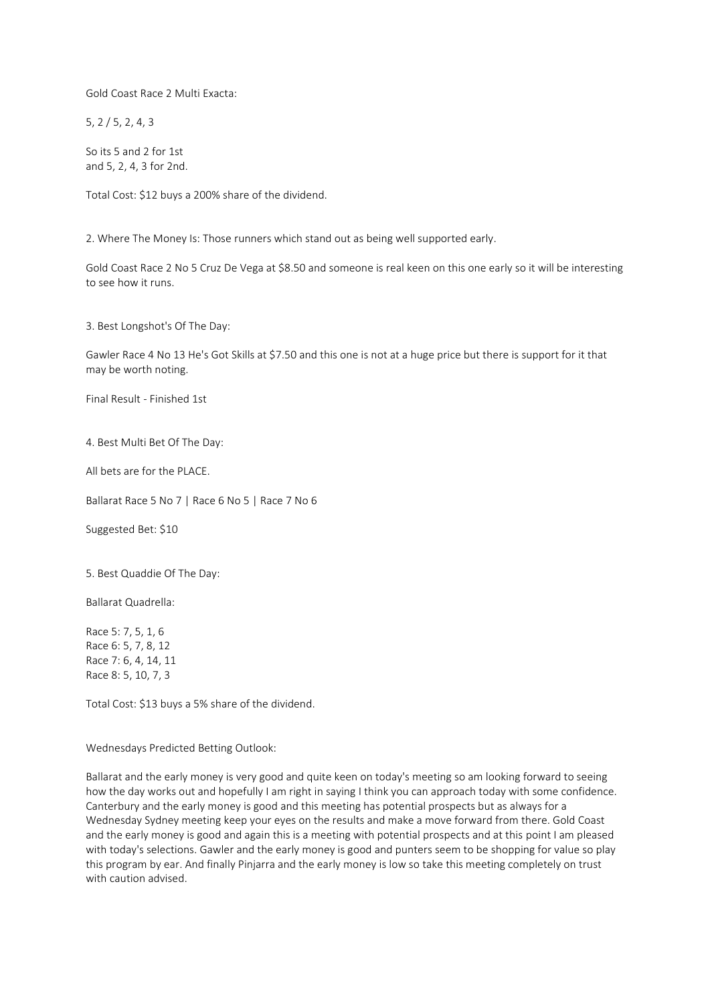Gold Coast Race 2 Multi Exacta:

5, 2 / 5, 2, 4, 3

So its 5 and 2 for 1st and 5, 2, 4, 3 for 2nd.

Total Cost: \$12 buys a 200% share of the dividend.

2. Where The Money Is: Those runners which stand out as being well supported early.

Gold Coast Race 2 No 5 Cruz De Vega at \$8.50 and someone is real keen on this one early so it will be interesting to see how it runs.

3. Best Longshot's Of The Day:

Gawler Race 4 No 13 He's Got Skills at \$7.50 and this one is not at a huge price but there is support for it that may be worth noting.

Final Result - Finished 1st

4. Best Multi Bet Of The Day:

All bets are for the PLACE.

Ballarat Race 5 No 7 | Race 6 No 5 | Race 7 No 6

Suggested Bet: \$10

5. Best Quaddie Of The Day:

Ballarat Quadrella:

Race 5: 7, 5, 1, 6 Race 6: 5, 7, 8, 12 Race 7: 6, 4, 14, 11 Race 8: 5, 10, 7, 3

Total Cost: \$13 buys a 5% share of the dividend.

Wednesdays Predicted Betting Outlook:

Ballarat and the early money is very good and quite keen on today's meeting so am looking forward to seeing how the day works out and hopefully I am right in saying I think you can approach today with some confidence. Canterbury and the early money is good and this meeting has potential prospects but as always for a Wednesday Sydney meeting keep your eyes on the results and make a move forward from there. Gold Coast and the early money is good and again this is a meeting with potential prospects and at this point I am pleased with today's selections. Gawler and the early money is good and punters seem to be shopping for value so play this program by ear. And finally Pinjarra and the early money is low so take this meeting completely on trust with caution advised.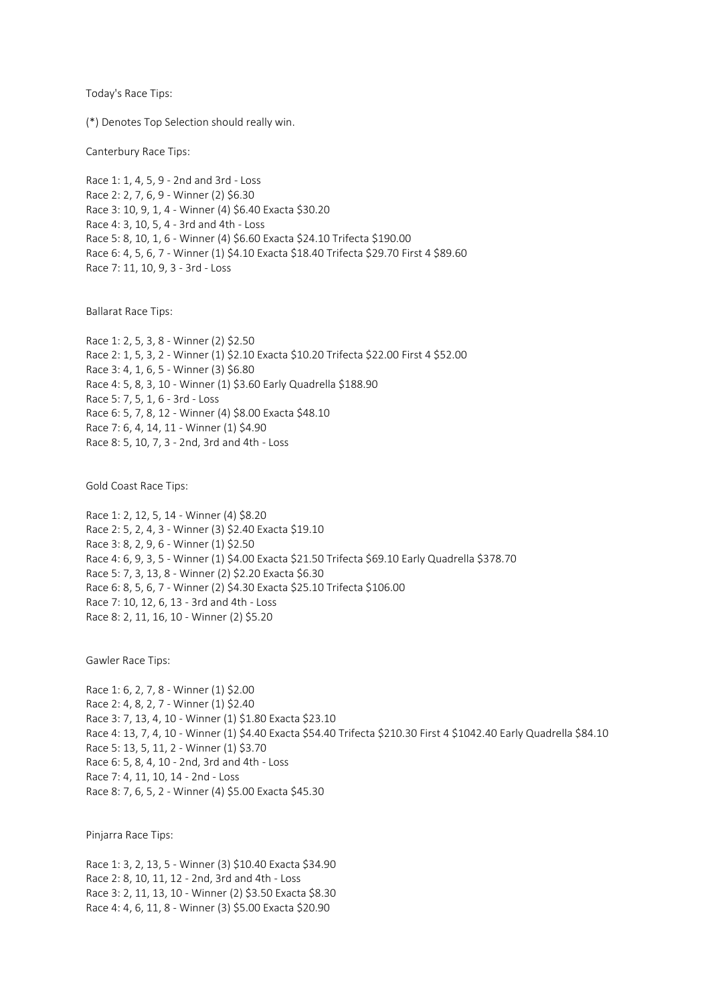Today's Race Tips:

(\*) Denotes Top Selection should really win.

Canterbury Race Tips:

Race 1: 1, 4, 5, 9 - 2nd and 3rd - Loss Race 2: 2, 7, 6, 9 - Winner (2) \$6.30 Race 3: 10, 9, 1, 4 - Winner (4) \$6.40 Exacta \$30.20 Race 4: 3, 10, 5, 4 - 3rd and 4th - Loss Race 5: 8, 10, 1, 6 - Winner (4) \$6.60 Exacta \$24.10 Trifecta \$190.00 Race 6: 4, 5, 6, 7 - Winner (1) \$4.10 Exacta \$18.40 Trifecta \$29.70 First 4 \$89.60 Race 7: 11, 10, 9, 3 - 3rd - Loss

Ballarat Race Tips:

Race 1: 2, 5, 3, 8 - Winner (2) \$2.50 Race 2: 1, 5, 3, 2 - Winner (1) \$2.10 Exacta \$10.20 Trifecta \$22.00 First 4 \$52.00 Race 3: 4, 1, 6, 5 - Winner (3) \$6.80 Race 4: 5, 8, 3, 10 - Winner (1) \$3.60 Early Quadrella \$188.90 Race 5: 7, 5, 1, 6 - 3rd - Loss Race 6: 5, 7, 8, 12 - Winner (4) \$8.00 Exacta \$48.10 Race 7: 6, 4, 14, 11 - Winner (1) \$4.90 Race 8: 5, 10, 7, 3 - 2nd, 3rd and 4th - Loss

Gold Coast Race Tips:

Race 1: 2, 12, 5, 14 - Winner (4) \$8.20 Race 2: 5, 2, 4, 3 - Winner (3) \$2.40 Exacta \$19.10 Race 3: 8, 2, 9, 6 - Winner (1) \$2.50 Race 4: 6, 9, 3, 5 - Winner (1) \$4.00 Exacta \$21.50 Trifecta \$69.10 Early Quadrella \$378.70 Race 5: 7, 3, 13, 8 - Winner (2) \$2.20 Exacta \$6.30 Race 6: 8, 5, 6, 7 - Winner (2) \$4.30 Exacta \$25.10 Trifecta \$106.00 Race 7: 10, 12, 6, 13 - 3rd and 4th - Loss Race 8: 2, 11, 16, 10 - Winner (2) \$5.20

Gawler Race Tips:

Race 1: 6, 2, 7, 8 - Winner (1) \$2.00 Race 2: 4, 8, 2, 7 - Winner (1) \$2.40 Race 3: 7, 13, 4, 10 - Winner (1) \$1.80 Exacta \$23.10 Race 4: 13, 7, 4, 10 - Winner (1) \$4.40 Exacta \$54.40 Trifecta \$210.30 First 4 \$1042.40 Early Quadrella \$84.10 Race 5: 13, 5, 11, 2 - Winner (1) \$3.70 Race 6: 5, 8, 4, 10 - 2nd, 3rd and 4th - Loss Race 7: 4, 11, 10, 14 - 2nd - Loss Race 8: 7, 6, 5, 2 - Winner (4) \$5.00 Exacta \$45.30

Pinjarra Race Tips:

Race 1: 3, 2, 13, 5 - Winner (3) \$10.40 Exacta \$34.90 Race 2: 8, 10, 11, 12 - 2nd, 3rd and 4th - Loss Race 3: 2, 11, 13, 10 - Winner (2) \$3.50 Exacta \$8.30 Race 4: 4, 6, 11, 8 - Winner (3) \$5.00 Exacta \$20.90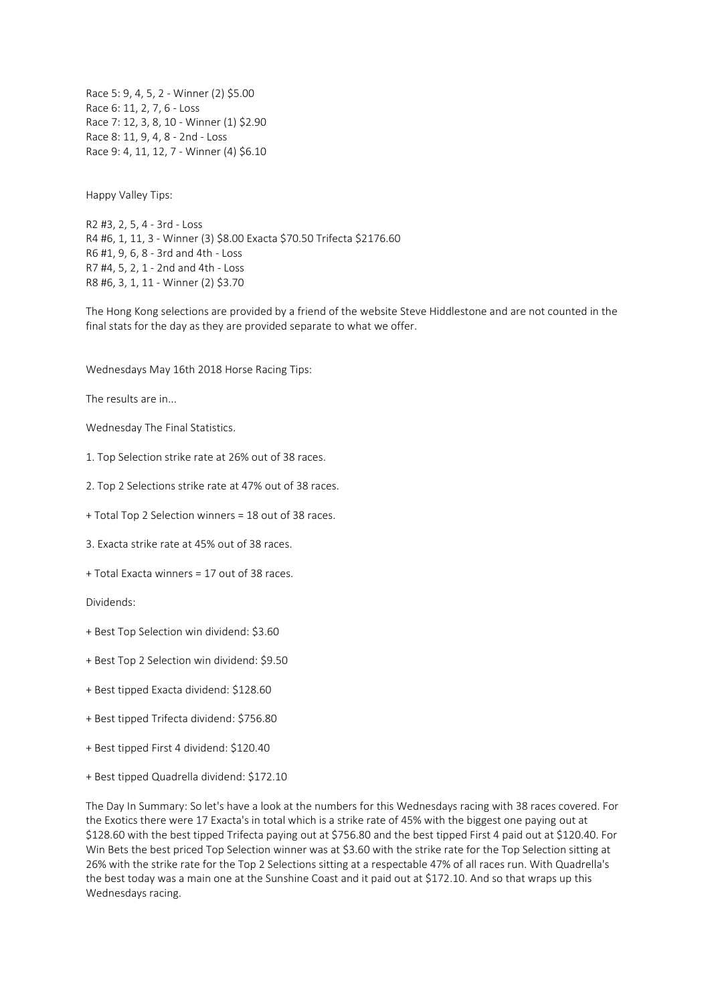Race 5: 9, 4, 5, 2 - Winner (2) \$5.00 Race 6: 11, 2, 7, 6 - Loss Race 7: 12, 3, 8, 10 - Winner (1) \$2.90 Race 8: 11, 9, 4, 8 - 2nd - Loss Race 9: 4, 11, 12, 7 - Winner (4) \$6.10

Happy Valley Tips:

R2 #3, 2, 5, 4 - 3rd - Loss R4 #6, 1, 11, 3 - Winner (3) \$8.00 Exacta \$70.50 Trifecta \$2176.60 R6 #1, 9, 6, 8 - 3rd and 4th - Loss R7 #4, 5, 2, 1 - 2nd and 4th - Loss R8 #6, 3, 1, 11 - Winner (2) \$3.70

The Hong Kong selections are provided by a friend of the website Steve Hiddlestone and are not counted in the final stats for the day as they are provided separate to what we offer.

Wednesdays May 16th 2018 Horse Racing Tips:

The results are in...

Wednesday The Final Statistics.

- 1. Top Selection strike rate at 26% out of 38 races.
- 2. Top 2 Selections strike rate at 47% out of 38 races.
- + Total Top 2 Selection winners = 18 out of 38 races.
- 3. Exacta strike rate at 45% out of 38 races.
- + Total Exacta winners = 17 out of 38 races.

Dividends:

- + Best Top Selection win dividend: \$3.60
- + Best Top 2 Selection win dividend: \$9.50
- + Best tipped Exacta dividend: \$128.60
- + Best tipped Trifecta dividend: \$756.80
- + Best tipped First 4 dividend: \$120.40
- + Best tipped Quadrella dividend: \$172.10

The Day In Summary: So let's have a look at the numbers for this Wednesdays racing with 38 races covered. For the Exotics there were 17 Exacta's in total which is a strike rate of 45% with the biggest one paying out at \$128.60 with the best tipped Trifecta paying out at \$756.80 and the best tipped First 4 paid out at \$120.40. For Win Bets the best priced Top Selection winner was at \$3.60 with the strike rate for the Top Selection sitting at 26% with the strike rate for the Top 2 Selections sitting at a respectable 47% of all races run. With Quadrella's the best today was a main one at the Sunshine Coast and it paid out at \$172.10. And so that wraps up this Wednesdays racing.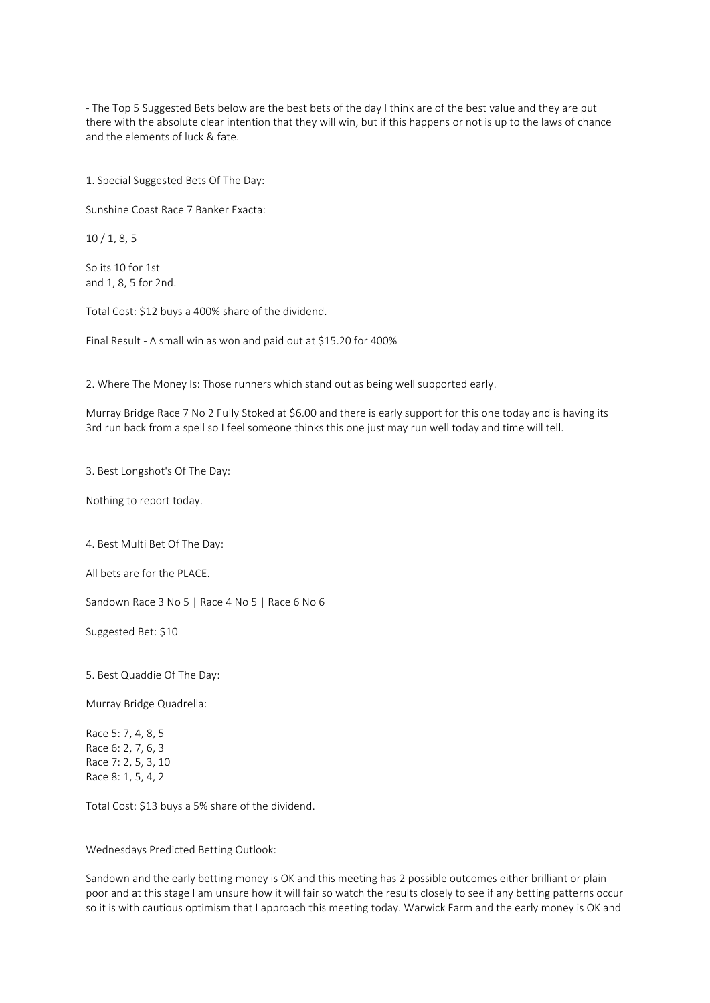- The Top 5 Suggested Bets below are the best bets of the day I think are of the best value and they are put there with the absolute clear intention that they will win, but if this happens or not is up to the laws of chance and the elements of luck & fate.

1. Special Suggested Bets Of The Day:

Sunshine Coast Race 7 Banker Exacta:

10 / 1, 8, 5

So its 10 for 1st and 1, 8, 5 for 2nd.

Total Cost: \$12 buys a 400% share of the dividend.

Final Result - A small win as won and paid out at \$15.20 for 400%

2. Where The Money Is: Those runners which stand out as being well supported early.

Murray Bridge Race 7 No 2 Fully Stoked at \$6.00 and there is early support for this one today and is having its 3rd run back from a spell so I feel someone thinks this one just may run well today and time will tell.

3. Best Longshot's Of The Day:

Nothing to report today.

4. Best Multi Bet Of The Day:

All bets are for the PLACE.

Sandown Race 3 No 5 | Race 4 No 5 | Race 6 No 6

Suggested Bet: \$10

5. Best Quaddie Of The Day:

Murray Bridge Quadrella:

Race 5: 7, 4, 8, 5 Race 6: 2, 7, 6, 3 Race 7: 2, 5, 3, 10 Race 8: 1, 5, 4, 2

Total Cost: \$13 buys a 5% share of the dividend.

Wednesdays Predicted Betting Outlook:

Sandown and the early betting money is OK and this meeting has 2 possible outcomes either brilliant or plain poor and at this stage I am unsure how it will fair so watch the results closely to see if any betting patterns occur so it is with cautious optimism that I approach this meeting today. Warwick Farm and the early money is OK and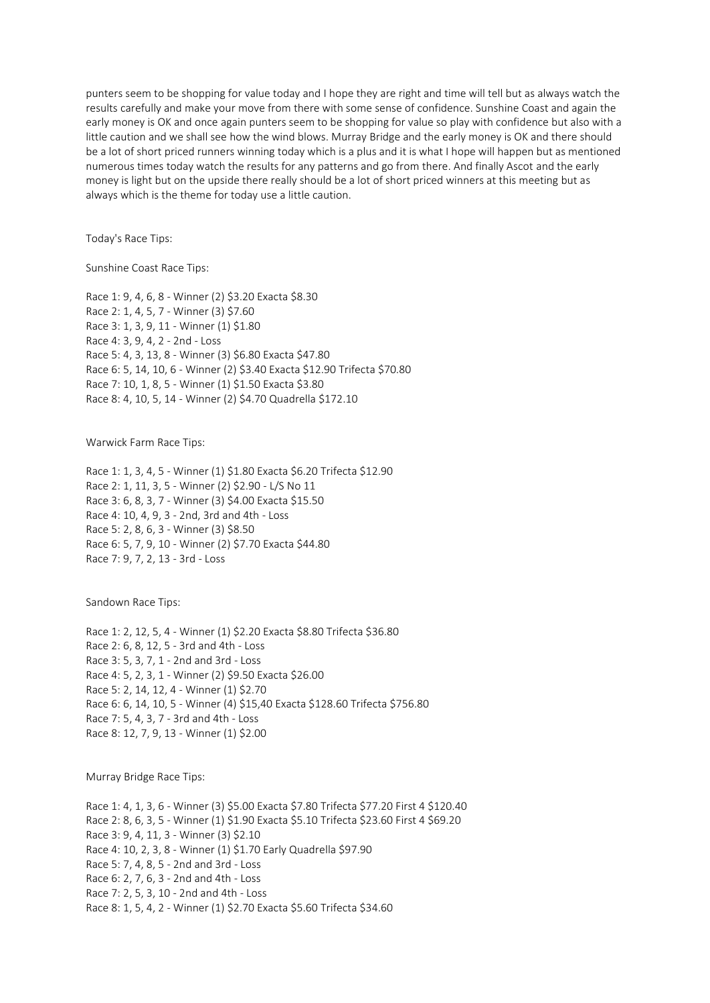punters seem to be shopping for value today and I hope they are right and time will tell but as always watch the results carefully and make your move from there with some sense of confidence. Sunshine Coast and again the early money is OK and once again punters seem to be shopping for value so play with confidence but also with a little caution and we shall see how the wind blows. Murray Bridge and the early money is OK and there should be a lot of short priced runners winning today which is a plus and it is what I hope will happen but as mentioned numerous times today watch the results for any patterns and go from there. And finally Ascot and the early money is light but on the upside there really should be a lot of short priced winners at this meeting but as always which is the theme for today use a little caution.

Today's Race Tips:

Sunshine Coast Race Tips:

Race 1: 9, 4, 6, 8 - Winner (2) \$3.20 Exacta \$8.30 Race 2: 1, 4, 5, 7 - Winner (3) \$7.60 Race 3: 1, 3, 9, 11 - Winner (1) \$1.80 Race 4: 3, 9, 4, 2 - 2nd - Loss Race 5: 4, 3, 13, 8 - Winner (3) \$6.80 Exacta \$47.80 Race 6: 5, 14, 10, 6 - Winner (2) \$3.40 Exacta \$12.90 Trifecta \$70.80 Race 7: 10, 1, 8, 5 - Winner (1) \$1.50 Exacta \$3.80 Race 8: 4, 10, 5, 14 - Winner (2) \$4.70 Quadrella \$172.10

Warwick Farm Race Tips:

Race 1: 1, 3, 4, 5 - Winner (1) \$1.80 Exacta \$6.20 Trifecta \$12.90 Race 2: 1, 11, 3, 5 - Winner (2) \$2.90 - L/S No 11 Race 3: 6, 8, 3, 7 - Winner (3) \$4.00 Exacta \$15.50 Race 4: 10, 4, 9, 3 - 2nd, 3rd and 4th - Loss Race 5: 2, 8, 6, 3 - Winner (3) \$8.50 Race 6: 5, 7, 9, 10 - Winner (2) \$7.70 Exacta \$44.80 Race 7: 9, 7, 2, 13 - 3rd - Loss

Sandown Race Tips:

Race 1: 2, 12, 5, 4 - Winner (1) \$2.20 Exacta \$8.80 Trifecta \$36.80 Race 2: 6, 8, 12, 5 - 3rd and 4th - Loss Race 3: 5, 3, 7, 1 - 2nd and 3rd - Loss Race 4: 5, 2, 3, 1 - Winner (2) \$9.50 Exacta \$26.00 Race 5: 2, 14, 12, 4 - Winner (1) \$2.70 Race 6: 6, 14, 10, 5 - Winner (4) \$15,40 Exacta \$128.60 Trifecta \$756.80 Race 7: 5, 4, 3, 7 - 3rd and 4th - Loss Race 8: 12, 7, 9, 13 - Winner (1) \$2.00

Murray Bridge Race Tips:

Race 1: 4, 1, 3, 6 - Winner (3) \$5.00 Exacta \$7.80 Trifecta \$77.20 First 4 \$120.40 Race 2: 8, 6, 3, 5 - Winner (1) \$1.90 Exacta \$5.10 Trifecta \$23.60 First 4 \$69.20 Race 3: 9, 4, 11, 3 - Winner (3) \$2.10 Race 4: 10, 2, 3, 8 - Winner (1) \$1.70 Early Quadrella \$97.90 Race 5: 7, 4, 8, 5 - 2nd and 3rd - Loss Race 6: 2, 7, 6, 3 - 2nd and 4th - Loss Race 7: 2, 5, 3, 10 - 2nd and 4th - Loss Race 8: 1, 5, 4, 2 - Winner (1) \$2.70 Exacta \$5.60 Trifecta \$34.60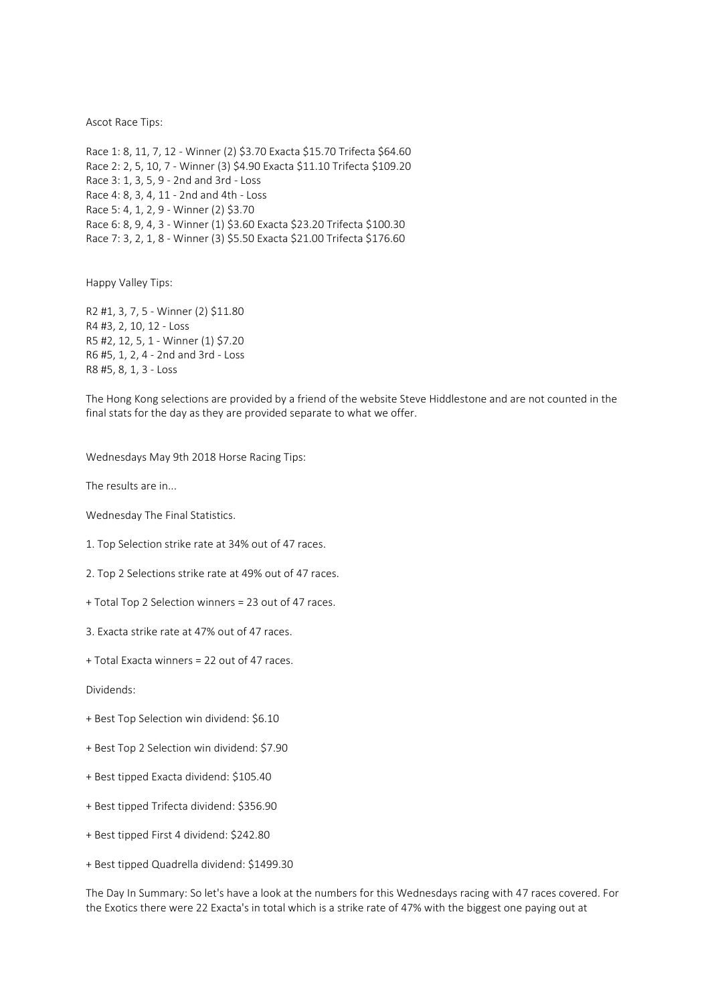Ascot Race Tips:

Race 1: 8, 11, 7, 12 - Winner (2) \$3.70 Exacta \$15.70 Trifecta \$64.60 Race 2: 2, 5, 10, 7 - Winner (3) \$4.90 Exacta \$11.10 Trifecta \$109.20 Race 3: 1, 3, 5, 9 - 2nd and 3rd - Loss Race 4: 8, 3, 4, 11 - 2nd and 4th - Loss Race 5: 4, 1, 2, 9 - Winner (2) \$3.70 Race 6: 8, 9, 4, 3 - Winner (1) \$3.60 Exacta \$23.20 Trifecta \$100.30 Race 7: 3, 2, 1, 8 - Winner (3) \$5.50 Exacta \$21.00 Trifecta \$176.60

Happy Valley Tips:

R2 #1, 3, 7, 5 - Winner (2) \$11.80 R4 #3, 2, 10, 12 - Loss R5 #2, 12, 5, 1 - Winner (1) \$7.20 R6 #5, 1, 2, 4 - 2nd and 3rd - Loss R8 #5, 8, 1, 3 - Loss

The Hong Kong selections are provided by a friend of the website Steve Hiddlestone and are not counted in the final stats for the day as they are provided separate to what we offer.

Wednesdays May 9th 2018 Horse Racing Tips:

The results are in...

Wednesday The Final Statistics.

1. Top Selection strike rate at 34% out of 47 races.

2. Top 2 Selections strike rate at 49% out of 47 races.

- + Total Top 2 Selection winners = 23 out of 47 races.
- 3. Exacta strike rate at 47% out of 47 races.
- + Total Exacta winners = 22 out of 47 races.

Dividends:

- + Best Top Selection win dividend: \$6.10
- + Best Top 2 Selection win dividend: \$7.90
- + Best tipped Exacta dividend: \$105.40
- + Best tipped Trifecta dividend: \$356.90
- + Best tipped First 4 dividend: \$242.80
- + Best tipped Quadrella dividend: \$1499.30

The Day In Summary: So let's have a look at the numbers for this Wednesdays racing with 47 races covered. For the Exotics there were 22 Exacta's in total which is a strike rate of 47% with the biggest one paying out at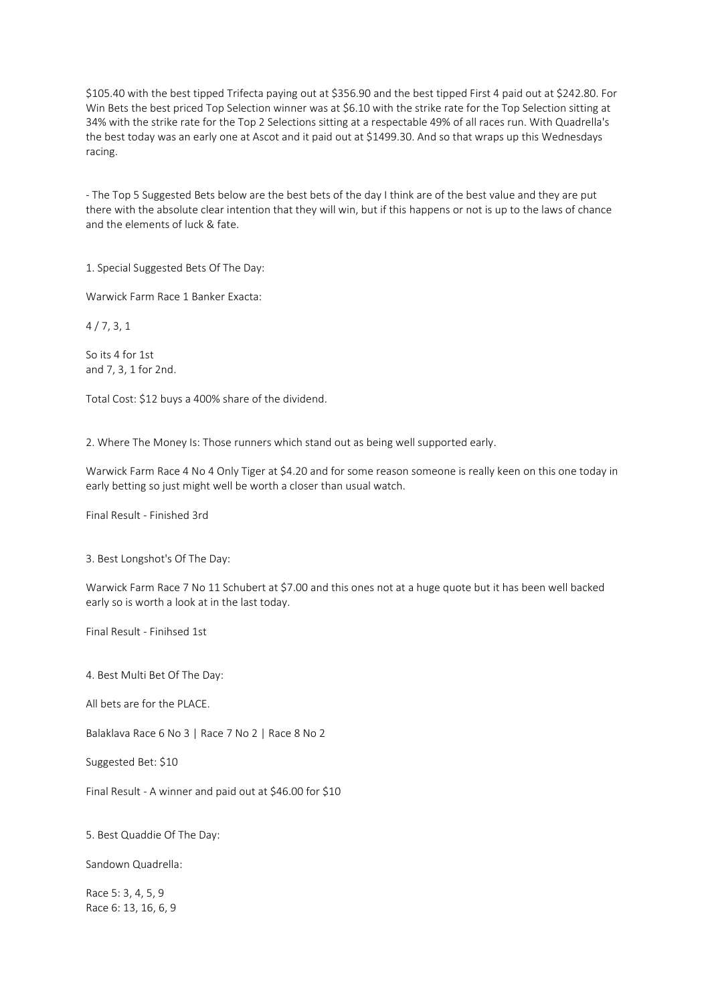\$105.40 with the best tipped Trifecta paying out at \$356.90 and the best tipped First 4 paid out at \$242.80. For Win Bets the best priced Top Selection winner was at \$6.10 with the strike rate for the Top Selection sitting at 34% with the strike rate for the Top 2 Selections sitting at a respectable 49% of all races run. With Quadrella's the best today was an early one at Ascot and it paid out at \$1499.30. And so that wraps up this Wednesdays racing.

- The Top 5 Suggested Bets below are the best bets of the day I think are of the best value and they are put there with the absolute clear intention that they will win, but if this happens or not is up to the laws of chance and the elements of luck & fate.

1. Special Suggested Bets Of The Day:

Warwick Farm Race 1 Banker Exacta:

4 / 7, 3, 1

So its 4 for 1st and 7, 3, 1 for 2nd.

Total Cost: \$12 buys a 400% share of the dividend.

2. Where The Money Is: Those runners which stand out as being well supported early.

Warwick Farm Race 4 No 4 Only Tiger at \$4.20 and for some reason someone is really keen on this one today in early betting so just might well be worth a closer than usual watch.

Final Result - Finished 3rd

3. Best Longshot's Of The Day:

Warwick Farm Race 7 No 11 Schubert at \$7.00 and this ones not at a huge quote but it has been well backed early so is worth a look at in the last today.

Final Result - Finihsed 1st

4. Best Multi Bet Of The Day:

All bets are for the PLACE.

Balaklava Race 6 No 3 | Race 7 No 2 | Race 8 No 2

Suggested Bet: \$10

Final Result - A winner and paid out at \$46.00 for \$10

5. Best Quaddie Of The Day:

Sandown Quadrella:

Race 5: 3, 4, 5, 9 Race 6: 13, 16, 6, 9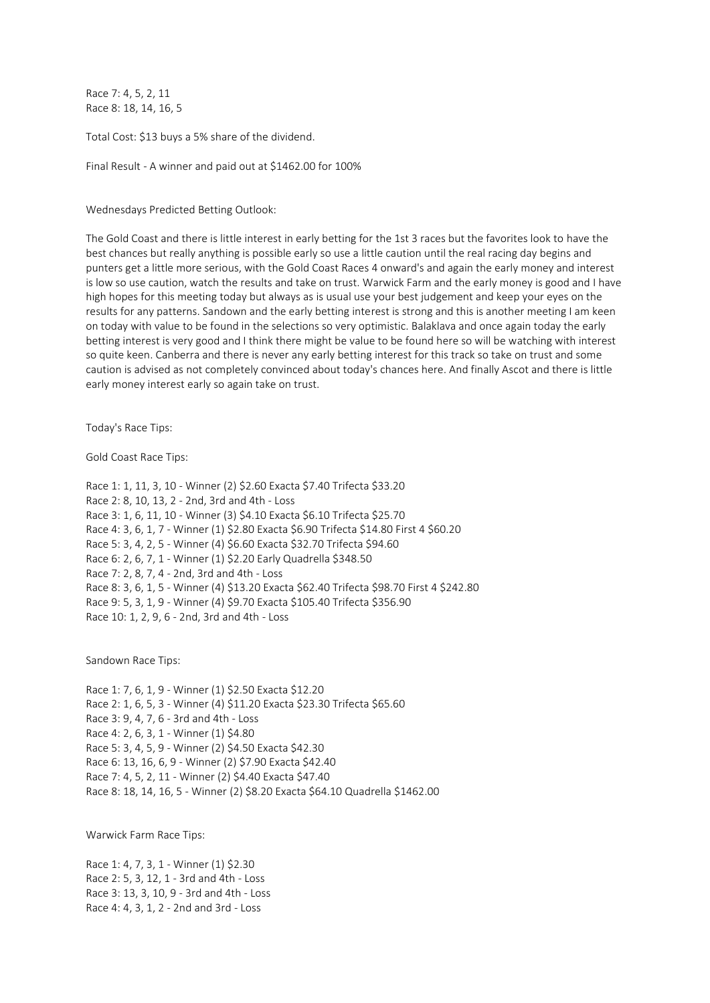Race 7: 4, 5, 2, 11 Race 8: 18, 14, 16, 5

Total Cost: \$13 buys a 5% share of the dividend.

Final Result - A winner and paid out at \$1462.00 for 100%

Wednesdays Predicted Betting Outlook:

The Gold Coast and there is little interest in early betting for the 1st 3 races but the favorites look to have the best chances but really anything is possible early so use a little caution until the real racing day begins and punters get a little more serious, with the Gold Coast Races 4 onward's and again the early money and interest is low so use caution, watch the results and take on trust. Warwick Farm and the early money is good and I have high hopes for this meeting today but always as is usual use your best judgement and keep your eyes on the results for any patterns. Sandown and the early betting interest is strong and this is another meeting I am keen on today with value to be found in the selections so very optimistic. Balaklava and once again today the early betting interest is very good and I think there might be value to be found here so will be watching with interest so quite keen. Canberra and there is never any early betting interest for this track so take on trust and some caution is advised as not completely convinced about today's chances here. And finally Ascot and there is little early money interest early so again take on trust.

Today's Race Tips:

Gold Coast Race Tips:

Race 1: 1, 11, 3, 10 - Winner (2) \$2.60 Exacta \$7.40 Trifecta \$33.20 Race 2: 8, 10, 13, 2 - 2nd, 3rd and 4th - Loss Race 3: 1, 6, 11, 10 - Winner (3) \$4.10 Exacta \$6.10 Trifecta \$25.70 Race 4: 3, 6, 1, 7 - Winner (1) \$2.80 Exacta \$6.90 Trifecta \$14.80 First 4 \$60.20 Race 5: 3, 4, 2, 5 - Winner (4) \$6.60 Exacta \$32.70 Trifecta \$94.60 Race 6: 2, 6, 7, 1 - Winner (1) \$2.20 Early Quadrella \$348.50 Race 7: 2, 8, 7, 4 - 2nd, 3rd and 4th - Loss Race 8: 3, 6, 1, 5 - Winner (4) \$13.20 Exacta \$62.40 Trifecta \$98.70 First 4 \$242.80 Race 9: 5, 3, 1, 9 - Winner (4) \$9.70 Exacta \$105.40 Trifecta \$356.90 Race 10: 1, 2, 9, 6 - 2nd, 3rd and 4th - Loss

Sandown Race Tips:

Race 1: 7, 6, 1, 9 - Winner (1) \$2.50 Exacta \$12.20 Race 2: 1, 6, 5, 3 - Winner (4) \$11.20 Exacta \$23.30 Trifecta \$65.60 Race 3: 9, 4, 7, 6 - 3rd and 4th - Loss Race 4: 2, 6, 3, 1 - Winner (1) \$4.80 Race 5: 3, 4, 5, 9 - Winner (2) \$4.50 Exacta \$42.30 Race 6: 13, 16, 6, 9 - Winner (2) \$7.90 Exacta \$42.40 Race 7: 4, 5, 2, 11 - Winner (2) \$4.40 Exacta \$47.40 Race 8: 18, 14, 16, 5 - Winner (2) \$8.20 Exacta \$64.10 Quadrella \$1462.00

Warwick Farm Race Tips:

Race 1: 4, 7, 3, 1 - Winner (1) \$2.30 Race 2: 5, 3, 12, 1 - 3rd and 4th - Loss Race 3: 13, 3, 10, 9 - 3rd and 4th - Loss Race 4: 4, 3, 1, 2 - 2nd and 3rd - Loss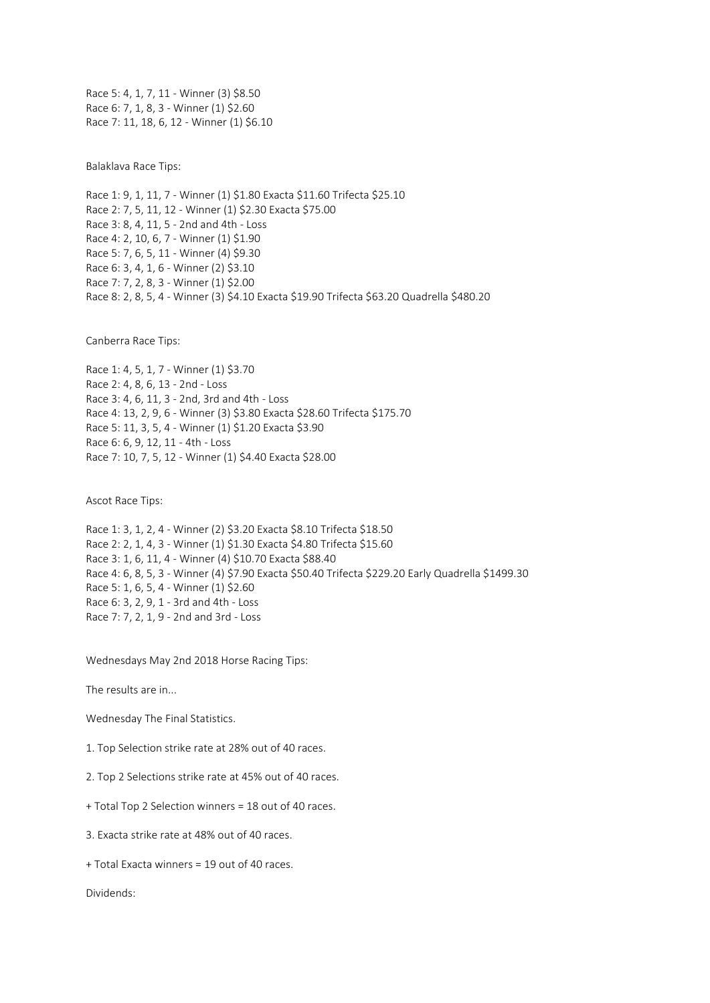Race 5: 4, 1, 7, 11 - Winner (3) \$8.50 Race 6: 7, 1, 8, 3 - Winner (1) \$2.60 Race 7: 11, 18, 6, 12 - Winner (1) \$6.10

Balaklava Race Tips:

Race 1: 9, 1, 11, 7 - Winner (1) \$1.80 Exacta \$11.60 Trifecta \$25.10 Race 2: 7, 5, 11, 12 - Winner (1) \$2.30 Exacta \$75.00 Race 3: 8, 4, 11, 5 - 2nd and 4th - Loss Race 4: 2, 10, 6, 7 - Winner (1) \$1.90 Race 5: 7, 6, 5, 11 - Winner (4) \$9.30 Race 6: 3, 4, 1, 6 - Winner (2) \$3.10 Race 7: 7, 2, 8, 3 - Winner (1) \$2.00 Race 8: 2, 8, 5, 4 - Winner (3) \$4.10 Exacta \$19.90 Trifecta \$63.20 Quadrella \$480.20

Canberra Race Tips:

Race 1: 4, 5, 1, 7 - Winner (1) \$3.70 Race 2: 4, 8, 6, 13 - 2nd - Loss Race 3: 4, 6, 11, 3 - 2nd, 3rd and 4th - Loss Race 4: 13, 2, 9, 6 - Winner (3) \$3.80 Exacta \$28.60 Trifecta \$175.70 Race 5: 11, 3, 5, 4 - Winner (1) \$1.20 Exacta \$3.90 Race 6: 6, 9, 12, 11 - 4th - Loss Race 7: 10, 7, 5, 12 - Winner (1) \$4.40 Exacta \$28.00

Ascot Race Tips:

Race 1: 3, 1, 2, 4 - Winner (2) \$3.20 Exacta \$8.10 Trifecta \$18.50 Race 2: 2, 1, 4, 3 - Winner (1) \$1.30 Exacta \$4.80 Trifecta \$15.60 Race 3: 1, 6, 11, 4 - Winner (4) \$10.70 Exacta \$88.40 Race 4: 6, 8, 5, 3 - Winner (4) \$7.90 Exacta \$50.40 Trifecta \$229.20 Early Quadrella \$1499.30 Race 5: 1, 6, 5, 4 - Winner (1) \$2.60 Race 6: 3, 2, 9, 1 - 3rd and 4th - Loss Race 7: 7, 2, 1, 9 - 2nd and 3rd - Loss

Wednesdays May 2nd 2018 Horse Racing Tips:

The results are in...

Wednesday The Final Statistics.

1. Top Selection strike rate at 28% out of 40 races.

2. Top 2 Selections strike rate at 45% out of 40 races.

+ Total Top 2 Selection winners = 18 out of 40 races.

3. Exacta strike rate at 48% out of 40 races.

+ Total Exacta winners = 19 out of 40 races.

Dividends: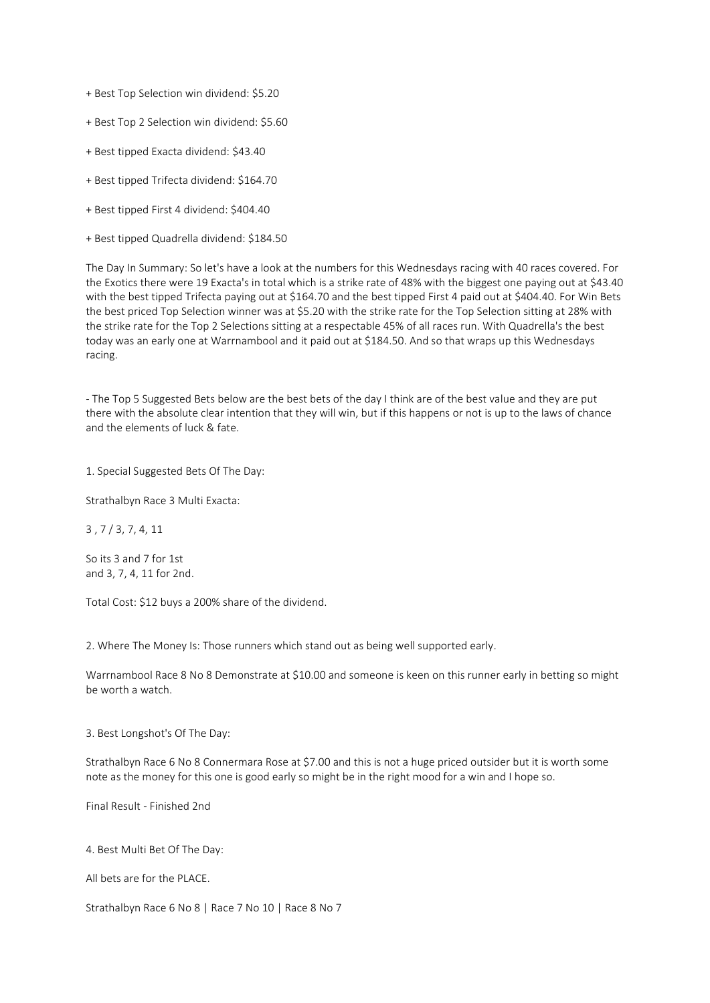+ Best Top Selection win dividend: \$5.20

- + Best Top 2 Selection win dividend: \$5.60
- + Best tipped Exacta dividend: \$43.40
- + Best tipped Trifecta dividend: \$164.70
- + Best tipped First 4 dividend: \$404.40
- + Best tipped Quadrella dividend: \$184.50

The Day In Summary: So let's have a look at the numbers for this Wednesdays racing with 40 races covered. For the Exotics there were 19 Exacta's in total which is a strike rate of 48% with the biggest one paying out at \$43.40 with the best tipped Trifecta paying out at \$164.70 and the best tipped First 4 paid out at \$404.40. For Win Bets the best priced Top Selection winner was at \$5.20 with the strike rate for the Top Selection sitting at 28% with the strike rate for the Top 2 Selections sitting at a respectable 45% of all races run. With Quadrella's the best today was an early one at Warrnambool and it paid out at \$184.50. And so that wraps up this Wednesdays racing.

- The Top 5 Suggested Bets below are the best bets of the day I think are of the best value and they are put there with the absolute clear intention that they will win, but if this happens or not is up to the laws of chance and the elements of luck & fate.

1. Special Suggested Bets Of The Day:

Strathalbyn Race 3 Multi Exacta:

3 , 7 / 3, 7, 4, 11

So its 3 and 7 for 1st and 3, 7, 4, 11 for 2nd.

Total Cost: \$12 buys a 200% share of the dividend.

2. Where The Money Is: Those runners which stand out as being well supported early.

Warrnambool Race 8 No 8 Demonstrate at \$10.00 and someone is keen on this runner early in betting so might be worth a watch.

3. Best Longshot's Of The Day:

Strathalbyn Race 6 No 8 Connermara Rose at \$7.00 and this is not a huge priced outsider but it is worth some note as the money for this one is good early so might be in the right mood for a win and I hope so.

Final Result - Finished 2nd

4. Best Multi Bet Of The Day:

All bets are for the PLACE.

Strathalbyn Race 6 No 8 | Race 7 No 10 | Race 8 No 7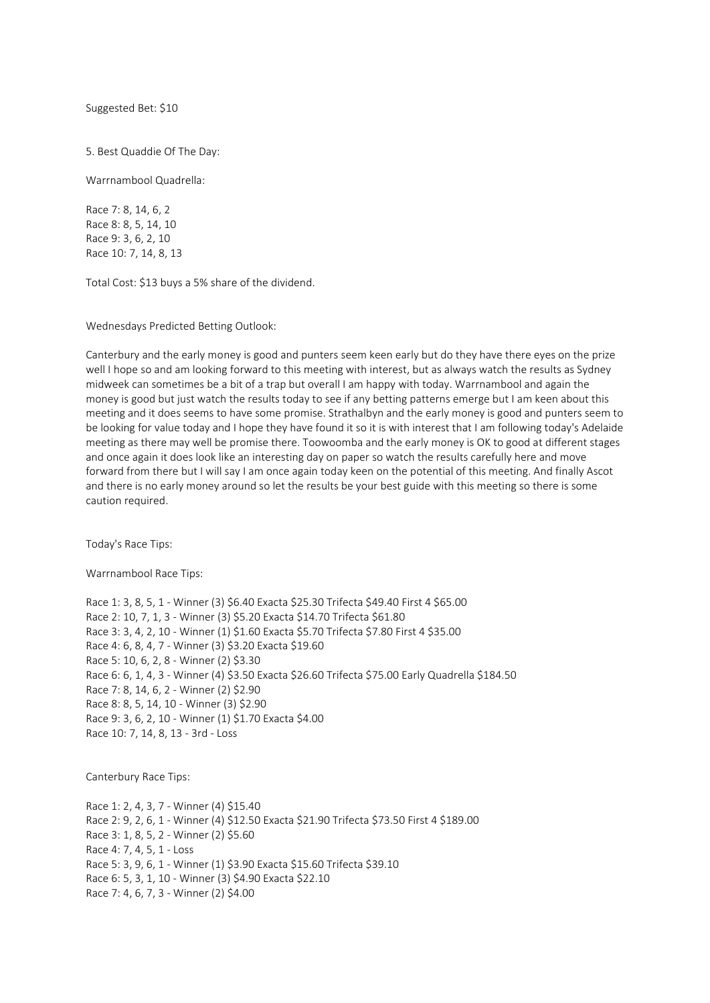Suggested Bet: \$10

5. Best Quaddie Of The Day:

Warrnambool Quadrella:

Race 7: 8, 14, 6, 2 Race 8: 8, 5, 14, 10 Race 9: 3, 6, 2, 10 Race 10: 7, 14, 8, 13

Total Cost: \$13 buys a 5% share of the dividend.

Wednesdays Predicted Betting Outlook:

Canterbury and the early money is good and punters seem keen early but do they have there eyes on the prize well I hope so and am looking forward to this meeting with interest, but as always watch the results as Sydney midweek can sometimes be a bit of a trap but overall I am happy with today. Warrnambool and again the money is good but just watch the results today to see if any betting patterns emerge but I am keen about this meeting and it does seems to have some promise. Strathalbyn and the early money is good and punters seem to be looking for value today and I hope they have found it so it is with interest that I am following today's Adelaide meeting as there may well be promise there. Toowoomba and the early money is OK to good at different stages and once again it does look like an interesting day on paper so watch the results carefully here and move forward from there but I will say I am once again today keen on the potential of this meeting. And finally Ascot and there is no early money around so let the results be your best guide with this meeting so there is some caution required.

Today's Race Tips:

Warrnambool Race Tips:

Race 1: 3, 8, 5, 1 - Winner (3) \$6.40 Exacta \$25.30 Trifecta \$49.40 First 4 \$65.00 Race 2: 10, 7, 1, 3 - Winner (3) \$5.20 Exacta \$14.70 Trifecta \$61.80 Race 3: 3, 4, 2, 10 - Winner (1) \$1.60 Exacta \$5.70 Trifecta \$7.80 First 4 \$35.00 Race 4: 6, 8, 4, 7 - Winner (3) \$3.20 Exacta \$19.60 Race 5: 10, 6, 2, 8 - Winner (2) \$3.30 Race 6: 6, 1, 4, 3 - Winner (4) \$3.50 Exacta \$26.60 Trifecta \$75.00 Early Quadrella \$184.50 Race 7: 8, 14, 6, 2 - Winner (2) \$2.90 Race 8: 8, 5, 14, 10 - Winner (3) \$2.90 Race 9: 3, 6, 2, 10 - Winner (1) \$1.70 Exacta \$4.00 Race 10: 7, 14, 8, 13 - 3rd - Loss

Canterbury Race Tips:

Race 1: 2, 4, 3, 7 - Winner (4) \$15.40 Race 2: 9, 2, 6, 1 - Winner (4) \$12.50 Exacta \$21.90 Trifecta \$73.50 First 4 \$189.00 Race 3: 1, 8, 5, 2 - Winner (2) \$5.60 Race 4: 7, 4, 5, 1 - Loss Race 5: 3, 9, 6, 1 - Winner (1) \$3.90 Exacta \$15.60 Trifecta \$39.10 Race 6: 5, 3, 1, 10 - Winner (3) \$4.90 Exacta \$22.10 Race 7: 4, 6, 7, 3 - Winner (2) \$4.00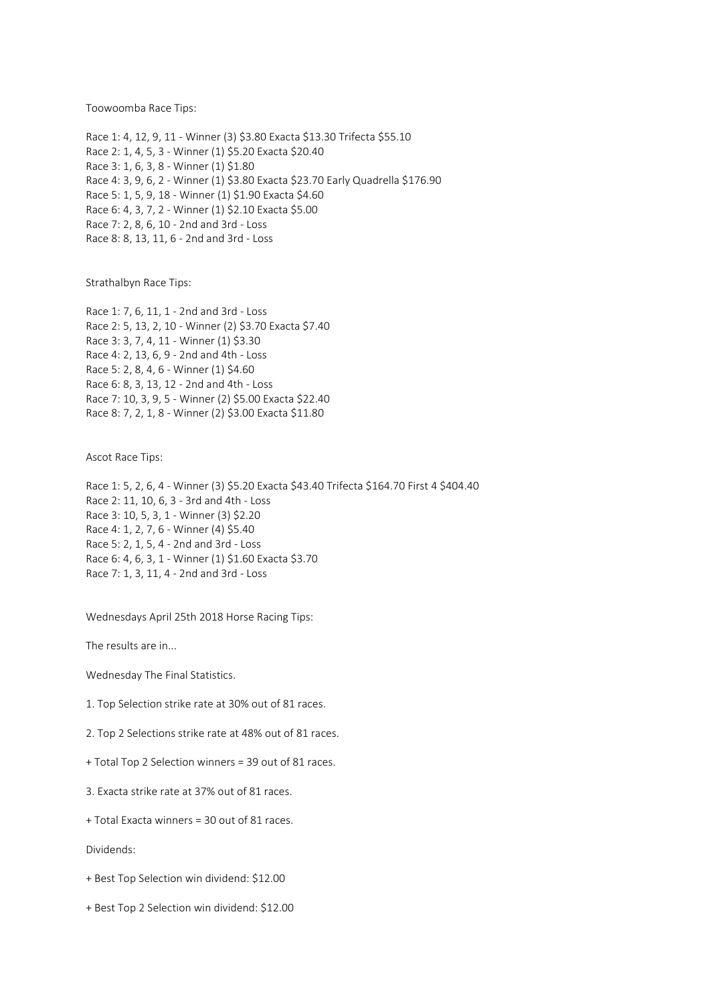Toowoomba Race Tips:

Race 1: 4, 12, 9, 11 - Winner (3) \$3.80 Exacta \$13.30 Trifecta \$55.10 Race 2: 1, 4, 5, 3 - Winner (1) \$5.20 Exacta \$20.40 Race 3: 1, 6, 3, 8 - Winner (1) \$1.80 Race 4: 3, 9, 6, 2 - Winner (1) \$3.80 Exacta \$23.70 Early Quadrella \$176.90 Race 5: 1, 5, 9, 18 - Winner (1) \$1.90 Exacta \$4.60 Race 6: 4, 3, 7, 2 - Winner (1) \$2.10 Exacta \$5.00 Race 7: 2, 8, 6, 10 - 2nd and 3rd - Loss Race 8: 8, 13, 11, 6 - 2nd and 3rd - Loss

Strathalbyn Race Tips:

Race 1: 7, 6, 11, 1 - 2nd and 3rd - Loss Race 2: 5, 13, 2, 10 - Winner (2) \$3.70 Exacta \$7.40 Race 3: 3, 7, 4, 11 - Winner (1) \$3.30 Race 4: 2, 13, 6, 9 - 2nd and 4th - Loss Race 5: 2, 8, 4, 6 - Winner (1) \$4.60 Race 6: 8, 3, 13, 12 - 2nd and 4th - Loss Race 7: 10, 3, 9, 5 - Winner (2) \$5.00 Exacta \$22.40 Race 8: 7, 2, 1, 8 - Winner (2) \$3.00 Exacta \$11.80

Ascot Race Tips:

Race 1: 5, 2, 6, 4 - Winner (3) \$5.20 Exacta \$43.40 Trifecta \$164.70 First 4 \$404.40 Race 2: 11, 10, 6, 3 - 3rd and 4th - Loss Race 3: 10, 5, 3, 1 - Winner (3) \$2.20 Race 4: 1, 2, 7, 6 - Winner (4) \$5.40 Race 5: 2, 1, 5, 4 - 2nd and 3rd - Loss Race 6: 4, 6, 3, 1 - Winner (1) \$1.60 Exacta \$3.70 Race 7: 1, 3, 11, 4 - 2nd and 3rd - Loss

Wednesdays April 25th 2018 Horse Racing Tips:

The results are in...

Wednesday The Final Statistics.

1. Top Selection strike rate at 30% out of 81 races.

2. Top 2 Selections strike rate at 48% out of 81 races.

+ Total Top 2 Selection winners = 39 out of 81 races.

3. Exacta strike rate at 37% out of 81 races.

+ Total Exacta winners = 30 out of 81 races.

Dividends:

+ Best Top Selection win dividend: \$12.00

+ Best Top 2 Selection win dividend: \$12.00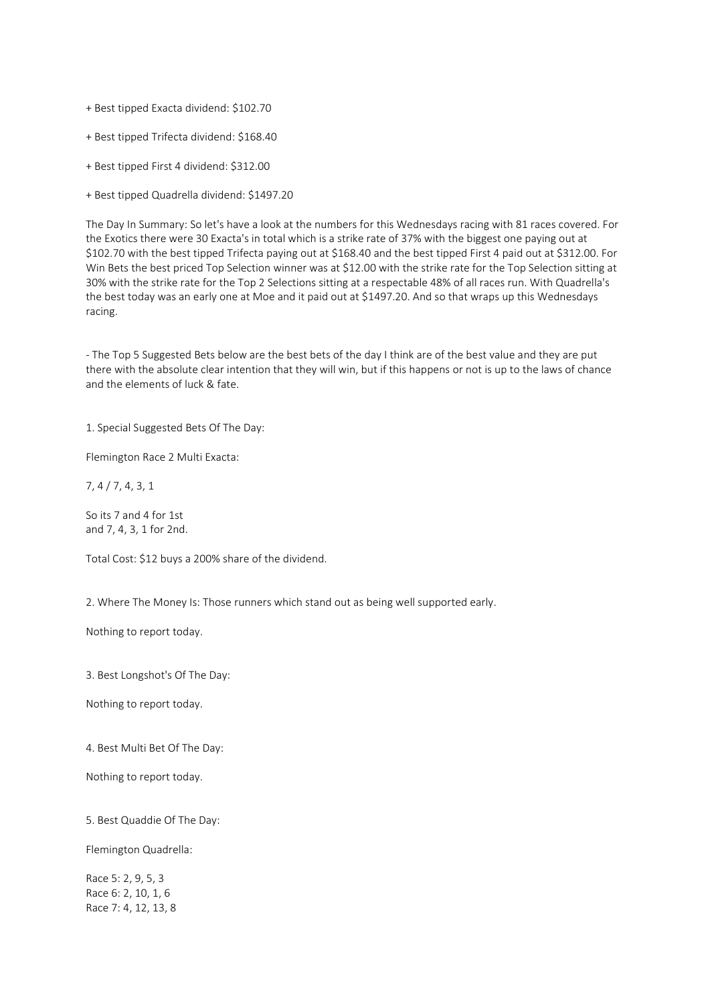- + Best tipped Exacta dividend: \$102.70
- + Best tipped Trifecta dividend: \$168.40
- + Best tipped First 4 dividend: \$312.00
- + Best tipped Quadrella dividend: \$1497.20

The Day In Summary: So let's have a look at the numbers for this Wednesdays racing with 81 races covered. For the Exotics there were 30 Exacta's in total which is a strike rate of 37% with the biggest one paying out at \$102.70 with the best tipped Trifecta paying out at \$168.40 and the best tipped First 4 paid out at \$312.00. For Win Bets the best priced Top Selection winner was at \$12.00 with the strike rate for the Top Selection sitting at 30% with the strike rate for the Top 2 Selections sitting at a respectable 48% of all races run. With Quadrella's the best today was an early one at Moe and it paid out at \$1497.20. And so that wraps up this Wednesdays racing.

- The Top 5 Suggested Bets below are the best bets of the day I think are of the best value and they are put there with the absolute clear intention that they will win, but if this happens or not is up to the laws of chance and the elements of luck & fate.

1. Special Suggested Bets Of The Day:

Flemington Race 2 Multi Exacta:

7, 4 / 7, 4, 3, 1

So its 7 and 4 for 1st and 7, 4, 3, 1 for 2nd.

Total Cost: \$12 buys a 200% share of the dividend.

2. Where The Money Is: Those runners which stand out as being well supported early.

Nothing to report today.

3. Best Longshot's Of The Day:

Nothing to report today.

4. Best Multi Bet Of The Day:

Nothing to report today.

5. Best Quaddie Of The Day:

Flemington Quadrella:

Race 5: 2, 9, 5, 3 Race 6: 2, 10, 1, 6 Race 7: 4, 12, 13, 8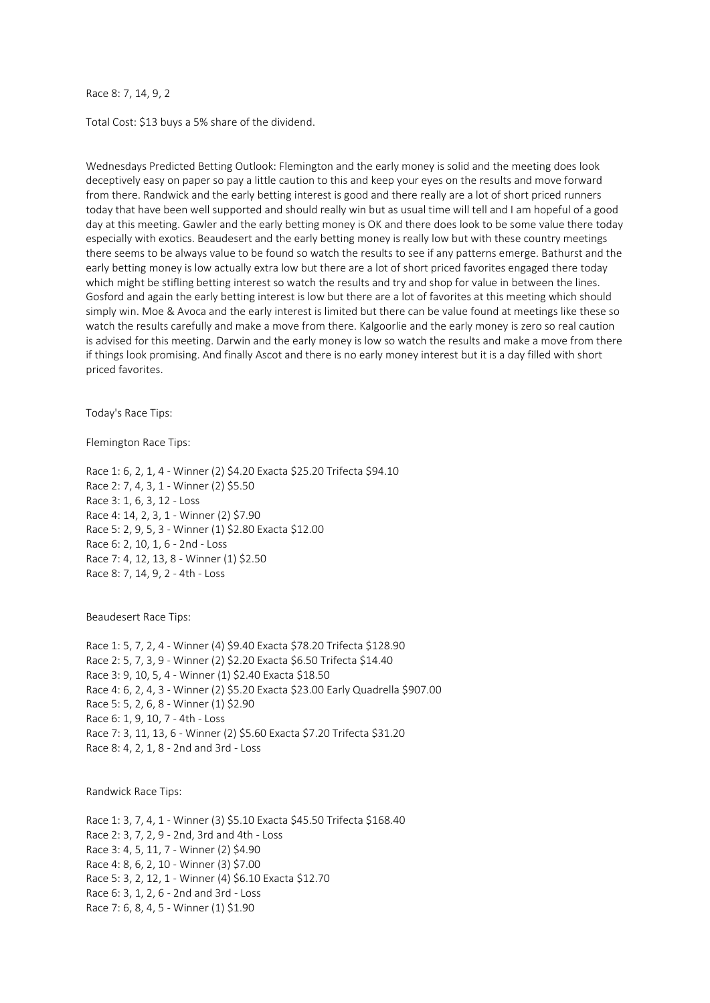## Race 8: 7, 14, 9, 2

Total Cost: \$13 buys a 5% share of the dividend.

Wednesdays Predicted Betting Outlook: Flemington and the early money is solid and the meeting does look deceptively easy on paper so pay a little caution to this and keep your eyes on the results and move forward from there. Randwick and the early betting interest is good and there really are a lot of short priced runners today that have been well supported and should really win but as usual time will tell and I am hopeful of a good day at this meeting. Gawler and the early betting money is OK and there does look to be some value there today especially with exotics. Beaudesert and the early betting money is really low but with these country meetings there seems to be always value to be found so watch the results to see if any patterns emerge. Bathurst and the early betting money is low actually extra low but there are a lot of short priced favorites engaged there today which might be stifling betting interest so watch the results and try and shop for value in between the lines. Gosford and again the early betting interest is low but there are a lot of favorites at this meeting which should simply win. Moe & Avoca and the early interest is limited but there can be value found at meetings like these so watch the results carefully and make a move from there. Kalgoorlie and the early money is zero so real caution is advised for this meeting. Darwin and the early money is low so watch the results and make a move from there if things look promising. And finally Ascot and there is no early money interest but it is a day filled with short priced favorites.

Today's Race Tips:

Flemington Race Tips:

Race 1: 6, 2, 1, 4 - Winner (2) \$4.20 Exacta \$25.20 Trifecta \$94.10 Race 2: 7, 4, 3, 1 - Winner (2) \$5.50 Race 3: 1, 6, 3, 12 - Loss Race 4: 14, 2, 3, 1 - Winner (2) \$7.90 Race 5: 2, 9, 5, 3 - Winner (1) \$2.80 Exacta \$12.00 Race 6: 2, 10, 1, 6 - 2nd - Loss Race 7: 4, 12, 13, 8 - Winner (1) \$2.50 Race 8: 7, 14, 9, 2 - 4th - Loss

Beaudesert Race Tips:

Race 1: 5, 7, 2, 4 - Winner (4) \$9.40 Exacta \$78.20 Trifecta \$128.90 Race 2: 5, 7, 3, 9 - Winner (2) \$2.20 Exacta \$6.50 Trifecta \$14.40 Race 3: 9, 10, 5, 4 - Winner (1) \$2.40 Exacta \$18.50 Race 4: 6, 2, 4, 3 - Winner (2) \$5.20 Exacta \$23.00 Early Quadrella \$907.00 Race 5: 5, 2, 6, 8 - Winner (1) \$2.90 Race 6: 1, 9, 10, 7 - 4th - Loss Race 7: 3, 11, 13, 6 - Winner (2) \$5.60 Exacta \$7.20 Trifecta \$31.20 Race 8: 4, 2, 1, 8 - 2nd and 3rd - Loss

Randwick Race Tips:

Race 1: 3, 7, 4, 1 - Winner (3) \$5.10 Exacta \$45.50 Trifecta \$168.40 Race 2: 3, 7, 2, 9 - 2nd, 3rd and 4th - Loss Race 3: 4, 5, 11, 7 - Winner (2) \$4.90 Race 4: 8, 6, 2, 10 - Winner (3) \$7.00 Race 5: 3, 2, 12, 1 - Winner (4) \$6.10 Exacta \$12.70 Race 6: 3, 1, 2, 6 - 2nd and 3rd - Loss Race 7: 6, 8, 4, 5 - Winner (1) \$1.90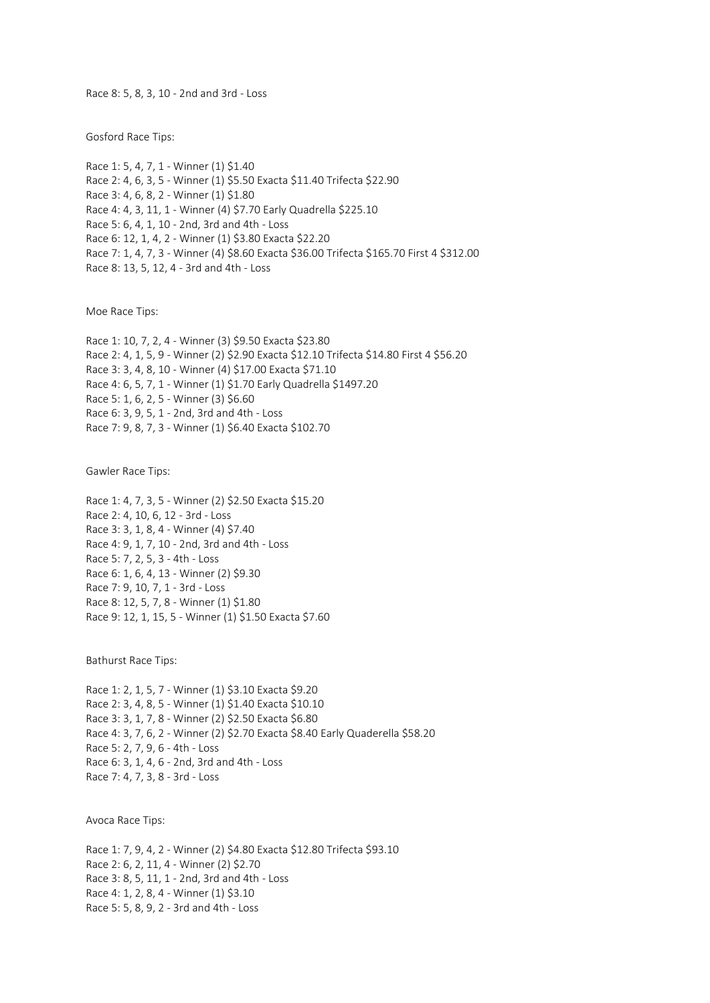Race 8: 5, 8, 3, 10 - 2nd and 3rd - Loss

Gosford Race Tips:

Race 1: 5, 4, 7, 1 - Winner (1) \$1.40 Race 2: 4, 6, 3, 5 - Winner (1) \$5.50 Exacta \$11.40 Trifecta \$22.90 Race 3: 4, 6, 8, 2 - Winner (1) \$1.80 Race 4: 4, 3, 11, 1 - Winner (4) \$7.70 Early Quadrella \$225.10 Race 5: 6, 4, 1, 10 - 2nd, 3rd and 4th - Loss Race 6: 12, 1, 4, 2 - Winner (1) \$3.80 Exacta \$22.20 Race 7: 1, 4, 7, 3 - Winner (4) \$8.60 Exacta \$36.00 Trifecta \$165.70 First 4 \$312.00 Race 8: 13, 5, 12, 4 - 3rd and 4th - Loss

Moe Race Tips:

Race 1: 10, 7, 2, 4 - Winner (3) \$9.50 Exacta \$23.80 Race 2: 4, 1, 5, 9 - Winner (2) \$2.90 Exacta \$12.10 Trifecta \$14.80 First 4 \$56.20 Race 3: 3, 4, 8, 10 - Winner (4) \$17.00 Exacta \$71.10 Race 4: 6, 5, 7, 1 - Winner (1) \$1.70 Early Quadrella \$1497.20 Race 5: 1, 6, 2, 5 - Winner (3) \$6.60 Race 6: 3, 9, 5, 1 - 2nd, 3rd and 4th - Loss Race 7: 9, 8, 7, 3 - Winner (1) \$6.40 Exacta \$102.70

Gawler Race Tips:

Race 1: 4, 7, 3, 5 - Winner (2) \$2.50 Exacta \$15.20 Race 2: 4, 10, 6, 12 - 3rd - Loss Race 3: 3, 1, 8, 4 - Winner (4) \$7.40 Race 4: 9, 1, 7, 10 - 2nd, 3rd and 4th - Loss Race 5: 7, 2, 5, 3 - 4th - Loss Race 6: 1, 6, 4, 13 - Winner (2) \$9.30 Race 7: 9, 10, 7, 1 - 3rd - Loss Race 8: 12, 5, 7, 8 - Winner (1) \$1.80 Race 9: 12, 1, 15, 5 - Winner (1) \$1.50 Exacta \$7.60

Bathurst Race Tips:

Race 1: 2, 1, 5, 7 - Winner (1) \$3.10 Exacta \$9.20 Race 2: 3, 4, 8, 5 - Winner (1) \$1.40 Exacta \$10.10 Race 3: 3, 1, 7, 8 - Winner (2) \$2.50 Exacta \$6.80 Race 4: 3, 7, 6, 2 - Winner (2) \$2.70 Exacta \$8.40 Early Quaderella \$58.20 Race 5: 2, 7, 9, 6 - 4th - Loss Race 6: 3, 1, 4, 6 - 2nd, 3rd and 4th - Loss Race 7: 4, 7, 3, 8 - 3rd - Loss

Avoca Race Tips:

Race 1: 7, 9, 4, 2 - Winner (2) \$4.80 Exacta \$12.80 Trifecta \$93.10 Race 2: 6, 2, 11, 4 - Winner (2) \$2.70 Race 3: 8, 5, 11, 1 - 2nd, 3rd and 4th - Loss Race 4: 1, 2, 8, 4 - Winner (1) \$3.10 Race 5: 5, 8, 9, 2 - 3rd and 4th - Loss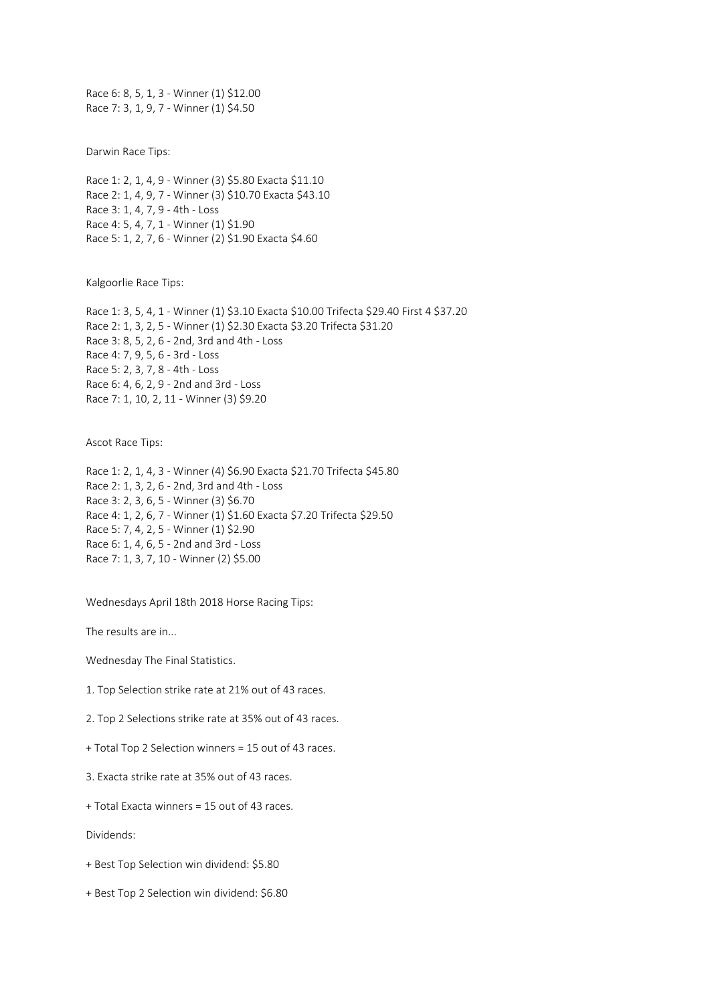Race 6: 8, 5, 1, 3 - Winner (1) \$12.00 Race 7: 3, 1, 9, 7 - Winner (1) \$4.50

Darwin Race Tips:

Race 1: 2, 1, 4, 9 - Winner (3) \$5.80 Exacta \$11.10 Race 2: 1, 4, 9, 7 - Winner (3) \$10.70 Exacta \$43.10 Race 3: 1, 4, 7, 9 - 4th - Loss Race 4: 5, 4, 7, 1 - Winner (1) \$1.90 Race 5: 1, 2, 7, 6 - Winner (2) \$1.90 Exacta \$4.60

Kalgoorlie Race Tips:

Race 1: 3, 5, 4, 1 - Winner (1) \$3.10 Exacta \$10.00 Trifecta \$29.40 First 4 \$37.20 Race 2: 1, 3, 2, 5 - Winner (1) \$2.30 Exacta \$3.20 Trifecta \$31.20 Race 3: 8, 5, 2, 6 - 2nd, 3rd and 4th - Loss Race 4: 7, 9, 5, 6 - 3rd - Loss Race 5: 2, 3, 7, 8 - 4th - Loss Race 6: 4, 6, 2, 9 - 2nd and 3rd - Loss Race 7: 1, 10, 2, 11 - Winner (3) \$9.20

Ascot Race Tips:

Race 1: 2, 1, 4, 3 - Winner (4) \$6.90 Exacta \$21.70 Trifecta \$45.80 Race 2: 1, 3, 2, 6 - 2nd, 3rd and 4th - Loss Race 3: 2, 3, 6, 5 - Winner (3) \$6.70 Race 4: 1, 2, 6, 7 - Winner (1) \$1.60 Exacta \$7.20 Trifecta \$29.50 Race 5: 7, 4, 2, 5 - Winner (1) \$2.90 Race 6: 1, 4, 6, 5 - 2nd and 3rd - Loss Race 7: 1, 3, 7, 10 - Winner (2) \$5.00

Wednesdays April 18th 2018 Horse Racing Tips:

The results are in...

Wednesday The Final Statistics.

1. Top Selection strike rate at 21% out of 43 races.

2. Top 2 Selections strike rate at 35% out of 43 races.

+ Total Top 2 Selection winners = 15 out of 43 races.

3. Exacta strike rate at 35% out of 43 races.

+ Total Exacta winners = 15 out of 43 races.

Dividends:

- + Best Top Selection win dividend: \$5.80
- + Best Top 2 Selection win dividend: \$6.80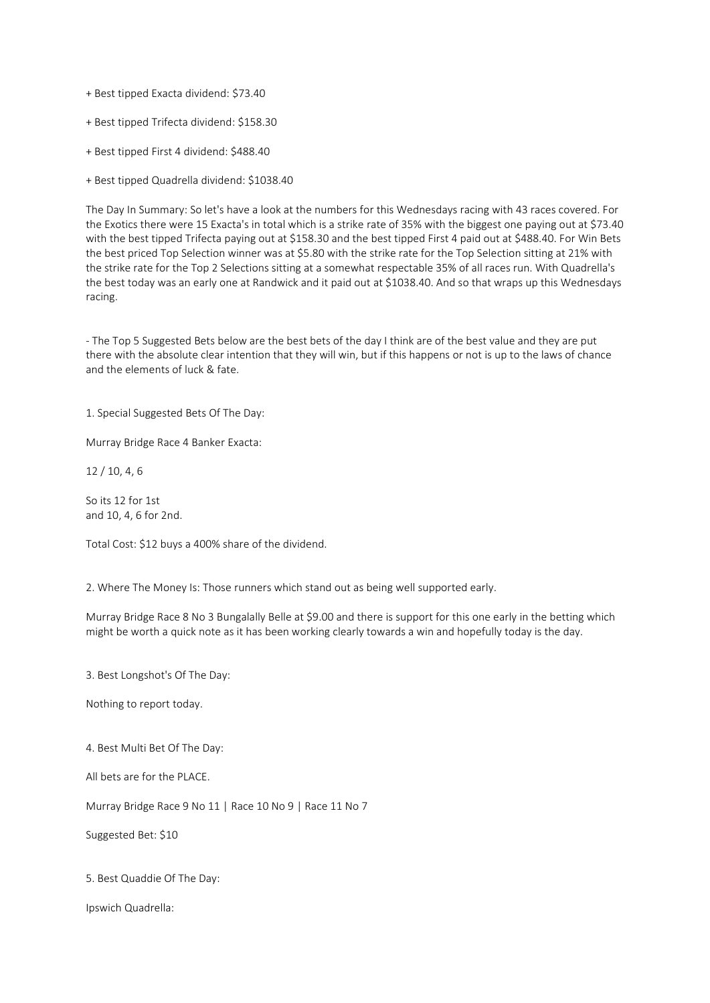- + Best tipped Exacta dividend: \$73.40
- + Best tipped Trifecta dividend: \$158.30
- + Best tipped First 4 dividend: \$488.40
- + Best tipped Quadrella dividend: \$1038.40

The Day In Summary: So let's have a look at the numbers for this Wednesdays racing with 43 races covered. For the Exotics there were 15 Exacta's in total which is a strike rate of 35% with the biggest one paying out at \$73.40 with the best tipped Trifecta paying out at \$158.30 and the best tipped First 4 paid out at \$488.40. For Win Bets the best priced Top Selection winner was at \$5.80 with the strike rate for the Top Selection sitting at 21% with the strike rate for the Top 2 Selections sitting at a somewhat respectable 35% of all races run. With Quadrella's the best today was an early one at Randwick and it paid out at \$1038.40. And so that wraps up this Wednesdays racing.

- The Top 5 Suggested Bets below are the best bets of the day I think are of the best value and they are put there with the absolute clear intention that they will win, but if this happens or not is up to the laws of chance and the elements of luck & fate.

1. Special Suggested Bets Of The Day:

Murray Bridge Race 4 Banker Exacta:

12 / 10, 4, 6

So its 12 for 1st and 10, 4, 6 for 2nd.

Total Cost: \$12 buys a 400% share of the dividend.

2. Where The Money Is: Those runners which stand out as being well supported early.

Murray Bridge Race 8 No 3 Bungalally Belle at \$9.00 and there is support for this one early in the betting which might be worth a quick note as it has been working clearly towards a win and hopefully today is the day.

3. Best Longshot's Of The Day:

Nothing to report today.

4. Best Multi Bet Of The Day:

All bets are for the PLACE.

Murray Bridge Race 9 No 11 | Race 10 No 9 | Race 11 No 7

Suggested Bet: \$10

5. Best Quaddie Of The Day:

Ipswich Quadrella: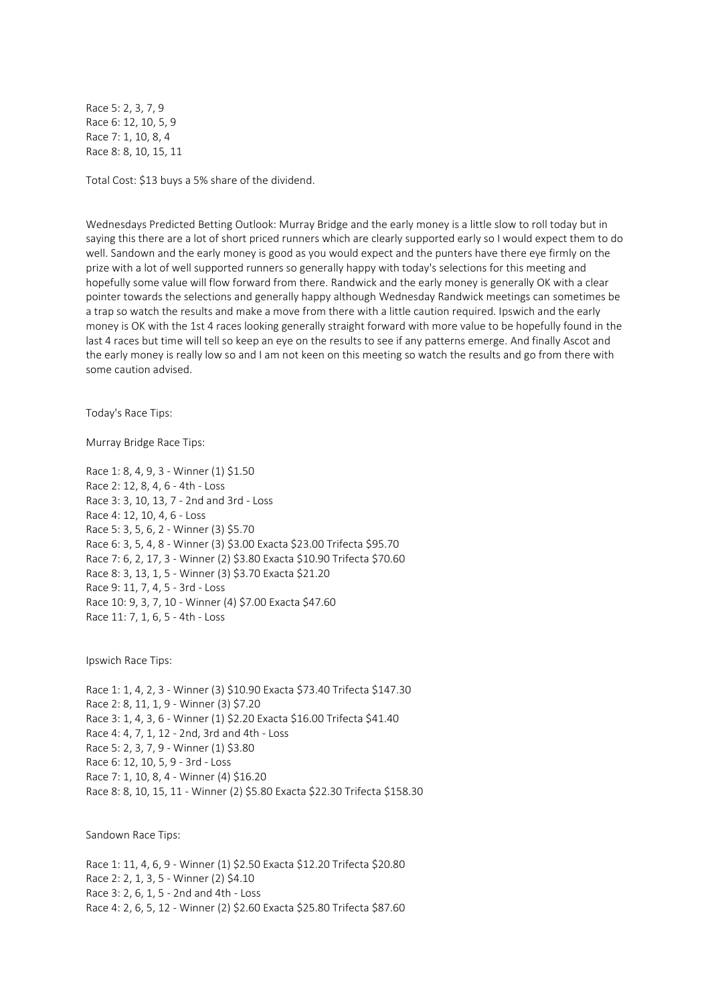Race 5: 2, 3, 7, 9 Race 6: 12, 10, 5, 9 Race 7: 1, 10, 8, 4 Race 8: 8, 10, 15, 11

Total Cost: \$13 buys a 5% share of the dividend.

Wednesdays Predicted Betting Outlook: Murray Bridge and the early money is a little slow to roll today but in saying this there are a lot of short priced runners which are clearly supported early so I would expect them to do well. Sandown and the early money is good as you would expect and the punters have there eye firmly on the prize with a lot of well supported runners so generally happy with today's selections for this meeting and hopefully some value will flow forward from there. Randwick and the early money is generally OK with a clear pointer towards the selections and generally happy although Wednesday Randwick meetings can sometimes be a trap so watch the results and make a move from there with a little caution required. Ipswich and the early money is OK with the 1st 4 races looking generally straight forward with more value to be hopefully found in the last 4 races but time will tell so keep an eye on the results to see if any patterns emerge. And finally Ascot and the early money is really low so and I am not keen on this meeting so watch the results and go from there with some caution advised.

Today's Race Tips:

Murray Bridge Race Tips:

Race 1: 8, 4, 9, 3 - Winner (1) \$1.50 Race 2: 12, 8, 4, 6 - 4th - Loss Race 3: 3, 10, 13, 7 - 2nd and 3rd - Loss Race 4: 12, 10, 4, 6 - Loss Race 5: 3, 5, 6, 2 - Winner (3) \$5.70 Race 6: 3, 5, 4, 8 - Winner (3) \$3.00 Exacta \$23.00 Trifecta \$95.70 Race 7: 6, 2, 17, 3 - Winner (2) \$3.80 Exacta \$10.90 Trifecta \$70.60 Race 8: 3, 13, 1, 5 - Winner (3) \$3.70 Exacta \$21.20 Race 9: 11, 7, 4, 5 - 3rd - Loss Race 10: 9, 3, 7, 10 - Winner (4) \$7.00 Exacta \$47.60 Race 11: 7, 1, 6, 5 - 4th - Loss

Ipswich Race Tips:

Race 1: 1, 4, 2, 3 - Winner (3) \$10.90 Exacta \$73.40 Trifecta \$147.30 Race 2: 8, 11, 1, 9 - Winner (3) \$7.20 Race 3: 1, 4, 3, 6 - Winner (1) \$2.20 Exacta \$16.00 Trifecta \$41.40 Race 4: 4, 7, 1, 12 - 2nd, 3rd and 4th - Loss Race 5: 2, 3, 7, 9 - Winner (1) \$3.80 Race 6: 12, 10, 5, 9 - 3rd - Loss Race 7: 1, 10, 8, 4 - Winner (4) \$16.20 Race 8: 8, 10, 15, 11 - Winner (2) \$5.80 Exacta \$22.30 Trifecta \$158.30

Sandown Race Tips:

Race 1: 11, 4, 6, 9 - Winner (1) \$2.50 Exacta \$12.20 Trifecta \$20.80 Race 2: 2, 1, 3, 5 - Winner (2) \$4.10 Race 3: 2, 6, 1, 5 - 2nd and 4th - Loss Race 4: 2, 6, 5, 12 - Winner (2) \$2.60 Exacta \$25.80 Trifecta \$87.60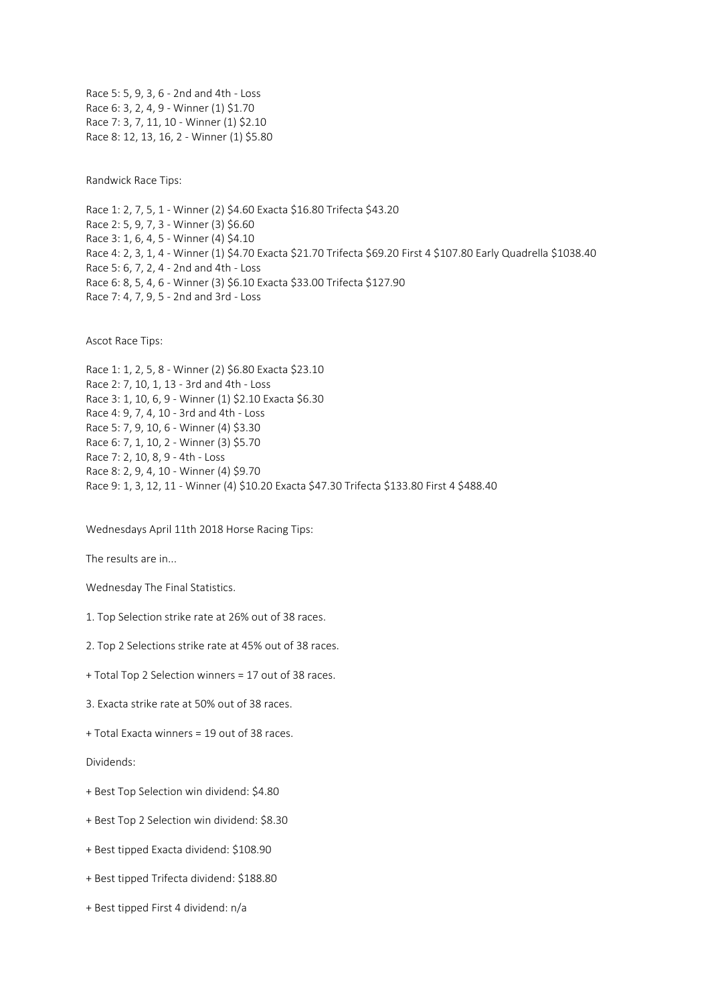Race 5: 5, 9, 3, 6 - 2nd and 4th - Loss Race 6: 3, 2, 4, 9 - Winner (1) \$1.70 Race 7: 3, 7, 11, 10 - Winner (1) \$2.10 Race 8: 12, 13, 16, 2 - Winner (1) \$5.80

Randwick Race Tips:

Race 1: 2, 7, 5, 1 - Winner (2) \$4.60 Exacta \$16.80 Trifecta \$43.20 Race 2: 5, 9, 7, 3 - Winner (3) \$6.60 Race 3: 1, 6, 4, 5 - Winner (4) \$4.10 Race 4: 2, 3, 1, 4 - Winner (1) \$4.70 Exacta \$21.70 Trifecta \$69.20 First 4 \$107.80 Early Quadrella \$1038.40 Race 5: 6, 7, 2, 4 - 2nd and 4th - Loss Race 6: 8, 5, 4, 6 - Winner (3) \$6.10 Exacta \$33.00 Trifecta \$127.90 Race 7: 4, 7, 9, 5 - 2nd and 3rd - Loss

Ascot Race Tips:

Race 1: 1, 2, 5, 8 - Winner (2) \$6.80 Exacta \$23.10 Race 2: 7, 10, 1, 13 - 3rd and 4th - Loss Race 3: 1, 10, 6, 9 - Winner (1) \$2.10 Exacta \$6.30 Race 4: 9, 7, 4, 10 - 3rd and 4th - Loss Race 5: 7, 9, 10, 6 - Winner (4) \$3.30 Race 6: 7, 1, 10, 2 - Winner (3) \$5.70 Race 7: 2, 10, 8, 9 - 4th - Loss Race 8: 2, 9, 4, 10 - Winner (4) \$9.70 Race 9: 1, 3, 12, 11 - Winner (4) \$10.20 Exacta \$47.30 Trifecta \$133.80 First 4 \$488.40

Wednesdays April 11th 2018 Horse Racing Tips:

The results are in...

Wednesday The Final Statistics.

- 1. Top Selection strike rate at 26% out of 38 races.
- 2. Top 2 Selections strike rate at 45% out of 38 races.
- + Total Top 2 Selection winners = 17 out of 38 races.
- 3. Exacta strike rate at 50% out of 38 races.
- + Total Exacta winners = 19 out of 38 races.

Dividends:

- + Best Top Selection win dividend: \$4.80
- + Best Top 2 Selection win dividend: \$8.30
- + Best tipped Exacta dividend: \$108.90
- + Best tipped Trifecta dividend: \$188.80
- + Best tipped First 4 dividend: n/a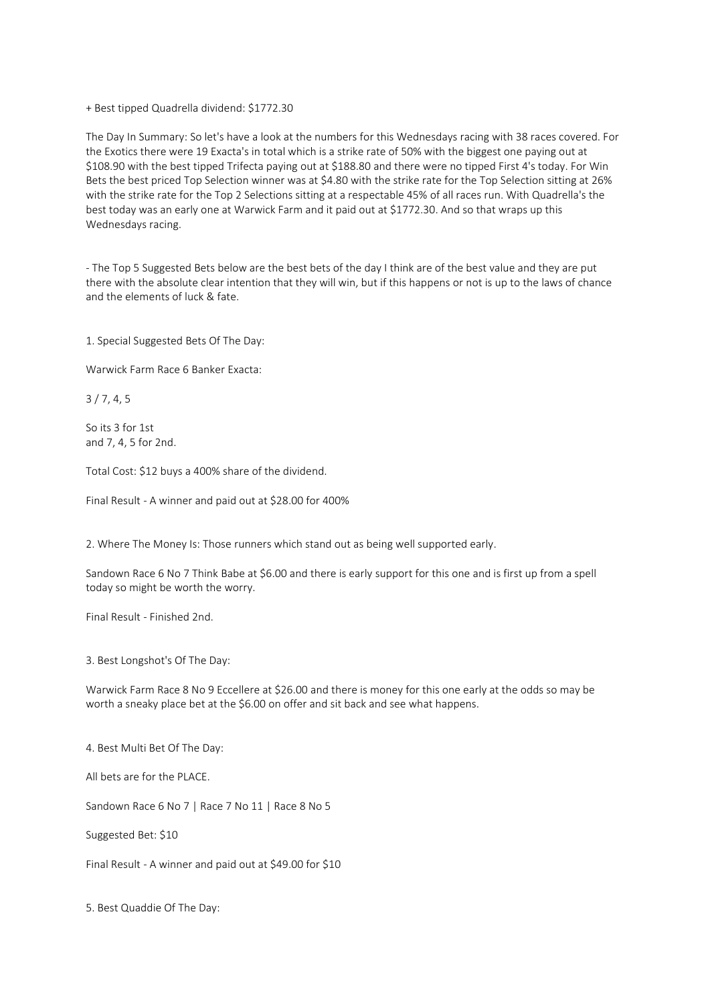+ Best tipped Quadrella dividend: \$1772.30

The Day In Summary: So let's have a look at the numbers for this Wednesdays racing with 38 races covered. For the Exotics there were 19 Exacta's in total which is a strike rate of 50% with the biggest one paying out at \$108.90 with the best tipped Trifecta paying out at \$188.80 and there were no tipped First 4's today. For Win Bets the best priced Top Selection winner was at \$4.80 with the strike rate for the Top Selection sitting at 26% with the strike rate for the Top 2 Selections sitting at a respectable 45% of all races run. With Quadrella's the best today was an early one at Warwick Farm and it paid out at \$1772.30. And so that wraps up this Wednesdays racing.

- The Top 5 Suggested Bets below are the best bets of the day I think are of the best value and they are put there with the absolute clear intention that they will win, but if this happens or not is up to the laws of chance and the elements of luck & fate.

1. Special Suggested Bets Of The Day:

Warwick Farm Race 6 Banker Exacta:

3 / 7, 4, 5

So its 3 for 1st and 7, 4, 5 for 2nd.

Total Cost: \$12 buys a 400% share of the dividend.

Final Result - A winner and paid out at \$28.00 for 400%

2. Where The Money Is: Those runners which stand out as being well supported early.

Sandown Race 6 No 7 Think Babe at \$6.00 and there is early support for this one and is first up from a spell today so might be worth the worry.

Final Result - Finished 2nd.

3. Best Longshot's Of The Day:

Warwick Farm Race 8 No 9 Eccellere at \$26.00 and there is money for this one early at the odds so may be worth a sneaky place bet at the \$6.00 on offer and sit back and see what happens.

4. Best Multi Bet Of The Day:

All bets are for the PLACE.

Sandown Race 6 No 7 | Race 7 No 11 | Race 8 No 5

Suggested Bet: \$10

Final Result - A winner and paid out at \$49.00 for \$10

5. Best Quaddie Of The Day: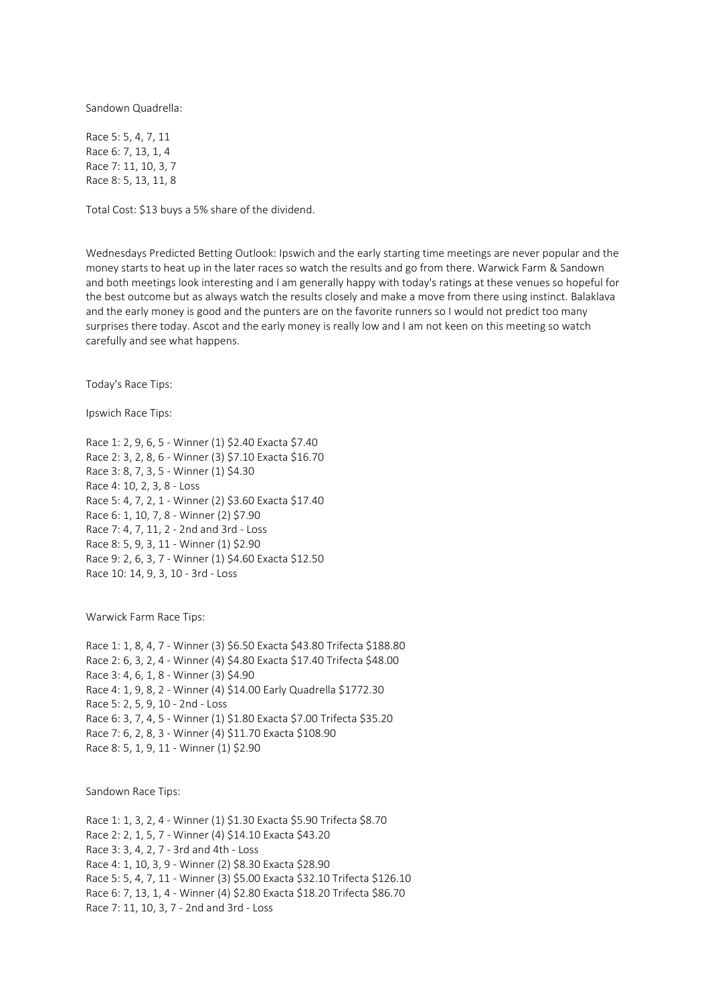Sandown Quadrella:

Race 5: 5, 4, 7, 11 Race 6: 7, 13, 1, 4 Race 7: 11, 10, 3, 7 Race 8: 5, 13, 11, 8

Total Cost: \$13 buys a 5% share of the dividend.

Wednesdays Predicted Betting Outlook: Ipswich and the early starting time meetings are never popular and the money starts to heat up in the later races so watch the results and go from there. Warwick Farm & Sandown and both meetings look interesting and I am generally happy with today's ratings at these venues so hopeful for the best outcome but as always watch the results closely and make a move from there using instinct. Balaklava and the early money is good and the punters are on the favorite runners so I would not predict too many surprises there today. Ascot and the early money is really low and I am not keen on this meeting so watch carefully and see what happens.

Today's Race Tips:

Ipswich Race Tips:

Race 1: 2, 9, 6, 5 - Winner (1) \$2.40 Exacta \$7.40 Race 2: 3, 2, 8, 6 - Winner (3) \$7.10 Exacta \$16.70 Race 3: 8, 7, 3, 5 - Winner (1) \$4.30 Race 4: 10, 2, 3, 8 - Loss Race 5: 4, 7, 2, 1 - Winner (2) \$3.60 Exacta \$17.40 Race 6: 1, 10, 7, 8 - Winner (2) \$7.90 Race 7: 4, 7, 11, 2 - 2nd and 3rd - Loss Race 8: 5, 9, 3, 11 - Winner (1) \$2.90 Race 9: 2, 6, 3, 7 - Winner (1) \$4.60 Exacta \$12.50 Race 10: 14, 9, 3, 10 - 3rd - Loss

Warwick Farm Race Tips:

Race 1: 1, 8, 4, 7 - Winner (3) \$6.50 Exacta \$43.80 Trifecta \$188.80 Race 2: 6, 3, 2, 4 - Winner (4) \$4.80 Exacta \$17.40 Trifecta \$48.00 Race 3: 4, 6, 1, 8 - Winner (3) \$4.90 Race 4: 1, 9, 8, 2 - Winner (4) \$14.00 Early Quadrella \$1772.30 Race 5: 2, 5, 9, 10 - 2nd - Loss Race 6: 3, 7, 4, 5 - Winner (1) \$1.80 Exacta \$7.00 Trifecta \$35.20 Race 7: 6, 2, 8, 3 - Winner (4) \$11.70 Exacta \$108.90 Race 8: 5, 1, 9, 11 - Winner (1) \$2.90

Sandown Race Tips:

Race 1: 1, 3, 2, 4 - Winner (1) \$1.30 Exacta \$5.90 Trifecta \$8.70 Race 2: 2, 1, 5, 7 - Winner (4) \$14.10 Exacta \$43.20 Race 3: 3, 4, 2, 7 - 3rd and 4th - Loss Race 4: 1, 10, 3, 9 - Winner (2) \$8.30 Exacta \$28.90 Race 5: 5, 4, 7, 11 - Winner (3) \$5.00 Exacta \$32.10 Trifecta \$126.10 Race 6: 7, 13, 1, 4 - Winner (4) \$2.80 Exacta \$18.20 Trifecta \$86.70 Race 7: 11, 10, 3, 7 - 2nd and 3rd - Loss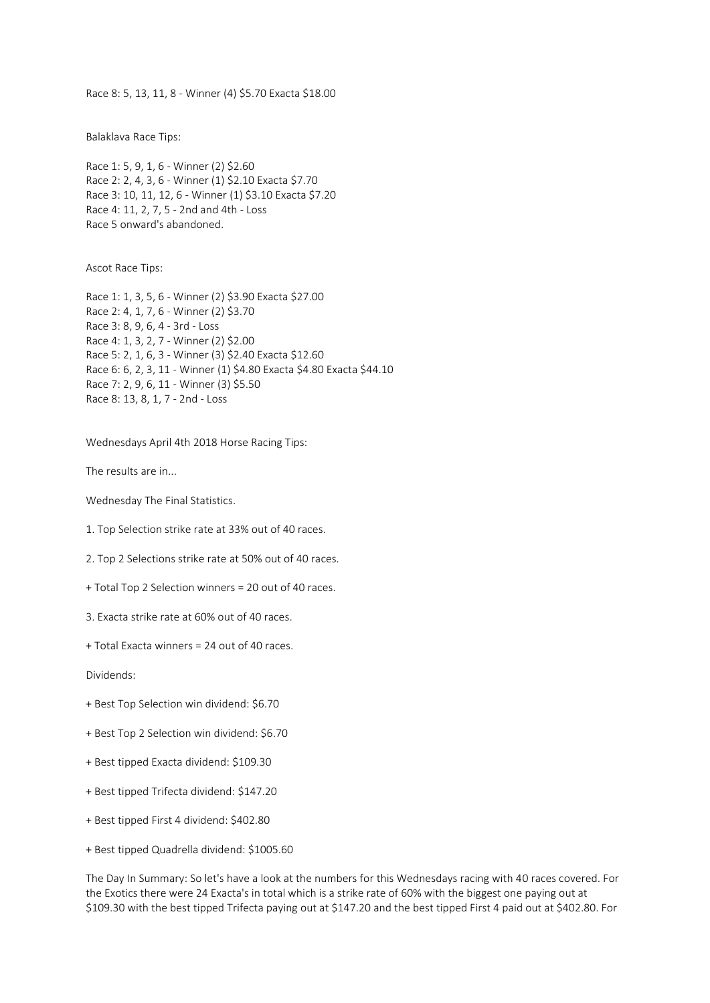Race 8: 5, 13, 11, 8 - Winner (4) \$5.70 Exacta \$18.00

Balaklava Race Tips:

Race 1: 5, 9, 1, 6 - Winner (2) \$2.60 Race 2: 2, 4, 3, 6 - Winner (1) \$2.10 Exacta \$7.70 Race 3: 10, 11, 12, 6 - Winner (1) \$3.10 Exacta \$7.20 Race 4: 11, 2, 7, 5 - 2nd and 4th - Loss Race 5 onward's abandoned.

Ascot Race Tips:

Race 1: 1, 3, 5, 6 - Winner (2) \$3.90 Exacta \$27.00 Race 2: 4, 1, 7, 6 - Winner (2) \$3.70 Race 3: 8, 9, 6, 4 - 3rd - Loss Race 4: 1, 3, 2, 7 - Winner (2) \$2.00 Race 5: 2, 1, 6, 3 - Winner (3) \$2.40 Exacta \$12.60 Race 6: 6, 2, 3, 11 - Winner (1) \$4.80 Exacta \$4.80 Exacta \$44.10 Race 7: 2, 9, 6, 11 - Winner (3) \$5.50 Race 8: 13, 8, 1, 7 - 2nd - Loss

Wednesdays April 4th 2018 Horse Racing Tips:

The results are in...

Wednesday The Final Statistics.

1. Top Selection strike rate at 33% out of 40 races.

2. Top 2 Selections strike rate at 50% out of 40 races.

+ Total Top 2 Selection winners = 20 out of 40 races.

3. Exacta strike rate at 60% out of 40 races.

+ Total Exacta winners = 24 out of 40 races.

Dividends:

- + Best Top Selection win dividend: \$6.70
- + Best Top 2 Selection win dividend: \$6.70
- + Best tipped Exacta dividend: \$109.30
- + Best tipped Trifecta dividend: \$147.20
- + Best tipped First 4 dividend: \$402.80
- + Best tipped Quadrella dividend: \$1005.60

The Day In Summary: So let's have a look at the numbers for this Wednesdays racing with 40 races covered. For the Exotics there were 24 Exacta's in total which is a strike rate of 60% with the biggest one paying out at \$109.30 with the best tipped Trifecta paying out at \$147.20 and the best tipped First 4 paid out at \$402.80. For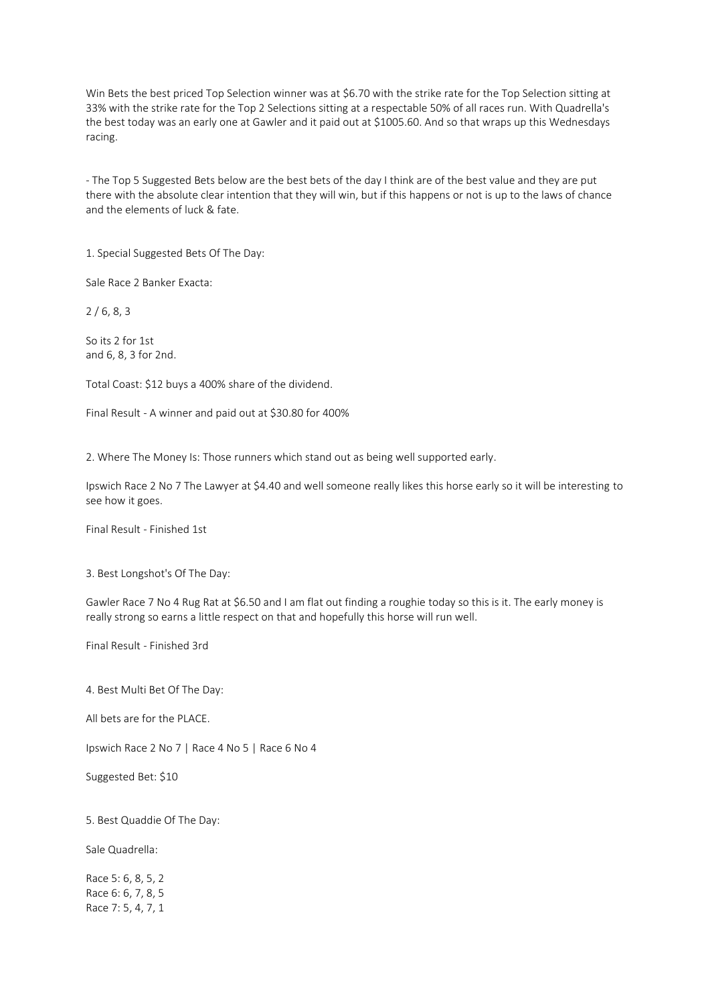Win Bets the best priced Top Selection winner was at \$6.70 with the strike rate for the Top Selection sitting at 33% with the strike rate for the Top 2 Selections sitting at a respectable 50% of all races run. With Quadrella's the best today was an early one at Gawler and it paid out at \$1005.60. And so that wraps up this Wednesdays racing.

- The Top 5 Suggested Bets below are the best bets of the day I think are of the best value and they are put there with the absolute clear intention that they will win, but if this happens or not is up to the laws of chance and the elements of luck & fate.

1. Special Suggested Bets Of The Day:

Sale Race 2 Banker Exacta:

2 / 6, 8, 3

So its 2 for 1st and 6, 8, 3 for 2nd.

Total Coast: \$12 buys a 400% share of the dividend.

Final Result - A winner and paid out at \$30.80 for 400%

2. Where The Money Is: Those runners which stand out as being well supported early.

Ipswich Race 2 No 7 The Lawyer at \$4.40 and well someone really likes this horse early so it will be interesting to see how it goes.

Final Result - Finished 1st

3. Best Longshot's Of The Day:

Gawler Race 7 No 4 Rug Rat at \$6.50 and I am flat out finding a roughie today so this is it. The early money is really strong so earns a little respect on that and hopefully this horse will run well.

Final Result - Finished 3rd

4. Best Multi Bet Of The Day:

All bets are for the PLACE.

Ipswich Race 2 No 7 | Race 4 No 5 | Race 6 No 4

Suggested Bet: \$10

5. Best Quaddie Of The Day:

Sale Quadrella:

Race 5: 6, 8, 5, 2 Race 6: 6, 7, 8, 5 Race 7: 5, 4, 7, 1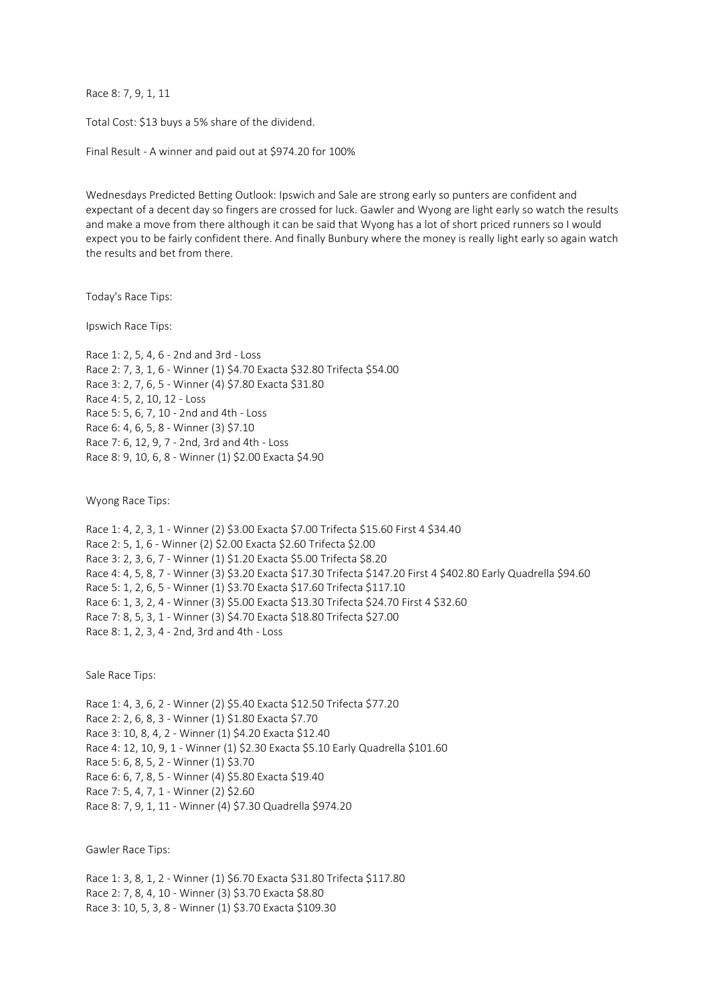Race 8: 7, 9, 1, 11

Total Cost: \$13 buys a 5% share of the dividend.

Final Result - A winner and paid out at \$974.20 for 100%

Wednesdays Predicted Betting Outlook: Ipswich and Sale are strong early so punters are confident and expectant of a decent day so fingers are crossed for luck. Gawler and Wyong are light early so watch the results and make a move from there although it can be said that Wyong has a lot of short priced runners so I would expect you to be fairly confident there. And finally Bunbury where the money is really light early so again watch the results and bet from there.

Today's Race Tips:

Ipswich Race Tips:

Race 1: 2, 5, 4, 6 - 2nd and 3rd - Loss Race 2: 7, 3, 1, 6 - Winner (1) \$4.70 Exacta \$32.80 Trifecta \$54.00 Race 3: 2, 7, 6, 5 - Winner (4) \$7.80 Exacta \$31.80 Race 4: 5, 2, 10, 12 - Loss Race 5: 5, 6, 7, 10 - 2nd and 4th - Loss Race 6: 4, 6, 5, 8 - Winner (3) \$7.10 Race 7: 6, 12, 9, 7 - 2nd, 3rd and 4th - Loss Race 8: 9, 10, 6, 8 - Winner (1) \$2.00 Exacta \$4.90

Wyong Race Tips:

Race 1: 4, 2, 3, 1 - Winner (2) \$3.00 Exacta \$7.00 Trifecta \$15.60 First 4 \$34.40 Race 2: 5, 1, 6 - Winner (2) \$2.00 Exacta \$2.60 Trifecta \$2.00 Race 3: 2, 3, 6, 7 - Winner (1) \$1.20 Exacta \$5.00 Trifecta \$8.20 Race 4: 4, 5, 8, 7 - Winner (3) \$3.20 Exacta \$17.30 Trifecta \$147.20 First 4 \$402.80 Early Quadrella \$94.60 Race 5: 1, 2, 6, 5 - Winner (1) \$3.70 Exacta \$17.60 Trifecta \$117.10 Race 6: 1, 3, 2, 4 - Winner (3) \$5.00 Exacta \$13.30 Trifecta \$24.70 First 4 \$32.60 Race 7: 8, 5, 3, 1 - Winner (3) \$4.70 Exacta \$18.80 Trifecta \$27.00 Race 8: 1, 2, 3, 4 - 2nd, 3rd and 4th - Loss

Sale Race Tips:

Race 1: 4, 3, 6, 2 - Winner (2) \$5.40 Exacta \$12.50 Trifecta \$77.20 Race 2: 2, 6, 8, 3 - Winner (1) \$1.80 Exacta \$7.70 Race 3: 10, 8, 4, 2 - Winner (1) \$4.20 Exacta \$12.40 Race 4: 12, 10, 9, 1 - Winner (1) \$2.30 Exacta \$5.10 Early Quadrella \$101.60 Race 5: 6, 8, 5, 2 - Winner (1) \$3.70 Race 6: 6, 7, 8, 5 - Winner (4) \$5.80 Exacta \$19.40 Race 7: 5, 4, 7, 1 - Winner (2) \$2.60 Race 8: 7, 9, 1, 11 - Winner (4) \$7.30 Quadrella \$974.20

Gawler Race Tips:

Race 1: 3, 8, 1, 2 - Winner (1) \$6.70 Exacta \$31.80 Trifecta \$117.80 Race 2: 7, 8, 4, 10 - Winner (3) \$3.70 Exacta \$8.80 Race 3: 10, 5, 3, 8 - Winner (1) \$3.70 Exacta \$109.30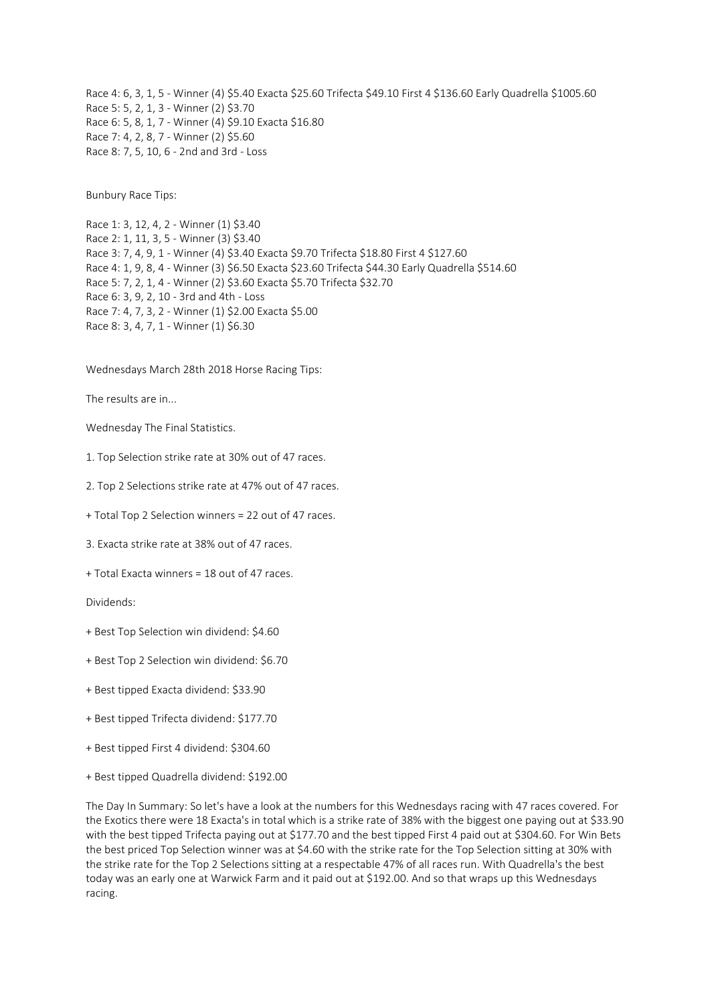Race 4: 6, 3, 1, 5 - Winner (4) \$5.40 Exacta \$25.60 Trifecta \$49.10 First 4 \$136.60 Early Quadrella \$1005.60 Race 5: 5, 2, 1, 3 - Winner (2) \$3.70 Race 6: 5, 8, 1, 7 - Winner (4) \$9.10 Exacta \$16.80 Race 7: 4, 2, 8, 7 - Winner (2) \$5.60 Race 8: 7, 5, 10, 6 - 2nd and 3rd - Loss

Bunbury Race Tips:

Race 1: 3, 12, 4, 2 - Winner (1) \$3.40 Race 2: 1, 11, 3, 5 - Winner (3) \$3.40 Race 3: 7, 4, 9, 1 - Winner (4) \$3.40 Exacta \$9.70 Trifecta \$18.80 First 4 \$127.60 Race 4: 1, 9, 8, 4 - Winner (3) \$6.50 Exacta \$23.60 Trifecta \$44.30 Early Quadrella \$514.60 Race 5: 7, 2, 1, 4 - Winner (2) \$3.60 Exacta \$5.70 Trifecta \$32.70 Race 6: 3, 9, 2, 10 - 3rd and 4th - Loss Race 7: 4, 7, 3, 2 - Winner (1) \$2.00 Exacta \$5.00 Race 8: 3, 4, 7, 1 - Winner (1) \$6.30

## Wednesdays March 28th 2018 Horse Racing Tips:

The results are in...

Wednesday The Final Statistics.

1. Top Selection strike rate at 30% out of 47 races.

2. Top 2 Selections strike rate at 47% out of 47 races.

+ Total Top 2 Selection winners = 22 out of 47 races.

3. Exacta strike rate at 38% out of 47 races.

+ Total Exacta winners = 18 out of 47 races.

Dividends:

- + Best Top Selection win dividend: \$4.60
- + Best Top 2 Selection win dividend: \$6.70
- + Best tipped Exacta dividend: \$33.90
- + Best tipped Trifecta dividend: \$177.70
- + Best tipped First 4 dividend: \$304.60
- + Best tipped Quadrella dividend: \$192.00

The Day In Summary: So let's have a look at the numbers for this Wednesdays racing with 47 races covered. For the Exotics there were 18 Exacta's in total which is a strike rate of 38% with the biggest one paying out at \$33.90 with the best tipped Trifecta paying out at \$177.70 and the best tipped First 4 paid out at \$304.60. For Win Bets the best priced Top Selection winner was at \$4.60 with the strike rate for the Top Selection sitting at 30% with the strike rate for the Top 2 Selections sitting at a respectable 47% of all races run. With Quadrella's the best today was an early one at Warwick Farm and it paid out at \$192.00. And so that wraps up this Wednesdays racing.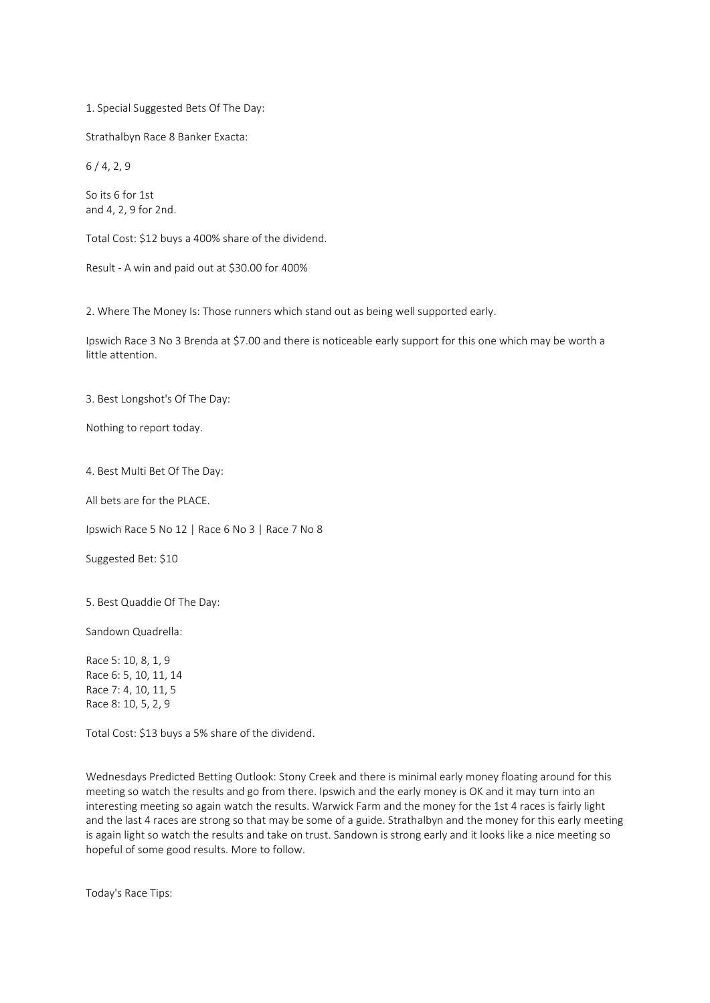1. Special Suggested Bets Of The Day:

Strathalbyn Race 8 Banker Exacta:

6 / 4, 2, 9

So its 6 for 1st and 4, 2, 9 for 2nd.

Total Cost: \$12 buys a 400% share of the dividend.

Result - A win and paid out at \$30.00 for 400%

2. Where The Money Is: Those runners which stand out as being well supported early.

Ipswich Race 3 No 3 Brenda at \$7.00 and there is noticeable early support for this one which may be worth a little attention.

3. Best Longshot's Of The Day:

Nothing to report today.

4. Best Multi Bet Of The Day:

All bets are for the PLACE.

Ipswich Race 5 No 12 | Race 6 No 3 | Race 7 No 8

Suggested Bet: \$10

5. Best Quaddie Of The Day:

Sandown Quadrella:

Race 5: 10, 8, 1, 9 Race 6: 5, 10, 11, 14 Race 7: 4, 10, 11, 5 Race 8: 10, 5, 2, 9

Total Cost: \$13 buys a 5% share of the dividend.

Wednesdays Predicted Betting Outlook: Stony Creek and there is minimal early money floating around for this meeting so watch the results and go from there. Ipswich and the early money is OK and it may turn into an interesting meeting so again watch the results. Warwick Farm and the money for the 1st 4 races is fairly light and the last 4 races are strong so that may be some of a guide. Strathalbyn and the money for this early meeting is again light so watch the results and take on trust. Sandown is strong early and it looks like a nice meeting so hopeful of some good results. More to follow.

Today's Race Tips: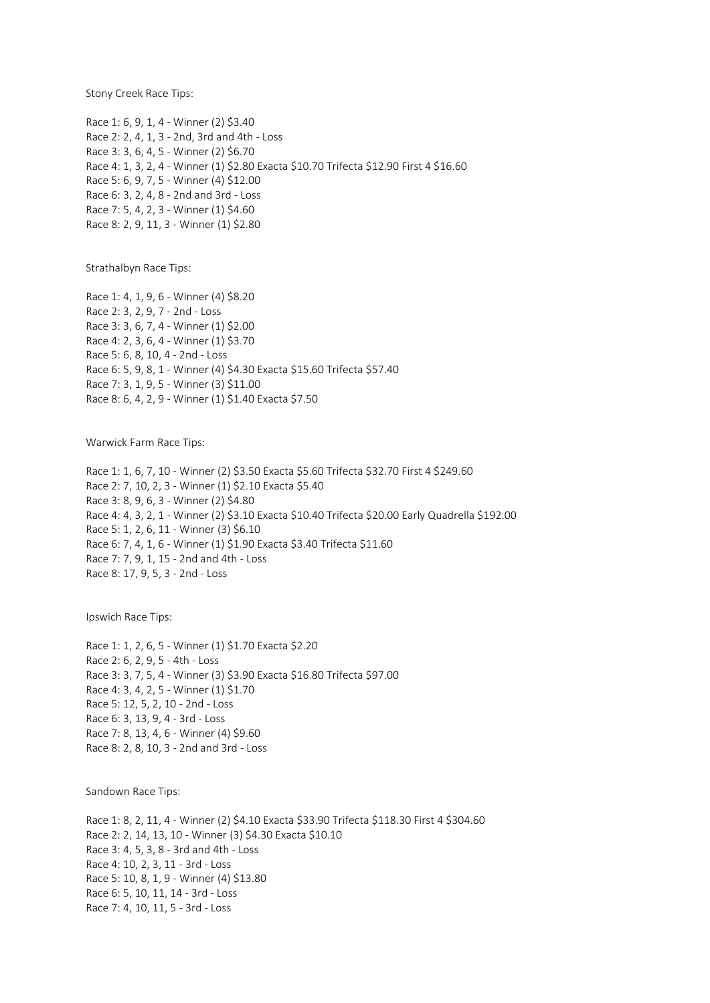Stony Creek Race Tips:

Race 1: 6, 9, 1, 4 - Winner (2) \$3.40 Race 2: 2, 4, 1, 3 - 2nd, 3rd and 4th - Loss Race 3: 3, 6, 4, 5 - Winner (2) \$6.70 Race 4: 1, 3, 2, 4 - Winner (1) \$2.80 Exacta \$10.70 Trifecta \$12.90 First 4 \$16.60 Race 5: 6, 9, 7, 5 - Winner (4) \$12.00 Race 6: 3, 2, 4, 8 - 2nd and 3rd - Loss Race 7: 5, 4, 2, 3 - Winner (1) \$4.60 Race 8: 2, 9, 11, 3 - Winner (1) \$2.80

Strathalbyn Race Tips:

Race 1: 4, 1, 9, 6 - Winner (4) \$8.20 Race 2: 3, 2, 9, 7 - 2nd - Loss Race 3: 3, 6, 7, 4 - Winner (1) \$2.00 Race 4: 2, 3, 6, 4 - Winner (1) \$3.70 Race 5: 6, 8, 10, 4 - 2nd - Loss Race 6: 5, 9, 8, 1 - Winner (4) \$4.30 Exacta \$15.60 Trifecta \$57.40 Race 7: 3, 1, 9, 5 - Winner (3) \$11.00 Race 8: 6, 4, 2, 9 - Winner (1) \$1.40 Exacta \$7.50

Warwick Farm Race Tips:

Race 1: 1, 6, 7, 10 - Winner (2) \$3.50 Exacta \$5.60 Trifecta \$32.70 First 4 \$249.60 Race 2: 7, 10, 2, 3 - Winner (1) \$2.10 Exacta \$5.40 Race 3: 8, 9, 6, 3 - Winner (2) \$4.80 Race 4: 4, 3, 2, 1 - Winner (2) \$3.10 Exacta \$10.40 Trifecta \$20.00 Early Quadrella \$192.00 Race 5: 1, 2, 6, 11 - Winner (3) \$6.10 Race 6: 7, 4, 1, 6 - Winner (1) \$1.90 Exacta \$3.40 Trifecta \$11.60 Race 7: 7, 9, 1, 15 - 2nd and 4th - Loss Race 8: 17, 9, 5, 3 - 2nd - Loss

Ipswich Race Tips:

Race 1: 1, 2, 6, 5 - Winner (1) \$1.70 Exacta \$2.20 Race 2: 6, 2, 9, 5 - 4th - Loss Race 3: 3, 7, 5, 4 - Winner (3) \$3.90 Exacta \$16.80 Trifecta \$97.00 Race 4: 3, 4, 2, 5 - Winner (1) \$1.70 Race 5: 12, 5, 2, 10 - 2nd - Loss Race 6: 3, 13, 9, 4 - 3rd - Loss Race 7: 8, 13, 4, 6 - Winner (4) \$9.60 Race 8: 2, 8, 10, 3 - 2nd and 3rd - Loss

Sandown Race Tips:

Race 1: 8, 2, 11, 4 - Winner (2) \$4.10 Exacta \$33.90 Trifecta \$118.30 First 4 \$304.60 Race 2: 2, 14, 13, 10 - Winner (3) \$4.30 Exacta \$10.10 Race 3: 4, 5, 3, 8 - 3rd and 4th - Loss Race 4: 10, 2, 3, 11 - 3rd - Loss Race 5: 10, 8, 1, 9 - Winner (4) \$13.80 Race 6: 5, 10, 11, 14 - 3rd - Loss Race 7: 4, 10, 11, 5 - 3rd - Loss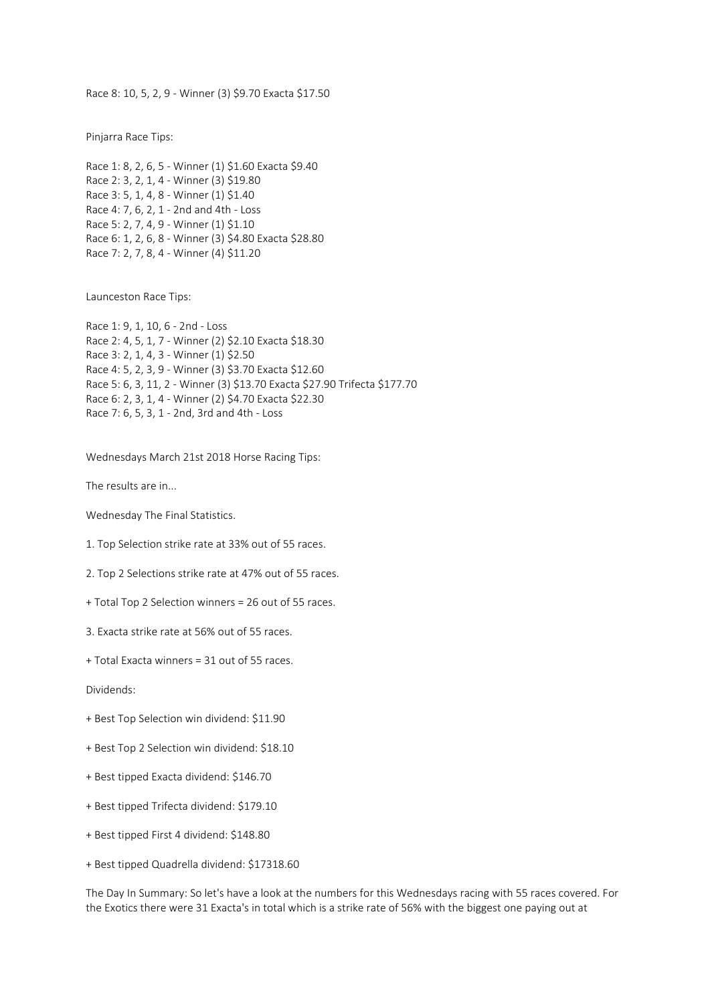Race 8: 10, 5, 2, 9 - Winner (3) \$9.70 Exacta \$17.50

Pinjarra Race Tips:

```
Race 1: 8, 2, 6, 5 - Winner (1) $1.60 Exacta $9.40
Race 2: 3, 2, 1, 4 - Winner (3) $19.80
Race 3: 5, 1, 4, 8 - Winner (1) $1.40
Race 4: 7, 6, 2, 1 - 2nd and 4th - Loss
Race 5: 2, 7, 4, 9 - Winner (1) $1.10
Race 6: 1, 2, 6, 8 - Winner (3) $4.80 Exacta $28.80
Race 7: 2, 7, 8, 4 - Winner (4) $11.20
```
Launceston Race Tips:

Race 1: 9, 1, 10, 6 - 2nd - Loss Race 2: 4, 5, 1, 7 - Winner (2) \$2.10 Exacta \$18.30 Race 3: 2, 1, 4, 3 - Winner (1) \$2.50 Race 4: 5, 2, 3, 9 - Winner (3) \$3.70 Exacta \$12.60 Race 5: 6, 3, 11, 2 - Winner (3) \$13.70 Exacta \$27.90 Trifecta \$177.70 Race 6: 2, 3, 1, 4 - Winner (2) \$4.70 Exacta \$22.30 Race 7: 6, 5, 3, 1 - 2nd, 3rd and 4th - Loss

Wednesdays March 21st 2018 Horse Racing Tips:

The results are in...

Wednesday The Final Statistics.

1. Top Selection strike rate at 33% out of 55 races.

2. Top 2 Selections strike rate at 47% out of 55 races.

+ Total Top 2 Selection winners = 26 out of 55 races.

3. Exacta strike rate at 56% out of 55 races.

+ Total Exacta winners = 31 out of 55 races.

Dividends:

- + Best Top Selection win dividend: \$11.90
- + Best Top 2 Selection win dividend: \$18.10
- + Best tipped Exacta dividend: \$146.70
- + Best tipped Trifecta dividend: \$179.10
- + Best tipped First 4 dividend: \$148.80
- + Best tipped Quadrella dividend: \$17318.60

The Day In Summary: So let's have a look at the numbers for this Wednesdays racing with 55 races covered. For the Exotics there were 31 Exacta's in total which is a strike rate of 56% with the biggest one paying out at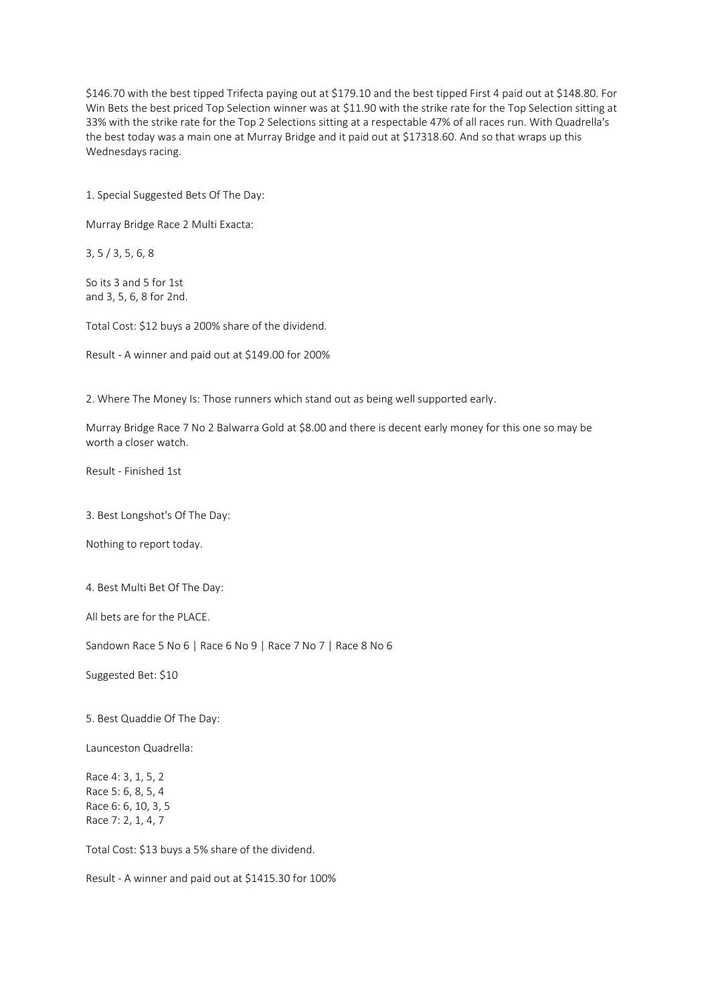\$146.70 with the best tipped Trifecta paying out at \$179.10 and the best tipped First 4 paid out at \$148.80. For Win Bets the best priced Top Selection winner was at \$11.90 with the strike rate for the Top Selection sitting at 33% with the strike rate for the Top 2 Selections sitting at a respectable 47% of all races run. With Quadrella's the best today was a main one at Murray Bridge and it paid out at \$17318.60. And so that wraps up this Wednesdays racing.

1. Special Suggested Bets Of The Day:

Murray Bridge Race 2 Multi Exacta:

3, 5 / 3, 5, 6, 8

So its 3 and 5 for 1st and 3, 5, 6, 8 for 2nd.

Total Cost: \$12 buys a 200% share of the dividend.

Result - A winner and paid out at \$149.00 for 200%

2. Where The Money Is: Those runners which stand out as being well supported early.

Murray Bridge Race 7 No 2 Balwarra Gold at \$8.00 and there is decent early money for this one so may be worth a closer watch.

Result - Finished 1st

3. Best Longshot's Of The Day:

Nothing to report today.

4. Best Multi Bet Of The Day:

All bets are for the PLACE.

Sandown Race 5 No 6 | Race 6 No 9 | Race 7 No 7 | Race 8 No 6

Suggested Bet: \$10

5. Best Quaddie Of The Day:

Launceston Quadrella:

Race 4: 3, 1, 5, 2 Race 5: 6, 8, 5, 4 Race 6: 6, 10, 3, 5 Race 7: 2, 1, 4, 7

Total Cost: \$13 buys a 5% share of the dividend.

Result - A winner and paid out at \$1415.30 for 100%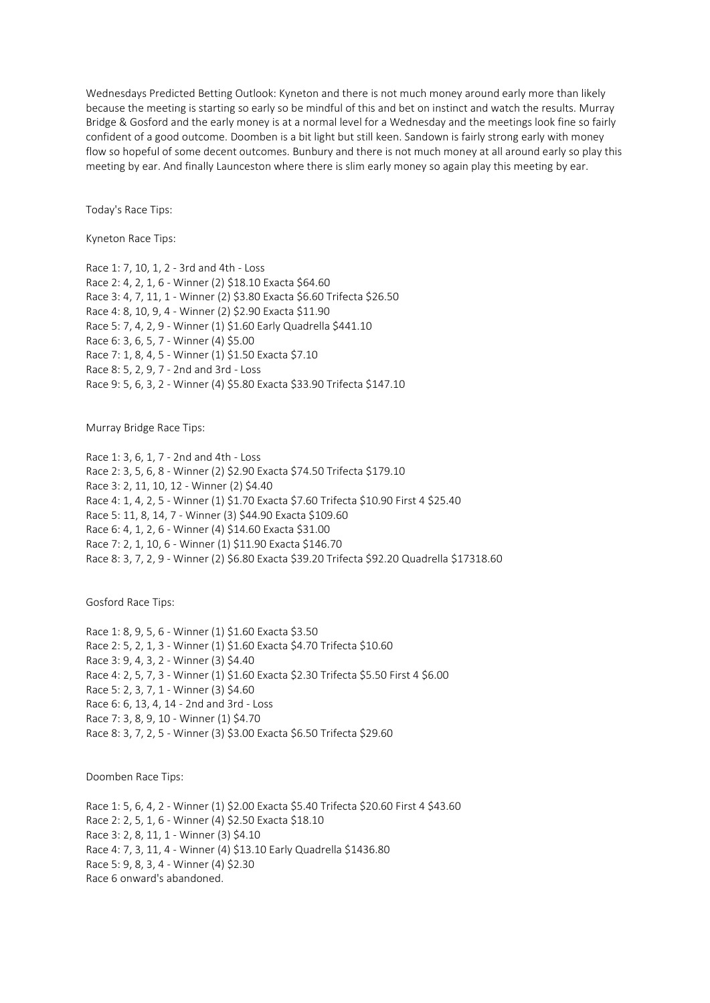Wednesdays Predicted Betting Outlook: Kyneton and there is not much money around early more than likely because the meeting is starting so early so be mindful of this and bet on instinct and watch the results. Murray Bridge & Gosford and the early money is at a normal level for a Wednesday and the meetings look fine so fairly confident of a good outcome. Doomben is a bit light but still keen. Sandown is fairly strong early with money flow so hopeful of some decent outcomes. Bunbury and there is not much money at all around early so play this meeting by ear. And finally Launceston where there is slim early money so again play this meeting by ear.

Today's Race Tips:

Kyneton Race Tips:

Race 1: 7, 10, 1, 2 - 3rd and 4th - Loss Race 2: 4, 2, 1, 6 - Winner (2) \$18.10 Exacta \$64.60 Race 3: 4, 7, 11, 1 - Winner (2) \$3.80 Exacta \$6.60 Trifecta \$26.50 Race 4: 8, 10, 9, 4 - Winner (2) \$2.90 Exacta \$11.90 Race 5: 7, 4, 2, 9 - Winner (1) \$1.60 Early Quadrella \$441.10 Race 6: 3, 6, 5, 7 - Winner (4) \$5.00 Race 7: 1, 8, 4, 5 - Winner (1) \$1.50 Exacta \$7.10 Race 8: 5, 2, 9, 7 - 2nd and 3rd - Loss Race 9: 5, 6, 3, 2 - Winner (4) \$5.80 Exacta \$33.90 Trifecta \$147.10

Murray Bridge Race Tips:

Race 1: 3, 6, 1, 7 - 2nd and 4th - Loss Race 2: 3, 5, 6, 8 - Winner (2) \$2.90 Exacta \$74.50 Trifecta \$179.10 Race 3: 2, 11, 10, 12 - Winner (2) \$4.40 Race 4: 1, 4, 2, 5 - Winner (1) \$1.70 Exacta \$7.60 Trifecta \$10.90 First 4 \$25.40 Race 5: 11, 8, 14, 7 - Winner (3) \$44.90 Exacta \$109.60 Race 6: 4, 1, 2, 6 - Winner (4) \$14.60 Exacta \$31.00 Race 7: 2, 1, 10, 6 - Winner (1) \$11.90 Exacta \$146.70 Race 8: 3, 7, 2, 9 - Winner (2) \$6.80 Exacta \$39.20 Trifecta \$92.20 Quadrella \$17318.60

Gosford Race Tips:

Race 1: 8, 9, 5, 6 - Winner (1) \$1.60 Exacta \$3.50 Race 2: 5, 2, 1, 3 - Winner (1) \$1.60 Exacta \$4.70 Trifecta \$10.60 Race 3: 9, 4, 3, 2 - Winner (3) \$4.40 Race 4: 2, 5, 7, 3 - Winner (1) \$1.60 Exacta \$2.30 Trifecta \$5.50 First 4 \$6.00 Race 5: 2, 3, 7, 1 - Winner (3) \$4.60 Race 6: 6, 13, 4, 14 - 2nd and 3rd - Loss Race 7: 3, 8, 9, 10 - Winner (1) \$4.70 Race 8: 3, 7, 2, 5 - Winner (3) \$3.00 Exacta \$6.50 Trifecta \$29.60

Doomben Race Tips:

Race 1: 5, 6, 4, 2 - Winner (1) \$2.00 Exacta \$5.40 Trifecta \$20.60 First 4 \$43.60 Race 2: 2, 5, 1, 6 - Winner (4) \$2.50 Exacta \$18.10 Race 3: 2, 8, 11, 1 - Winner (3) \$4.10 Race 4: 7, 3, 11, 4 - Winner (4) \$13.10 Early Quadrella \$1436.80 Race 5: 9, 8, 3, 4 - Winner (4) \$2.30 Race 6 onward's abandoned.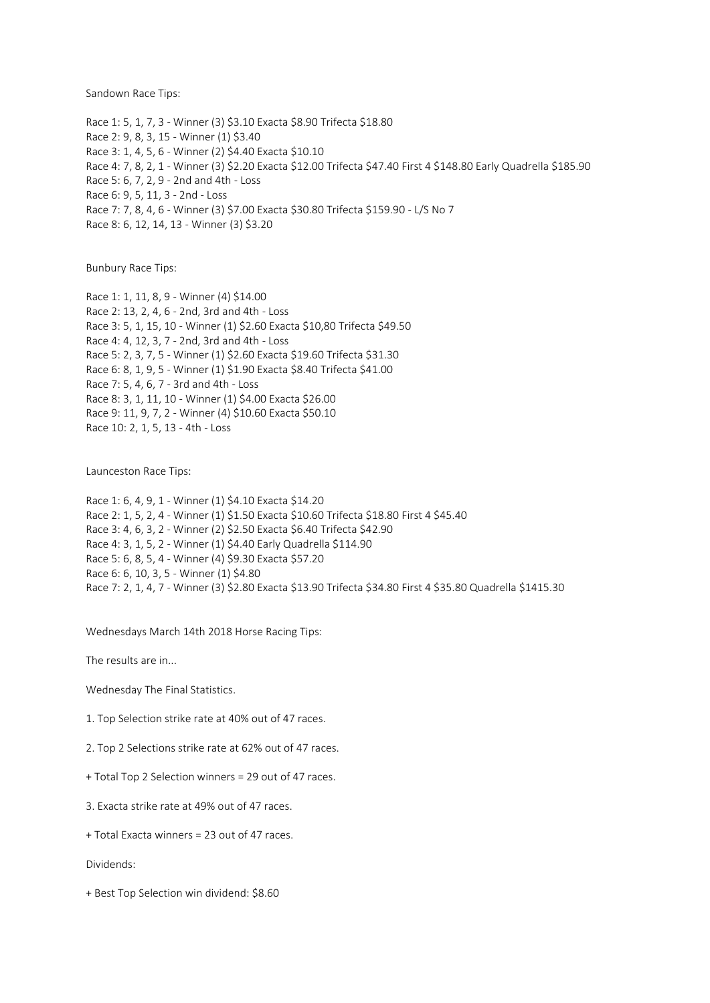Sandown Race Tips:

Race 1: 5, 1, 7, 3 - Winner (3) \$3.10 Exacta \$8.90 Trifecta \$18.80 Race 2: 9, 8, 3, 15 - Winner (1) \$3.40 Race 3: 1, 4, 5, 6 - Winner (2) \$4.40 Exacta \$10.10 Race 4: 7, 8, 2, 1 - Winner (3) \$2.20 Exacta \$12.00 Trifecta \$47.40 First 4 \$148.80 Early Quadrella \$185.90 Race 5: 6, 7, 2, 9 - 2nd and 4th - Loss Race 6: 9, 5, 11, 3 - 2nd - Loss Race 7: 7, 8, 4, 6 - Winner (3) \$7.00 Exacta \$30.80 Trifecta \$159.90 - L/S No 7 Race 8: 6, 12, 14, 13 - Winner (3) \$3.20

Bunbury Race Tips:

Race 1: 1, 11, 8, 9 - Winner (4) \$14.00 Race 2: 13, 2, 4, 6 - 2nd, 3rd and 4th - Loss Race 3: 5, 1, 15, 10 - Winner (1) \$2.60 Exacta \$10,80 Trifecta \$49.50 Race 4: 4, 12, 3, 7 - 2nd, 3rd and 4th - Loss Race 5: 2, 3, 7, 5 - Winner (1) \$2.60 Exacta \$19.60 Trifecta \$31.30 Race 6: 8, 1, 9, 5 - Winner (1) \$1.90 Exacta \$8.40 Trifecta \$41.00 Race 7: 5, 4, 6, 7 - 3rd and 4th - Loss Race 8: 3, 1, 11, 10 - Winner (1) \$4.00 Exacta \$26.00 Race 9: 11, 9, 7, 2 - Winner (4) \$10.60 Exacta \$50.10 Race 10: 2, 1, 5, 13 - 4th - Loss

Launceston Race Tips:

Race 1: 6, 4, 9, 1 - Winner (1) \$4.10 Exacta \$14.20 Race 2: 1, 5, 2, 4 - Winner (1) \$1.50 Exacta \$10.60 Trifecta \$18.80 First 4 \$45.40 Race 3: 4, 6, 3, 2 - Winner (2) \$2.50 Exacta \$6.40 Trifecta \$42.90 Race 4: 3, 1, 5, 2 - Winner (1) \$4.40 Early Quadrella \$114.90 Race 5: 6, 8, 5, 4 - Winner (4) \$9.30 Exacta \$57.20 Race 6: 6, 10, 3, 5 - Winner (1) \$4.80 Race 7: 2, 1, 4, 7 - Winner (3) \$2.80 Exacta \$13.90 Trifecta \$34.80 First 4 \$35.80 Quadrella \$1415.30

Wednesdays March 14th 2018 Horse Racing Tips:

The results are in...

Wednesday The Final Statistics.

1. Top Selection strike rate at 40% out of 47 races.

2. Top 2 Selections strike rate at 62% out of 47 races.

+ Total Top 2 Selection winners = 29 out of 47 races.

3. Exacta strike rate at 49% out of 47 races.

+ Total Exacta winners = 23 out of 47 races.

Dividends:

+ Best Top Selection win dividend: \$8.60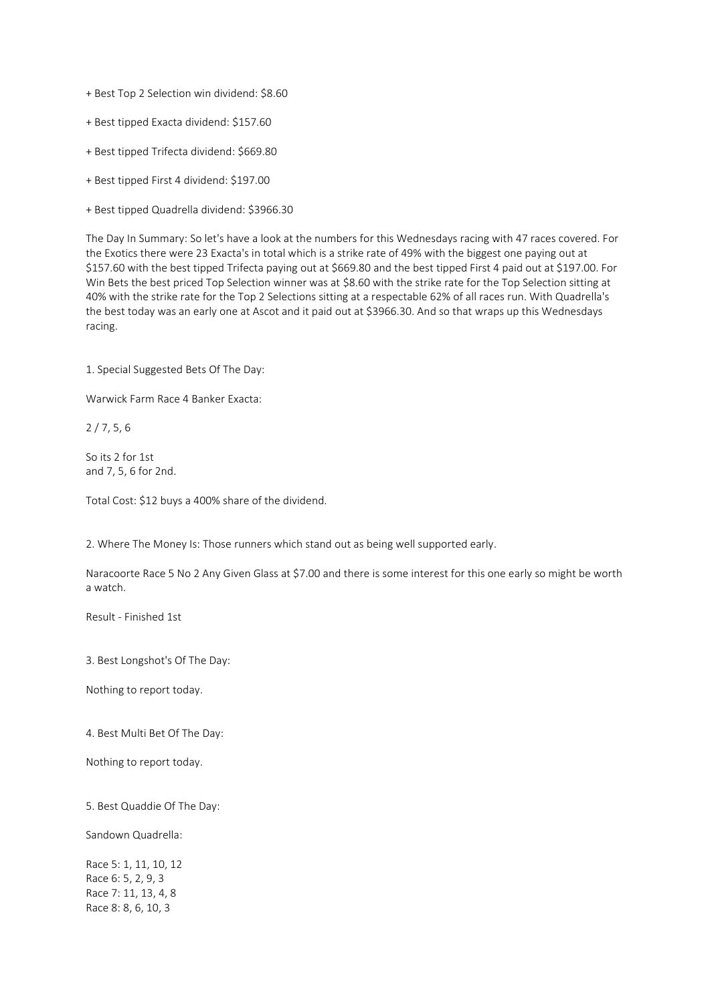- + Best Top 2 Selection win dividend: \$8.60
- + Best tipped Exacta dividend: \$157.60
- + Best tipped Trifecta dividend: \$669.80
- + Best tipped First 4 dividend: \$197.00
- + Best tipped Quadrella dividend: \$3966.30

The Day In Summary: So let's have a look at the numbers for this Wednesdays racing with 47 races covered. For the Exotics there were 23 Exacta's in total which is a strike rate of 49% with the biggest one paying out at \$157.60 with the best tipped Trifecta paying out at \$669.80 and the best tipped First 4 paid out at \$197.00. For Win Bets the best priced Top Selection winner was at \$8.60 with the strike rate for the Top Selection sitting at 40% with the strike rate for the Top 2 Selections sitting at a respectable 62% of all races run. With Quadrella's the best today was an early one at Ascot and it paid out at \$3966.30. And so that wraps up this Wednesdays racing.

1. Special Suggested Bets Of The Day:

Warwick Farm Race 4 Banker Exacta:

2 / 7, 5, 6

So its 2 for 1st and 7, 5, 6 for 2nd.

Total Cost: \$12 buys a 400% share of the dividend.

2. Where The Money Is: Those runners which stand out as being well supported early.

Naracoorte Race 5 No 2 Any Given Glass at \$7.00 and there is some interest for this one early so might be worth a watch.

Result - Finished 1st

3. Best Longshot's Of The Day:

Nothing to report today.

4. Best Multi Bet Of The Day:

Nothing to report today.

5. Best Quaddie Of The Day:

Sandown Quadrella:

Race 5: 1, 11, 10, 12 Race 6: 5, 2, 9, 3 Race 7: 11, 13, 4, 8 Race 8: 8, 6, 10, 3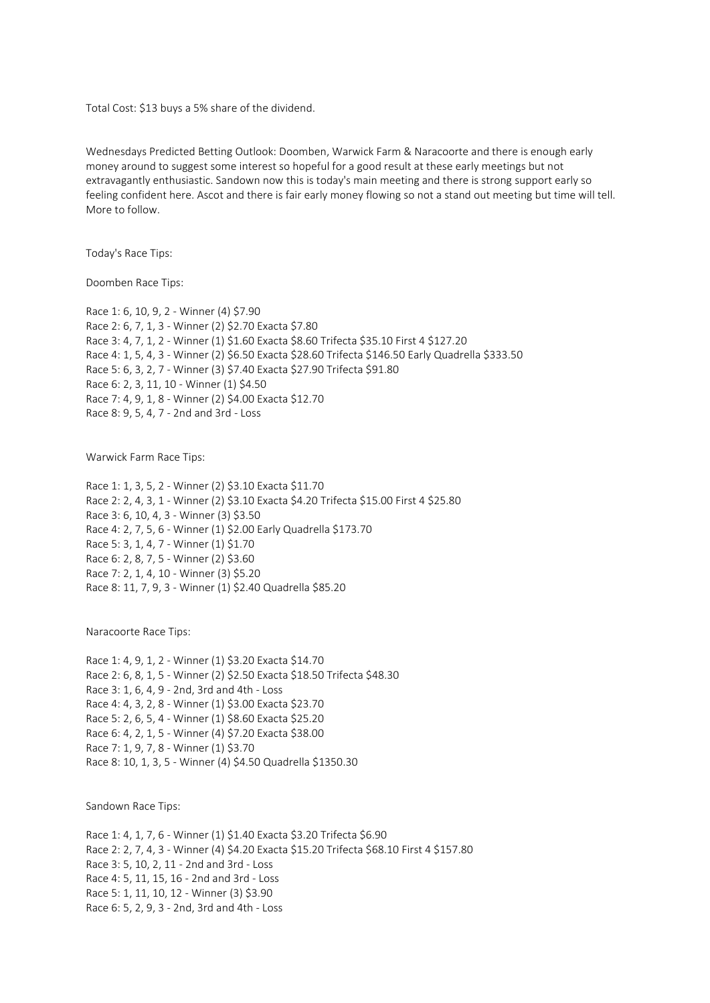Total Cost: \$13 buys a 5% share of the dividend.

Wednesdays Predicted Betting Outlook: Doomben, Warwick Farm & Naracoorte and there is enough early money around to suggest some interest so hopeful for a good result at these early meetings but not extravagantly enthusiastic. Sandown now this is today's main meeting and there is strong support early so feeling confident here. Ascot and there is fair early money flowing so not a stand out meeting but time will tell. More to follow.

Today's Race Tips:

Doomben Race Tips:

Race 1: 6, 10, 9, 2 - Winner (4) \$7.90 Race 2: 6, 7, 1, 3 - Winner (2) \$2.70 Exacta \$7.80 Race 3: 4, 7, 1, 2 - Winner (1) \$1.60 Exacta \$8.60 Trifecta \$35.10 First 4 \$127.20 Race 4: 1, 5, 4, 3 - Winner (2) \$6.50 Exacta \$28.60 Trifecta \$146.50 Early Quadrella \$333.50 Race 5: 6, 3, 2, 7 - Winner (3) \$7.40 Exacta \$27.90 Trifecta \$91.80 Race 6: 2, 3, 11, 10 - Winner (1) \$4.50 Race 7: 4, 9, 1, 8 - Winner (2) \$4.00 Exacta \$12.70 Race 8: 9, 5, 4, 7 - 2nd and 3rd - Loss

Warwick Farm Race Tips:

Race 1: 1, 3, 5, 2 - Winner (2) \$3.10 Exacta \$11.70 Race 2: 2, 4, 3, 1 - Winner (2) \$3.10 Exacta \$4.20 Trifecta \$15.00 First 4 \$25.80 Race 3: 6, 10, 4, 3 - Winner (3) \$3.50 Race 4: 2, 7, 5, 6 - Winner (1) \$2.00 Early Quadrella \$173.70 Race 5: 3, 1, 4, 7 - Winner (1) \$1.70 Race 6: 2, 8, 7, 5 - Winner (2) \$3.60 Race 7: 2, 1, 4, 10 - Winner (3) \$5.20 Race 8: 11, 7, 9, 3 - Winner (1) \$2.40 Quadrella \$85.20

Naracoorte Race Tips:

Race 1: 4, 9, 1, 2 - Winner (1) \$3.20 Exacta \$14.70 Race 2: 6, 8, 1, 5 - Winner (2) \$2.50 Exacta \$18.50 Trifecta \$48.30 Race 3: 1, 6, 4, 9 - 2nd, 3rd and 4th - Loss Race 4: 4, 3, 2, 8 - Winner (1) \$3.00 Exacta \$23.70 Race 5: 2, 6, 5, 4 - Winner (1) \$8.60 Exacta \$25.20 Race 6: 4, 2, 1, 5 - Winner (4) \$7.20 Exacta \$38.00 Race 7: 1, 9, 7, 8 - Winner (1) \$3.70 Race 8: 10, 1, 3, 5 - Winner (4) \$4.50 Quadrella \$1350.30

Sandown Race Tips:

Race 1: 4, 1, 7, 6 - Winner (1) \$1.40 Exacta \$3.20 Trifecta \$6.90 Race 2: 2, 7, 4, 3 - Winner (4) \$4.20 Exacta \$15.20 Trifecta \$68.10 First 4 \$157.80 Race 3: 5, 10, 2, 11 - 2nd and 3rd - Loss Race 4: 5, 11, 15, 16 - 2nd and 3rd - Loss Race 5: 1, 11, 10, 12 - Winner (3) \$3.90 Race 6: 5, 2, 9, 3 - 2nd, 3rd and 4th - Loss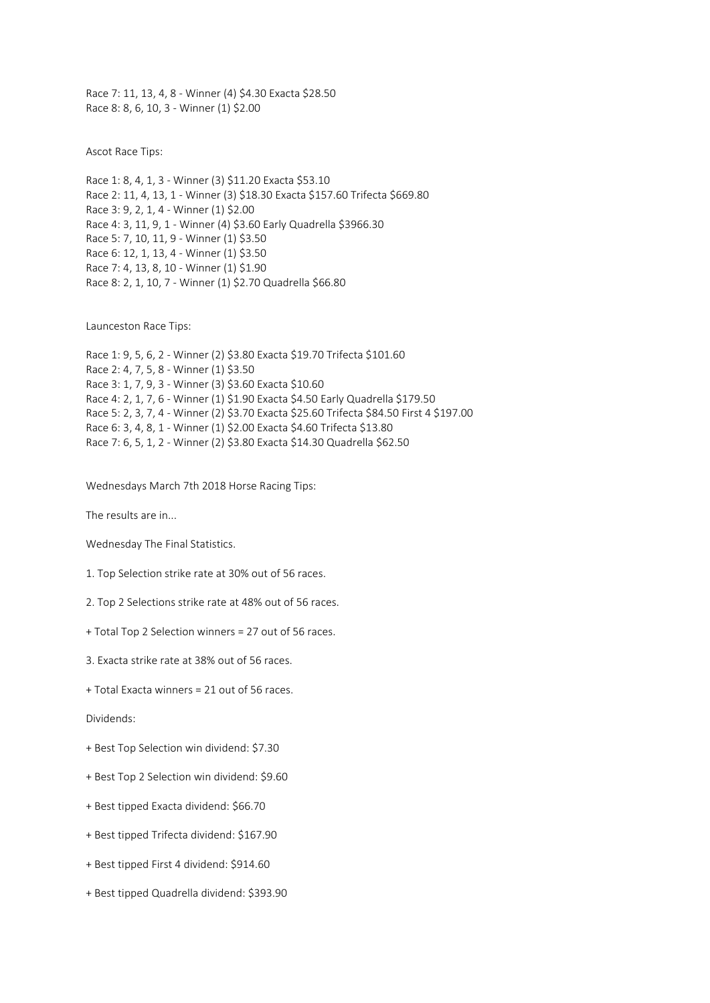Race 7: 11, 13, 4, 8 - Winner (4) \$4.30 Exacta \$28.50 Race 8: 8, 6, 10, 3 - Winner (1) \$2.00

Ascot Race Tips:

Race 1: 8, 4, 1, 3 - Winner (3) \$11.20 Exacta \$53.10 Race 2: 11, 4, 13, 1 - Winner (3) \$18.30 Exacta \$157.60 Trifecta \$669.80 Race 3: 9, 2, 1, 4 - Winner (1) \$2.00 Race 4: 3, 11, 9, 1 - Winner (4) \$3.60 Early Quadrella \$3966.30 Race 5: 7, 10, 11, 9 - Winner (1) \$3.50 Race 6: 12, 1, 13, 4 - Winner (1) \$3.50 Race 7: 4, 13, 8, 10 - Winner (1) \$1.90 Race 8: 2, 1, 10, 7 - Winner (1) \$2.70 Quadrella \$66.80

Launceston Race Tips:

Race 1: 9, 5, 6, 2 - Winner (2) \$3.80 Exacta \$19.70 Trifecta \$101.60 Race 2: 4, 7, 5, 8 - Winner (1) \$3.50 Race 3: 1, 7, 9, 3 - Winner (3) \$3.60 Exacta \$10.60 Race 4: 2, 1, 7, 6 - Winner (1) \$1.90 Exacta \$4.50 Early Quadrella \$179.50 Race 5: 2, 3, 7, 4 - Winner (2) \$3.70 Exacta \$25.60 Trifecta \$84.50 First 4 \$197.00 Race 6: 3, 4, 8, 1 - Winner (1) \$2.00 Exacta \$4.60 Trifecta \$13.80 Race 7: 6, 5, 1, 2 - Winner (2) \$3.80 Exacta \$14.30 Quadrella \$62.50

Wednesdays March 7th 2018 Horse Racing Tips:

The results are in...

Wednesday The Final Statistics.

1. Top Selection strike rate at 30% out of 56 races.

2. Top 2 Selections strike rate at 48% out of 56 races.

+ Total Top 2 Selection winners = 27 out of 56 races.

3. Exacta strike rate at 38% out of 56 races.

+ Total Exacta winners = 21 out of 56 races.

Dividends:

- + Best Top Selection win dividend: \$7.30
- + Best Top 2 Selection win dividend: \$9.60
- + Best tipped Exacta dividend: \$66.70
- + Best tipped Trifecta dividend: \$167.90
- + Best tipped First 4 dividend: \$914.60
- + Best tipped Quadrella dividend: \$393.90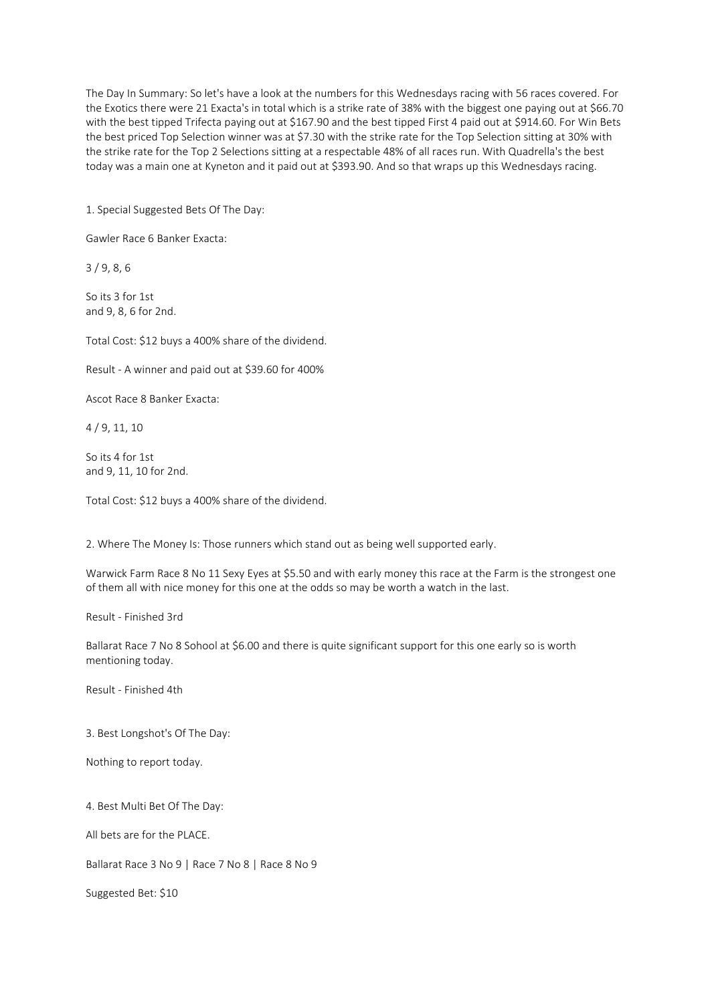The Day In Summary: So let's have a look at the numbers for this Wednesdays racing with 56 races covered. For the Exotics there were 21 Exacta's in total which is a strike rate of 38% with the biggest one paying out at \$66.70 with the best tipped Trifecta paying out at \$167.90 and the best tipped First 4 paid out at \$914.60. For Win Bets the best priced Top Selection winner was at \$7.30 with the strike rate for the Top Selection sitting at 30% with the strike rate for the Top 2 Selections sitting at a respectable 48% of all races run. With Quadrella's the best today was a main one at Kyneton and it paid out at \$393.90. And so that wraps up this Wednesdays racing.

1. Special Suggested Bets Of The Day:

Gawler Race 6 Banker Exacta:

3 / 9, 8, 6

So its 3 for 1st and 9, 8, 6 for 2nd.

Total Cost: \$12 buys a 400% share of the dividend.

Result - A winner and paid out at \$39.60 for 400%

Ascot Race 8 Banker Exacta:

4 / 9, 11, 10

So its 4 for 1st and 9, 11, 10 for 2nd.

Total Cost: \$12 buys a 400% share of the dividend.

2. Where The Money Is: Those runners which stand out as being well supported early.

Warwick Farm Race 8 No 11 Sexy Eyes at \$5.50 and with early money this race at the Farm is the strongest one of them all with nice money for this one at the odds so may be worth a watch in the last.

Result - Finished 3rd

Ballarat Race 7 No 8 Sohool at \$6.00 and there is quite significant support for this one early so is worth mentioning today.

Result - Finished 4th

3. Best Longshot's Of The Day:

Nothing to report today.

4. Best Multi Bet Of The Day:

All bets are for the PLACE.

Ballarat Race 3 No 9 | Race 7 No 8 | Race 8 No 9

Suggested Bet: \$10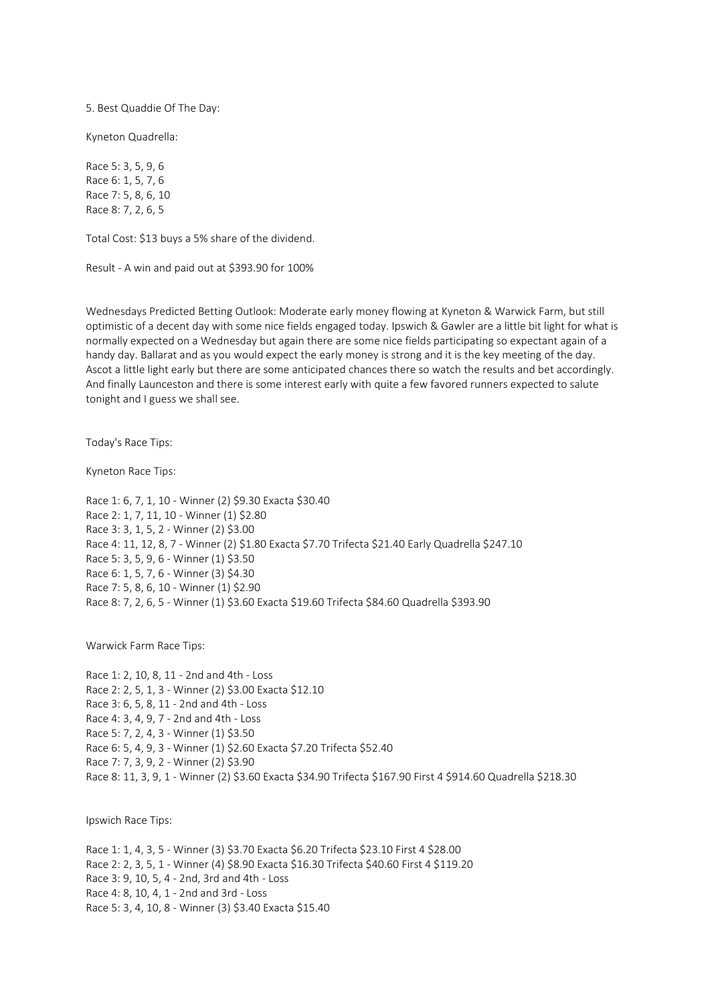5. Best Quaddie Of The Day:

Kyneton Quadrella:

Race 5: 3, 5, 9, 6 Race 6: 1, 5, 7, 6 Race 7: 5, 8, 6, 10 Race 8: 7, 2, 6, 5

Total Cost: \$13 buys a 5% share of the dividend.

Result - A win and paid out at \$393.90 for 100%

Wednesdays Predicted Betting Outlook: Moderate early money flowing at Kyneton & Warwick Farm, but still optimistic of a decent day with some nice fields engaged today. Ipswich & Gawler are a little bit light for what is normally expected on a Wednesday but again there are some nice fields participating so expectant again of a handy day. Ballarat and as you would expect the early money is strong and it is the key meeting of the day. Ascot a little light early but there are some anticipated chances there so watch the results and bet accordingly. And finally Launceston and there is some interest early with quite a few favored runners expected to salute tonight and I guess we shall see.

Today's Race Tips:

Kyneton Race Tips:

Race 1: 6, 7, 1, 10 - Winner (2) \$9.30 Exacta \$30.40 Race 2: 1, 7, 11, 10 - Winner (1) \$2.80 Race 3: 3, 1, 5, 2 - Winner (2) \$3.00 Race 4: 11, 12, 8, 7 - Winner (2) \$1.80 Exacta \$7.70 Trifecta \$21.40 Early Quadrella \$247.10 Race 5: 3, 5, 9, 6 - Winner (1) \$3.50 Race 6: 1, 5, 7, 6 - Winner (3) \$4.30 Race 7: 5, 8, 6, 10 - Winner (1) \$2.90 Race 8: 7, 2, 6, 5 - Winner (1) \$3.60 Exacta \$19.60 Trifecta \$84.60 Quadrella \$393.90

Warwick Farm Race Tips:

Race 1: 2, 10, 8, 11 - 2nd and 4th - Loss Race 2: 2, 5, 1, 3 - Winner (2) \$3.00 Exacta \$12.10 Race 3: 6, 5, 8, 11 - 2nd and 4th - Loss Race 4: 3, 4, 9, 7 - 2nd and 4th - Loss Race 5: 7, 2, 4, 3 - Winner (1) \$3.50 Race 6: 5, 4, 9, 3 - Winner (1) \$2.60 Exacta \$7.20 Trifecta \$52.40 Race 7: 7, 3, 9, 2 - Winner (2) \$3.90 Race 8: 11, 3, 9, 1 - Winner (2) \$3.60 Exacta \$34.90 Trifecta \$167.90 First 4 \$914.60 Quadrella \$218.30

Ipswich Race Tips:

Race 1: 1, 4, 3, 5 - Winner (3) \$3.70 Exacta \$6.20 Trifecta \$23.10 First 4 \$28.00 Race 2: 2, 3, 5, 1 - Winner (4) \$8.90 Exacta \$16.30 Trifecta \$40.60 First 4 \$119.20 Race 3: 9, 10, 5, 4 - 2nd, 3rd and 4th - Loss Race 4: 8, 10, 4, 1 - 2nd and 3rd - Loss Race 5: 3, 4, 10, 8 - Winner (3) \$3.40 Exacta \$15.40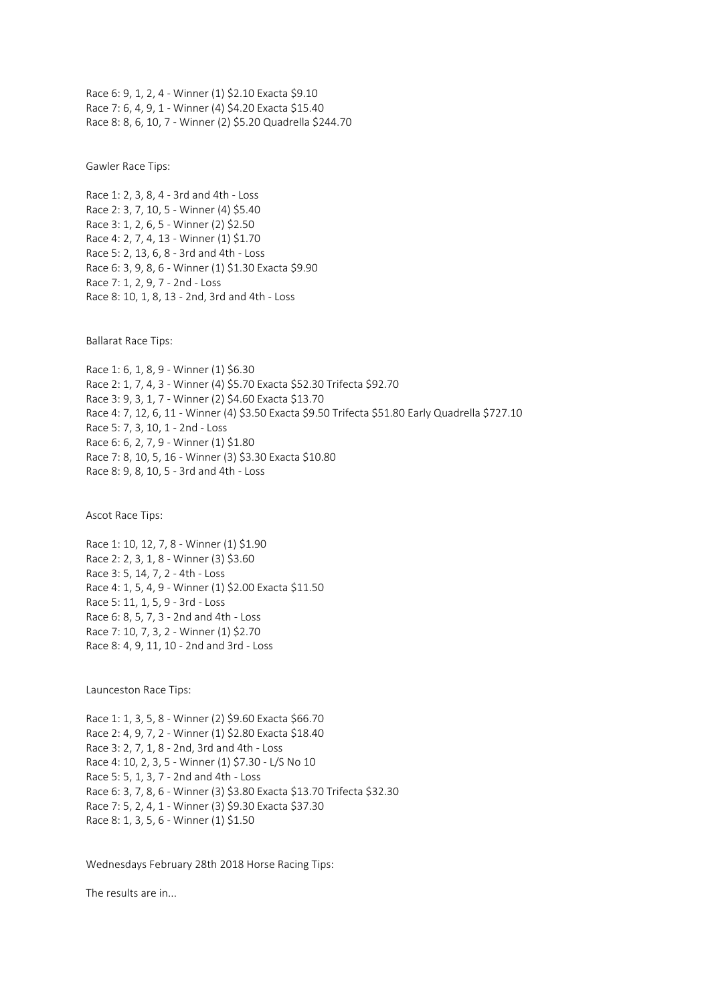Race 6: 9, 1, 2, 4 - Winner (1) \$2.10 Exacta \$9.10 Race 7: 6, 4, 9, 1 - Winner (4) \$4.20 Exacta \$15.40 Race 8: 8, 6, 10, 7 - Winner (2) \$5.20 Quadrella \$244.70

Gawler Race Tips:

Race 1: 2, 3, 8, 4 - 3rd and 4th - Loss Race 2: 3, 7, 10, 5 - Winner (4) \$5.40 Race 3: 1, 2, 6, 5 - Winner (2) \$2.50 Race 4: 2, 7, 4, 13 - Winner (1) \$1.70 Race 5: 2, 13, 6, 8 - 3rd and 4th - Loss Race 6: 3, 9, 8, 6 - Winner (1) \$1.30 Exacta \$9.90 Race 7: 1, 2, 9, 7 - 2nd - Loss Race 8: 10, 1, 8, 13 - 2nd, 3rd and 4th - Loss

Ballarat Race Tips:

Race 1: 6, 1, 8, 9 - Winner (1) \$6.30 Race 2: 1, 7, 4, 3 - Winner (4) \$5.70 Exacta \$52.30 Trifecta \$92.70 Race 3: 9, 3, 1, 7 - Winner (2) \$4.60 Exacta \$13.70 Race 4: 7, 12, 6, 11 - Winner (4) \$3.50 Exacta \$9.50 Trifecta \$51.80 Early Quadrella \$727.10 Race 5: 7, 3, 10, 1 - 2nd - Loss Race 6: 6, 2, 7, 9 - Winner (1) \$1.80 Race 7: 8, 10, 5, 16 - Winner (3) \$3.30 Exacta \$10.80 Race 8: 9, 8, 10, 5 - 3rd and 4th - Loss

Ascot Race Tips:

Race 1: 10, 12, 7, 8 - Winner (1) \$1.90 Race 2: 2, 3, 1, 8 - Winner (3) \$3.60 Race 3: 5, 14, 7, 2 - 4th - Loss Race 4: 1, 5, 4, 9 - Winner (1) \$2.00 Exacta \$11.50 Race 5: 11, 1, 5, 9 - 3rd - Loss Race 6: 8, 5, 7, 3 - 2nd and 4th - Loss Race 7: 10, 7, 3, 2 - Winner (1) \$2.70 Race 8: 4, 9, 11, 10 - 2nd and 3rd - Loss

Launceston Race Tips:

Race 1: 1, 3, 5, 8 - Winner (2) \$9.60 Exacta \$66.70 Race 2: 4, 9, 7, 2 - Winner (1) \$2.80 Exacta \$18.40 Race 3: 2, 7, 1, 8 - 2nd, 3rd and 4th - Loss Race 4: 10, 2, 3, 5 - Winner (1) \$7.30 - L/S No 10 Race 5: 5, 1, 3, 7 - 2nd and 4th - Loss Race 6: 3, 7, 8, 6 - Winner (3) \$3.80 Exacta \$13.70 Trifecta \$32.30 Race 7: 5, 2, 4, 1 - Winner (3) \$9.30 Exacta \$37.30 Race 8: 1, 3, 5, 6 - Winner (1) \$1.50

Wednesdays February 28th 2018 Horse Racing Tips:

The results are in...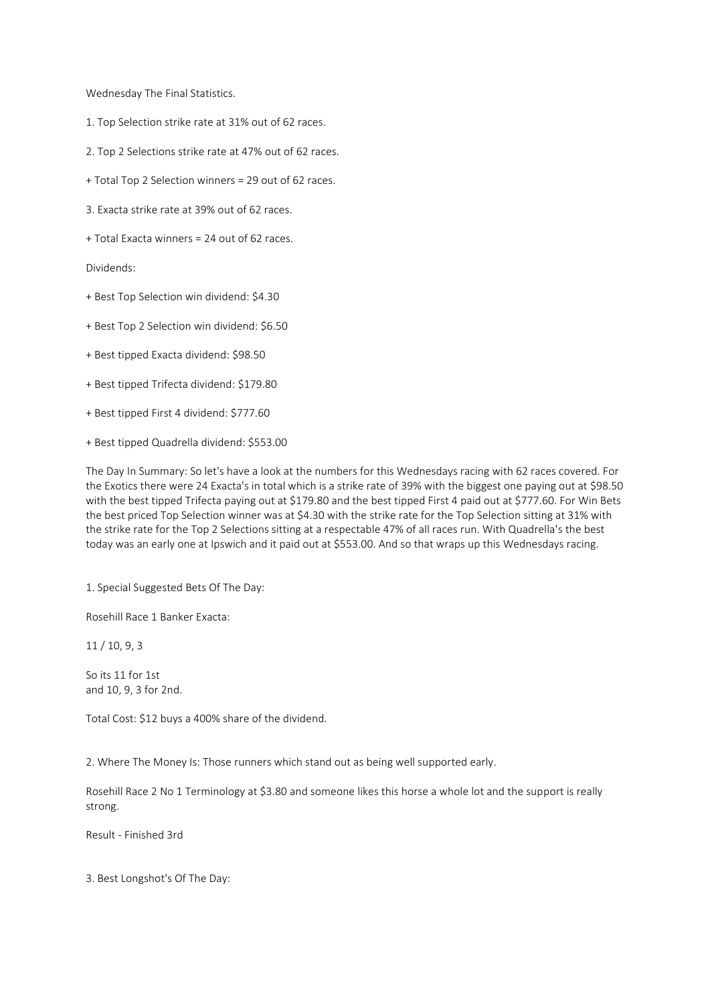Wednesday The Final Statistics.

- 1. Top Selection strike rate at 31% out of 62 races.
- 2. Top 2 Selections strike rate at 47% out of 62 races.
- + Total Top 2 Selection winners = 29 out of 62 races.
- 3. Exacta strike rate at 39% out of 62 races.
- + Total Exacta winners = 24 out of 62 races.

Dividends:

- + Best Top Selection win dividend: \$4.30
- + Best Top 2 Selection win dividend: \$6.50
- + Best tipped Exacta dividend: \$98.50
- + Best tipped Trifecta dividend: \$179.80
- + Best tipped First 4 dividend: \$777.60
- + Best tipped Quadrella dividend: \$553.00

The Day In Summary: So let's have a look at the numbers for this Wednesdays racing with 62 races covered. For the Exotics there were 24 Exacta's in total which is a strike rate of 39% with the biggest one paying out at \$98.50 with the best tipped Trifecta paying out at \$179.80 and the best tipped First 4 paid out at \$777.60. For Win Bets the best priced Top Selection winner was at \$4.30 with the strike rate for the Top Selection sitting at 31% with the strike rate for the Top 2 Selections sitting at a respectable 47% of all races run. With Quadrella's the best today was an early one at Ipswich and it paid out at \$553.00. And so that wraps up this Wednesdays racing.

1. Special Suggested Bets Of The Day:

Rosehill Race 1 Banker Exacta:

11 / 10, 9, 3

So its 11 for 1st and 10, 9, 3 for 2nd.

Total Cost: \$12 buys a 400% share of the dividend.

2. Where The Money Is: Those runners which stand out as being well supported early.

Rosehill Race 2 No 1 Terminology at \$3.80 and someone likes this horse a whole lot and the support is really strong.

Result - Finished 3rd

3. Best Longshot's Of The Day: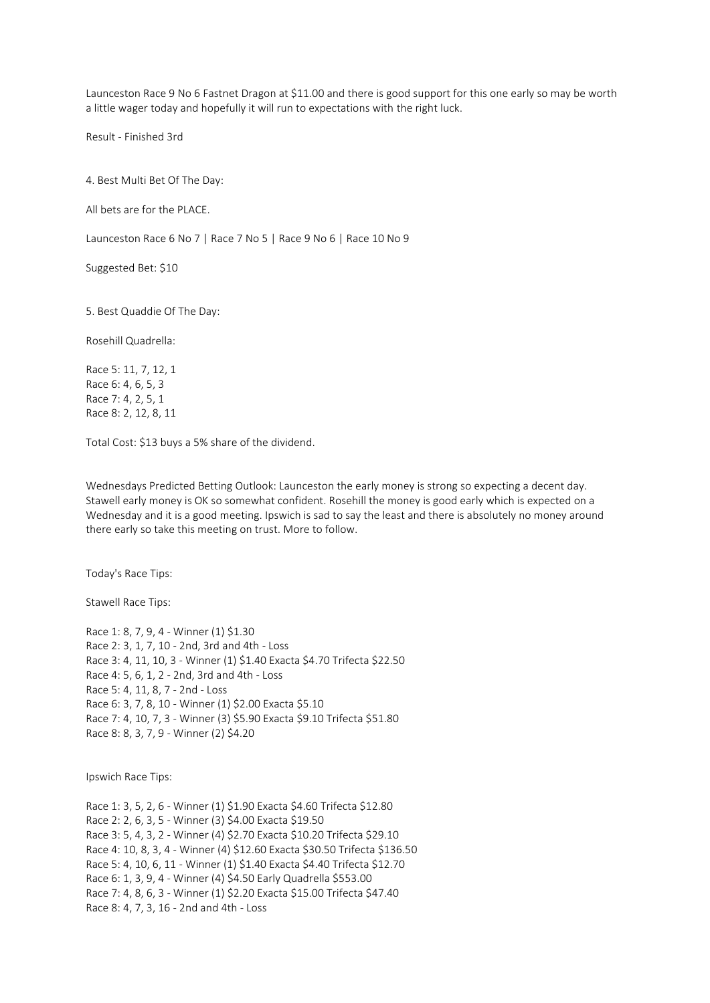Launceston Race 9 No 6 Fastnet Dragon at \$11.00 and there is good support for this one early so may be worth a little wager today and hopefully it will run to expectations with the right luck.

Result - Finished 3rd

4. Best Multi Bet Of The Day:

All bets are for the PLACE.

Launceston Race 6 No 7 | Race 7 No 5 | Race 9 No 6 | Race 10 No 9

Suggested Bet: \$10

5. Best Quaddie Of The Day:

Rosehill Quadrella:

Race 5: 11, 7, 12, 1 Race 6: 4, 6, 5, 3 Race 7: 4, 2, 5, 1 Race 8: 2, 12, 8, 11

Total Cost: \$13 buys a 5% share of the dividend.

Wednesdays Predicted Betting Outlook: Launceston the early money is strong so expecting a decent day. Stawell early money is OK so somewhat confident. Rosehill the money is good early which is expected on a Wednesday and it is a good meeting. Ipswich is sad to say the least and there is absolutely no money around there early so take this meeting on trust. More to follow.

Today's Race Tips:

Stawell Race Tips:

Race 1: 8, 7, 9, 4 - Winner (1) \$1.30 Race 2: 3, 1, 7, 10 - 2nd, 3rd and 4th - Loss Race 3: 4, 11, 10, 3 - Winner (1) \$1.40 Exacta \$4.70 Trifecta \$22.50 Race 4: 5, 6, 1, 2 - 2nd, 3rd and 4th - Loss Race 5: 4, 11, 8, 7 - 2nd - Loss Race 6: 3, 7, 8, 10 - Winner (1) \$2.00 Exacta \$5.10 Race 7: 4, 10, 7, 3 - Winner (3) \$5.90 Exacta \$9.10 Trifecta \$51.80 Race 8: 8, 3, 7, 9 - Winner (2) \$4.20

Ipswich Race Tips:

Race 1: 3, 5, 2, 6 - Winner (1) \$1.90 Exacta \$4.60 Trifecta \$12.80 Race 2: 2, 6, 3, 5 - Winner (3) \$4.00 Exacta \$19.50 Race 3: 5, 4, 3, 2 - Winner (4) \$2.70 Exacta \$10.20 Trifecta \$29.10 Race 4: 10, 8, 3, 4 - Winner (4) \$12.60 Exacta \$30.50 Trifecta \$136.50 Race 5: 4, 10, 6, 11 - Winner (1) \$1.40 Exacta \$4.40 Trifecta \$12.70 Race 6: 1, 3, 9, 4 - Winner (4) \$4.50 Early Quadrella \$553.00 Race 7: 4, 8, 6, 3 - Winner (1) \$2.20 Exacta \$15.00 Trifecta \$47.40 Race 8: 4, 7, 3, 16 - 2nd and 4th - Loss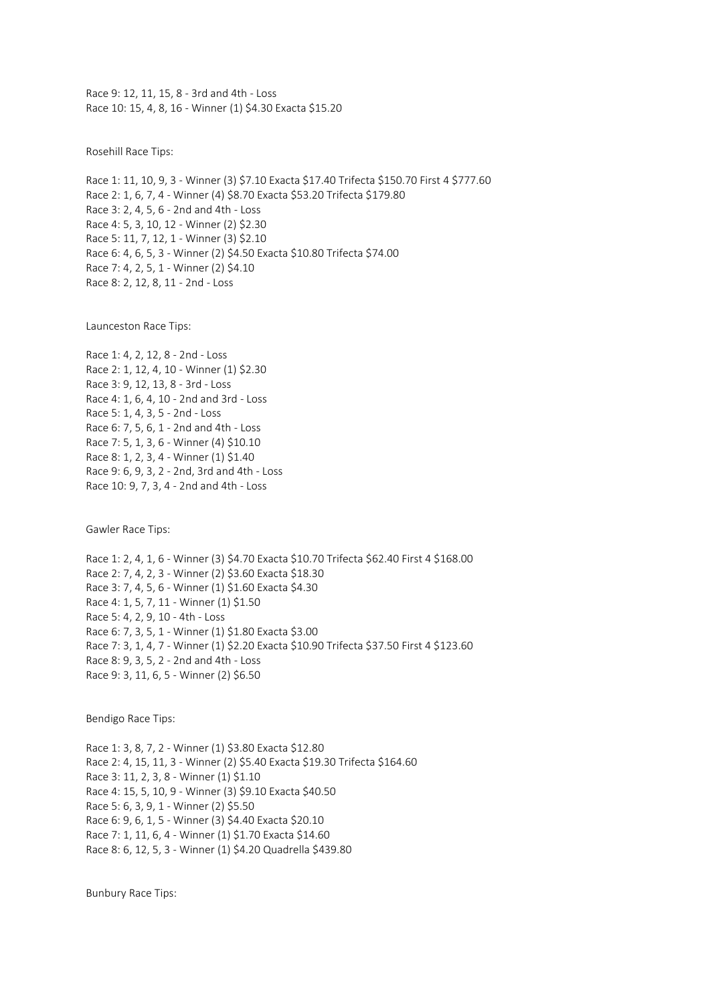Race 9: 12, 11, 15, 8 - 3rd and 4th - Loss Race 10: 15, 4, 8, 16 - Winner (1) \$4.30 Exacta \$15.20

Rosehill Race Tips:

Race 1: 11, 10, 9, 3 - Winner (3) \$7.10 Exacta \$17.40 Trifecta \$150.70 First 4 \$777.60 Race 2: 1, 6, 7, 4 - Winner (4) \$8.70 Exacta \$53.20 Trifecta \$179.80 Race 3: 2, 4, 5, 6 - 2nd and 4th - Loss Race 4: 5, 3, 10, 12 - Winner (2) \$2.30 Race 5: 11, 7, 12, 1 - Winner (3) \$2.10 Race 6: 4, 6, 5, 3 - Winner (2) \$4.50 Exacta \$10.80 Trifecta \$74.00 Race 7: 4, 2, 5, 1 - Winner (2) \$4.10 Race 8: 2, 12, 8, 11 - 2nd - Loss

Launceston Race Tips:

Race 1: 4, 2, 12, 8 - 2nd - Loss Race 2: 1, 12, 4, 10 - Winner (1) \$2.30 Race 3: 9, 12, 13, 8 - 3rd - Loss Race 4: 1, 6, 4, 10 - 2nd and 3rd - Loss Race 5: 1, 4, 3, 5 - 2nd - Loss Race 6: 7, 5, 6, 1 - 2nd and 4th - Loss Race 7: 5, 1, 3, 6 - Winner (4) \$10.10 Race 8: 1, 2, 3, 4 - Winner (1) \$1.40 Race 9: 6, 9, 3, 2 - 2nd, 3rd and 4th - Loss Race 10: 9, 7, 3, 4 - 2nd and 4th - Loss

Gawler Race Tips:

Race 1: 2, 4, 1, 6 - Winner (3) \$4.70 Exacta \$10.70 Trifecta \$62.40 First 4 \$168.00 Race 2: 7, 4, 2, 3 - Winner (2) \$3.60 Exacta \$18.30 Race 3: 7, 4, 5, 6 - Winner (1) \$1.60 Exacta \$4.30 Race 4: 1, 5, 7, 11 - Winner (1) \$1.50 Race 5: 4, 2, 9, 10 - 4th - Loss Race 6: 7, 3, 5, 1 - Winner (1) \$1.80 Exacta \$3.00 Race 7: 3, 1, 4, 7 - Winner (1) \$2.20 Exacta \$10.90 Trifecta \$37.50 First 4 \$123.60 Race 8: 9, 3, 5, 2 - 2nd and 4th - Loss Race 9: 3, 11, 6, 5 - Winner (2) \$6.50

Bendigo Race Tips:

Race 1: 3, 8, 7, 2 - Winner (1) \$3.80 Exacta \$12.80 Race 2: 4, 15, 11, 3 - Winner (2) \$5.40 Exacta \$19.30 Trifecta \$164.60 Race 3: 11, 2, 3, 8 - Winner (1) \$1.10 Race 4: 15, 5, 10, 9 - Winner (3) \$9.10 Exacta \$40.50 Race 5: 6, 3, 9, 1 - Winner (2) \$5.50 Race 6: 9, 6, 1, 5 - Winner (3) \$4.40 Exacta \$20.10 Race 7: 1, 11, 6, 4 - Winner (1) \$1.70 Exacta \$14.60 Race 8: 6, 12, 5, 3 - Winner (1) \$4.20 Quadrella \$439.80

Bunbury Race Tips: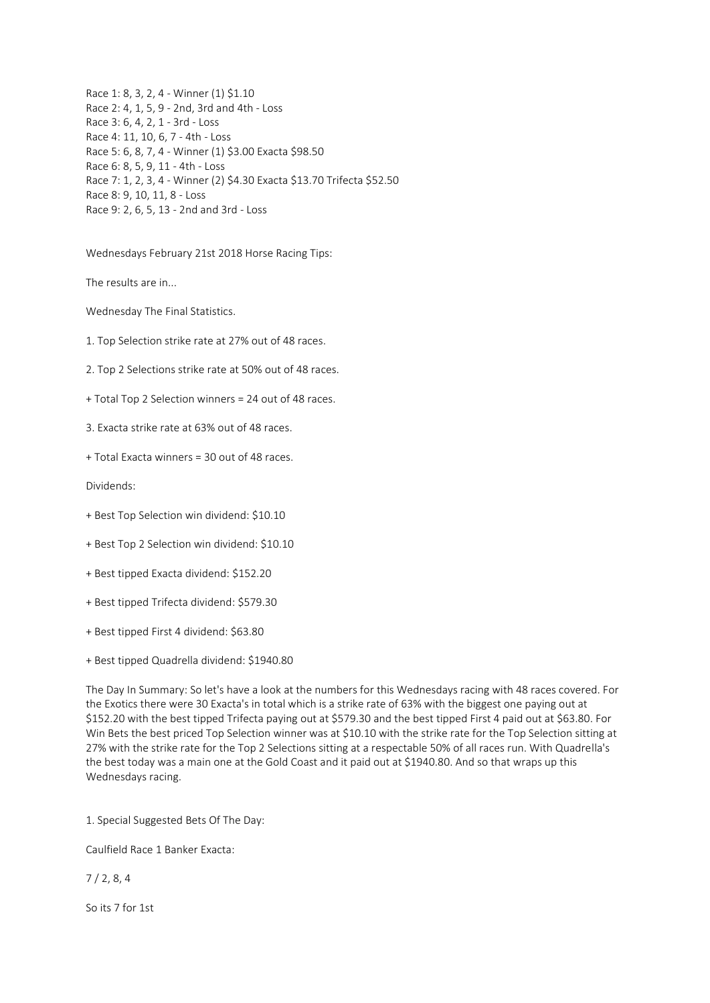Race 1: 8, 3, 2, 4 - Winner (1) \$1.10 Race 2: 4, 1, 5, 9 - 2nd, 3rd and 4th - Loss Race 3: 6, 4, 2, 1 - 3rd - Loss Race 4: 11, 10, 6, 7 - 4th - Loss Race 5: 6, 8, 7, 4 - Winner (1) \$3.00 Exacta \$98.50 Race 6: 8, 5, 9, 11 - 4th - Loss Race 7: 1, 2, 3, 4 - Winner (2) \$4.30 Exacta \$13.70 Trifecta \$52.50 Race 8: 9, 10, 11, 8 - Loss Race 9: 2, 6, 5, 13 - 2nd and 3rd - Loss

Wednesdays February 21st 2018 Horse Racing Tips:

The results are in...

Wednesday The Final Statistics.

1. Top Selection strike rate at 27% out of 48 races.

2. Top 2 Selections strike rate at 50% out of 48 races.

+ Total Top 2 Selection winners = 24 out of 48 races.

3. Exacta strike rate at 63% out of 48 races.

+ Total Exacta winners = 30 out of 48 races.

Dividends:

+ Best Top Selection win dividend: \$10.10

+ Best Top 2 Selection win dividend: \$10.10

+ Best tipped Exacta dividend: \$152.20

+ Best tipped Trifecta dividend: \$579.30

+ Best tipped First 4 dividend: \$63.80

+ Best tipped Quadrella dividend: \$1940.80

The Day In Summary: So let's have a look at the numbers for this Wednesdays racing with 48 races covered. For the Exotics there were 30 Exacta's in total which is a strike rate of 63% with the biggest one paying out at \$152.20 with the best tipped Trifecta paying out at \$579.30 and the best tipped First 4 paid out at \$63.80. For Win Bets the best priced Top Selection winner was at \$10.10 with the strike rate for the Top Selection sitting at 27% with the strike rate for the Top 2 Selections sitting at a respectable 50% of all races run. With Quadrella's the best today was a main one at the Gold Coast and it paid out at \$1940.80. And so that wraps up this Wednesdays racing.

1. Special Suggested Bets Of The Day:

Caulfield Race 1 Banker Exacta:

7 / 2, 8, 4

So its 7 for 1st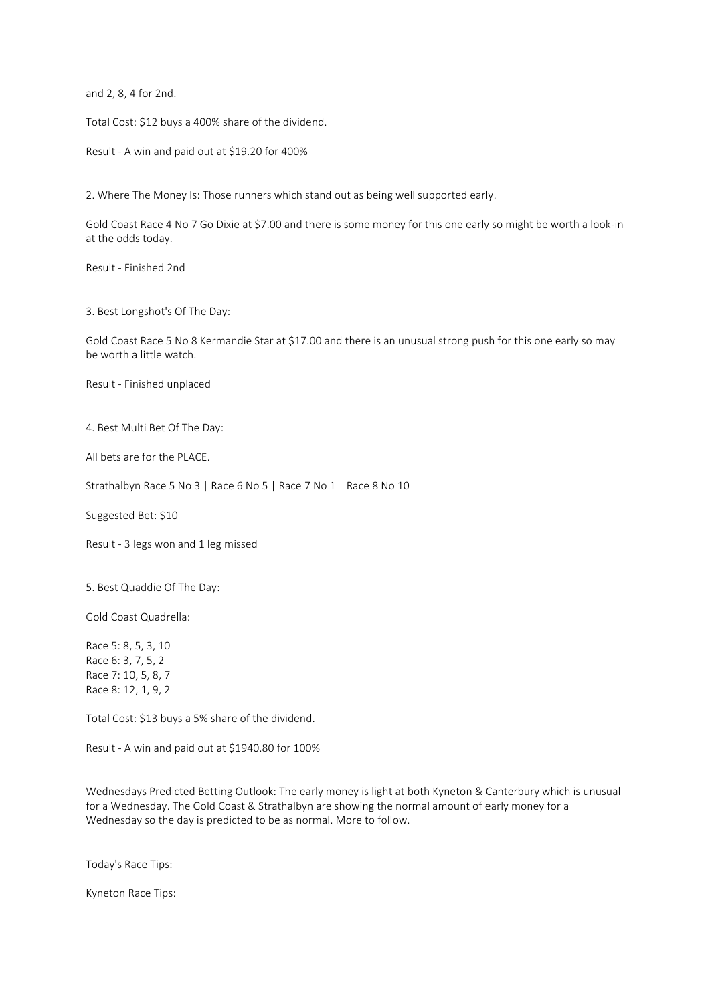and 2, 8, 4 for 2nd.

Total Cost: \$12 buys a 400% share of the dividend.

Result - A win and paid out at \$19.20 for 400%

2. Where The Money Is: Those runners which stand out as being well supported early.

Gold Coast Race 4 No 7 Go Dixie at \$7.00 and there is some money for this one early so might be worth a look-in at the odds today.

Result - Finished 2nd

3. Best Longshot's Of The Day:

Gold Coast Race 5 No 8 Kermandie Star at \$17.00 and there is an unusual strong push for this one early so may be worth a little watch.

Result - Finished unplaced

4. Best Multi Bet Of The Day:

All bets are for the PLACE.

Strathalbyn Race 5 No 3 | Race 6 No 5 | Race 7 No 1 | Race 8 No 10

Suggested Bet: \$10

Result - 3 legs won and 1 leg missed

5. Best Quaddie Of The Day:

Gold Coast Quadrella:

Race 5: 8, 5, 3, 10 Race 6: 3, 7, 5, 2 Race 7: 10, 5, 8, 7 Race 8: 12, 1, 9, 2

Total Cost: \$13 buys a 5% share of the dividend.

Result - A win and paid out at \$1940.80 for 100%

Wednesdays Predicted Betting Outlook: The early money is light at both Kyneton & Canterbury which is unusual for a Wednesday. The Gold Coast & Strathalbyn are showing the normal amount of early money for a Wednesday so the day is predicted to be as normal. More to follow.

Today's Race Tips:

Kyneton Race Tips: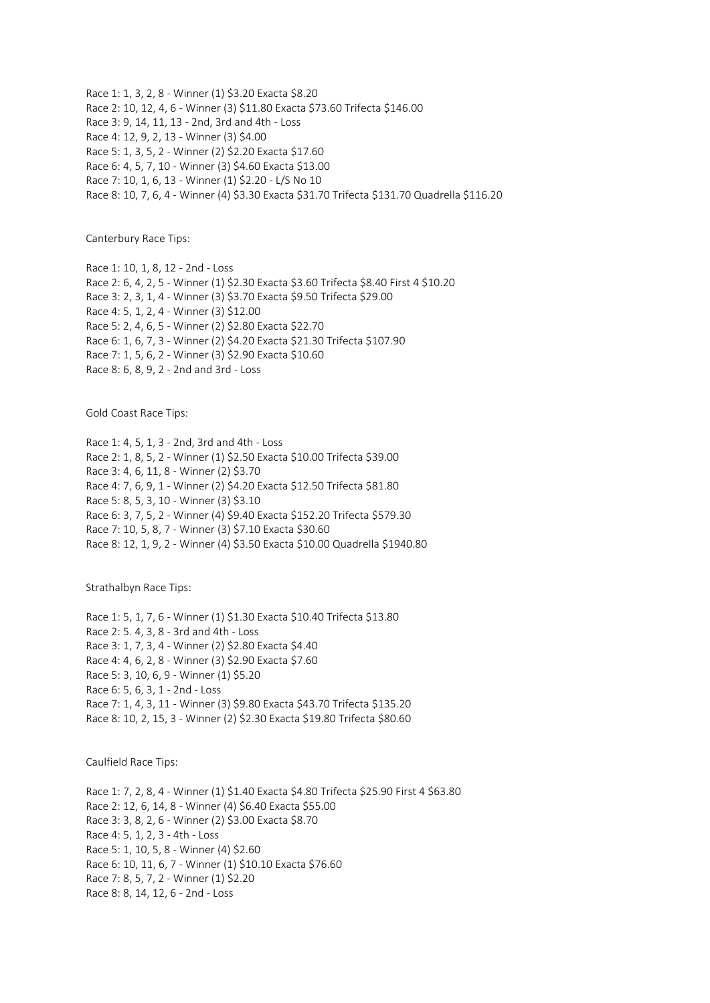Race 1: 1, 3, 2, 8 - Winner (1) \$3.20 Exacta \$8.20 Race 2: 10, 12, 4, 6 - Winner (3) \$11.80 Exacta \$73.60 Trifecta \$146.00 Race 3: 9, 14, 11, 13 - 2nd, 3rd and 4th - Loss Race 4: 12, 9, 2, 13 - Winner (3) \$4.00 Race 5: 1, 3, 5, 2 - Winner (2) \$2.20 Exacta \$17.60 Race 6: 4, 5, 7, 10 - Winner (3) \$4.60 Exacta \$13.00 Race 7: 10, 1, 6, 13 - Winner (1) \$2.20 - L/S No 10 Race 8: 10, 7, 6, 4 - Winner (4) \$3.30 Exacta \$31.70 Trifecta \$131.70 Quadrella \$116.20

Canterbury Race Tips:

Race 1: 10, 1, 8, 12 - 2nd - Loss Race 2: 6, 4, 2, 5 - Winner (1) \$2.30 Exacta \$3.60 Trifecta \$8.40 First 4 \$10.20 Race 3: 2, 3, 1, 4 - Winner (3) \$3.70 Exacta \$9.50 Trifecta \$29.00 Race 4: 5, 1, 2, 4 - Winner (3) \$12.00 Race 5: 2, 4, 6, 5 - Winner (2) \$2.80 Exacta \$22.70 Race 6: 1, 6, 7, 3 - Winner (2) \$4.20 Exacta \$21.30 Trifecta \$107.90 Race 7: 1, 5, 6, 2 - Winner (3) \$2.90 Exacta \$10.60 Race 8: 6, 8, 9, 2 - 2nd and 3rd - Loss

Gold Coast Race Tips:

Race 1: 4, 5, 1, 3 - 2nd, 3rd and 4th - Loss Race 2: 1, 8, 5, 2 - Winner (1) \$2.50 Exacta \$10.00 Trifecta \$39.00 Race 3: 4, 6, 11, 8 - Winner (2) \$3.70 Race 4: 7, 6, 9, 1 - Winner (2) \$4.20 Exacta \$12.50 Trifecta \$81.80 Race 5: 8, 5, 3, 10 - Winner (3) \$3.10 Race 6: 3, 7, 5, 2 - Winner (4) \$9.40 Exacta \$152.20 Trifecta \$579.30 Race 7: 10, 5, 8, 7 - Winner (3) \$7.10 Exacta \$30.60 Race 8: 12, 1, 9, 2 - Winner (4) \$3.50 Exacta \$10.00 Quadrella \$1940.80

Strathalbyn Race Tips:

Race 1: 5, 1, 7, 6 - Winner (1) \$1.30 Exacta \$10.40 Trifecta \$13.80 Race 2: 5. 4, 3, 8 - 3rd and 4th - Loss Race 3: 1, 7, 3, 4 - Winner (2) \$2.80 Exacta \$4.40 Race 4: 4, 6, 2, 8 - Winner (3) \$2.90 Exacta \$7.60 Race 5: 3, 10, 6, 9 - Winner (1) \$5.20 Race 6: 5, 6, 3, 1 - 2nd - Loss Race 7: 1, 4, 3, 11 - Winner (3) \$9.80 Exacta \$43.70 Trifecta \$135.20 Race 8: 10, 2, 15, 3 - Winner (2) \$2.30 Exacta \$19.80 Trifecta \$80.60

Caulfield Race Tips:

Race 1: 7, 2, 8, 4 - Winner (1) \$1.40 Exacta \$4.80 Trifecta \$25.90 First 4 \$63.80 Race 2: 12, 6, 14, 8 - Winner (4) \$6.40 Exacta \$55.00 Race 3: 3, 8, 2, 6 - Winner (2) \$3.00 Exacta \$8.70 Race 4: 5, 1, 2, 3 - 4th - Loss Race 5: 1, 10, 5, 8 - Winner (4) \$2.60 Race 6: 10, 11, 6, 7 - Winner (1) \$10.10 Exacta \$76.60 Race 7: 8, 5, 7, 2 - Winner (1) \$2.20 Race 8: 8, 14, 12, 6 - 2nd - Loss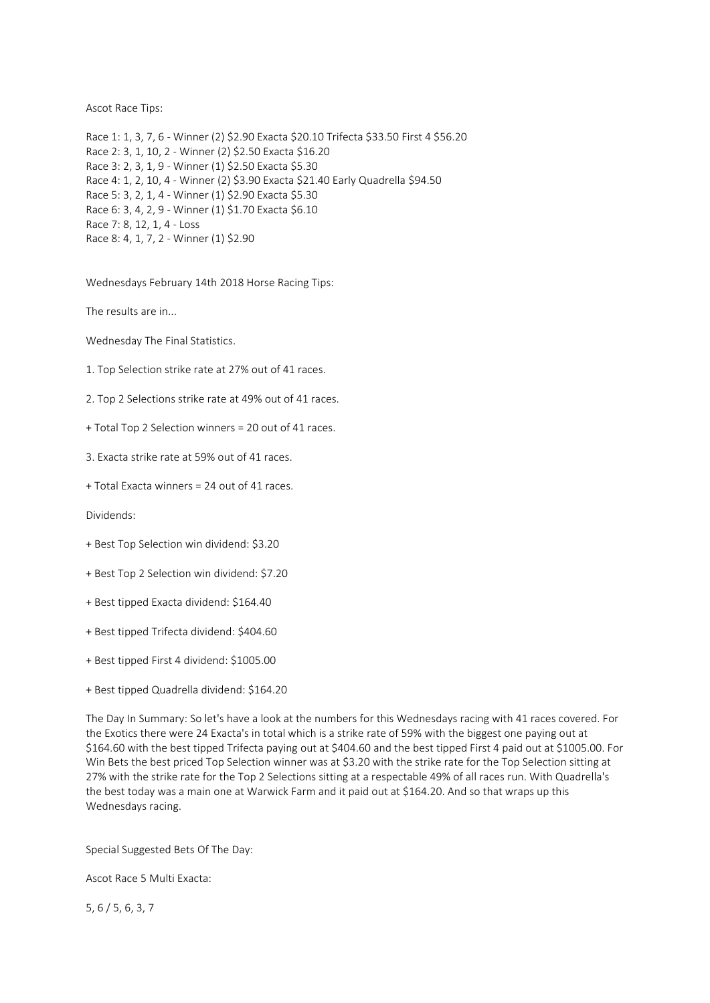Ascot Race Tips:

Race 1: 1, 3, 7, 6 - Winner (2) \$2.90 Exacta \$20.10 Trifecta \$33.50 First 4 \$56.20 Race 2: 3, 1, 10, 2 - Winner (2) \$2.50 Exacta \$16.20 Race 3: 2, 3, 1, 9 - Winner (1) \$2.50 Exacta \$5.30 Race 4: 1, 2, 10, 4 - Winner (2) \$3.90 Exacta \$21.40 Early Quadrella \$94.50 Race 5: 3, 2, 1, 4 - Winner (1) \$2.90 Exacta \$5.30 Race 6: 3, 4, 2, 9 - Winner (1) \$1.70 Exacta \$6.10 Race 7: 8, 12, 1, 4 - Loss Race 8: 4, 1, 7, 2 - Winner (1) \$2.90

Wednesdays February 14th 2018 Horse Racing Tips:

The results are in...

Wednesday The Final Statistics.

1. Top Selection strike rate at 27% out of 41 races.

2. Top 2 Selections strike rate at 49% out of 41 races.

+ Total Top 2 Selection winners = 20 out of 41 races.

3. Exacta strike rate at 59% out of 41 races.

+ Total Exacta winners = 24 out of 41 races.

Dividends:

- + Best Top Selection win dividend: \$3.20
- + Best Top 2 Selection win dividend: \$7.20
- + Best tipped Exacta dividend: \$164.40
- + Best tipped Trifecta dividend: \$404.60
- + Best tipped First 4 dividend: \$1005.00
- + Best tipped Quadrella dividend: \$164.20

The Day In Summary: So let's have a look at the numbers for this Wednesdays racing with 41 races covered. For the Exotics there were 24 Exacta's in total which is a strike rate of 59% with the biggest one paying out at \$164.60 with the best tipped Trifecta paying out at \$404.60 and the best tipped First 4 paid out at \$1005.00. For Win Bets the best priced Top Selection winner was at \$3.20 with the strike rate for the Top Selection sitting at 27% with the strike rate for the Top 2 Selections sitting at a respectable 49% of all races run. With Quadrella's the best today was a main one at Warwick Farm and it paid out at \$164.20. And so that wraps up this Wednesdays racing.

Special Suggested Bets Of The Day:

Ascot Race 5 Multi Exacta:

5, 6 / 5, 6, 3, 7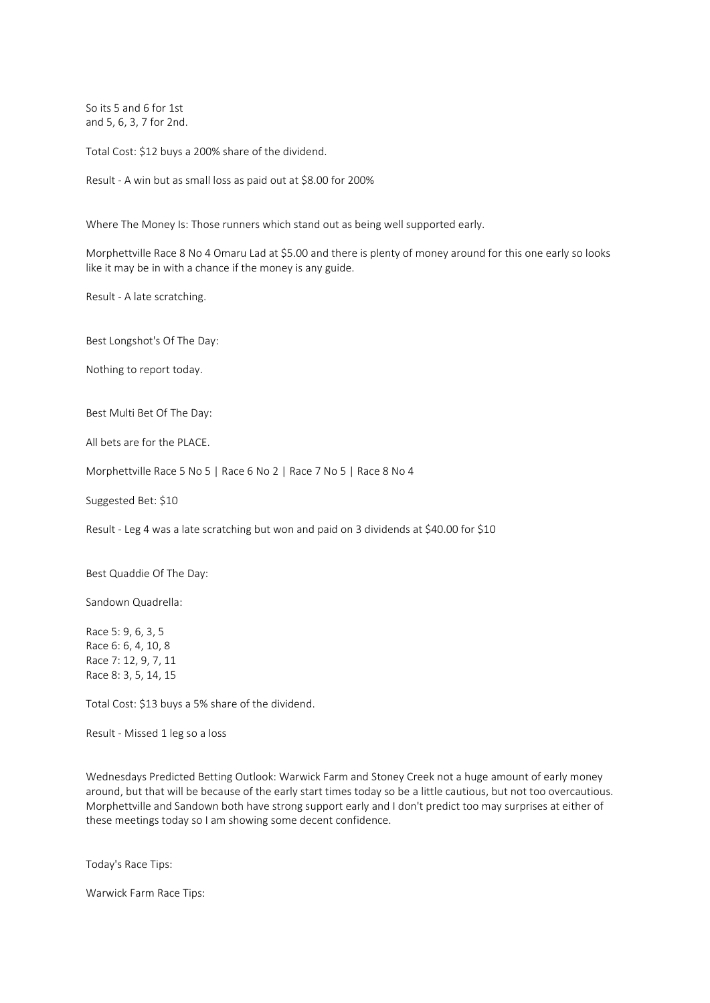So its 5 and 6 for 1st and 5, 6, 3, 7 for 2nd.

Total Cost: \$12 buys a 200% share of the dividend.

Result - A win but as small loss as paid out at \$8.00 for 200%

Where The Money Is: Those runners which stand out as being well supported early.

Morphettville Race 8 No 4 Omaru Lad at \$5.00 and there is plenty of money around for this one early so looks like it may be in with a chance if the money is any guide.

Result - A late scratching.

Best Longshot's Of The Day:

Nothing to report today.

Best Multi Bet Of The Day:

All bets are for the PLACE.

Morphettville Race 5 No 5 | Race 6 No 2 | Race 7 No 5 | Race 8 No 4

Suggested Bet: \$10

Result - Leg 4 was a late scratching but won and paid on 3 dividends at \$40.00 for \$10

Best Quaddie Of The Day:

Sandown Quadrella:

Race 5: 9, 6, 3, 5 Race 6: 6, 4, 10, 8 Race 7: 12, 9, 7, 11 Race 8: 3, 5, 14, 15

Total Cost: \$13 buys a 5% share of the dividend.

Result - Missed 1 leg so a loss

Wednesdays Predicted Betting Outlook: Warwick Farm and Stoney Creek not a huge amount of early money around, but that will be because of the early start times today so be a little cautious, but not too overcautious. Morphettville and Sandown both have strong support early and I don't predict too may surprises at either of these meetings today so I am showing some decent confidence.

Today's Race Tips:

Warwick Farm Race Tips: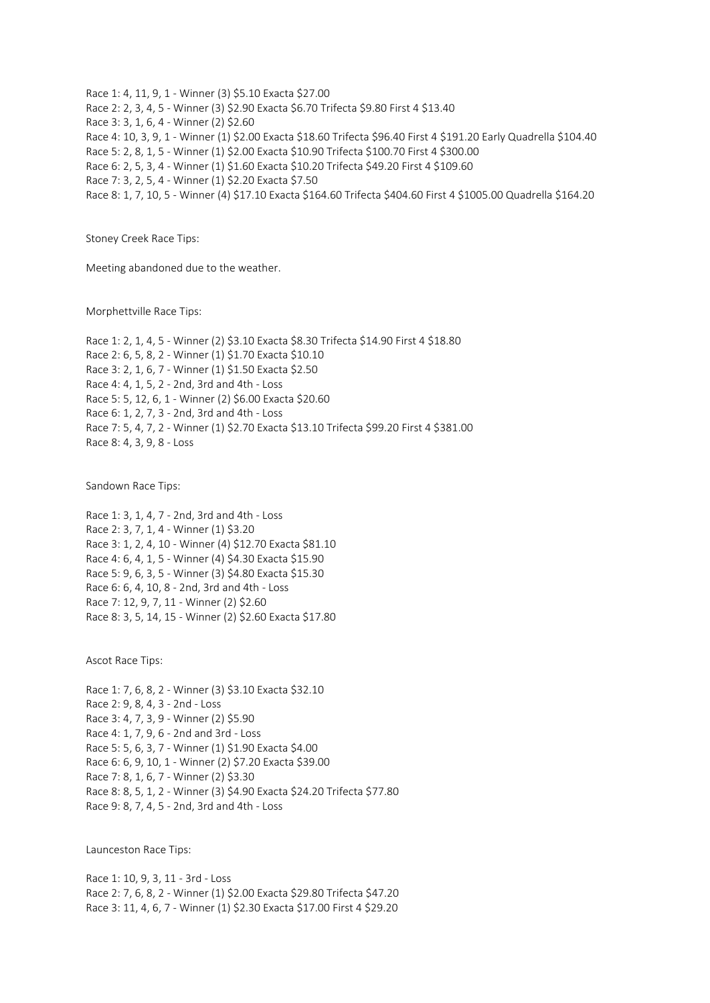Race 1: 4, 11, 9, 1 - Winner (3) \$5.10 Exacta \$27.00 Race 2: 2, 3, 4, 5 - Winner (3) \$2.90 Exacta \$6.70 Trifecta \$9.80 First 4 \$13.40 Race 3: 3, 1, 6, 4 - Winner (2) \$2.60 Race 4: 10, 3, 9, 1 - Winner (1) \$2.00 Exacta \$18.60 Trifecta \$96.40 First 4 \$191.20 Early Quadrella \$104.40 Race 5: 2, 8, 1, 5 - Winner (1) \$2.00 Exacta \$10.90 Trifecta \$100.70 First 4 \$300.00 Race 6: 2, 5, 3, 4 - Winner (1) \$1.60 Exacta \$10.20 Trifecta \$49.20 First 4 \$109.60 Race 7: 3, 2, 5, 4 - Winner (1) \$2.20 Exacta \$7.50 Race 8: 1, 7, 10, 5 - Winner (4) \$17.10 Exacta \$164.60 Trifecta \$404.60 First 4 \$1005.00 Quadrella \$164.20

Stoney Creek Race Tips:

Meeting abandoned due to the weather.

Morphettville Race Tips:

Race 1: 2, 1, 4, 5 - Winner (2) \$3.10 Exacta \$8.30 Trifecta \$14.90 First 4 \$18.80 Race 2: 6, 5, 8, 2 - Winner (1) \$1.70 Exacta \$10.10 Race 3: 2, 1, 6, 7 - Winner (1) \$1.50 Exacta \$2.50 Race 4: 4, 1, 5, 2 - 2nd, 3rd and 4th - Loss Race 5: 5, 12, 6, 1 - Winner (2) \$6.00 Exacta \$20.60 Race 6: 1, 2, 7, 3 - 2nd, 3rd and 4th - Loss Race 7: 5, 4, 7, 2 - Winner (1) \$2.70 Exacta \$13.10 Trifecta \$99.20 First 4 \$381.00 Race 8: 4, 3, 9, 8 - Loss

Sandown Race Tips:

Race 1: 3, 1, 4, 7 - 2nd, 3rd and 4th - Loss Race 2: 3, 7, 1, 4 - Winner (1) \$3.20 Race 3: 1, 2, 4, 10 - Winner (4) \$12.70 Exacta \$81.10 Race 4: 6, 4, 1, 5 - Winner (4) \$4.30 Exacta \$15.90 Race 5: 9, 6, 3, 5 - Winner (3) \$4.80 Exacta \$15.30 Race 6: 6, 4, 10, 8 - 2nd, 3rd and 4th - Loss Race 7: 12, 9, 7, 11 - Winner (2) \$2.60 Race 8: 3, 5, 14, 15 - Winner (2) \$2.60 Exacta \$17.80

Ascot Race Tips:

Race 1: 7, 6, 8, 2 - Winner (3) \$3.10 Exacta \$32.10 Race 2: 9, 8, 4, 3 - 2nd - Loss Race 3: 4, 7, 3, 9 - Winner (2) \$5.90 Race 4: 1, 7, 9, 6 - 2nd and 3rd - Loss Race 5: 5, 6, 3, 7 - Winner (1) \$1.90 Exacta \$4.00 Race 6: 6, 9, 10, 1 - Winner (2) \$7.20 Exacta \$39.00 Race 7: 8, 1, 6, 7 - Winner (2) \$3.30 Race 8: 8, 5, 1, 2 - Winner (3) \$4.90 Exacta \$24.20 Trifecta \$77.80 Race 9: 8, 7, 4, 5 - 2nd, 3rd and 4th - Loss

Launceston Race Tips:

Race 1: 10, 9, 3, 11 - 3rd - Loss Race 2: 7, 6, 8, 2 - Winner (1) \$2.00 Exacta \$29.80 Trifecta \$47.20 Race 3: 11, 4, 6, 7 - Winner (1) \$2.30 Exacta \$17.00 First 4 \$29.20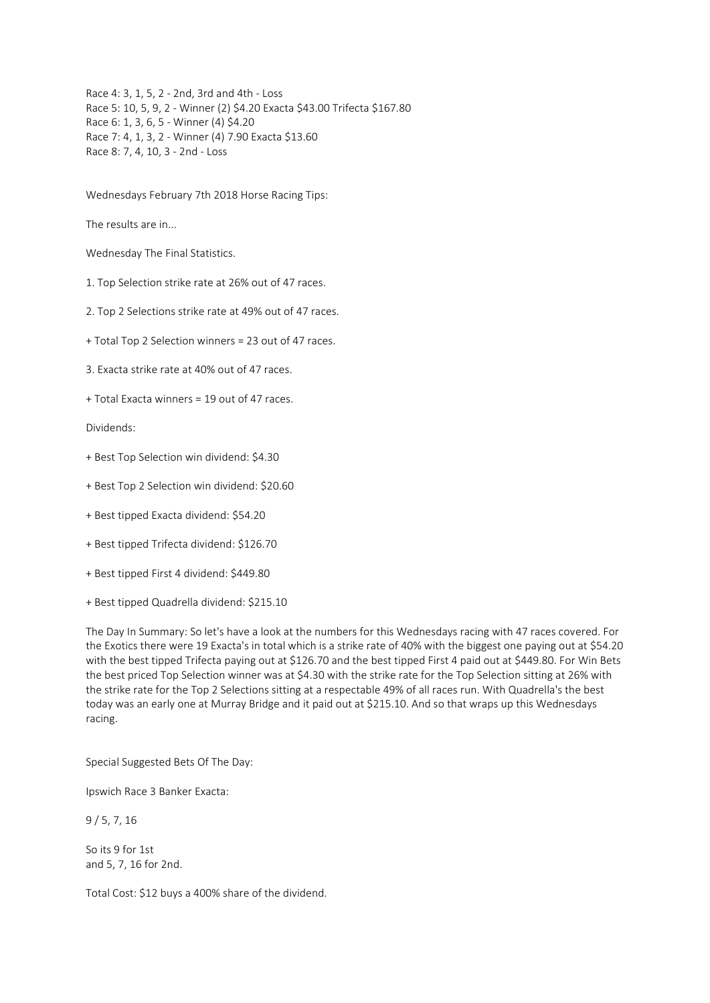Race 4: 3, 1, 5, 2 - 2nd, 3rd and 4th - Loss Race 5: 10, 5, 9, 2 - Winner (2) \$4.20 Exacta \$43.00 Trifecta \$167.80 Race 6: 1, 3, 6, 5 - Winner (4) \$4.20 Race 7: 4, 1, 3, 2 - Winner (4) 7.90 Exacta \$13.60 Race 8: 7, 4, 10, 3 - 2nd - Loss

Wednesdays February 7th 2018 Horse Racing Tips:

The results are in...

Wednesday The Final Statistics.

1. Top Selection strike rate at 26% out of 47 races.

2. Top 2 Selections strike rate at 49% out of 47 races.

+ Total Top 2 Selection winners = 23 out of 47 races.

3. Exacta strike rate at 40% out of 47 races.

+ Total Exacta winners = 19 out of 47 races.

Dividends:

- + Best Top Selection win dividend: \$4.30
- + Best Top 2 Selection win dividend: \$20.60
- + Best tipped Exacta dividend: \$54.20
- + Best tipped Trifecta dividend: \$126.70
- + Best tipped First 4 dividend: \$449.80
- + Best tipped Quadrella dividend: \$215.10

The Day In Summary: So let's have a look at the numbers for this Wednesdays racing with 47 races covered. For the Exotics there were 19 Exacta's in total which is a strike rate of 40% with the biggest one paying out at \$54.20 with the best tipped Trifecta paying out at \$126.70 and the best tipped First 4 paid out at \$449.80. For Win Bets the best priced Top Selection winner was at \$4.30 with the strike rate for the Top Selection sitting at 26% with the strike rate for the Top 2 Selections sitting at a respectable 49% of all races run. With Quadrella's the best today was an early one at Murray Bridge and it paid out at \$215.10. And so that wraps up this Wednesdays racing.

Special Suggested Bets Of The Day:

Ipswich Race 3 Banker Exacta:

9 / 5, 7, 16

So its 9 for 1st and 5, 7, 16 for 2nd.

Total Cost: \$12 buys a 400% share of the dividend.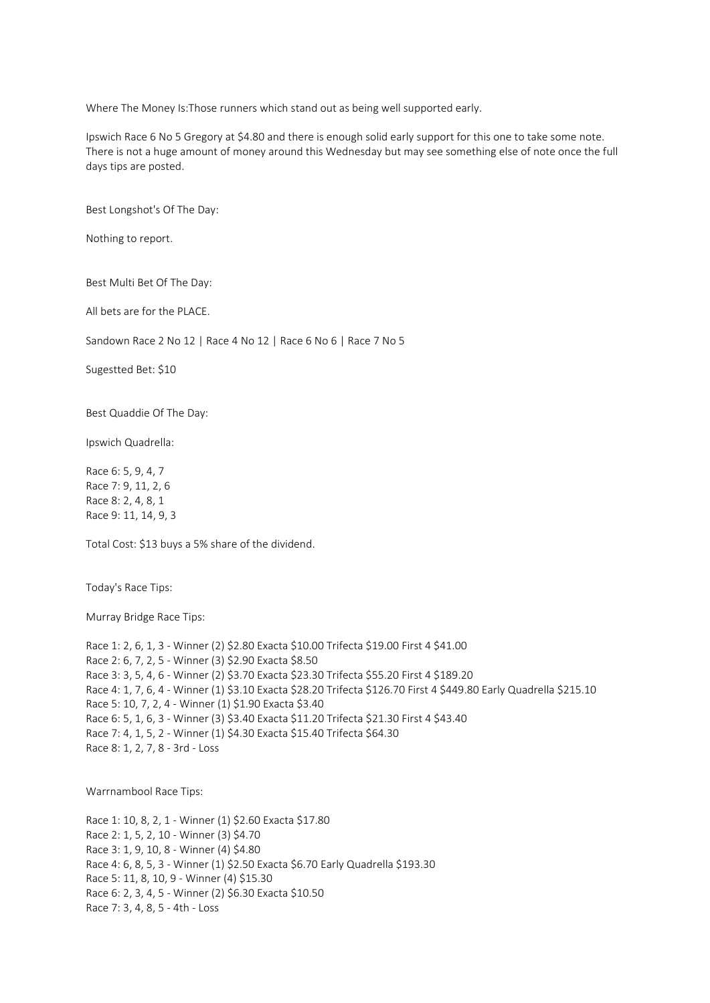Where The Money Is:Those runners which stand out as being well supported early.

Ipswich Race 6 No 5 Gregory at \$4.80 and there is enough solid early support for this one to take some note. There is not a huge amount of money around this Wednesday but may see something else of note once the full days tips are posted.

Best Longshot's Of The Day:

Nothing to report.

Best Multi Bet Of The Day:

All bets are for the PLACE.

Sandown Race 2 No 12 | Race 4 No 12 | Race 6 No 6 | Race 7 No 5

Sugestted Bet: \$10

Best Quaddie Of The Day:

Ipswich Quadrella:

Race 6: 5, 9, 4, 7 Race 7: 9, 11, 2, 6 Race 8: 2, 4, 8, 1 Race 9: 11, 14, 9, 3

Total Cost: \$13 buys a 5% share of the dividend.

Today's Race Tips:

Murray Bridge Race Tips:

```
Race 1: 2, 6, 1, 3 - Winner (2) $2.80 Exacta $10.00 Trifecta $19.00 First 4 $41.00
Race 2: 6, 7, 2, 5 - Winner (3) $2.90 Exacta $8.50
Race 3: 3, 5, 4, 6 - Winner (2) $3.70 Exacta $23.30 Trifecta $55.20 First 4 $189.20
Race 4: 1, 7, 6, 4 - Winner (1) $3.10 Exacta $28.20 Trifecta $126.70 First 4 $449.80 Early Quadrella $215.10
Race 5: 10, 7, 2, 4 - Winner (1) $1.90 Exacta $3.40
Race 6: 5, 1, 6, 3 - Winner (3) $3.40 Exacta $11.20 Trifecta $21.30 First 4 $43.40
Race 7: 4, 1, 5, 2 - Winner (1) $4.30 Exacta $15.40 Trifecta $64.30
Race 8: 1, 2, 7, 8 - 3rd - Loss
```
Warrnambool Race Tips:

Race 1: 10, 8, 2, 1 - Winner (1) \$2.60 Exacta \$17.80 Race 2: 1, 5, 2, 10 - Winner (3) \$4.70 Race 3: 1, 9, 10, 8 - Winner (4) \$4.80 Race 4: 6, 8, 5, 3 - Winner (1) \$2.50 Exacta \$6.70 Early Quadrella \$193.30 Race 5: 11, 8, 10, 9 - Winner (4) \$15.30 Race 6: 2, 3, 4, 5 - Winner (2) \$6.30 Exacta \$10.50 Race 7: 3, 4, 8, 5 - 4th - Loss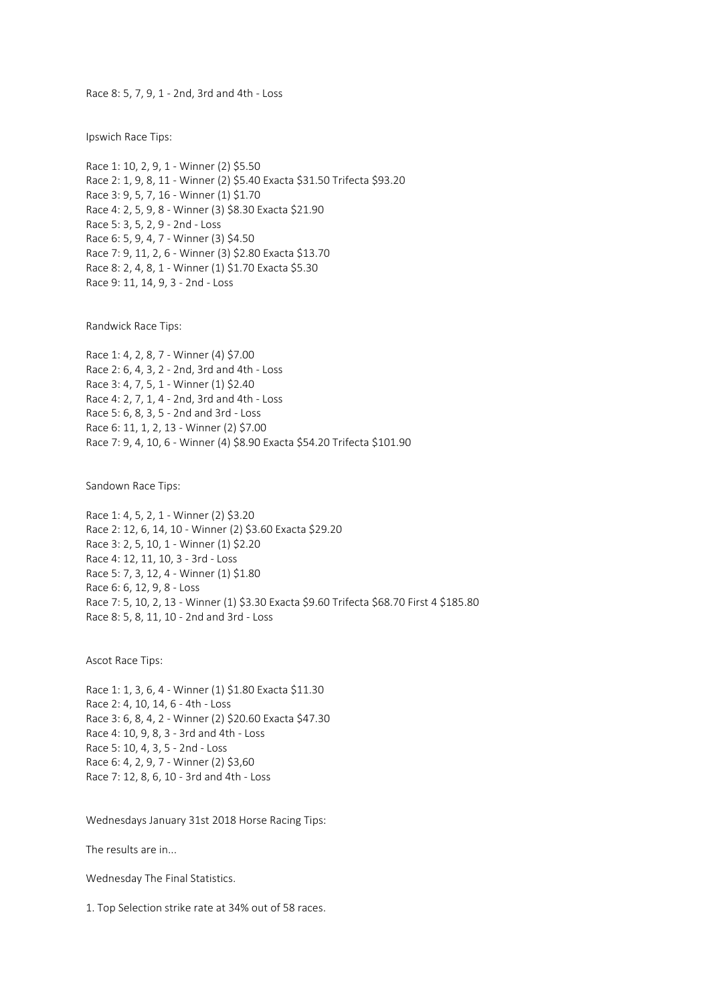Race 8: 5, 7, 9, 1 - 2nd, 3rd and 4th - Loss

Ipswich Race Tips:

Race 1: 10, 2, 9, 1 - Winner (2) \$5.50 Race 2: 1, 9, 8, 11 - Winner (2) \$5.40 Exacta \$31.50 Trifecta \$93.20 Race 3: 9, 5, 7, 16 - Winner (1) \$1.70 Race 4: 2, 5, 9, 8 - Winner (3) \$8.30 Exacta \$21.90 Race 5: 3, 5, 2, 9 - 2nd - Loss Race 6: 5, 9, 4, 7 - Winner (3) \$4.50 Race 7: 9, 11, 2, 6 - Winner (3) \$2.80 Exacta \$13.70 Race 8: 2, 4, 8, 1 - Winner (1) \$1.70 Exacta \$5.30 Race 9: 11, 14, 9, 3 - 2nd - Loss

Randwick Race Tips:

Race 1: 4, 2, 8, 7 - Winner (4) \$7.00 Race 2: 6, 4, 3, 2 - 2nd, 3rd and 4th - Loss Race 3: 4, 7, 5, 1 - Winner (1) \$2.40 Race 4: 2, 7, 1, 4 - 2nd, 3rd and 4th - Loss Race 5: 6, 8, 3, 5 - 2nd and 3rd - Loss Race 6: 11, 1, 2, 13 - Winner (2) \$7.00 Race 7: 9, 4, 10, 6 - Winner (4) \$8.90 Exacta \$54.20 Trifecta \$101.90

Sandown Race Tips:

Race 1: 4, 5, 2, 1 - Winner (2) \$3.20 Race 2: 12, 6, 14, 10 - Winner (2) \$3.60 Exacta \$29.20 Race 3: 2, 5, 10, 1 - Winner (1) \$2.20 Race 4: 12, 11, 10, 3 - 3rd - Loss Race 5: 7, 3, 12, 4 - Winner (1) \$1.80 Race 6: 6, 12, 9, 8 - Loss Race 7: 5, 10, 2, 13 - Winner (1) \$3.30 Exacta \$9.60 Trifecta \$68.70 First 4 \$185.80 Race 8: 5, 8, 11, 10 - 2nd and 3rd - Loss

Ascot Race Tips:

Race 1: 1, 3, 6, 4 - Winner (1) \$1.80 Exacta \$11.30 Race 2: 4, 10, 14, 6 - 4th - Loss Race 3: 6, 8, 4, 2 - Winner (2) \$20.60 Exacta \$47.30 Race 4: 10, 9, 8, 3 - 3rd and 4th - Loss Race 5: 10, 4, 3, 5 - 2nd - Loss Race 6: 4, 2, 9, 7 - Winner (2) \$3,60 Race 7: 12, 8, 6, 10 - 3rd and 4th - Loss

Wednesdays January 31st 2018 Horse Racing Tips:

The results are in...

Wednesday The Final Statistics.

1. Top Selection strike rate at 34% out of 58 races.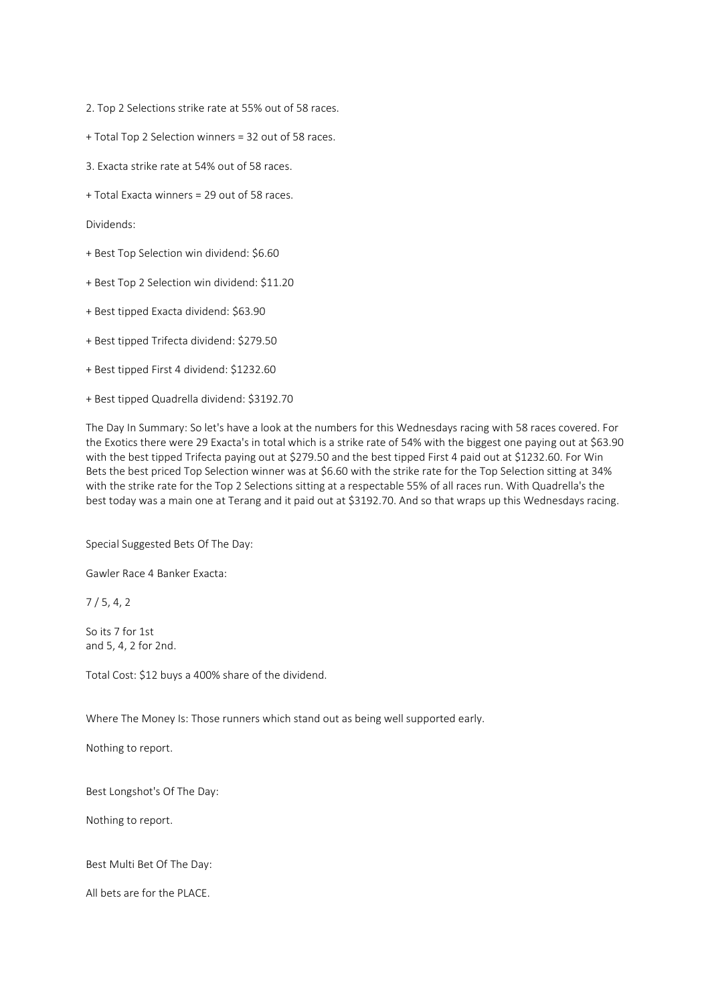2. Top 2 Selections strike rate at 55% out of 58 races.

- + Total Top 2 Selection winners = 32 out of 58 races.
- 3. Exacta strike rate at 54% out of 58 races.
- + Total Exacta winners = 29 out of 58 races.

Dividends:

- + Best Top Selection win dividend: \$6.60
- + Best Top 2 Selection win dividend: \$11.20
- + Best tipped Exacta dividend: \$63.90
- + Best tipped Trifecta dividend: \$279.50
- + Best tipped First 4 dividend: \$1232.60
- + Best tipped Quadrella dividend: \$3192.70

The Day In Summary: So let's have a look at the numbers for this Wednesdays racing with 58 races covered. For the Exotics there were 29 Exacta's in total which is a strike rate of 54% with the biggest one paying out at \$63.90 with the best tipped Trifecta paying out at \$279.50 and the best tipped First 4 paid out at \$1232.60. For Win Bets the best priced Top Selection winner was at \$6.60 with the strike rate for the Top Selection sitting at 34% with the strike rate for the Top 2 Selections sitting at a respectable 55% of all races run. With Quadrella's the best today was a main one at Terang and it paid out at \$3192.70. And so that wraps up this Wednesdays racing.

Special Suggested Bets Of The Day:

Gawler Race 4 Banker Exacta:

7 / 5, 4, 2

So its 7 for 1st and 5, 4, 2 for 2nd.

Total Cost: \$12 buys a 400% share of the dividend.

Where The Money Is: Those runners which stand out as being well supported early.

Nothing to report.

Best Longshot's Of The Day:

Nothing to report.

Best Multi Bet Of The Day:

All bets are for the PLACE.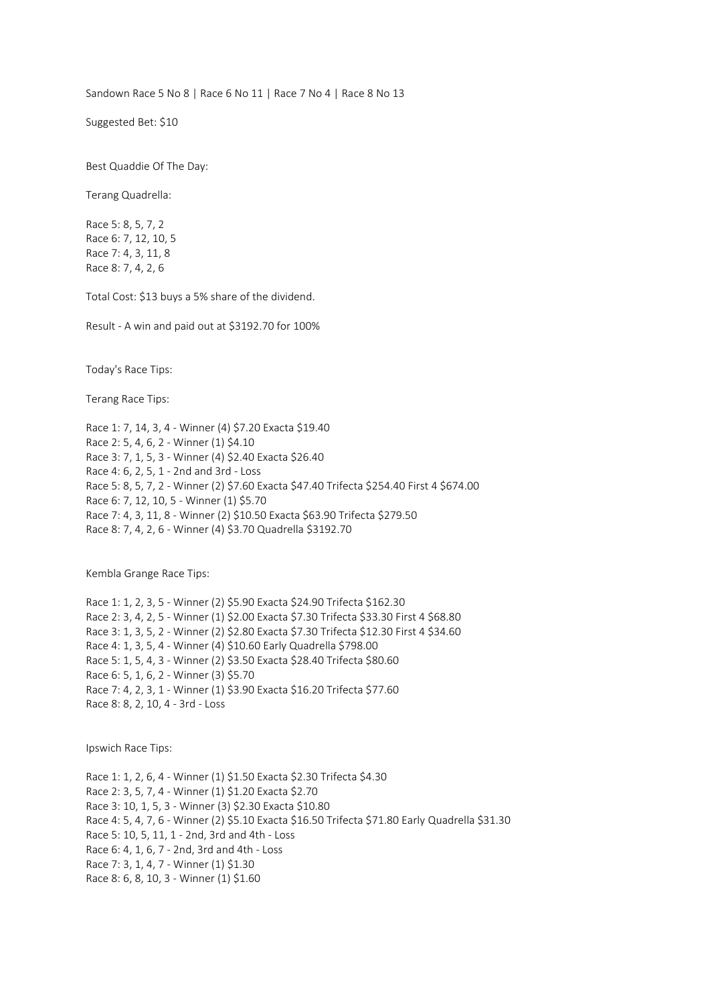Sandown Race 5 No 8 | Race 6 No 11 | Race 7 No 4 | Race 8 No 13

Suggested Bet: \$10

Best Quaddie Of The Day:

Terang Quadrella:

Race 5: 8, 5, 7, 2 Race 6: 7, 12, 10, 5 Race 7: 4, 3, 11, 8 Race 8: 7, 4, 2, 6

Total Cost: \$13 buys a 5% share of the dividend.

Result - A win and paid out at \$3192.70 for 100%

Today's Race Tips:

Terang Race Tips:

Race 1: 7, 14, 3, 4 - Winner (4) \$7.20 Exacta \$19.40 Race 2: 5, 4, 6, 2 - Winner (1) \$4.10 Race 3: 7, 1, 5, 3 - Winner (4) \$2.40 Exacta \$26.40 Race 4: 6, 2, 5, 1 - 2nd and 3rd - Loss Race 5: 8, 5, 7, 2 - Winner (2) \$7.60 Exacta \$47.40 Trifecta \$254.40 First 4 \$674.00 Race 6: 7, 12, 10, 5 - Winner (1) \$5.70 Race 7: 4, 3, 11, 8 - Winner (2) \$10.50 Exacta \$63.90 Trifecta \$279.50 Race 8: 7, 4, 2, 6 - Winner (4) \$3.70 Quadrella \$3192.70

Kembla Grange Race Tips:

Race 1: 1, 2, 3, 5 - Winner (2) \$5.90 Exacta \$24.90 Trifecta \$162.30 Race 2: 3, 4, 2, 5 - Winner (1) \$2.00 Exacta \$7.30 Trifecta \$33.30 First 4 \$68.80 Race 3: 1, 3, 5, 2 - Winner (2) \$2.80 Exacta \$7.30 Trifecta \$12.30 First 4 \$34.60 Race 4: 1, 3, 5, 4 - Winner (4) \$10.60 Early Quadrella \$798.00 Race 5: 1, 5, 4, 3 - Winner (2) \$3.50 Exacta \$28.40 Trifecta \$80.60 Race 6: 5, 1, 6, 2 - Winner (3) \$5.70 Race 7: 4, 2, 3, 1 - Winner (1) \$3.90 Exacta \$16.20 Trifecta \$77.60 Race 8: 8, 2, 10, 4 - 3rd - Loss

Ipswich Race Tips:

Race 1: 1, 2, 6, 4 - Winner (1) \$1.50 Exacta \$2.30 Trifecta \$4.30 Race 2: 3, 5, 7, 4 - Winner (1) \$1.20 Exacta \$2.70 Race 3: 10, 1, 5, 3 - Winner (3) \$2.30 Exacta \$10.80 Race 4: 5, 4, 7, 6 - Winner (2) \$5.10 Exacta \$16.50 Trifecta \$71.80 Early Quadrella \$31.30 Race 5: 10, 5, 11, 1 - 2nd, 3rd and 4th - Loss Race 6: 4, 1, 6, 7 - 2nd, 3rd and 4th - Loss Race 7: 3, 1, 4, 7 - Winner (1) \$1.30 Race 8: 6, 8, 10, 3 - Winner (1) \$1.60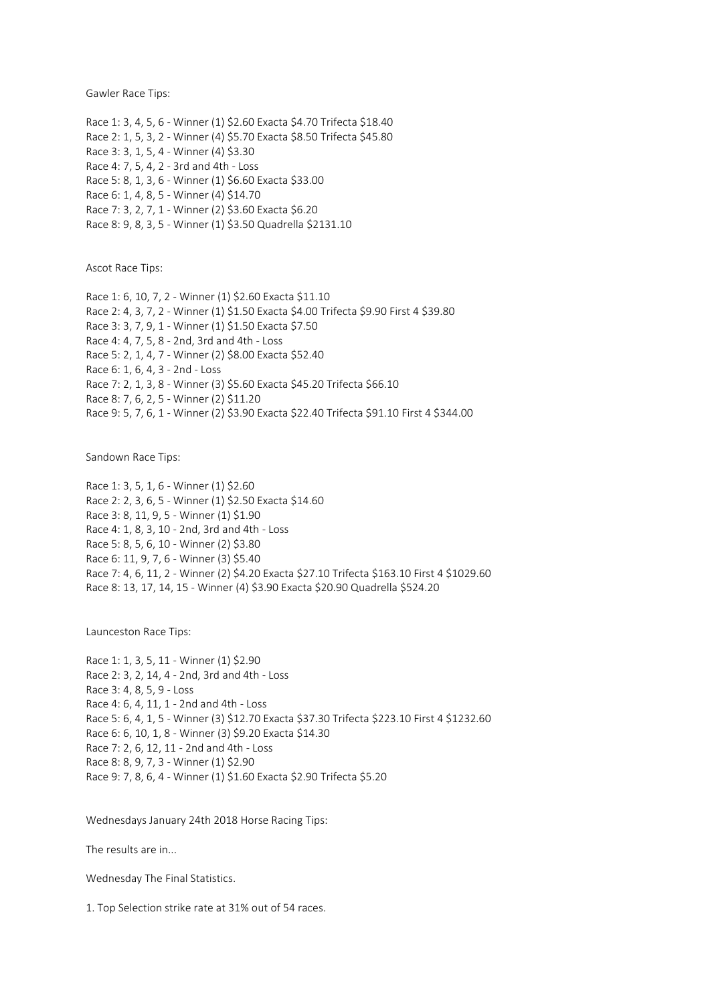Gawler Race Tips:

Race 1: 3, 4, 5, 6 - Winner (1) \$2.60 Exacta \$4.70 Trifecta \$18.40 Race 2: 1, 5, 3, 2 - Winner (4) \$5.70 Exacta \$8.50 Trifecta \$45.80 Race 3: 3, 1, 5, 4 - Winner (4) \$3.30 Race 4: 7, 5, 4, 2 - 3rd and 4th - Loss Race 5: 8, 1, 3, 6 - Winner (1) \$6.60 Exacta \$33.00 Race 6: 1, 4, 8, 5 - Winner (4) \$14.70 Race 7: 3, 2, 7, 1 - Winner (2) \$3.60 Exacta \$6.20 Race 8: 9, 8, 3, 5 - Winner (1) \$3.50 Quadrella \$2131.10

Ascot Race Tips:

Race 1: 6, 10, 7, 2 - Winner (1) \$2.60 Exacta \$11.10 Race 2: 4, 3, 7, 2 - Winner (1) \$1.50 Exacta \$4.00 Trifecta \$9.90 First 4 \$39.80 Race 3: 3, 7, 9, 1 - Winner (1) \$1.50 Exacta \$7.50 Race 4: 4, 7, 5, 8 - 2nd, 3rd and 4th - Loss Race 5: 2, 1, 4, 7 - Winner (2) \$8.00 Exacta \$52.40 Race 6: 1, 6, 4, 3 - 2nd - Loss Race 7: 2, 1, 3, 8 - Winner (3) \$5.60 Exacta \$45.20 Trifecta \$66.10 Race 8: 7, 6, 2, 5 - Winner (2) \$11.20 Race 9: 5, 7, 6, 1 - Winner (2) \$3.90 Exacta \$22.40 Trifecta \$91.10 First 4 \$344.00

Sandown Race Tips:

Race 1: 3, 5, 1, 6 - Winner (1) \$2.60 Race 2: 2, 3, 6, 5 - Winner (1) \$2.50 Exacta \$14.60 Race 3: 8, 11, 9, 5 - Winner (1) \$1.90 Race 4: 1, 8, 3, 10 - 2nd, 3rd and 4th - Loss Race 5: 8, 5, 6, 10 - Winner (2) \$3.80 Race 6: 11, 9, 7, 6 - Winner (3) \$5.40 Race 7: 4, 6, 11, 2 - Winner (2) \$4.20 Exacta \$27.10 Trifecta \$163.10 First 4 \$1029.60 Race 8: 13, 17, 14, 15 - Winner (4) \$3.90 Exacta \$20.90 Quadrella \$524.20

Launceston Race Tips:

Race 1: 1, 3, 5, 11 - Winner (1) \$2.90 Race 2: 3, 2, 14, 4 - 2nd, 3rd and 4th - Loss Race 3: 4, 8, 5, 9 - Loss Race 4: 6, 4, 11, 1 - 2nd and 4th - Loss Race 5: 6, 4, 1, 5 - Winner (3) \$12.70 Exacta \$37.30 Trifecta \$223.10 First 4 \$1232.60 Race 6: 6, 10, 1, 8 - Winner (3) \$9.20 Exacta \$14.30 Race 7: 2, 6, 12, 11 - 2nd and 4th - Loss Race 8: 8, 9, 7, 3 - Winner (1) \$2.90 Race 9: 7, 8, 6, 4 - Winner (1) \$1.60 Exacta \$2.90 Trifecta \$5.20

Wednesdays January 24th 2018 Horse Racing Tips:

The results are in...

Wednesday The Final Statistics.

1. Top Selection strike rate at 31% out of 54 races.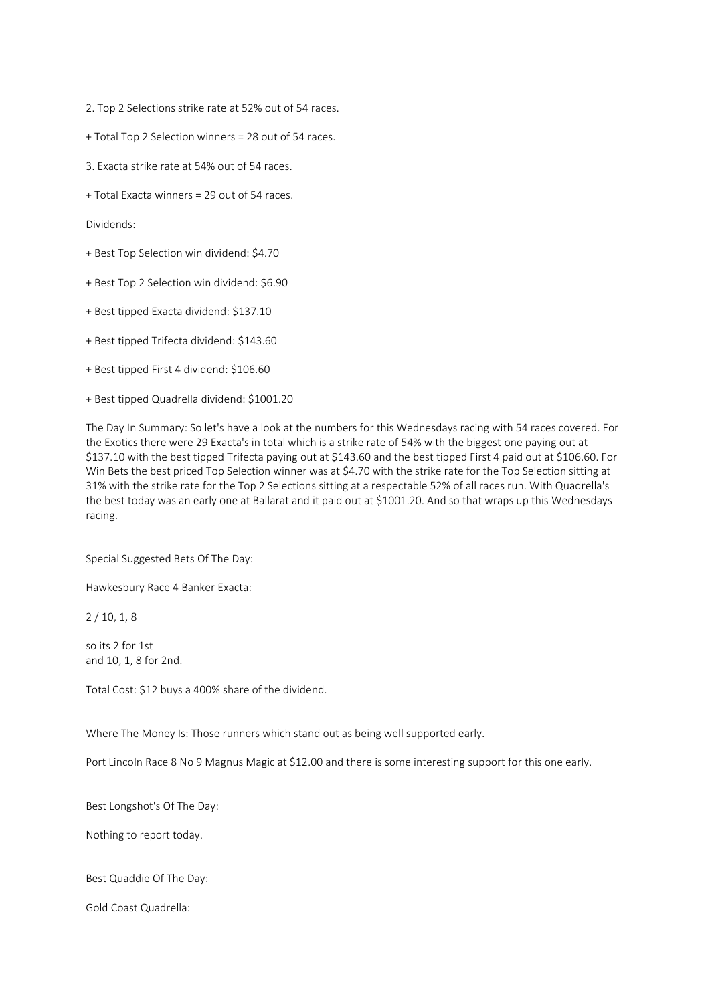2. Top 2 Selections strike rate at 52% out of 54 races.

- + Total Top 2 Selection winners = 28 out of 54 races.
- 3. Exacta strike rate at 54% out of 54 races.
- + Total Exacta winners = 29 out of 54 races.

Dividends:

- + Best Top Selection win dividend: \$4.70
- + Best Top 2 Selection win dividend: \$6.90
- + Best tipped Exacta dividend: \$137.10
- + Best tipped Trifecta dividend: \$143.60
- + Best tipped First 4 dividend: \$106.60
- + Best tipped Quadrella dividend: \$1001.20

The Day In Summary: So let's have a look at the numbers for this Wednesdays racing with 54 races covered. For the Exotics there were 29 Exacta's in total which is a strike rate of 54% with the biggest one paying out at \$137.10 with the best tipped Trifecta paying out at \$143.60 and the best tipped First 4 paid out at \$106.60. For Win Bets the best priced Top Selection winner was at \$4.70 with the strike rate for the Top Selection sitting at 31% with the strike rate for the Top 2 Selections sitting at a respectable 52% of all races run. With Quadrella's the best today was an early one at Ballarat and it paid out at \$1001.20. And so that wraps up this Wednesdays racing.

Special Suggested Bets Of The Day:

Hawkesbury Race 4 Banker Exacta:

2 / 10, 1, 8

so its 2 for 1st and 10, 1, 8 for 2nd.

Total Cost: \$12 buys a 400% share of the dividend.

Where The Money Is: Those runners which stand out as being well supported early.

Port Lincoln Race 8 No 9 Magnus Magic at \$12.00 and there is some interesting support for this one early.

Best Longshot's Of The Day:

Nothing to report today.

Best Quaddie Of The Day:

Gold Coast Quadrella: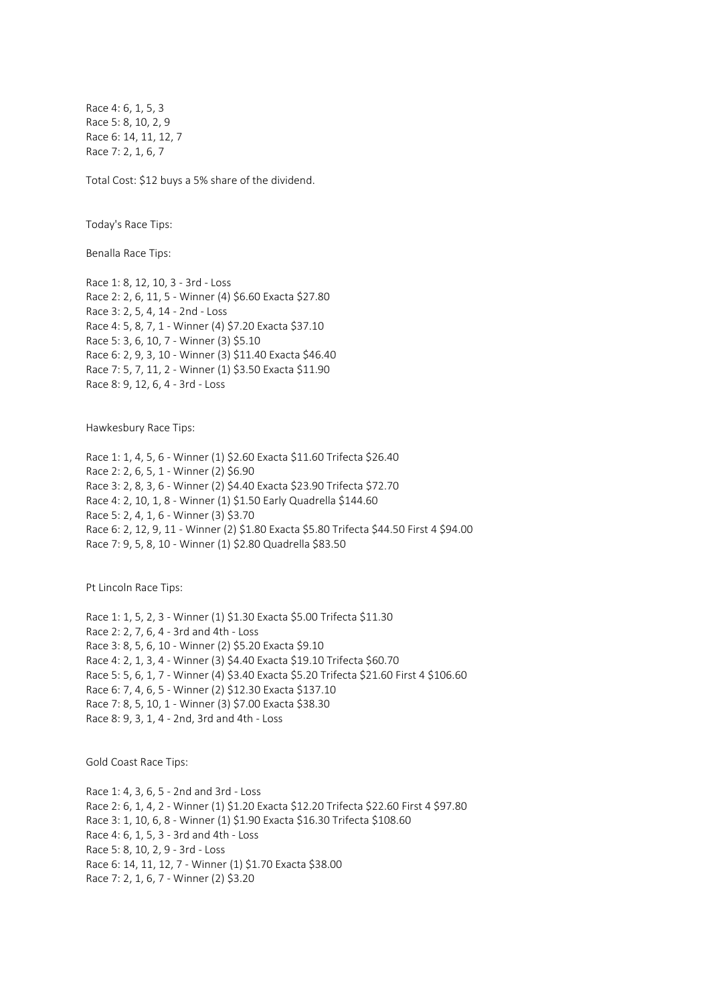Race 4: 6, 1, 5, 3 Race 5: 8, 10, 2, 9 Race 6: 14, 11, 12, 7 Race 7: 2, 1, 6, 7

Total Cost: \$12 buys a 5% share of the dividend.

Today's Race Tips:

Benalla Race Tips:

Race 1: 8, 12, 10, 3 - 3rd - Loss Race 2: 2, 6, 11, 5 - Winner (4) \$6.60 Exacta \$27.80 Race 3: 2, 5, 4, 14 - 2nd - Loss Race 4: 5, 8, 7, 1 - Winner (4) \$7.20 Exacta \$37.10 Race 5: 3, 6, 10, 7 - Winner (3) \$5.10 Race 6: 2, 9, 3, 10 - Winner (3) \$11.40 Exacta \$46.40 Race 7: 5, 7, 11, 2 - Winner (1) \$3.50 Exacta \$11.90 Race 8: 9, 12, 6, 4 - 3rd - Loss

Hawkesbury Race Tips:

Race 1: 1, 4, 5, 6 - Winner (1) \$2.60 Exacta \$11.60 Trifecta \$26.40 Race 2: 2, 6, 5, 1 - Winner (2) \$6.90 Race 3: 2, 8, 3, 6 - Winner (2) \$4.40 Exacta \$23.90 Trifecta \$72.70 Race 4: 2, 10, 1, 8 - Winner (1) \$1.50 Early Quadrella \$144.60 Race 5: 2, 4, 1, 6 - Winner (3) \$3.70 Race 6: 2, 12, 9, 11 - Winner (2) \$1.80 Exacta \$5.80 Trifecta \$44.50 First 4 \$94.00 Race 7: 9, 5, 8, 10 - Winner (1) \$2.80 Quadrella \$83.50

Pt Lincoln Race Tips:

Race 1: 1, 5, 2, 3 - Winner (1) \$1.30 Exacta \$5.00 Trifecta \$11.30 Race 2: 2, 7, 6, 4 - 3rd and 4th - Loss Race 3: 8, 5, 6, 10 - Winner (2) \$5.20 Exacta \$9.10 Race 4: 2, 1, 3, 4 - Winner (3) \$4.40 Exacta \$19.10 Trifecta \$60.70 Race 5: 5, 6, 1, 7 - Winner (4) \$3.40 Exacta \$5.20 Trifecta \$21.60 First 4 \$106.60 Race 6: 7, 4, 6, 5 - Winner (2) \$12.30 Exacta \$137.10 Race 7: 8, 5, 10, 1 - Winner (3) \$7.00 Exacta \$38.30 Race 8: 9, 3, 1, 4 - 2nd, 3rd and 4th - Loss

Gold Coast Race Tips:

Race 1: 4, 3, 6, 5 - 2nd and 3rd - Loss Race 2: 6, 1, 4, 2 - Winner (1) \$1.20 Exacta \$12.20 Trifecta \$22.60 First 4 \$97.80 Race 3: 1, 10, 6, 8 - Winner (1) \$1.90 Exacta \$16.30 Trifecta \$108.60 Race 4: 6, 1, 5, 3 - 3rd and 4th - Loss Race 5: 8, 10, 2, 9 - 3rd - Loss Race 6: 14, 11, 12, 7 - Winner (1) \$1.70 Exacta \$38.00 Race 7: 2, 1, 6, 7 - Winner (2) \$3.20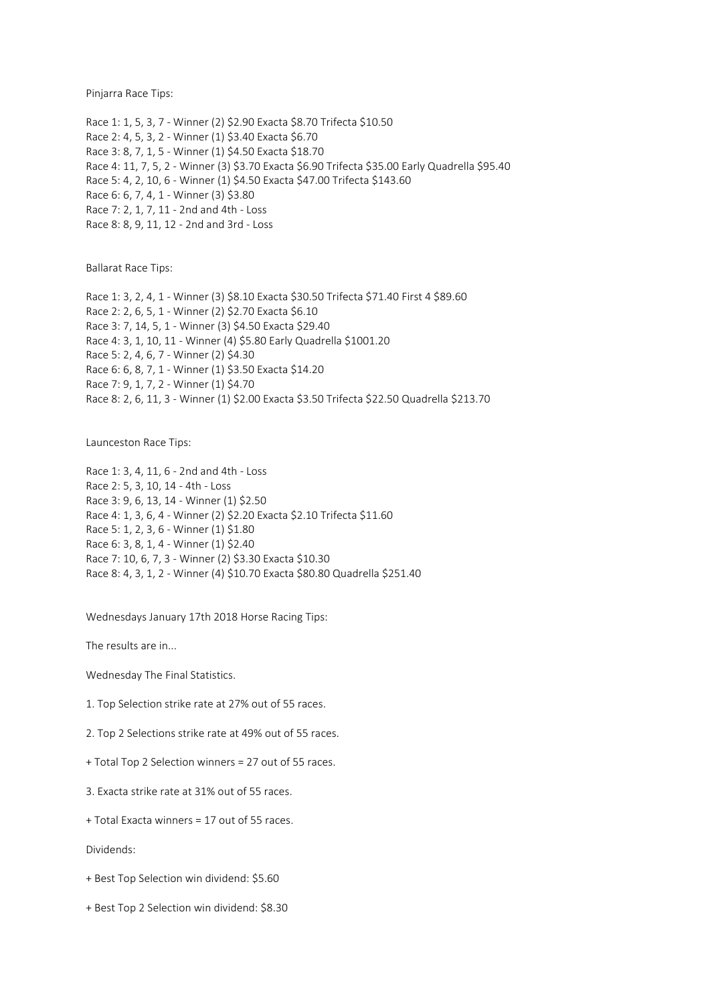Pinjarra Race Tips:

Race 1: 1, 5, 3, 7 - Winner (2) \$2.90 Exacta \$8.70 Trifecta \$10.50 Race 2: 4, 5, 3, 2 - Winner (1) \$3.40 Exacta \$6.70 Race 3: 8, 7, 1, 5 - Winner (1) \$4.50 Exacta \$18.70 Race 4: 11, 7, 5, 2 - Winner (3) \$3.70 Exacta \$6.90 Trifecta \$35.00 Early Quadrella \$95.40 Race 5: 4, 2, 10, 6 - Winner (1) \$4.50 Exacta \$47.00 Trifecta \$143.60 Race 6: 6, 7, 4, 1 - Winner (3) \$3.80 Race 7: 2, 1, 7, 11 - 2nd and 4th - Loss Race 8: 8, 9, 11, 12 - 2nd and 3rd - Loss

Ballarat Race Tips:

Race 1: 3, 2, 4, 1 - Winner (3) \$8.10 Exacta \$30.50 Trifecta \$71.40 First 4 \$89.60 Race 2: 2, 6, 5, 1 - Winner (2) \$2.70 Exacta \$6.10 Race 3: 7, 14, 5, 1 - Winner (3) \$4.50 Exacta \$29.40 Race 4: 3, 1, 10, 11 - Winner (4) \$5.80 Early Quadrella \$1001.20 Race 5: 2, 4, 6, 7 - Winner (2) \$4.30 Race 6: 6, 8, 7, 1 - Winner (1) \$3.50 Exacta \$14.20 Race 7: 9, 1, 7, 2 - Winner (1) \$4.70 Race 8: 2, 6, 11, 3 - Winner (1) \$2.00 Exacta \$3.50 Trifecta \$22.50 Quadrella \$213.70

Launceston Race Tips:

Race 1: 3, 4, 11, 6 - 2nd and 4th - Loss Race 2: 5, 3, 10, 14 - 4th - Loss Race 3: 9, 6, 13, 14 - Winner (1) \$2.50 Race 4: 1, 3, 6, 4 - Winner (2) \$2.20 Exacta \$2.10 Trifecta \$11.60 Race 5: 1, 2, 3, 6 - Winner (1) \$1.80 Race 6: 3, 8, 1, 4 - Winner (1) \$2.40 Race 7: 10, 6, 7, 3 - Winner (2) \$3.30 Exacta \$10.30 Race 8: 4, 3, 1, 2 - Winner (4) \$10.70 Exacta \$80.80 Quadrella \$251.40

Wednesdays January 17th 2018 Horse Racing Tips:

The results are in...

Wednesday The Final Statistics.

1. Top Selection strike rate at 27% out of 55 races.

2. Top 2 Selections strike rate at 49% out of 55 races.

+ Total Top 2 Selection winners = 27 out of 55 races.

3. Exacta strike rate at 31% out of 55 races.

+ Total Exacta winners = 17 out of 55 races.

Dividends:

+ Best Top Selection win dividend: \$5.60

+ Best Top 2 Selection win dividend: \$8.30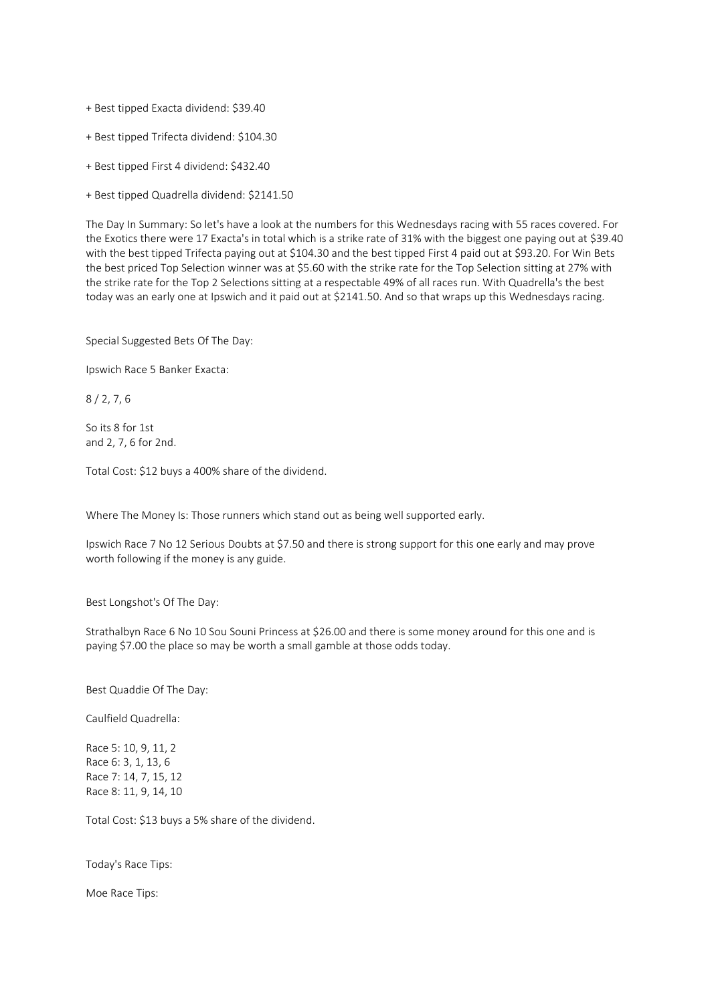+ Best tipped Exacta dividend: \$39.40

+ Best tipped Trifecta dividend: \$104.30

+ Best tipped First 4 dividend: \$432.40

+ Best tipped Quadrella dividend: \$2141.50

The Day In Summary: So let's have a look at the numbers for this Wednesdays racing with 55 races covered. For the Exotics there were 17 Exacta's in total which is a strike rate of 31% with the biggest one paying out at \$39.40 with the best tipped Trifecta paying out at \$104.30 and the best tipped First 4 paid out at \$93.20. For Win Bets the best priced Top Selection winner was at \$5.60 with the strike rate for the Top Selection sitting at 27% with the strike rate for the Top 2 Selections sitting at a respectable 49% of all races run. With Quadrella's the best today was an early one at Ipswich and it paid out at \$2141.50. And so that wraps up this Wednesdays racing.

Special Suggested Bets Of The Day:

Ipswich Race 5 Banker Exacta:

8 / 2, 7, 6

So its 8 for 1st and 2, 7, 6 for 2nd.

Total Cost: \$12 buys a 400% share of the dividend.

Where The Money Is: Those runners which stand out as being well supported early.

Ipswich Race 7 No 12 Serious Doubts at \$7.50 and there is strong support for this one early and may prove worth following if the money is any guide.

Best Longshot's Of The Day:

Strathalbyn Race 6 No 10 Sou Souni Princess at \$26.00 and there is some money around for this one and is paying \$7.00 the place so may be worth a small gamble at those odds today.

Best Quaddie Of The Day:

Caulfield Quadrella:

Race 5: 10, 9, 11, 2 Race 6: 3, 1, 13, 6 Race 7: 14, 7, 15, 12 Race 8: 11, 9, 14, 10

Total Cost: \$13 buys a 5% share of the dividend.

Today's Race Tips:

Moe Race Tips: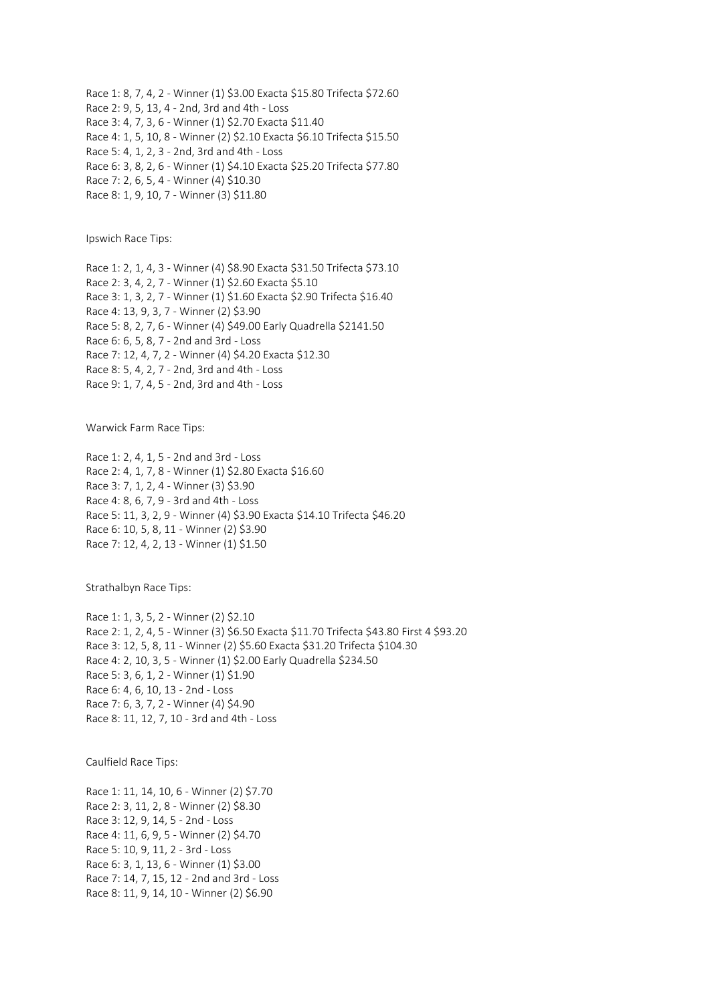Race 1: 8, 7, 4, 2 - Winner (1) \$3.00 Exacta \$15.80 Trifecta \$72.60 Race 2: 9, 5, 13, 4 - 2nd, 3rd and 4th - Loss Race 3: 4, 7, 3, 6 - Winner (1) \$2.70 Exacta \$11.40 Race 4: 1, 5, 10, 8 - Winner (2) \$2.10 Exacta \$6.10 Trifecta \$15.50 Race 5: 4, 1, 2, 3 - 2nd, 3rd and 4th - Loss Race 6: 3, 8, 2, 6 - Winner (1) \$4.10 Exacta \$25.20 Trifecta \$77.80 Race 7: 2, 6, 5, 4 - Winner (4) \$10.30 Race 8: 1, 9, 10, 7 - Winner (3) \$11.80

Ipswich Race Tips:

Race 1: 2, 1, 4, 3 - Winner (4) \$8.90 Exacta \$31.50 Trifecta \$73.10 Race 2: 3, 4, 2, 7 - Winner (1) \$2.60 Exacta \$5.10 Race 3: 1, 3, 2, 7 - Winner (1) \$1.60 Exacta \$2.90 Trifecta \$16.40 Race 4: 13, 9, 3, 7 - Winner (2) \$3.90 Race 5: 8, 2, 7, 6 - Winner (4) \$49.00 Early Quadrella \$2141.50 Race 6: 6, 5, 8, 7 - 2nd and 3rd - Loss Race 7: 12, 4, 7, 2 - Winner (4) \$4.20 Exacta \$12.30 Race 8: 5, 4, 2, 7 - 2nd, 3rd and 4th - Loss Race 9: 1, 7, 4, 5 - 2nd, 3rd and 4th - Loss

Warwick Farm Race Tips:

Race 1: 2, 4, 1, 5 - 2nd and 3rd - Loss Race 2: 4, 1, 7, 8 - Winner (1) \$2.80 Exacta \$16.60 Race 3: 7, 1, 2, 4 - Winner (3) \$3.90 Race 4: 8, 6, 7, 9 - 3rd and 4th - Loss Race 5: 11, 3, 2, 9 - Winner (4) \$3.90 Exacta \$14.10 Trifecta \$46.20 Race 6: 10, 5, 8, 11 - Winner (2) \$3.90 Race 7: 12, 4, 2, 13 - Winner (1) \$1.50

Strathalbyn Race Tips:

Race 1: 1, 3, 5, 2 - Winner (2) \$2.10 Race 2: 1, 2, 4, 5 - Winner (3) \$6.50 Exacta \$11.70 Trifecta \$43.80 First 4 \$93.20 Race 3: 12, 5, 8, 11 - Winner (2) \$5.60 Exacta \$31.20 Trifecta \$104.30 Race 4: 2, 10, 3, 5 - Winner (1) \$2.00 Early Quadrella \$234.50 Race 5: 3, 6, 1, 2 - Winner (1) \$1.90 Race 6: 4, 6, 10, 13 - 2nd - Loss Race 7: 6, 3, 7, 2 - Winner (4) \$4.90 Race 8: 11, 12, 7, 10 - 3rd and 4th - Loss

Caulfield Race Tips:

Race 1: 11, 14, 10, 6 - Winner (2) \$7.70 Race 2: 3, 11, 2, 8 - Winner (2) \$8.30 Race 3: 12, 9, 14, 5 - 2nd - Loss Race 4: 11, 6, 9, 5 - Winner (2) \$4.70 Race 5: 10, 9, 11, 2 - 3rd - Loss Race 6: 3, 1, 13, 6 - Winner (1) \$3.00 Race 7: 14, 7, 15, 12 - 2nd and 3rd - Loss Race 8: 11, 9, 14, 10 - Winner (2) \$6.90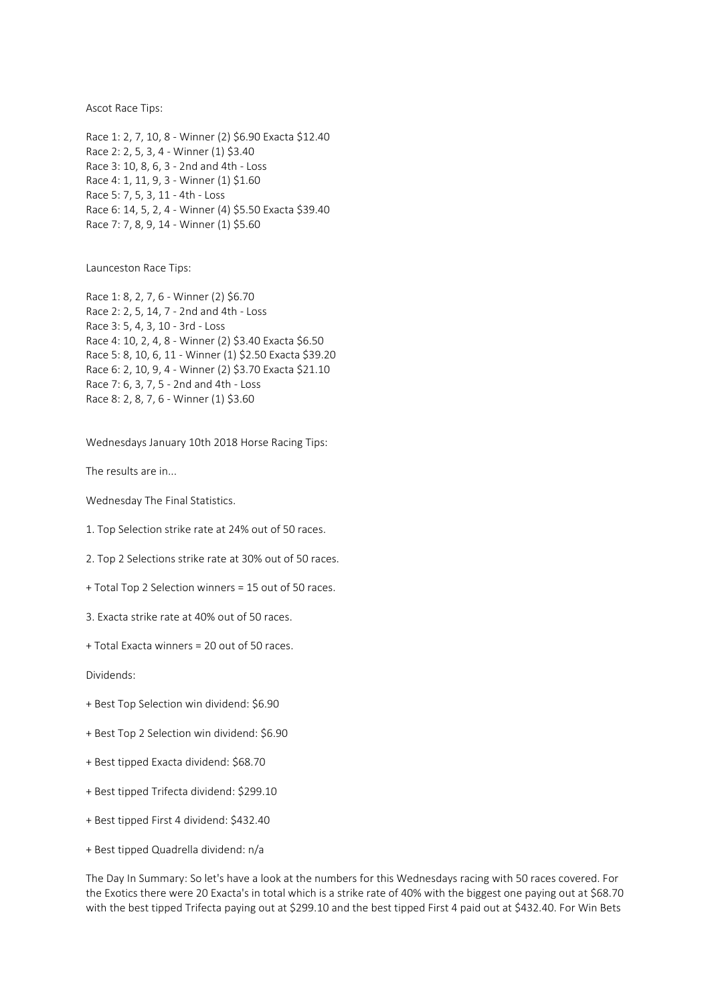Ascot Race Tips:

Race 1: 2, 7, 10, 8 - Winner (2) \$6.90 Exacta \$12.40 Race 2: 2, 5, 3, 4 - Winner (1) \$3.40 Race 3: 10, 8, 6, 3 - 2nd and 4th - Loss Race 4: 1, 11, 9, 3 - Winner (1) \$1.60 Race 5: 7, 5, 3, 11 - 4th - Loss Race 6: 14, 5, 2, 4 - Winner (4) \$5.50 Exacta \$39.40 Race 7: 7, 8, 9, 14 - Winner (1) \$5.60

Launceston Race Tips:

Race 1: 8, 2, 7, 6 - Winner (2) \$6.70 Race 2: 2, 5, 14, 7 - 2nd and 4th - Loss Race 3: 5, 4, 3, 10 - 3rd - Loss Race 4: 10, 2, 4, 8 - Winner (2) \$3.40 Exacta \$6.50 Race 5: 8, 10, 6, 11 - Winner (1) \$2.50 Exacta \$39.20 Race 6: 2, 10, 9, 4 - Winner (2) \$3.70 Exacta \$21.10 Race 7: 6, 3, 7, 5 - 2nd and 4th - Loss Race 8: 2, 8, 7, 6 - Winner (1) \$3.60

Wednesdays January 10th 2018 Horse Racing Tips:

The results are in...

Wednesday The Final Statistics.

1. Top Selection strike rate at 24% out of 50 races.

2. Top 2 Selections strike rate at 30% out of 50 races.

+ Total Top 2 Selection winners = 15 out of 50 races.

3. Exacta strike rate at 40% out of 50 races.

+ Total Exacta winners = 20 out of 50 races.

Dividends:

- + Best Top Selection win dividend: \$6.90
- + Best Top 2 Selection win dividend: \$6.90
- + Best tipped Exacta dividend: \$68.70
- + Best tipped Trifecta dividend: \$299.10
- + Best tipped First 4 dividend: \$432.40
- + Best tipped Quadrella dividend: n/a

The Day In Summary: So let's have a look at the numbers for this Wednesdays racing with 50 races covered. For the Exotics there were 20 Exacta's in total which is a strike rate of 40% with the biggest one paying out at \$68.70 with the best tipped Trifecta paying out at \$299.10 and the best tipped First 4 paid out at \$432.40. For Win Bets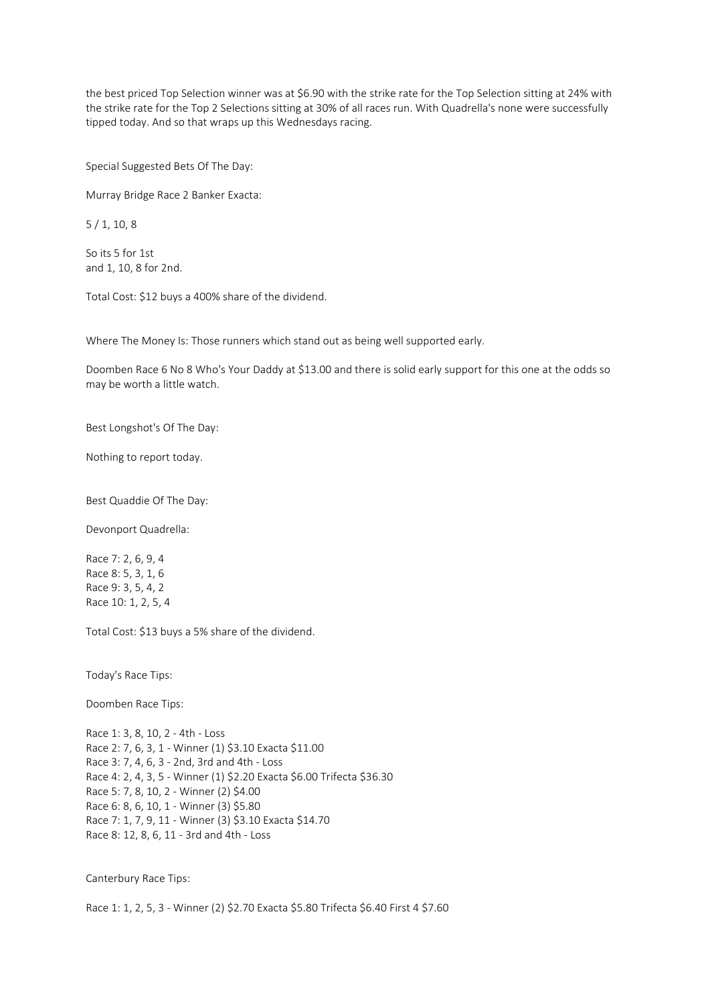the best priced Top Selection winner was at \$6.90 with the strike rate for the Top Selection sitting at 24% with the strike rate for the Top 2 Selections sitting at 30% of all races run. With Quadrella's none were successfully tipped today. And so that wraps up this Wednesdays racing.

Special Suggested Bets Of The Day:

Murray Bridge Race 2 Banker Exacta:

5 / 1, 10, 8

So its 5 for 1st and 1, 10, 8 for 2nd.

Total Cost: \$12 buys a 400% share of the dividend.

Where The Money Is: Those runners which stand out as being well supported early.

Doomben Race 6 No 8 Who's Your Daddy at \$13.00 and there is solid early support for this one at the odds so may be worth a little watch.

Best Longshot's Of The Day:

Nothing to report today.

Best Quaddie Of The Day:

Devonport Quadrella:

Race 7: 2, 6, 9, 4 Race 8: 5, 3, 1, 6 Race 9: 3, 5, 4, 2 Race 10: 1, 2, 5, 4

Total Cost: \$13 buys a 5% share of the dividend.

Today's Race Tips:

Doomben Race Tips:

Race 1: 3, 8, 10, 2 - 4th - Loss Race 2: 7, 6, 3, 1 - Winner (1) \$3.10 Exacta \$11.00 Race 3: 7, 4, 6, 3 - 2nd, 3rd and 4th - Loss Race 4: 2, 4, 3, 5 - Winner (1) \$2.20 Exacta \$6.00 Trifecta \$36.30 Race 5: 7, 8, 10, 2 - Winner (2) \$4.00 Race 6: 8, 6, 10, 1 - Winner (3) \$5.80 Race 7: 1, 7, 9, 11 - Winner (3) \$3.10 Exacta \$14.70 Race 8: 12, 8, 6, 11 - 3rd and 4th - Loss

Canterbury Race Tips:

Race 1: 1, 2, 5, 3 - Winner (2) \$2.70 Exacta \$5.80 Trifecta \$6.40 First 4 \$7.60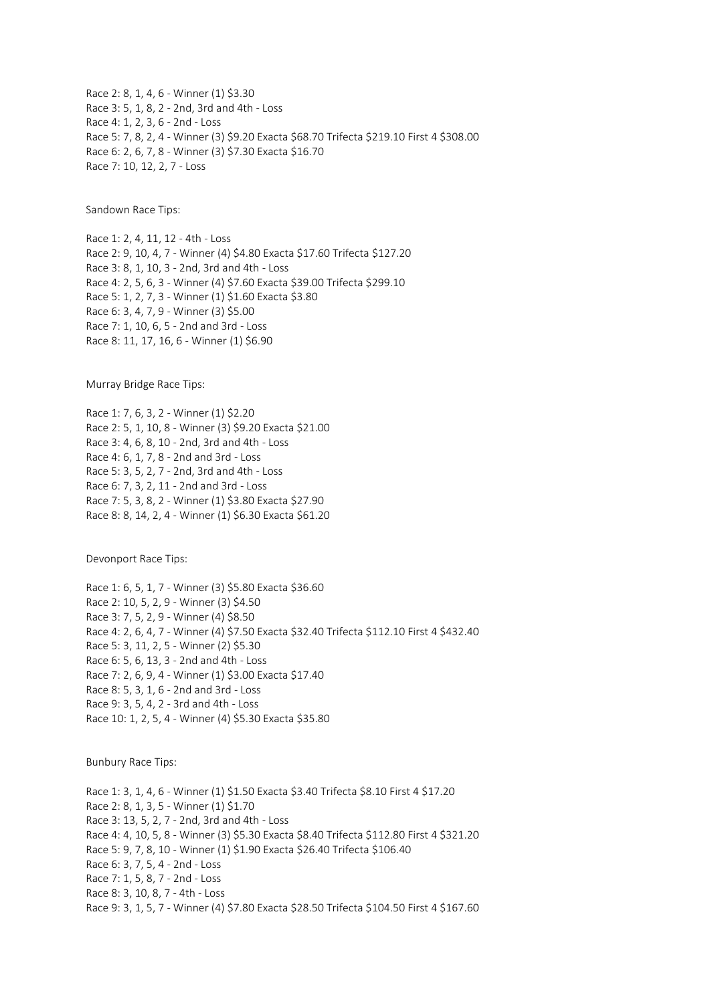Race 2: 8, 1, 4, 6 - Winner (1) \$3.30 Race 3: 5, 1, 8, 2 - 2nd, 3rd and 4th - Loss Race 4: 1, 2, 3, 6 - 2nd - Loss Race 5: 7, 8, 2, 4 - Winner (3) \$9.20 Exacta \$68.70 Trifecta \$219.10 First 4 \$308.00 Race 6: 2, 6, 7, 8 - Winner (3) \$7.30 Exacta \$16.70 Race 7: 10, 12, 2, 7 - Loss

Sandown Race Tips:

Race 1: 2, 4, 11, 12 - 4th - Loss Race 2: 9, 10, 4, 7 - Winner (4) \$4.80 Exacta \$17.60 Trifecta \$127.20 Race 3: 8, 1, 10, 3 - 2nd, 3rd and 4th - Loss Race 4: 2, 5, 6, 3 - Winner (4) \$7.60 Exacta \$39.00 Trifecta \$299.10 Race 5: 1, 2, 7, 3 - Winner (1) \$1.60 Exacta \$3.80 Race 6: 3, 4, 7, 9 - Winner (3) \$5.00 Race 7: 1, 10, 6, 5 - 2nd and 3rd - Loss Race 8: 11, 17, 16, 6 - Winner (1) \$6.90

Murray Bridge Race Tips:

Race 1: 7, 6, 3, 2 - Winner (1) \$2.20 Race 2: 5, 1, 10, 8 - Winner (3) \$9.20 Exacta \$21.00 Race 3: 4, 6, 8, 10 - 2nd, 3rd and 4th - Loss Race 4: 6, 1, 7, 8 - 2nd and 3rd - Loss Race 5: 3, 5, 2, 7 - 2nd, 3rd and 4th - Loss Race 6: 7, 3, 2, 11 - 2nd and 3rd - Loss Race 7: 5, 3, 8, 2 - Winner (1) \$3.80 Exacta \$27.90 Race 8: 8, 14, 2, 4 - Winner (1) \$6.30 Exacta \$61.20

Devonport Race Tips:

Race 1: 6, 5, 1, 7 - Winner (3) \$5.80 Exacta \$36.60 Race 2: 10, 5, 2, 9 - Winner (3) \$4.50 Race 3: 7, 5, 2, 9 - Winner (4) \$8.50 Race 4: 2, 6, 4, 7 - Winner (4) \$7.50 Exacta \$32.40 Trifecta \$112.10 First 4 \$432.40 Race 5: 3, 11, 2, 5 - Winner (2) \$5.30 Race 6: 5, 6, 13, 3 - 2nd and 4th - Loss Race 7: 2, 6, 9, 4 - Winner (1) \$3.00 Exacta \$17.40 Race 8: 5, 3, 1, 6 - 2nd and 3rd - Loss Race 9: 3, 5, 4, 2 - 3rd and 4th - Loss Race 10: 1, 2, 5, 4 - Winner (4) \$5.30 Exacta \$35.80

Bunbury Race Tips:

Race 1: 3, 1, 4, 6 - Winner (1) \$1.50 Exacta \$3.40 Trifecta \$8.10 First 4 \$17.20 Race 2: 8, 1, 3, 5 - Winner (1) \$1.70 Race 3: 13, 5, 2, 7 - 2nd, 3rd and 4th - Loss Race 4: 4, 10, 5, 8 - Winner (3) \$5.30 Exacta \$8.40 Trifecta \$112.80 First 4 \$321.20 Race 5: 9, 7, 8, 10 - Winner (1) \$1.90 Exacta \$26.40 Trifecta \$106.40 Race 6: 3, 7, 5, 4 - 2nd - Loss Race 7: 1, 5, 8, 7 - 2nd - Loss Race 8: 3, 10, 8, 7 - 4th - Loss Race 9: 3, 1, 5, 7 - Winner (4) \$7.80 Exacta \$28.50 Trifecta \$104.50 First 4 \$167.60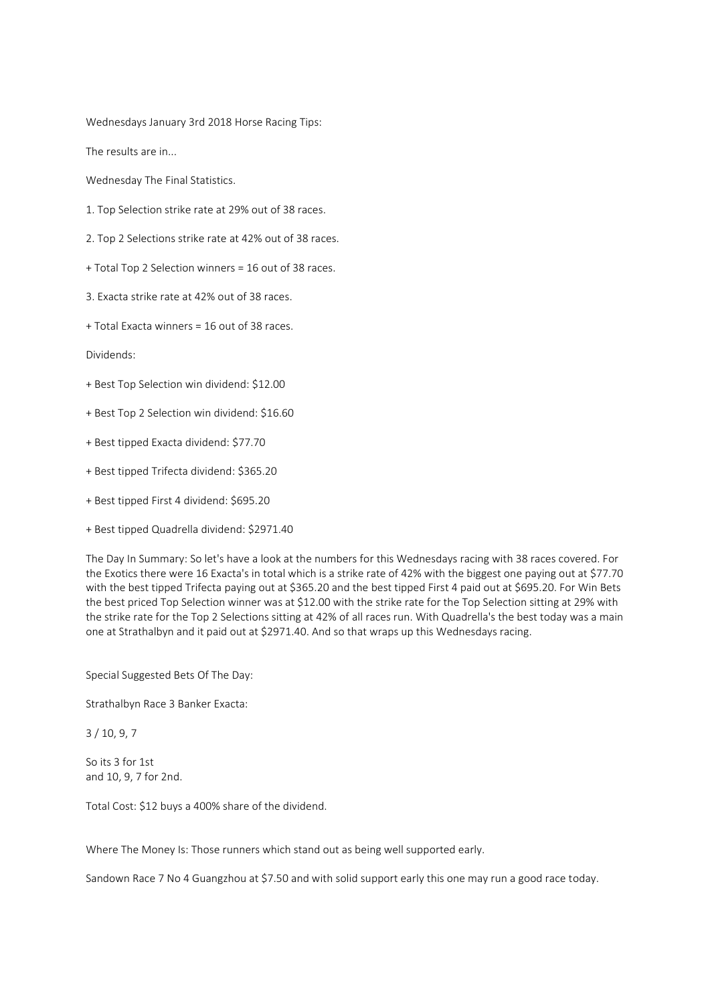Wednesdays January 3rd 2018 Horse Racing Tips:

The results are in...

Wednesday The Final Statistics.

- 1. Top Selection strike rate at 29% out of 38 races.
- 2. Top 2 Selections strike rate at 42% out of 38 races.
- + Total Top 2 Selection winners = 16 out of 38 races.
- 3. Exacta strike rate at 42% out of 38 races.
- + Total Exacta winners = 16 out of 38 races.

Dividends:

- + Best Top Selection win dividend: \$12.00
- + Best Top 2 Selection win dividend: \$16.60
- + Best tipped Exacta dividend: \$77.70
- + Best tipped Trifecta dividend: \$365.20
- + Best tipped First 4 dividend: \$695.20
- + Best tipped Quadrella dividend: \$2971.40

The Day In Summary: So let's have a look at the numbers for this Wednesdays racing with 38 races covered. For the Exotics there were 16 Exacta's in total which is a strike rate of 42% with the biggest one paying out at \$77.70 with the best tipped Trifecta paying out at \$365.20 and the best tipped First 4 paid out at \$695.20. For Win Bets the best priced Top Selection winner was at \$12.00 with the strike rate for the Top Selection sitting at 29% with the strike rate for the Top 2 Selections sitting at 42% of all races run. With Quadrella's the best today was a main one at Strathalbyn and it paid out at \$2971.40. And so that wraps up this Wednesdays racing.

Special Suggested Bets Of The Day:

Strathalbyn Race 3 Banker Exacta:

3 / 10, 9, 7

So its 3 for 1st and 10, 9, 7 for 2nd.

Total Cost: \$12 buys a 400% share of the dividend.

Where The Money Is: Those runners which stand out as being well supported early.

Sandown Race 7 No 4 Guangzhou at \$7.50 and with solid support early this one may run a good race today.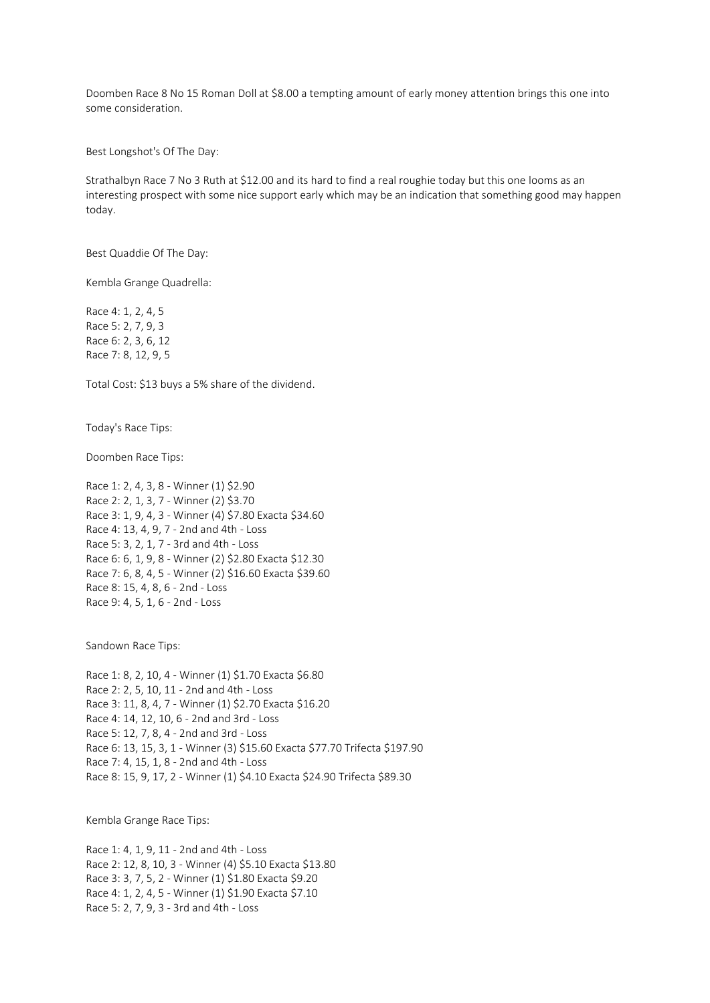Doomben Race 8 No 15 Roman Doll at \$8.00 a tempting amount of early money attention brings this one into some consideration.

Best Longshot's Of The Day:

Strathalbyn Race 7 No 3 Ruth at \$12.00 and its hard to find a real roughie today but this one looms as an interesting prospect with some nice support early which may be an indication that something good may happen today.

Best Quaddie Of The Day:

Kembla Grange Quadrella:

Race 4: 1, 2, 4, 5 Race 5: 2, 7, 9, 3 Race 6: 2, 3, 6, 12 Race 7: 8, 12, 9, 5

Total Cost: \$13 buys a 5% share of the dividend.

Today's Race Tips:

Doomben Race Tips:

Race 1: 2, 4, 3, 8 - Winner (1) \$2.90 Race 2: 2, 1, 3, 7 - Winner (2) \$3.70 Race 3: 1, 9, 4, 3 - Winner (4) \$7.80 Exacta \$34.60 Race 4: 13, 4, 9, 7 - 2nd and 4th - Loss Race 5: 3, 2, 1, 7 - 3rd and 4th - Loss Race 6: 6, 1, 9, 8 - Winner (2) \$2.80 Exacta \$12.30 Race 7: 6, 8, 4, 5 - Winner (2) \$16.60 Exacta \$39.60 Race 8: 15, 4, 8, 6 - 2nd - Loss Race 9: 4, 5, 1, 6 - 2nd - Loss

Sandown Race Tips:

Race 1: 8, 2, 10, 4 - Winner (1) \$1.70 Exacta \$6.80 Race 2: 2, 5, 10, 11 - 2nd and 4th - Loss Race 3: 11, 8, 4, 7 - Winner (1) \$2.70 Exacta \$16.20 Race 4: 14, 12, 10, 6 - 2nd and 3rd - Loss Race 5: 12, 7, 8, 4 - 2nd and 3rd - Loss Race 6: 13, 15, 3, 1 - Winner (3) \$15.60 Exacta \$77.70 Trifecta \$197.90 Race 7: 4, 15, 1, 8 - 2nd and 4th - Loss Race 8: 15, 9, 17, 2 - Winner (1) \$4.10 Exacta \$24.90 Trifecta \$89.30

Kembla Grange Race Tips:

Race 1: 4, 1, 9, 11 - 2nd and 4th - Loss Race 2: 12, 8, 10, 3 - Winner (4) \$5.10 Exacta \$13.80 Race 3: 3, 7, 5, 2 - Winner (1) \$1.80 Exacta \$9.20 Race 4: 1, 2, 4, 5 - Winner (1) \$1.90 Exacta \$7.10 Race 5: 2, 7, 9, 3 - 3rd and 4th - Loss